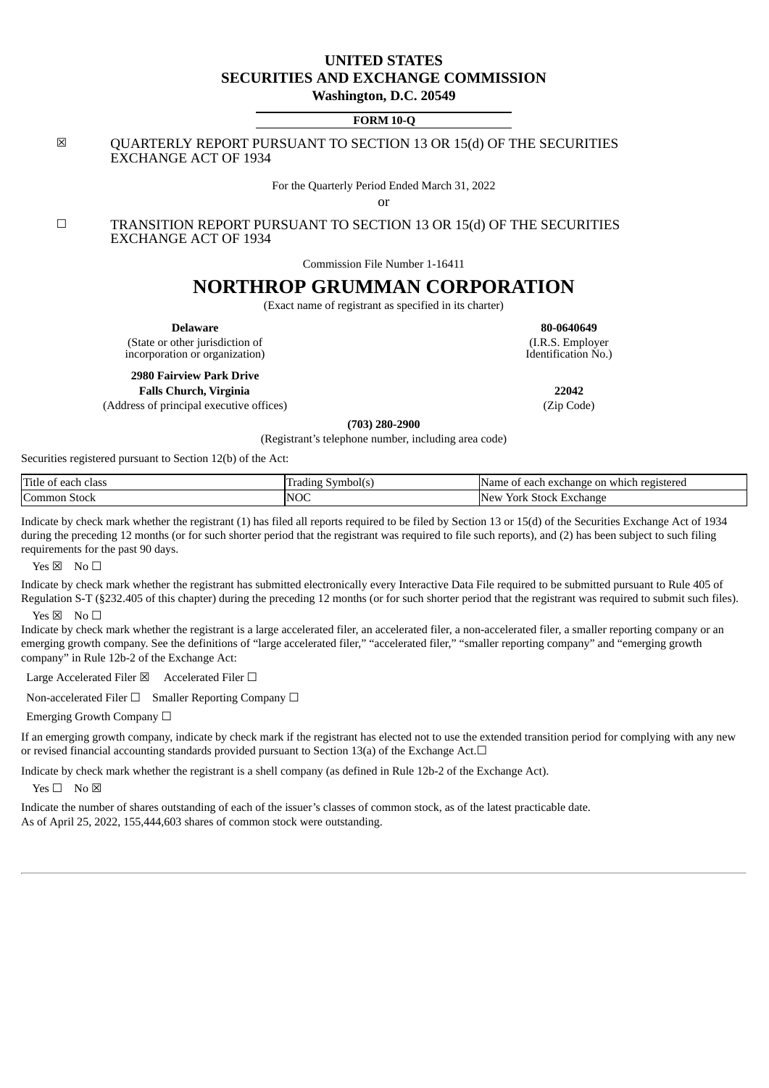## **UNITED STATES SECURITIES AND EXCHANGE COMMISSION Washington, D.C. 20549**

## **FORM 10-Q**

## $\boxtimes$  QUARTERLY REPORT PURSUANT TO SECTION 13 OR 15(d) OF THE SECURITIES EXCHANGE ACT OF 1934

For the Quarterly Period Ended March 31, 2022

or

☐ TRANSITION REPORT PURSUANT TO SECTION 13 OR 15(d) OF THE SECURITIES EXCHANGE ACT OF 1934

Commission File Number 1-16411

## **NORTHROP GRUMMAN CORPORATION**

(Exact name of registrant as specified in its charter)

**Delaware 80-0640649**

(State or other jurisdiction of incorporation or organization)

**2980 Fairview Park Drive**

**Falls Church, Virginia 22042**

(Address of principal executive offices) (Zip Code)

(I.R.S. Employer Identification No.)

**(703) 280-2900**

(Registrant's telephone number, including area code)

Securities registered pursuant to Section 12(b) of the Act:

| Title of<br>class<br>each     | radıng<br>iymbol(s | Name:<br>each<br>registered<br>ı exchange-<br>on<br>, which |  |  |  |  |  |
|-------------------------------|--------------------|-------------------------------------------------------------|--|--|--|--|--|
| $\sqrt{2}$<br>Stock<br>Common | <b>NOC</b>         | New<br>Stock Exchange<br>York                               |  |  |  |  |  |

Indicate by check mark whether the registrant (1) has filed all reports required to be filed by Section 13 or 15(d) of the Securities Exchange Act of 1934 during the preceding 12 months (or for such shorter period that the registrant was required to file such reports), and (2) has been subject to such filing requirements for the past 90 days.

 $Yes \boxtimes \cong No \square$ 

Indicate by check mark whether the registrant has submitted electronically every Interactive Data File required to be submitted pursuant to Rule 405 of Regulation S-T (§232.405 of this chapter) during the preceding 12 months (or for such shorter period that the registrant was required to submit such files). Yes ⊠ No □

Indicate by check mark whether the registrant is a large accelerated filer, an accelerated filer, a non-accelerated filer, a smaller reporting company or an emerging growth company. See the definitions of "large accelerated filer," "accelerated filer," "smaller reporting company" and "emerging growth company" in Rule 12b-2 of the Exchange Act:

Large Accelerated Filer  $\boxtimes$  Accelerated Filer  $\Box$ 

Non-accelerated Filer  $\Box$  Smaller Reporting Company  $\Box$ 

Emerging Growth Company  $\Box$ 

If an emerging growth company, indicate by check mark if the registrant has elected not to use the extended transition period for complying with any new or revised financial accounting standards provided pursuant to Section 13(a) of the Exchange Act.□

Indicate by check mark whether the registrant is a shell company (as defined in Rule 12b-2 of the Exchange Act).

 $V_{\text{ac}} \Box$  No  $\boxtimes$ 

<span id="page-0-0"></span>Indicate the number of shares outstanding of each of the issuer's classes of common stock, as of the latest practicable date. As of April 25, 2022, 155,444,603 shares of common stock were outstanding.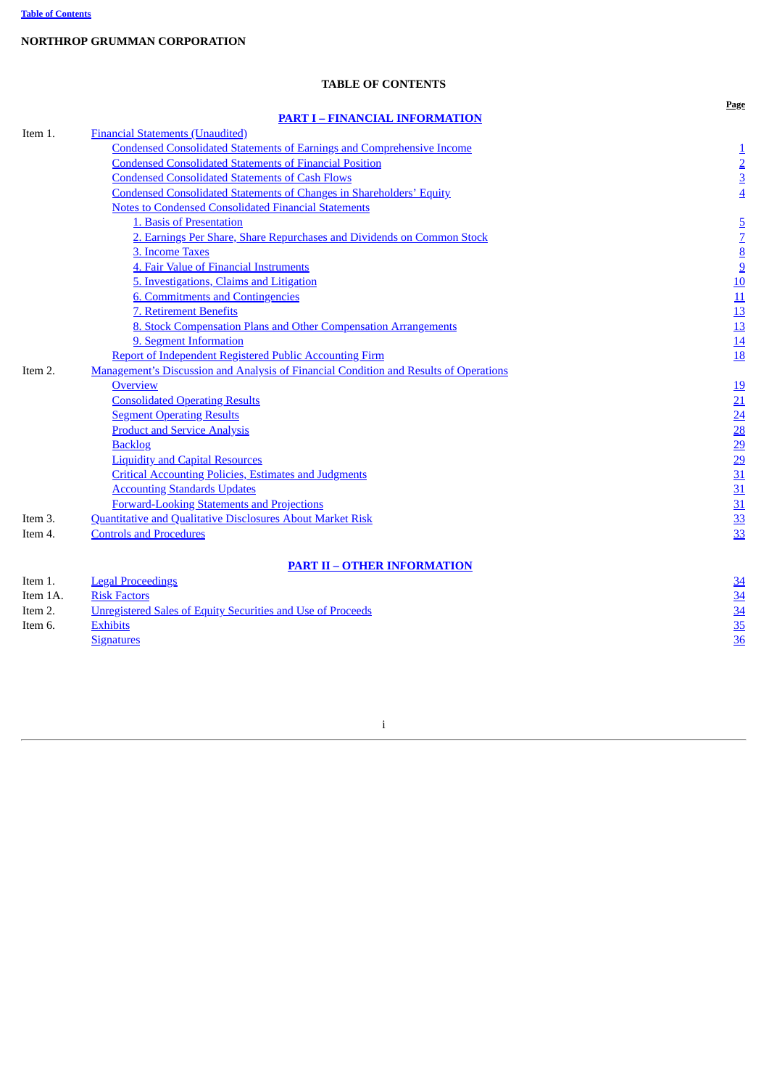## **TABLE OF CONTENTS**

**Page**

## **PART I – FINANCIAL [INFORMATION](#page-1-0)**

<span id="page-1-0"></span>

| Item 1.  | <b>Financial Statements (Unaudited)</b>                                               |                                                                                                     |
|----------|---------------------------------------------------------------------------------------|-----------------------------------------------------------------------------------------------------|
|          | <b>Condensed Consolidated Statements of Earnings and Comprehensive Income</b>         |                                                                                                     |
|          | <b>Condensed Consolidated Statements of Financial Position</b>                        | $\frac{1}{2}$<br>$\frac{2}{3}$                                                                      |
|          | <b>Condensed Consolidated Statements of Cash Flows</b>                                |                                                                                                     |
|          | <b>Condensed Consolidated Statements of Changes in Shareholders' Equity</b>           | $\overline{4}$                                                                                      |
|          | <b>Notes to Condensed Consolidated Financial Statements</b>                           |                                                                                                     |
|          | 1. Basis of Presentation                                                              |                                                                                                     |
|          | 2. Earnings Per Share, Share Repurchases and Dividends on Common Stock                |                                                                                                     |
|          | 3. Income Taxes                                                                       |                                                                                                     |
|          | 4. Fair Value of Financial Instruments                                                |                                                                                                     |
|          | 5. Investigations, Claims and Litigation                                              |                                                                                                     |
|          | <b>6. Commitments and Contingencies</b>                                               |                                                                                                     |
|          | <b>7. Retirement Benefits</b>                                                         |                                                                                                     |
|          | 8. Stock Compensation Plans and Other Compensation Arrangements                       | $\frac{5}{2}$ $\frac{7}{9}$ $\frac{8}{10}$ $\frac{9}{11}$ $\frac{11}{13}$ $\frac{13}{14}$           |
|          | 9. Segment Information                                                                |                                                                                                     |
|          | Report of Independent Registered Public Accounting Firm                               | 18                                                                                                  |
| Item 2.  | Management's Discussion and Analysis of Financial Condition and Results of Operations |                                                                                                     |
|          | <b>Overview</b>                                                                       | <u>19</u>                                                                                           |
|          | <b>Consolidated Operating Results</b>                                                 |                                                                                                     |
|          | <b>Segment Operating Results</b>                                                      | $\frac{21}{24} \frac{24}{29} \frac{29}{29} \frac{21}{21} \frac{31}{21} \frac{31}{21} \frac{33}{23}$ |
|          | <b>Product and Service Analysis</b>                                                   |                                                                                                     |
|          | <b>Backlog</b>                                                                        |                                                                                                     |
|          | <b>Liquidity and Capital Resources</b>                                                |                                                                                                     |
|          | <b>Critical Accounting Policies, Estimates and Judgments</b>                          |                                                                                                     |
|          | <b>Accounting Standards Updates</b>                                                   |                                                                                                     |
|          | <b>Forward-Looking Statements and Projections</b>                                     |                                                                                                     |
| Item 3.  | <b>Quantitative and Qualitative Disclosures About Market Risk</b>                     |                                                                                                     |
| Item 4.  | <b>Controls and Procedures</b>                                                        |                                                                                                     |
|          |                                                                                       |                                                                                                     |
|          | <b>PART II - OTHER INFORMATION</b>                                                    |                                                                                                     |
| Item 1.  | <b>Legal Proceedings</b>                                                              | $\frac{34}{5}$                                                                                      |
| Item 1A. | <b>Risk Factors</b>                                                                   | $\frac{34}{35}$ $\frac{35}{36}$                                                                     |
| Item 2.  | <b>Unregistered Sales of Equity Securities and Use of Proceeds</b>                    |                                                                                                     |
| Item 6.  | <b>Exhibits</b>                                                                       |                                                                                                     |
|          | <b>Signatures</b>                                                                     |                                                                                                     |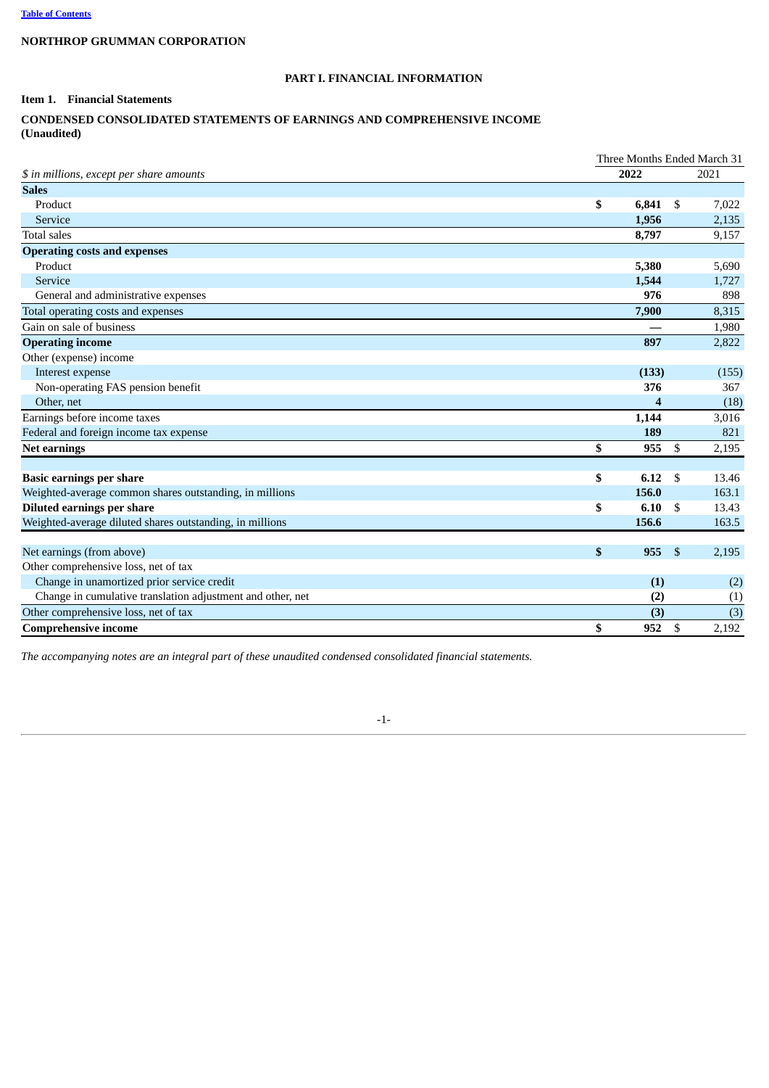## **PART I. FINANCIAL INFORMATION**

## <span id="page-2-0"></span>**Item 1. Financial Statements**

## <span id="page-2-1"></span>**CONDENSED CONSOLIDATED STATEMENTS OF EARNINGS AND COMPREHENSIVE INCOME (Unaudited)**

|                                                            |             | Three Months Ended March 31 |       |  |
|------------------------------------------------------------|-------------|-----------------------------|-------|--|
| \$ in millions, except per share amounts                   | 2022        |                             | 2021  |  |
| <b>Sales</b>                                               |             |                             |       |  |
| Product                                                    | \$<br>6,841 | \$                          | 7,022 |  |
| <b>Service</b>                                             | 1,956       |                             | 2,135 |  |
| <b>Total sales</b>                                         | 8,797       |                             | 9,157 |  |
| <b>Operating costs and expenses</b>                        |             |                             |       |  |
| Product                                                    | 5,380       |                             | 5,690 |  |
| <b>Service</b>                                             | 1,544       |                             | 1,727 |  |
| General and administrative expenses                        | 976         |                             | 898   |  |
| Total operating costs and expenses                         | 7,900       |                             | 8,315 |  |
| Gain on sale of business                                   |             |                             | 1,980 |  |
| <b>Operating income</b>                                    | 897         |                             | 2,822 |  |
| Other (expense) income                                     |             |                             |       |  |
| Interest expense                                           | (133)       |                             | (155) |  |
| Non-operating FAS pension benefit                          | 376         |                             | 367   |  |
| Other, net                                                 | 4           |                             | (18)  |  |
| Earnings before income taxes                               | 1,144       |                             | 3,016 |  |
| Federal and foreign income tax expense                     | 189         |                             | 821   |  |
| <b>Net earnings</b>                                        | \$<br>955   | \$                          | 2,195 |  |
|                                                            |             |                             |       |  |
| <b>Basic earnings per share</b>                            | \$<br>6.12  | \$                          | 13.46 |  |
| Weighted-average common shares outstanding, in millions    | 156.0       |                             | 163.1 |  |
| <b>Diluted earnings per share</b>                          | \$<br>6.10  | \$                          | 13.43 |  |
| Weighted-average diluted shares outstanding, in millions   | 156.6       |                             | 163.5 |  |
| Net earnings (from above)                                  | \$<br>955   | \$                          | 2,195 |  |
| Other comprehensive loss, net of tax                       |             |                             |       |  |
| Change in unamortized prior service credit                 | (1)         |                             | (2)   |  |
| Change in cumulative translation adjustment and other, net | (2)         |                             | (1)   |  |
| Other comprehensive loss, net of tax                       | (3)         |                             | (3)   |  |
| <b>Comprehensive income</b>                                | \$<br>952   | \$                          | 2,192 |  |

<span id="page-2-2"></span>*The accompanying notes are an integral part of these unaudited condensed consolidated financial statements.*

## -1-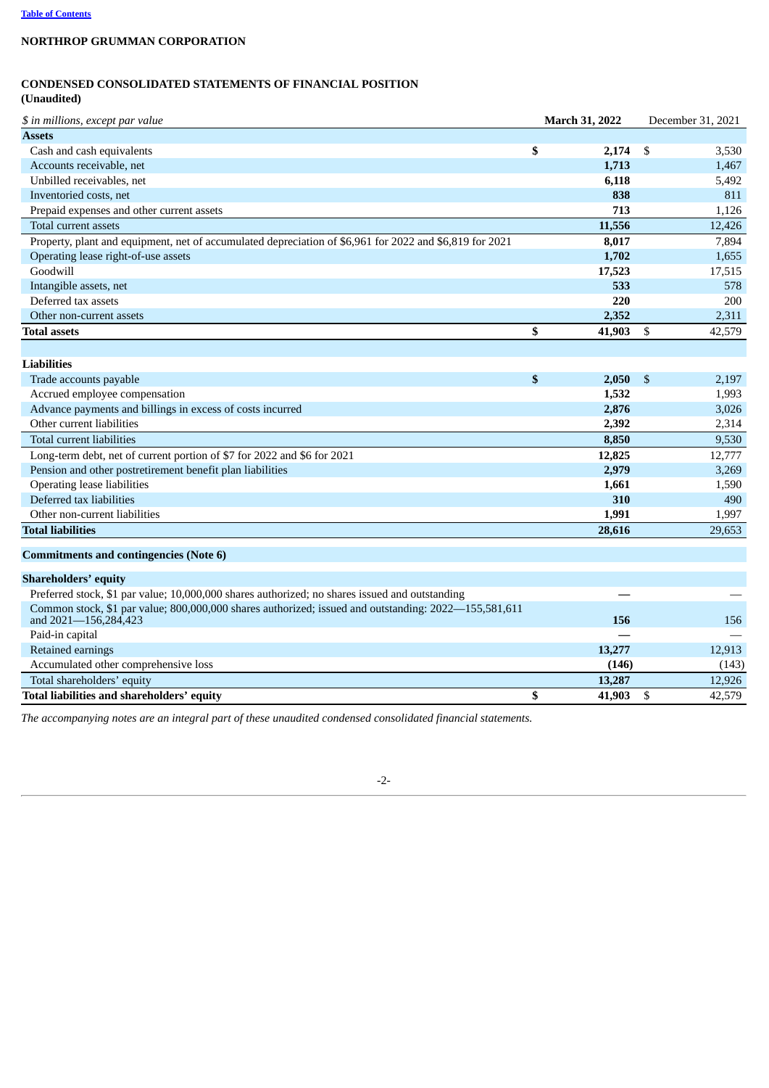## **CONDENSED CONSOLIDATED STATEMENTS OF FINANCIAL POSITION**

## **(Unaudited)**

| \$ in millions, except par value                                                                                             | March 31, 2022 | December 31, 2021 |
|------------------------------------------------------------------------------------------------------------------------------|----------------|-------------------|
| <b>Assets</b>                                                                                                                |                |                   |
| Cash and cash equivalents                                                                                                    | \$<br>2,174    | \$<br>3,530       |
| Accounts receivable, net                                                                                                     | 1,713          | 1,467             |
| Unbilled receivables, net                                                                                                    | 6,118          | 5,492             |
| Inventoried costs, net                                                                                                       | 838            | 811               |
| Prepaid expenses and other current assets                                                                                    | 713            | 1,126             |
| Total current assets                                                                                                         | 11,556         | 12,426            |
| Property, plant and equipment, net of accumulated depreciation of \$6,961 for 2022 and \$6,819 for 2021                      | 8,017          | 7,894             |
| Operating lease right-of-use assets                                                                                          | 1,702          | 1,655             |
| Goodwill                                                                                                                     | 17,523         | 17,515            |
| Intangible assets, net                                                                                                       | 533            | 578               |
| Deferred tax assets                                                                                                          | 220            | 200               |
| Other non-current assets                                                                                                     | 2,352          | 2,311             |
| <b>Total assets</b>                                                                                                          | \$<br>41,903   | \$<br>42,579      |
|                                                                                                                              |                |                   |
| <b>Liabilities</b>                                                                                                           |                |                   |
| Trade accounts payable                                                                                                       | \$<br>2,050    | \$<br>2,197       |
| Accrued employee compensation                                                                                                | 1,532          | 1,993             |
| Advance payments and billings in excess of costs incurred                                                                    | 2,876          | 3,026             |
| Other current liabilities                                                                                                    | 2,392          | 2,314             |
| Total current liabilities                                                                                                    | 8,850          | 9,530             |
| Long-term debt, net of current portion of \$7 for 2022 and \$6 for 2021                                                      | 12,825         | 12,777            |
| Pension and other postretirement benefit plan liabilities                                                                    | 2,979          | 3,269             |
| Operating lease liabilities                                                                                                  | 1,661          | 1,590             |
| Deferred tax liabilities                                                                                                     | 310            | 490               |
| Other non-current liabilities                                                                                                | 1,991          | 1,997             |
| <b>Total liabilities</b>                                                                                                     | 28,616         | 29,653            |
| Commitments and contingencies (Note 6)                                                                                       |                |                   |
| <b>Shareholders' equity</b>                                                                                                  |                |                   |
| Preferred stock, \$1 par value; 10,000,000 shares authorized; no shares issued and outstanding                               |                |                   |
| Common stock, \$1 par value; 800,000,000 shares authorized; issued and outstanding: 2022-155,581,611<br>and 2021-156,284,423 | 156            | 156               |
| Paid-in capital                                                                                                              |                |                   |
| Retained earnings                                                                                                            | 13,277         | 12,913            |
| Accumulated other comprehensive loss                                                                                         | (146)          | (143)             |
| Total shareholders' equity                                                                                                   | 13,287         | 12,926            |
| Total liabilities and shareholders' equity                                                                                   | \$<br>41,903   | \$<br>42,579      |

<span id="page-3-0"></span>*The accompanying notes are an integral part of these unaudited condensed consolidated financial statements.*

## -2-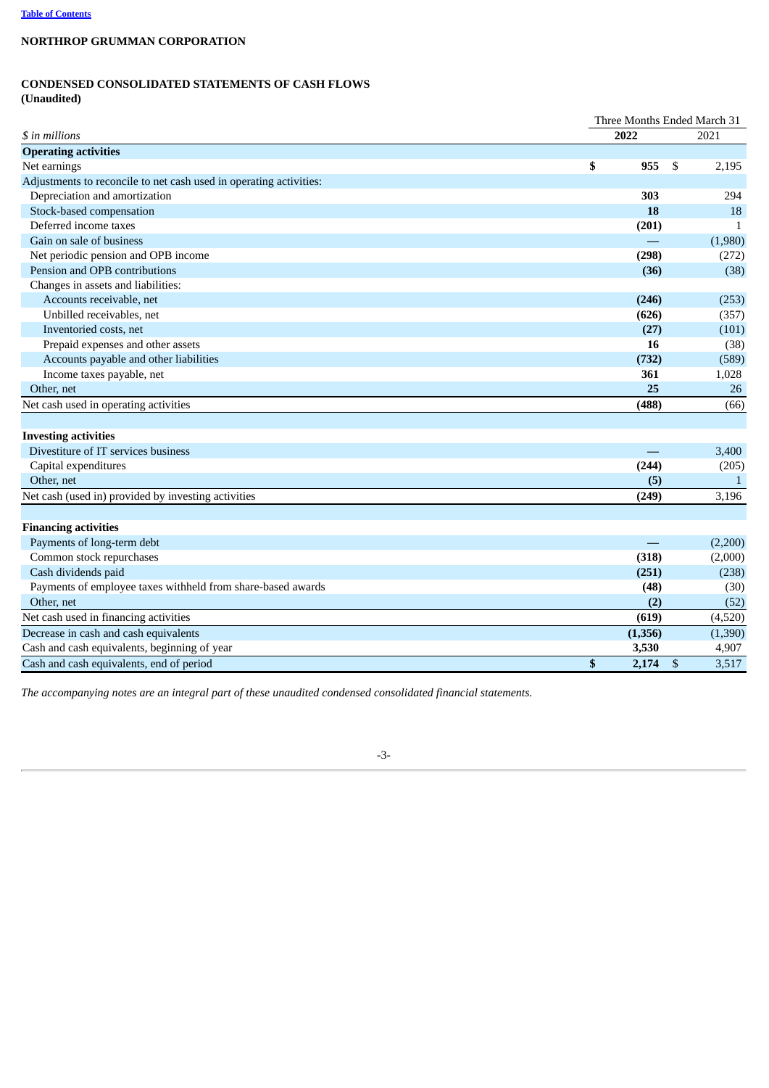## **CONDENSED CONSOLIDATED STATEMENTS OF CASH FLOWS (Unaudited)**

|                                                                    |             | Three Months Ended March 31 |
|--------------------------------------------------------------------|-------------|-----------------------------|
| \$ in millions                                                     |             | 2021                        |
| <b>Operating activities</b>                                        |             |                             |
| Net earnings                                                       | \$<br>955   | \$<br>2,195                 |
| Adjustments to reconcile to net cash used in operating activities: |             |                             |
| Depreciation and amortization                                      | 303         | 294                         |
| Stock-based compensation                                           | 18          | 18                          |
| Deferred income taxes                                              | (201)       | -1                          |
| Gain on sale of business                                           |             | (1,980)                     |
| Net periodic pension and OPB income                                | (298)       | (272)                       |
| Pension and OPB contributions                                      | (36)        | (38)                        |
| Changes in assets and liabilities:                                 |             |                             |
| Accounts receivable, net                                           | (246)       | (253)                       |
| Unbilled receivables, net                                          | (626)       | (357)                       |
| Inventoried costs, net                                             | (27)        | (101)                       |
| Prepaid expenses and other assets                                  | 16          | (38)                        |
| Accounts payable and other liabilities                             | (732)       | (589)                       |
| Income taxes payable, net                                          | 361         | 1,028                       |
| Other, net                                                         | 25          | 26                          |
| Net cash used in operating activities                              | (488)       | (66)                        |
|                                                                    |             |                             |
| <b>Investing activities</b>                                        |             |                             |
| Divestiture of IT services business                                |             | 3,400                       |
| Capital expenditures                                               | (244)       | (205)                       |
| Other, net                                                         | (5)         | 1                           |
| Net cash (used in) provided by investing activities                | (249)       | 3,196                       |
|                                                                    |             |                             |
| <b>Financing activities</b>                                        |             |                             |
| Payments of long-term debt                                         |             | (2,200)                     |
| Common stock repurchases                                           | (318)       | (2,000)                     |
| Cash dividends paid                                                | (251)       | (238)                       |
| Payments of employee taxes withheld from share-based awards        | (48)        | (30)                        |
| Other, net                                                         | (2)         | (52)                        |
| Net cash used in financing activities                              | (619)       | (4,520)                     |
| Decrease in cash and cash equivalents                              | (1, 356)    | (1, 390)                    |
| Cash and cash equivalents, beginning of year                       | 3,530       | 4,907                       |
| Cash and cash equivalents, end of period                           | \$<br>2,174 | \$<br>3,517                 |

<span id="page-4-0"></span>*The accompanying notes are an integral part of these unaudited condensed consolidated financial statements.*

-3-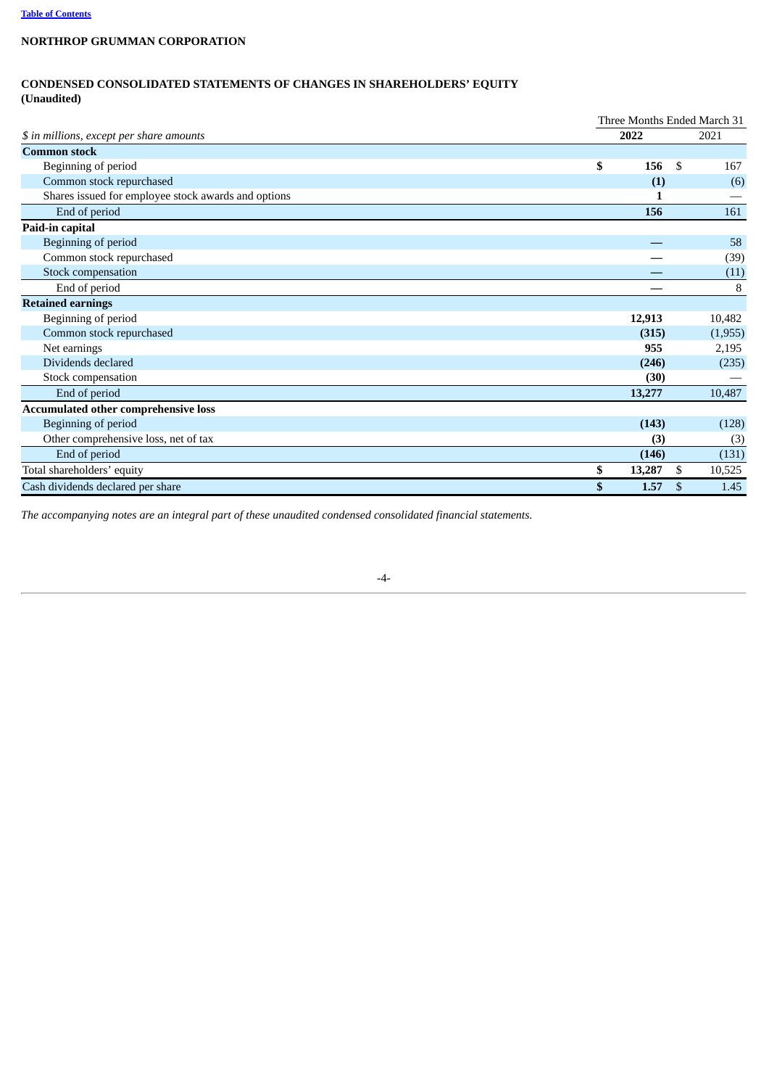## **CONDENSED CONSOLIDATED STATEMENTS OF CHANGES IN SHAREHOLDERS' EQUITY**

**(Unaudited)**

|                                                     |              | Three Months Ended March 31 |         |  |  |  |  |  |  |
|-----------------------------------------------------|--------------|-----------------------------|---------|--|--|--|--|--|--|
| \$ in millions, except per share amounts            | 2022         |                             | 2021    |  |  |  |  |  |  |
| <b>Common stock</b>                                 |              |                             |         |  |  |  |  |  |  |
| Beginning of period                                 | \$<br>156    | \$                          | 167     |  |  |  |  |  |  |
| Common stock repurchased                            | (1)          |                             | (6)     |  |  |  |  |  |  |
| Shares issued for employee stock awards and options |              |                             |         |  |  |  |  |  |  |
| End of period                                       | 156          |                             | 161     |  |  |  |  |  |  |
| Paid-in capital                                     |              |                             |         |  |  |  |  |  |  |
| Beginning of period                                 |              |                             | 58      |  |  |  |  |  |  |
| Common stock repurchased                            |              |                             | (39)    |  |  |  |  |  |  |
| Stock compensation                                  |              |                             | (11)    |  |  |  |  |  |  |
| End of period                                       |              |                             | 8       |  |  |  |  |  |  |
| <b>Retained earnings</b>                            |              |                             |         |  |  |  |  |  |  |
| Beginning of period                                 | 12,913       |                             | 10,482  |  |  |  |  |  |  |
| Common stock repurchased                            | (315)        |                             | (1,955) |  |  |  |  |  |  |
| Net earnings                                        | 955          |                             | 2,195   |  |  |  |  |  |  |
| Dividends declared                                  | (246)        |                             | (235)   |  |  |  |  |  |  |
| Stock compensation                                  | (30)         |                             |         |  |  |  |  |  |  |
| End of period                                       | 13,277       |                             | 10,487  |  |  |  |  |  |  |
| <b>Accumulated other comprehensive loss</b>         |              |                             |         |  |  |  |  |  |  |
| Beginning of period                                 | (143)        |                             | (128)   |  |  |  |  |  |  |
| Other comprehensive loss, net of tax                | (3)          |                             | (3)     |  |  |  |  |  |  |
| End of period                                       | (146)        |                             | (131)   |  |  |  |  |  |  |
| Total shareholders' equity                          | \$<br>13,287 | \$                          | 10,525  |  |  |  |  |  |  |
| Cash dividends declared per share                   | \$<br>1.57   | \$                          | 1.45    |  |  |  |  |  |  |

<span id="page-5-0"></span>*The accompanying notes are an integral part of these unaudited condensed consolidated financial statements.*

-4-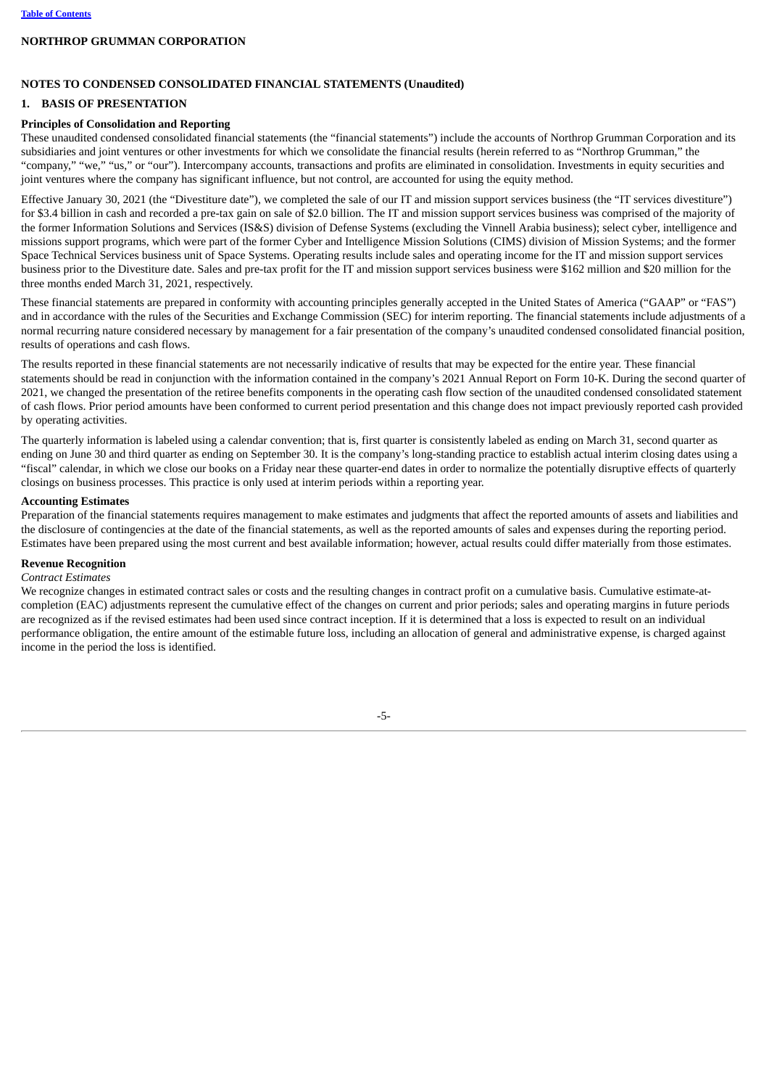## **NOTES TO CONDENSED CONSOLIDATED FINANCIAL STATEMENTS (Unaudited)**

## <span id="page-6-0"></span>**1. BASIS OF PRESENTATION**

## **Principles of Consolidation and Reporting**

These unaudited condensed consolidated financial statements (the "financial statements") include the accounts of Northrop Grumman Corporation and its subsidiaries and joint ventures or other investments for which we consolidate the financial results (herein referred to as "Northrop Grumman," the "company," "we," "us," or "our"). Intercompany accounts, transactions and profits are eliminated in consolidation. Investments in equity securities and joint ventures where the company has significant influence, but not control, are accounted for using the equity method.

Effective January 30, 2021 (the "Divestiture date"), we completed the sale of our IT and mission support services business (the "IT services divestiture") for \$3.4 billion in cash and recorded a pre-tax gain on sale of \$2.0 billion. The IT and mission support services business was comprised of the majority of the former Information Solutions and Services (IS&S) division of Defense Systems (excluding the Vinnell Arabia business); select cyber, intelligence and missions support programs, which were part of the former Cyber and Intelligence Mission Solutions (CIMS) division of Mission Systems; and the former Space Technical Services business unit of Space Systems. Operating results include sales and operating income for the IT and mission support services business prior to the Divestiture date. Sales and pre-tax profit for the IT and mission support services business were \$162 million and \$20 million for the three months ended March 31, 2021, respectively.

These financial statements are prepared in conformity with accounting principles generally accepted in the United States of America ("GAAP" or "FAS") and in accordance with the rules of the Securities and Exchange Commission (SEC) for interim reporting. The financial statements include adjustments of a normal recurring nature considered necessary by management for a fair presentation of the company's unaudited condensed consolidated financial position, results of operations and cash flows.

The results reported in these financial statements are not necessarily indicative of results that may be expected for the entire year. These financial statements should be read in conjunction with the information contained in the company's 2021 Annual Report on Form 10-K. During the second quarter of 2021, we changed the presentation of the retiree benefits components in the operating cash flow section of the unaudited condensed consolidated statement of cash flows. Prior period amounts have been conformed to current period presentation and this change does not impact previously reported cash provided by operating activities.

The quarterly information is labeled using a calendar convention; that is, first quarter is consistently labeled as ending on March 31, second quarter as ending on June 30 and third quarter as ending on September 30. It is the company's long-standing practice to establish actual interim closing dates using a "fiscal" calendar, in which we close our books on a Friday near these quarter-end dates in order to normalize the potentially disruptive effects of quarterly closings on business processes. This practice is only used at interim periods within a reporting year.

## **Accounting Estimates**

Preparation of the financial statements requires management to make estimates and judgments that affect the reported amounts of assets and liabilities and the disclosure of contingencies at the date of the financial statements, as well as the reported amounts of sales and expenses during the reporting period. Estimates have been prepared using the most current and best available information; however, actual results could differ materially from those estimates.

## **Revenue Recognition**

## *Contract Estimates*

We recognize changes in estimated contract sales or costs and the resulting changes in contract profit on a cumulative basis. Cumulative estimate-atcompletion (EAC) adjustments represent the cumulative effect of the changes on current and prior periods; sales and operating margins in future periods are recognized as if the revised estimates had been used since contract inception. If it is determined that a loss is expected to result on an individual performance obligation, the entire amount of the estimable future loss, including an allocation of general and administrative expense, is charged against income in the period the loss is identified.

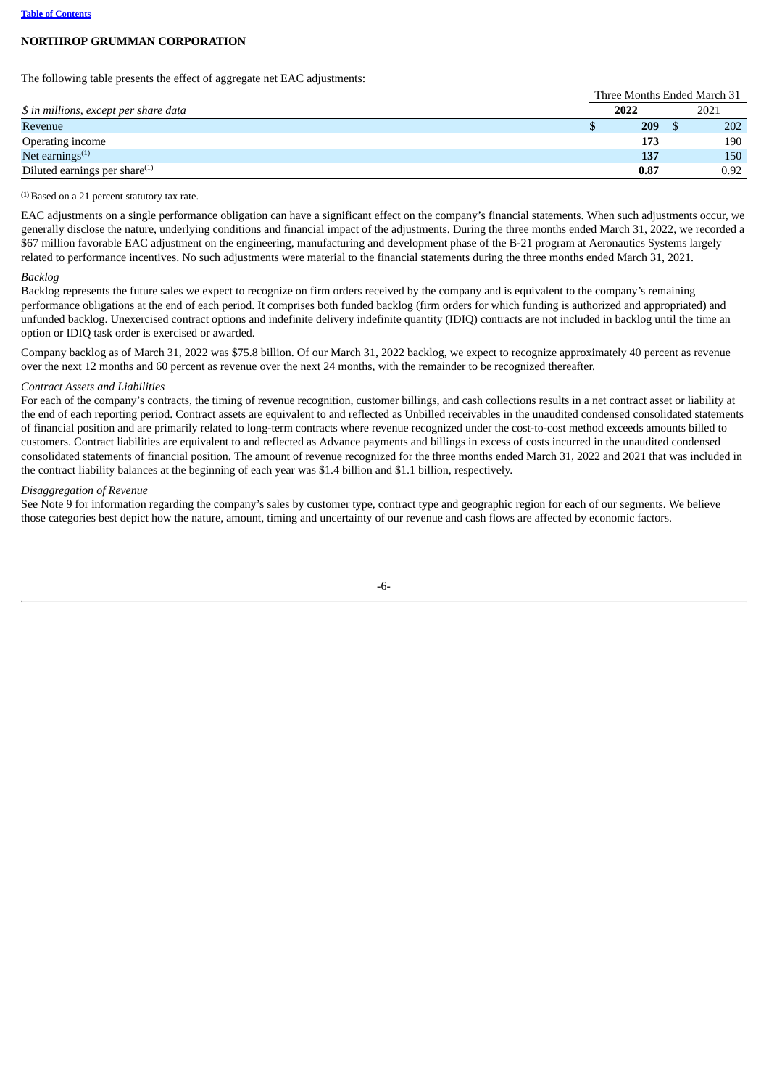The following table presents the effect of aggregate net EAC adjustments:

|                                       |      | Three Months Ended March 31 |  |  |
|---------------------------------------|------|-----------------------------|--|--|
| \$ in millions, except per share data | 2022 | 2021                        |  |  |
| Revenue                               | 209  | 202                         |  |  |
| Operating income                      | 173  | 190                         |  |  |
| Net earnings $(1)$                    | 137  | 150                         |  |  |
| Diluted earnings per share $(1)$      | 0.87 | 0.92                        |  |  |
|                                       |      |                             |  |  |

#### Based on a 21 percent statutory tax rate. **(1)**

EAC adjustments on a single performance obligation can have a significant effect on the company's financial statements. When such adjustments occur, we generally disclose the nature, underlying conditions and financial impact of the adjustments. During the three months ended March 31, 2022, we recorded a \$67 million favorable EAC adjustment on the engineering, manufacturing and development phase of the B-21 program at Aeronautics Systems largely related to performance incentives. No such adjustments were material to the financial statements during the three months ended March 31, 2021.

#### *Backlog*

Backlog represents the future sales we expect to recognize on firm orders received by the company and is equivalent to the company's remaining performance obligations at the end of each period. It comprises both funded backlog (firm orders for which funding is authorized and appropriated) and unfunded backlog. Unexercised contract options and indefinite delivery indefinite quantity (IDIQ) contracts are not included in backlog until the time an option or IDIQ task order is exercised or awarded.

Company backlog as of March 31, 2022 was \$75.8 billion. Of our March 31, 2022 backlog, we expect to recognize approximately 40 percent as revenue over the next 12 months and 60 percent as revenue over the next 24 months, with the remainder to be recognized thereafter.

#### *Contract Assets and Liabilities*

For each of the company's contracts, the timing of revenue recognition, customer billings, and cash collections results in a net contract asset or liability at the end of each reporting period. Contract assets are equivalent to and reflected as Unbilled receivables in the unaudited condensed consolidated statements of financial position and are primarily related to long-term contracts where revenue recognized under the cost-to-cost method exceeds amounts billed to customers. Contract liabilities are equivalent to and reflected as Advance payments and billings in excess of costs incurred in the unaudited condensed consolidated statements of financial position. The amount of revenue recognized for the three months ended March 31, 2022 and 2021 that was included in the contract liability balances at the beginning of each year was \$1.4 billion and \$1.1 billion, respectively.

#### *Disaggregation of Revenue*

See Note 9 for information regarding the company's sales by customer type, contract type and geographic region for each of our segments. We believe those categories best depict how the nature, amount, timing and uncertainty of our revenue and cash flows are affected by economic factors.

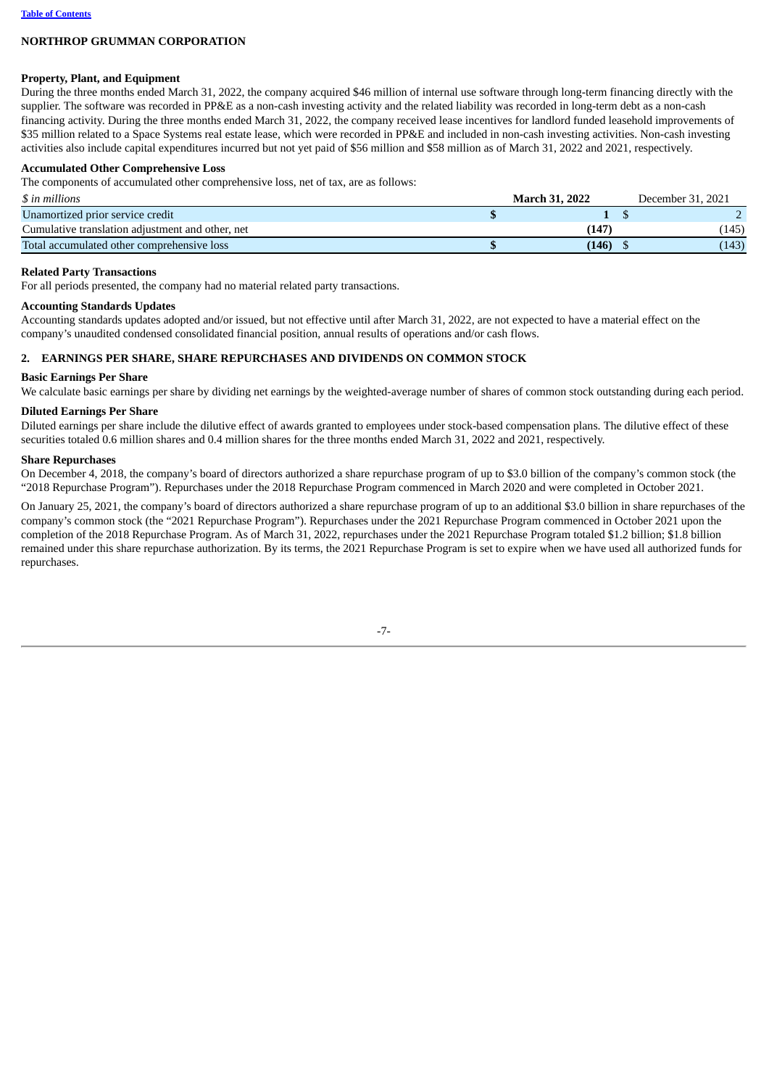#### **Property, Plant, and Equipment**

During the three months ended March 31, 2022, the company acquired \$46 million of internal use software through long-term financing directly with the supplier. The software was recorded in PP&E as a non-cash investing activity and the related liability was recorded in long-term debt as a non-cash financing activity. During the three months ended March 31, 2022, the company received lease incentives for landlord funded leasehold improvements of \$35 million related to a Space Systems real estate lease, which were recorded in PP&E and included in non-cash investing activities. Non-cash investing activities also include capital expenditures incurred but not yet paid of \$56 million and \$58 million as of March 31, 2022 and 2021, respectively.

## **Accumulated Other Comprehensive Loss**

The components of accumulated other comprehensive loss, net of tax, are as follows:

| \$ in millions                                   | <b>March 31, 2022</b> | December 31, 2021 |
|--------------------------------------------------|-----------------------|-------------------|
| Unamortized prior service credit                 |                       |                   |
| Cumulative translation adjustment and other, net | (147                  | (145)             |
| Total accumulated other comprehensive loss       | (146)                 | (143)             |

## **Related Party Transactions**

For all periods presented, the company had no material related party transactions.

#### **Accounting Standards Updates**

Accounting standards updates adopted and/or issued, but not effective until after March 31, 2022, are not expected to have a material effect on the company's unaudited condensed consolidated financial position, annual results of operations and/or cash flows.

## <span id="page-8-0"></span>**2. EARNINGS PER SHARE, SHARE REPURCHASES AND DIVIDENDS ON COMMON STOCK**

#### **Basic Earnings Per Share**

We calculate basic earnings per share by dividing net earnings by the weighted-average number of shares of common stock outstanding during each period.

#### **Diluted Earnings Per Share**

Diluted earnings per share include the dilutive effect of awards granted to employees under stock-based compensation plans. The dilutive effect of these securities totaled 0.6 million shares and 0.4 million shares for the three months ended March 31, 2022 and 2021, respectively.

#### **Share Repurchases**

On December 4, 2018, the company's board of directors authorized a share repurchase program of up to \$3.0 billion of the company's common stock (the "2018 Repurchase Program"). Repurchases under the 2018 Repurchase Program commenced in March 2020 and were completed in October 2021.

On January 25, 2021, the company's board of directors authorized a share repurchase program of up to an additional \$3.0 billion in share repurchases of the company's common stock (the "2021 Repurchase Program"). Repurchases under the 2021 Repurchase Program commenced in October 2021 upon the completion of the 2018 Repurchase Program. As of March 31, 2022, repurchases under the 2021 Repurchase Program totaled \$1.2 billion; \$1.8 billion remained under this share repurchase authorization. By its terms, the 2021 Repurchase Program is set to expire when we have used all authorized funds for repurchases.

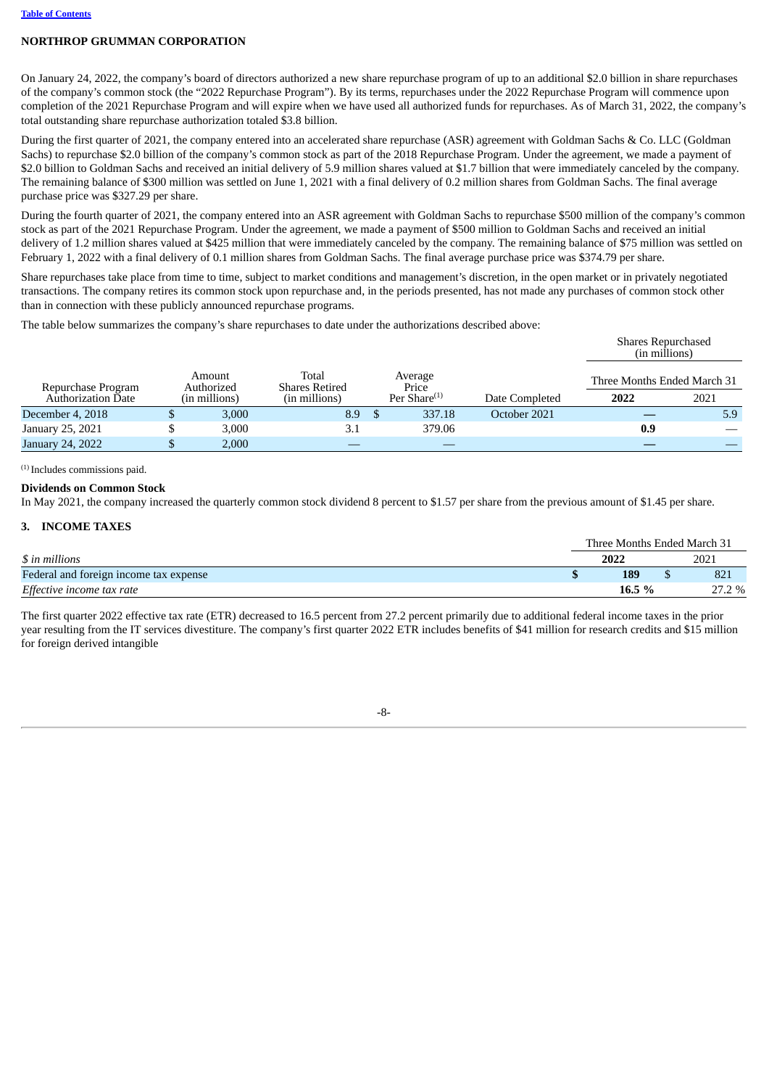On January 24, 2022, the company's board of directors authorized a new share repurchase program of up to an additional \$2.0 billion in share repurchases of the company's common stock (the "2022 Repurchase Program"). By its terms, repurchases under the 2022 Repurchase Program will commence upon completion of the 2021 Repurchase Program and will expire when we have used all authorized funds for repurchases. As of March 31, 2022, the company's total outstanding share repurchase authorization totaled \$3.8 billion.

During the first quarter of 2021, the company entered into an accelerated share repurchase (ASR) agreement with Goldman Sachs & Co. LLC (Goldman Sachs) to repurchase \$2.0 billion of the company's common stock as part of the 2018 Repurchase Program. Under the agreement, we made a payment of \$2.0 billion to Goldman Sachs and received an initial delivery of 5.9 million shares valued at \$1.7 billion that were immediately canceled by the company. The remaining balance of \$300 million was settled on June 1, 2021 with a final delivery of 0.2 million shares from Goldman Sachs. The final average purchase price was \$327.29 per share.

During the fourth quarter of 2021, the company entered into an ASR agreement with Goldman Sachs to repurchase \$500 million of the company's common stock as part of the 2021 Repurchase Program. Under the agreement, we made a payment of \$500 million to Goldman Sachs and received an initial delivery of 1.2 million shares valued at \$425 million that were immediately canceled by the company. The remaining balance of \$75 million was settled on February 1, 2022 with a final delivery of 0.1 million shares from Goldman Sachs. The final average purchase price was \$374.79 per share.

Share repurchases take place from time to time, subject to market conditions and management's discretion, in the open market or in privately negotiated transactions. The company retires its common stock upon repurchase and, in the periods presented, has not made any purchases of common stock other than in connection with these publicly announced repurchase programs.

The table below summarizes the company's share repurchases to date under the authorizations described above:

|                           | <b>Shares Repurchased</b><br>(in millions) |                                |                |                  |                |                             |      |
|---------------------------|--------------------------------------------|--------------------------------|----------------|------------------|----------------|-----------------------------|------|
| Repurchase Program        | Amount<br>Authorized                       | Total<br><b>Shares Retired</b> |                | Average<br>Price |                | Three Months Ended March 31 |      |
| <b>Authorization Date</b> | (in millions)                              | (in millions)                  | Per $Share(1)$ |                  | Date Completed | 2022                        | 2021 |
| December 4, 2018          | 3,000                                      | 8.9                            |                | 337.18           | October 2021   |                             | 5.9  |
| January 25, 2021          | 3.000                                      | 3.1                            |                | 379.06           |                | 0.9                         |      |
| January 24, 2022          | 2.000                                      |                                |                |                  |                |                             |      |

 $<sup>(1)</sup>$  Includes commissions paid.</sup>

## **Dividends on Common Stock**

In May 2021, the company increased the quarterly common stock dividend 8 percent to \$1.57 per share from the previous amount of \$1.45 per share.

#### <span id="page-9-0"></span>**3. INCOME TAXES**

|                                        | Three Months Ended March 31 |  |        |  |  |
|----------------------------------------|-----------------------------|--|--------|--|--|
| \$ in millions                         | 2022                        |  | 2021   |  |  |
| Federal and foreign income tax expense | 189                         |  | 821    |  |  |
| Effective income tax rate              | 16.5%                       |  | 27.2 % |  |  |

The first quarter 2022 effective tax rate (ETR) decreased to 16.5 percent from 27.2 percent primarily due to additional federal income taxes in the prior year resulting from the IT services divestiture. The company's first quarter 2022 ETR includes benefits of \$41 million for research credits and \$15 million for foreign derived intangible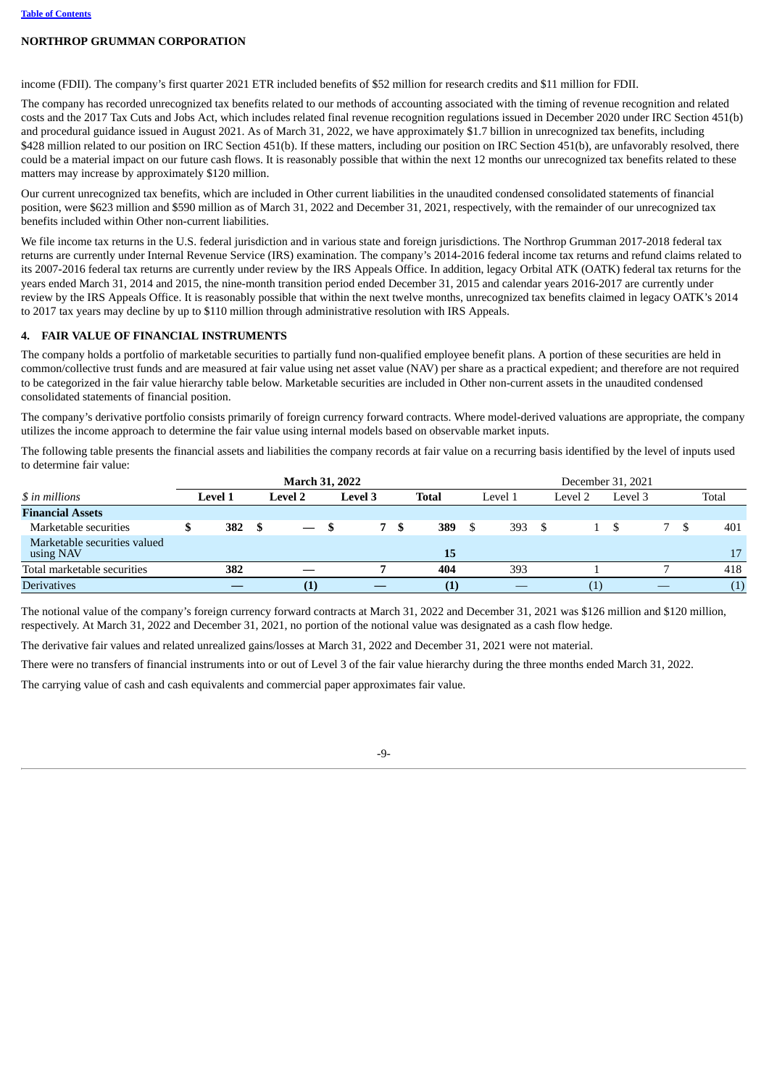income (FDII). The company's first quarter 2021 ETR included benefits of \$52 million for research credits and \$11 million for FDII.

The company has recorded unrecognized tax benefits related to our methods of accounting associated with the timing of revenue recognition and related costs and the 2017 Tax Cuts and Jobs Act, which includes related final revenue recognition regulations issued in December 2020 under IRC Section 451(b) and procedural guidance issued in August 2021. As of March 31, 2022, we have approximately \$1.7 billion in unrecognized tax benefits, including \$428 million related to our position on IRC Section 451(b). If these matters, including our position on IRC Section 451(b), are unfavorably resolved, there could be a material impact on our future cash flows. It is reasonably possible that within the next 12 months our unrecognized tax benefits related to these matters may increase by approximately \$120 million.

Our current unrecognized tax benefits, which are included in Other current liabilities in the unaudited condensed consolidated statements of financial position, were \$623 million and \$590 million as of March 31, 2022 and December 31, 2021, respectively, with the remainder of our unrecognized tax benefits included within Other non-current liabilities.

We file income tax returns in the U.S. federal jurisdiction and in various state and foreign jurisdictions. The Northrop Grumman 2017-2018 federal tax returns are currently under Internal Revenue Service (IRS) examination. The company's 2014-2016 federal income tax returns and refund claims related to its 2007-2016 federal tax returns are currently under review by the IRS Appeals Office. In addition, legacy Orbital ATK (OATK) federal tax returns for the years ended March 31, 2014 and 2015, the nine-month transition period ended December 31, 2015 and calendar years 2016-2017 are currently under review by the IRS Appeals Office. It is reasonably possible that within the next twelve months, unrecognized tax benefits claimed in legacy OATK's 2014 to 2017 tax years may decline by up to \$110 million through administrative resolution with IRS Appeals.

#### <span id="page-10-0"></span>**4. FAIR VALUE OF FINANCIAL INSTRUMENTS**

The company holds a portfolio of marketable securities to partially fund non-qualified employee benefit plans. A portion of these securities are held in common/collective trust funds and are measured at fair value using net asset value (NAV) per share as a practical expedient; and therefore are not required to be categorized in the fair value hierarchy table below. Marketable securities are included in Other non-current assets in the unaudited condensed consolidated statements of financial position.

The company's derivative portfolio consists primarily of foreign currency forward contracts. Where model-derived valuations are appropriate, the company utilizes the income approach to determine the fair value using internal models based on observable market inputs.

The following table presents the financial assets and liabilities the company records at fair value on a recurring basis identified by the level of inputs used to determine fair value:

| <b>March 31, 2022</b>                     |                |     |         |  |                |  | December 31, 2021 |     |         |      |         |         |  |  |  |       |     |
|-------------------------------------------|----------------|-----|---------|--|----------------|--|-------------------|-----|---------|------|---------|---------|--|--|--|-------|-----|
| \$ in millions                            | <b>Level 1</b> |     | Level 2 |  | <b>Level</b> 3 |  | <b>Total</b>      |     | Level 1 |      | Level 2 | Level 3 |  |  |  | Total |     |
| <b>Financial Assets</b>                   |                |     |         |  |                |  |                   |     |         |      |         |         |  |  |  |       |     |
| Marketable securities                     |                | 382 |         |  |                |  |                   | 389 |         | 393S |         |         |  |  |  |       | 401 |
| Marketable securities valued<br>using NAV |                |     |         |  |                |  |                   | 15  |         |      |         |         |  |  |  |       | 17  |
| Total marketable securities               |                | 382 |         |  |                |  |                   | 404 |         | 393  |         |         |  |  |  |       | 418 |
| <b>Derivatives</b>                        |                |     |         |  |                |  |                   | (1) |         |      |         |         |  |  |  |       | (1) |

The notional value of the company's foreign currency forward contracts at March 31, 2022 and December 31, 2021 was \$126 million and \$120 million, respectively. At March 31, 2022 and December 31, 2021, no portion of the notional value was designated as a cash flow hedge.

The derivative fair values and related unrealized gains/losses at March 31, 2022 and December 31, 2021 were not material.

There were no transfers of financial instruments into or out of Level 3 of the fair value hierarchy during the three months ended March 31, 2022.

The carrying value of cash and cash equivalents and commercial paper approximates fair value.

-9-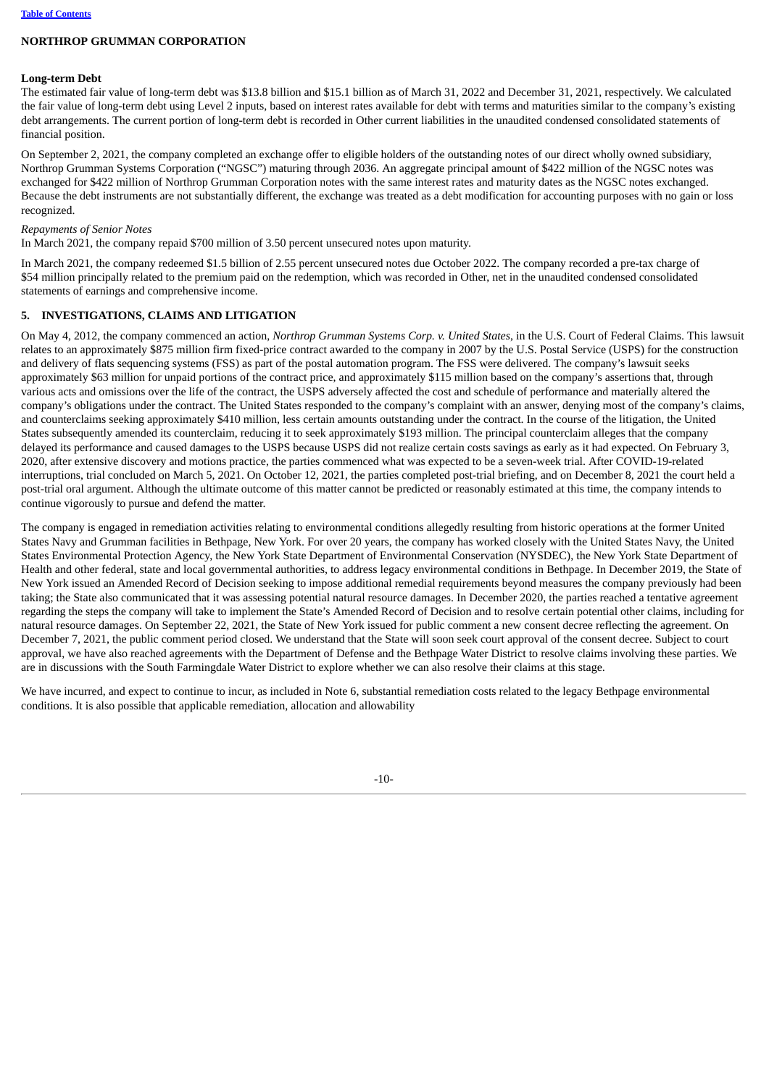#### **Long-term Debt**

The estimated fair value of long-term debt was \$13.8 billion and \$15.1 billion as of March 31, 2022 and December 31, 2021, respectively. We calculated the fair value of long-term debt using Level 2 inputs, based on interest rates available for debt with terms and maturities similar to the company's existing debt arrangements. The current portion of long-term debt is recorded in Other current liabilities in the unaudited condensed consolidated statements of financial position.

On September 2, 2021, the company completed an exchange offer to eligible holders of the outstanding notes of our direct wholly owned subsidiary, Northrop Grumman Systems Corporation ("NGSC") maturing through 2036. An aggregate principal amount of \$422 million of the NGSC notes was exchanged for \$422 million of Northrop Grumman Corporation notes with the same interest rates and maturity dates as the NGSC notes exchanged. Because the debt instruments are not substantially different, the exchange was treated as a debt modification for accounting purposes with no gain or loss recognized.

#### *Repayments of Senior Notes*

In March 2021, the company repaid \$700 million of 3.50 percent unsecured notes upon maturity.

In March 2021, the company redeemed \$1.5 billion of 2.55 percent unsecured notes due October 2022. The company recorded a pre-tax charge of \$54 million principally related to the premium paid on the redemption, which was recorded in Other, net in the unaudited condensed consolidated statements of earnings and comprehensive income.

### <span id="page-11-0"></span>**5. INVESTIGATIONS, CLAIMS AND LITIGATION**

On May 4, 2012, the company commenced an action, *Northrop Grumman Systems Corp. v. United States*, in the U.S. Court of Federal Claims. This lawsuit relates to an approximately \$875 million firm fixed-price contract awarded to the company in 2007 by the U.S. Postal Service (USPS) for the construction and delivery of flats sequencing systems (FSS) as part of the postal automation program. The FSS were delivered. The company's lawsuit seeks approximately \$63 million for unpaid portions of the contract price, and approximately \$115 million based on the company's assertions that, through various acts and omissions over the life of the contract, the USPS adversely affected the cost and schedule of performance and materially altered the company's obligations under the contract. The United States responded to the company's complaint with an answer, denying most of the company's claims, and counterclaims seeking approximately \$410 million, less certain amounts outstanding under the contract. In the course of the litigation, the United States subsequently amended its counterclaim, reducing it to seek approximately \$193 million. The principal counterclaim alleges that the company delayed its performance and caused damages to the USPS because USPS did not realize certain costs savings as early as it had expected. On February 3, 2020, after extensive discovery and motions practice, the parties commenced what was expected to be a seven-week trial. After COVID-19-related interruptions, trial concluded on March 5, 2021. On October 12, 2021, the parties completed post-trial briefing, and on December 8, 2021 the court held a post-trial oral argument. Although the ultimate outcome of this matter cannot be predicted or reasonably estimated at this time, the company intends to continue vigorously to pursue and defend the matter.

The company is engaged in remediation activities relating to environmental conditions allegedly resulting from historic operations at the former United States Navy and Grumman facilities in Bethpage, New York. For over 20 years, the company has worked closely with the United States Navy, the United States Environmental Protection Agency, the New York State Department of Environmental Conservation (NYSDEC), the New York State Department of Health and other federal, state and local governmental authorities, to address legacy environmental conditions in Bethpage. In December 2019, the State of New York issued an Amended Record of Decision seeking to impose additional remedial requirements beyond measures the company previously had been taking; the State also communicated that it was assessing potential natural resource damages. In December 2020, the parties reached a tentative agreement regarding the steps the company will take to implement the State's Amended Record of Decision and to resolve certain potential other claims, including for natural resource damages. On September 22, 2021, the State of New York issued for public comment a new consent decree reflecting the agreement. On December 7, 2021, the public comment period closed. We understand that the State will soon seek court approval of the consent decree. Subject to court approval, we have also reached agreements with the Department of Defense and the Bethpage Water District to resolve claims involving these parties. We are in discussions with the South Farmingdale Water District to explore whether we can also resolve their claims at this stage.

We have incurred, and expect to continue to incur, as included in Note 6, substantial remediation costs related to the legacy Bethpage environmental conditions. It is also possible that applicable remediation, allocation and allowability

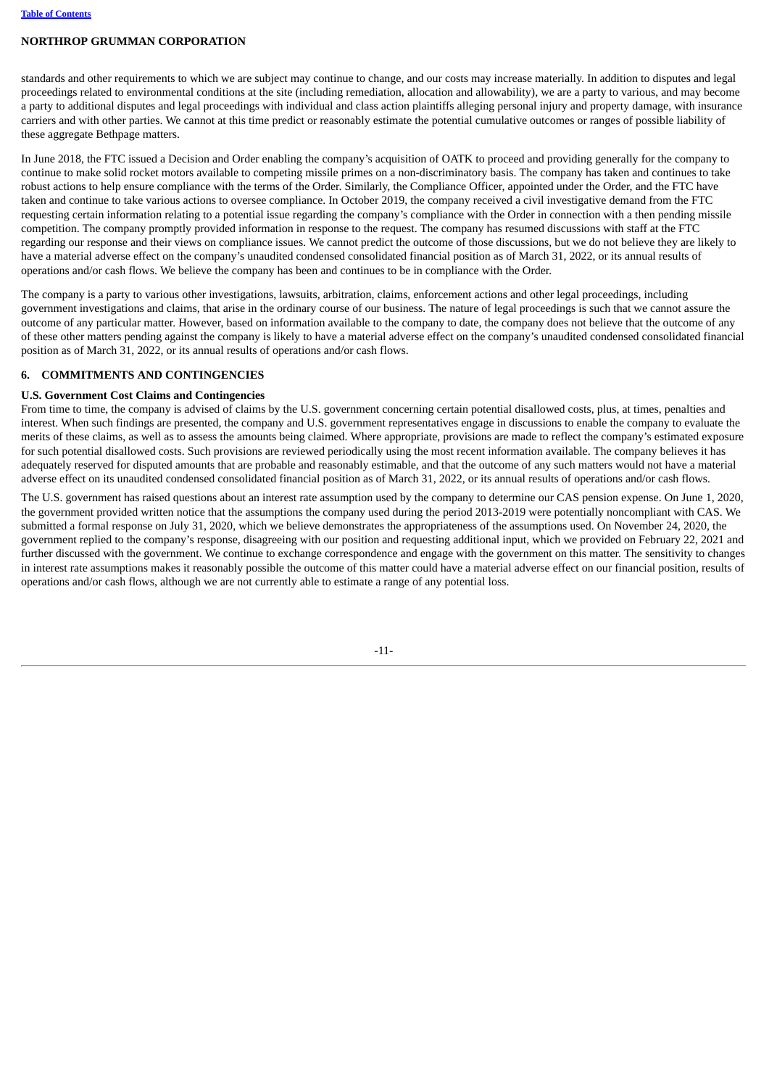standards and other requirements to which we are subject may continue to change, and our costs may increase materially. In addition to disputes and legal proceedings related to environmental conditions at the site (including remediation, allocation and allowability), we are a party to various, and may become a party to additional disputes and legal proceedings with individual and class action plaintiffs alleging personal injury and property damage, with insurance carriers and with other parties. We cannot at this time predict or reasonably estimate the potential cumulative outcomes or ranges of possible liability of these aggregate Bethpage matters.

In June 2018, the FTC issued a Decision and Order enabling the company's acquisition of OATK to proceed and providing generally for the company to continue to make solid rocket motors available to competing missile primes on a non-discriminatory basis. The company has taken and continues to take robust actions to help ensure compliance with the terms of the Order. Similarly, the Compliance Officer, appointed under the Order, and the FTC have taken and continue to take various actions to oversee compliance. In October 2019, the company received a civil investigative demand from the FTC requesting certain information relating to a potential issue regarding the company's compliance with the Order in connection with a then pending missile competition. The company promptly provided information in response to the request. The company has resumed discussions with staff at the FTC regarding our response and their views on compliance issues. We cannot predict the outcome of those discussions, but we do not believe they are likely to have a material adverse effect on the company's unaudited condensed consolidated financial position as of March 31, 2022, or its annual results of operations and/or cash flows. We believe the company has been and continues to be in compliance with the Order.

The company is a party to various other investigations, lawsuits, arbitration, claims, enforcement actions and other legal proceedings, including government investigations and claims, that arise in the ordinary course of our business. The nature of legal proceedings is such that we cannot assure the outcome of any particular matter. However, based on information available to the company to date, the company does not believe that the outcome of any of these other matters pending against the company is likely to have a material adverse effect on the company's unaudited condensed consolidated financial position as of March 31, 2022, or its annual results of operations and/or cash flows.

## <span id="page-12-0"></span>**6. COMMITMENTS AND CONTINGENCIES**

#### **U.S. Government Cost Claims and Contingencies**

From time to time, the company is advised of claims by the U.S. government concerning certain potential disallowed costs, plus, at times, penalties and interest. When such findings are presented, the company and U.S. government representatives engage in discussions to enable the company to evaluate the merits of these claims, as well as to assess the amounts being claimed. Where appropriate, provisions are made to reflect the company's estimated exposure for such potential disallowed costs. Such provisions are reviewed periodically using the most recent information available. The company believes it has adequately reserved for disputed amounts that are probable and reasonably estimable, and that the outcome of any such matters would not have a material adverse effect on its unaudited condensed consolidated financial position as of March 31, 2022, or its annual results of operations and/or cash flows.

The U.S. government has raised questions about an interest rate assumption used by the company to determine our CAS pension expense. On June 1, 2020, the government provided written notice that the assumptions the company used during the period 2013-2019 were potentially noncompliant with CAS. We submitted a formal response on July 31, 2020, which we believe demonstrates the appropriateness of the assumptions used. On November 24, 2020, the government replied to the company's response, disagreeing with our position and requesting additional input, which we provided on February 22, 2021 and further discussed with the government. We continue to exchange correspondence and engage with the government on this matter. The sensitivity to changes in interest rate assumptions makes it reasonably possible the outcome of this matter could have a material adverse effect on our financial position, results of operations and/or cash flows, although we are not currently able to estimate a range of any potential loss.

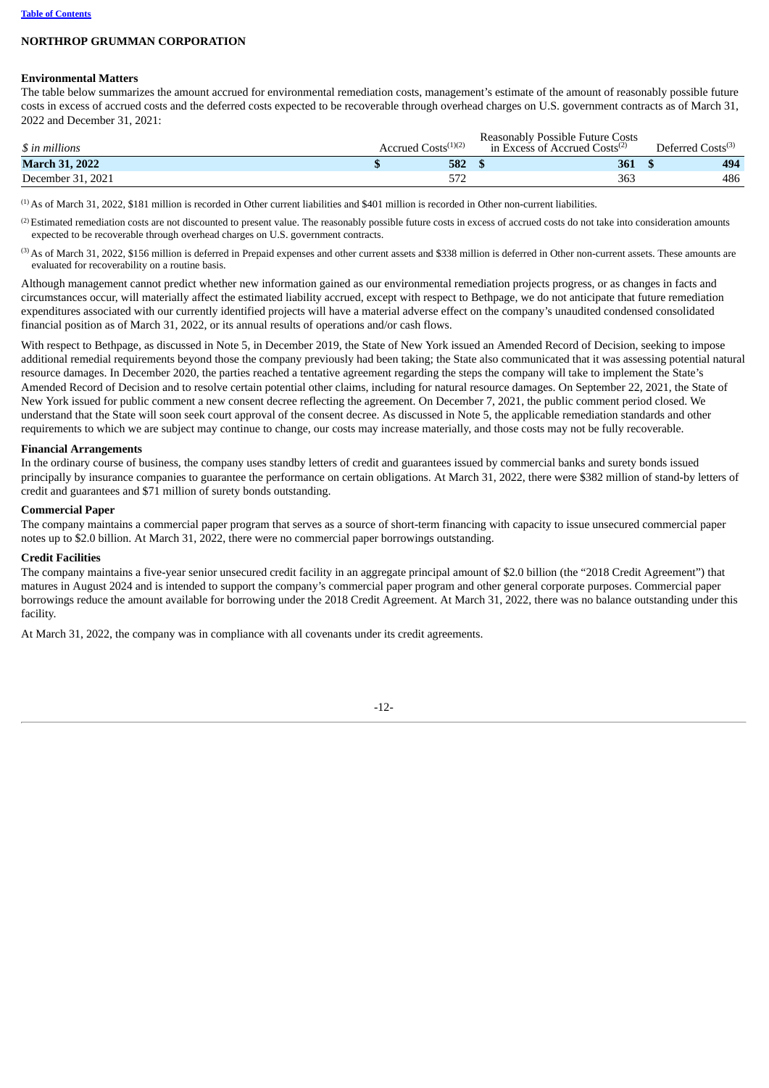#### **Environmental Matters**

The table below summarizes the amount accrued for environmental remediation costs, management's estimate of the amount of reasonably possible future costs in excess of accrued costs and the deferred costs expected to be recoverable through overhead charges on U.S. government contracts as of March 31, 2022 and December 31, 2021:

| \$ in millions        | Accrued Costs $(1)(2)$ | Reasonably Possible Future Costs<br>in Excess of Accrued Costs <sup>(2)</sup> | Deferred Costs <sup>(3)</sup> |
|-----------------------|------------------------|-------------------------------------------------------------------------------|-------------------------------|
| <b>March 31, 2022</b> | 582                    | 361                                                                           | 494                           |
| December 31, 2021     |                        | 363                                                                           | 486                           |

 $^{(1)}$  As of March 31, 2022, \$181 million is recorded in Other current liabilities and \$401 million is recorded in Other non-current liabilities.

 $^{(2)}$  Estimated remediation costs are not discounted to present value. The reasonably possible future costs in excess of accrued costs do not take into consideration amounts expected to be recoverable through overhead charges on U.S. government contracts.

 $^{(3)}$  As of March 31, 2022, \$156 million is deferred in Prepaid expenses and other current assets and \$338 million is deferred in Other non-current assets. These amounts are evaluated for recoverability on a routine basis.

Although management cannot predict whether new information gained as our environmental remediation projects progress, or as changes in facts and circumstances occur, will materially affect the estimated liability accrued, except with respect to Bethpage, we do not anticipate that future remediation expenditures associated with our currently identified projects will have a material adverse effect on the company's unaudited condensed consolidated financial position as of March 31, 2022, or its annual results of operations and/or cash flows.

With respect to Bethpage, as discussed in Note 5, in December 2019, the State of New York issued an Amended Record of Decision, seeking to impose additional remedial requirements beyond those the company previously had been taking; the State also communicated that it was assessing potential natural resource damages. In December 2020, the parties reached a tentative agreement regarding the steps the company will take to implement the State's Amended Record of Decision and to resolve certain potential other claims, including for natural resource damages. On September 22, 2021, the State of New York issued for public comment a new consent decree reflecting the agreement. On December 7, 2021, the public comment period closed. We understand that the State will soon seek court approval of the consent decree. As discussed in Note 5, the applicable remediation standards and other requirements to which we are subject may continue to change, our costs may increase materially, and those costs may not be fully recoverable.

#### **Financial Arrangements**

In the ordinary course of business, the company uses standby letters of credit and guarantees issued by commercial banks and surety bonds issued principally by insurance companies to guarantee the performance on certain obligations. At March 31, 2022, there were \$382 million of stand-by letters of credit and guarantees and \$71 million of surety bonds outstanding.

#### **Commercial Paper**

The company maintains a commercial paper program that serves as a source of short-term financing with capacity to issue unsecured commercial paper notes up to \$2.0 billion. At March 31, 2022, there were no commercial paper borrowings outstanding.

## **Credit Facilities**

The company maintains a five-year senior unsecured credit facility in an aggregate principal amount of \$2.0 billion (the "2018 Credit Agreement") that matures in August 2024 and is intended to support the company's commercial paper program and other general corporate purposes. Commercial paper borrowings reduce the amount available for borrowing under the 2018 Credit Agreement. At March 31, 2022, there was no balance outstanding under this facility.

<span id="page-13-0"></span>At March 31, 2022, the company was in compliance with all covenants under its credit agreements.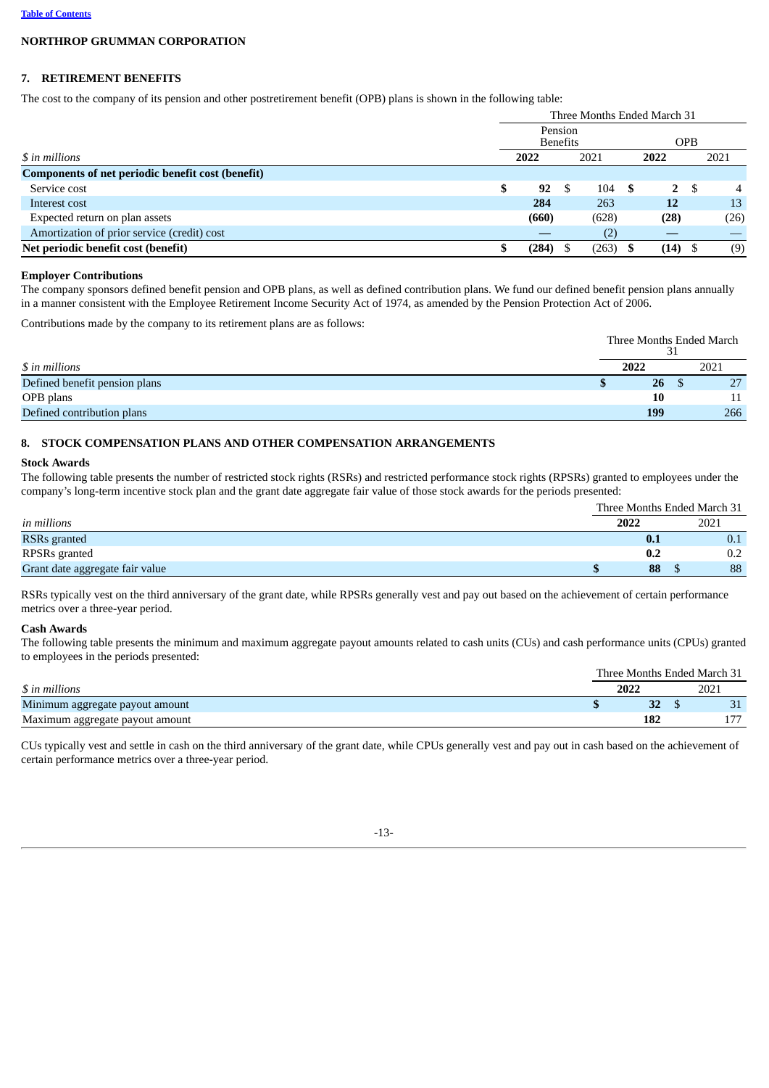## **7. RETIREMENT BENEFITS**

The cost to the company of its pension and other postretirement benefit (OPB) plans is shown in the following table:

|                                                   | Three Months Ended March 31 |              |  |                            |            |              |    |      |
|---------------------------------------------------|-----------------------------|--------------|--|----------------------------|------------|--------------|----|------|
|                                                   |                             |              |  | Pension<br><b>Benefits</b> | <b>OPB</b> |              |    |      |
| \$ in millions                                    |                             | 2022<br>2021 |  |                            | 2022       |              |    | 2021 |
| Components of net periodic benefit cost (benefit) |                             |              |  |                            |            |              |    |      |
| Service cost                                      |                             | 92           |  | 104                        | - 56       | $\mathbf{2}$ | -8 | 4    |
| Interest cost                                     |                             | 284          |  | 263                        |            | 12           |    | 13   |
| Expected return on plan assets                    |                             | (660)        |  | (628)                      |            | (28)         |    | (26) |
| Amortization of prior service (credit) cost       |                             |              |  | (2)                        |            |              |    |      |
| Net periodic benefit cost (benefit)               |                             | (284)        |  | (263)                      |            | (14)         |    | (9)  |

#### **Employer Contributions**

The company sponsors defined benefit pension and OPB plans, as well as defined contribution plans. We fund our defined benefit pension plans annually in a manner consistent with the Employee Retirement Income Security Act of 1974, as amended by the Pension Protection Act of 2006.

Contributions made by the company to its retirement plans are as follows:

|                               |      | Three Months Ended March<br>31 |      |  |
|-------------------------------|------|--------------------------------|------|--|
| \$ in millions                | 2022 |                                | 2021 |  |
| Defined benefit pension plans | 26   |                                | 27   |  |
| OPB plans                     | 10   |                                |      |  |
| Defined contribution plans    | 199  |                                | 266  |  |

#### <span id="page-14-0"></span>**8. STOCK COMPENSATION PLANS AND OTHER COMPENSATION ARRANGEMENTS**

#### **Stock Awards**

The following table presents the number of restricted stock rights (RSRs) and restricted performance stock rights (RPSRs) granted to employees under the company's long-term incentive stock plan and the grant date aggregate fair value of those stock awards for the periods presented:

|                                 |      | Three Months Ended March 31 |      |  |
|---------------------------------|------|-----------------------------|------|--|
| in millions                     | 2022 |                             | 2021 |  |
| <b>RSRs</b> granted             | 0.1  |                             | 0.1  |  |
| RPSRs granted                   | 0.2  |                             | 0.2  |  |
| Grant date aggregate fair value | 88   |                             | 88   |  |

RSRs typically vest on the third anniversary of the grant date, while RPSRs generally vest and pay out based on the achievement of certain performance metrics over a three-year period.

## **Cash Awards**

The following table presents the minimum and maximum aggregate payout amounts related to cash units (CUs) and cash performance units (CPUs) granted to employees in the periods presented:

|                                 |      |     | Three Months Ended March 31 |
|---------------------------------|------|-----|-----------------------------|
| \$ in millions                  | 2022 |     | 2021                        |
| Minimum aggregate payout amount |      | 32  |                             |
| Maximum aggregate payout amount |      | 182 | 177                         |

<span id="page-14-1"></span>CUs typically vest and settle in cash on the third anniversary of the grant date, while CPUs generally vest and pay out in cash based on the achievement of certain performance metrics over a three-year period.

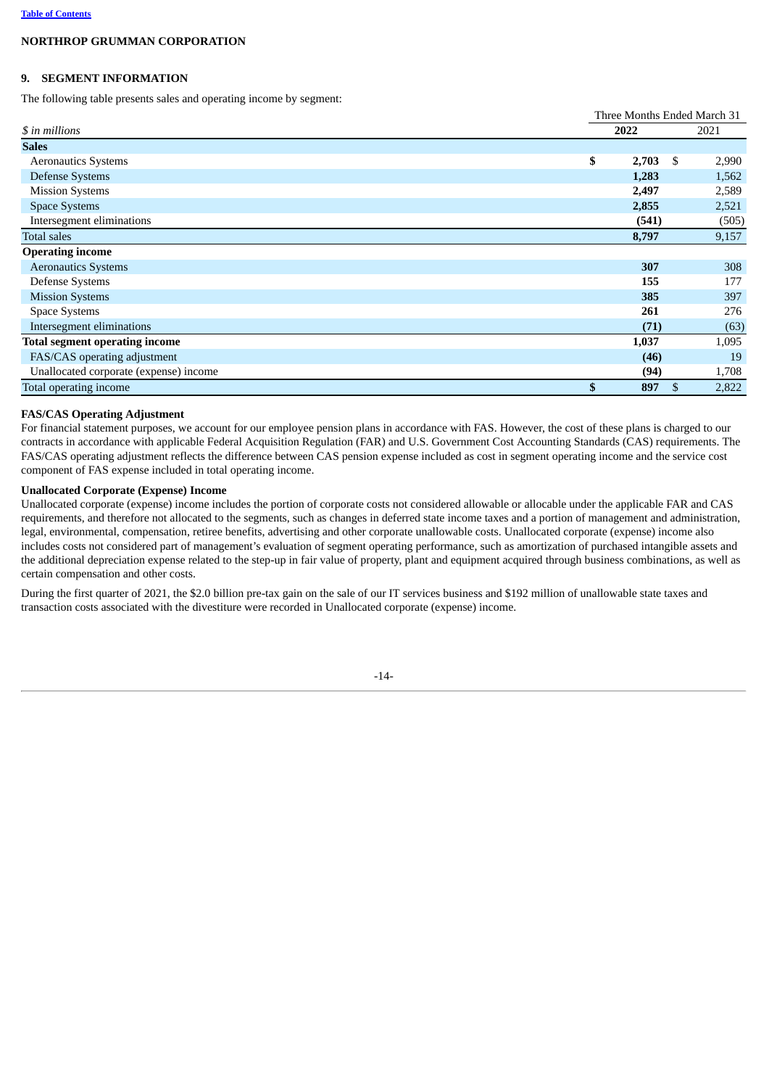## **9. SEGMENT INFORMATION**

The following table presents sales and operating income by segment:

|                                        |    |                     | Three Months Ended March 31 |  |  |
|----------------------------------------|----|---------------------|-----------------------------|--|--|
| \$ in millions                         |    | 2022                | 2021                        |  |  |
| <b>Sales</b>                           |    |                     |                             |  |  |
| <b>Aeronautics Systems</b>             | \$ | \$<br>2,703         | 2,990                       |  |  |
| <b>Defense Systems</b>                 |    | 1,283               | 1,562                       |  |  |
| <b>Mission Systems</b>                 |    | 2,497               | 2,589                       |  |  |
| <b>Space Systems</b>                   |    | 2,855               | 2,521                       |  |  |
| Intersegment eliminations              |    | (541)               | (505)                       |  |  |
| Total sales                            |    | 8,797               | 9,157                       |  |  |
| <b>Operating income</b>                |    |                     |                             |  |  |
| <b>Aeronautics Systems</b>             |    | 307                 | 308                         |  |  |
| Defense Systems                        |    | 155                 | 177                         |  |  |
| <b>Mission Systems</b>                 |    | 385                 | 397                         |  |  |
| <b>Space Systems</b>                   |    | 261                 | 276                         |  |  |
| Intersegment eliminations              |    | (71)                | (63)                        |  |  |
| <b>Total segment operating income</b>  |    | 1,037               | 1,095                       |  |  |
| FAS/CAS operating adjustment           |    | (46)                | 19                          |  |  |
| Unallocated corporate (expense) income |    | (94)                | 1,708                       |  |  |
| Total operating income                 | \$ | $\mathbb{S}$<br>897 | 2,822                       |  |  |

## **FAS/CAS Operating Adjustment**

For financial statement purposes, we account for our employee pension plans in accordance with FAS. However, the cost of these plans is charged to our contracts in accordance with applicable Federal Acquisition Regulation (FAR) and U.S. Government Cost Accounting Standards (CAS) requirements. The FAS/CAS operating adjustment reflects the difference between CAS pension expense included as cost in segment operating income and the service cost component of FAS expense included in total operating income.

## **Unallocated Corporate (Expense) Income**

Unallocated corporate (expense) income includes the portion of corporate costs not considered allowable or allocable under the applicable FAR and CAS requirements, and therefore not allocated to the segments, such as changes in deferred state income taxes and a portion of management and administration, legal, environmental, compensation, retiree benefits, advertising and other corporate unallowable costs. Unallocated corporate (expense) income also includes costs not considered part of management's evaluation of segment operating performance, such as amortization of purchased intangible assets and the additional depreciation expense related to the step-up in fair value of property, plant and equipment acquired through business combinations, as well as certain compensation and other costs.

During the first quarter of 2021, the \$2.0 billion pre-tax gain on the sale of our IT services business and \$192 million of unallowable state taxes and transaction costs associated with the divestiture were recorded in Unallocated corporate (expense) income.

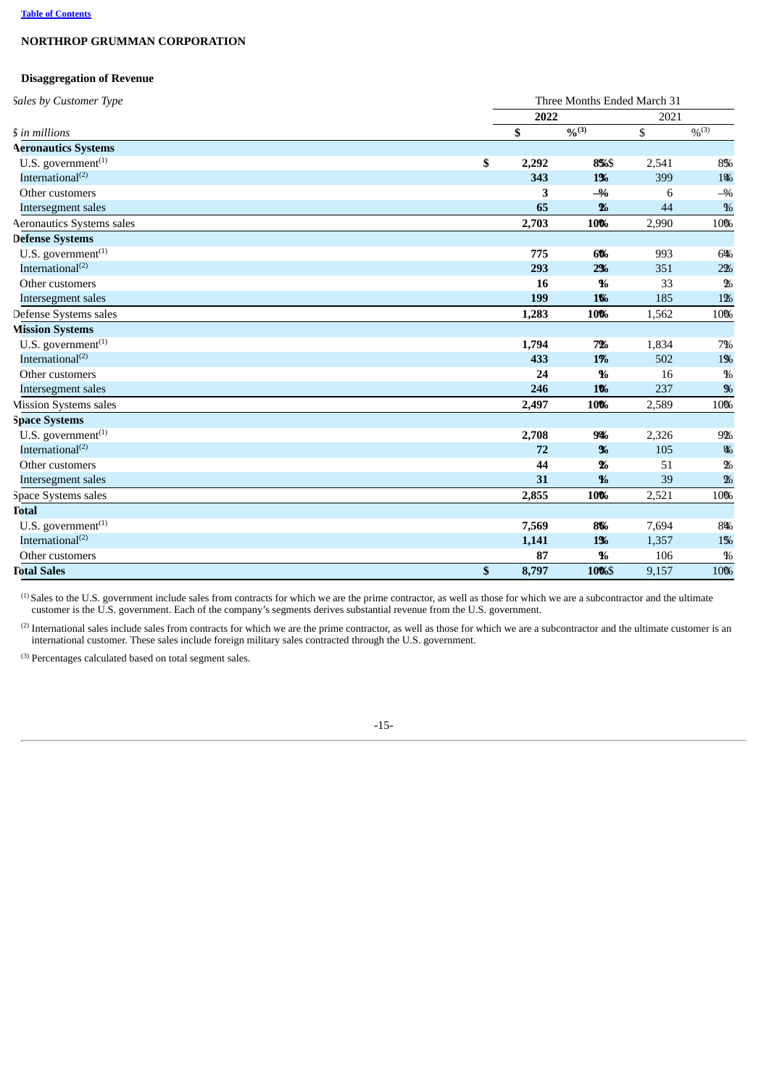## **Disaggregation of Revenue**

| Sales by Customer Type           | Three Months Ended March 31 |       |                          |       |                         |  |  |  |  |
|----------------------------------|-----------------------------|-------|--------------------------|-------|-------------------------|--|--|--|--|
|                                  |                             | 2022  |                          | 2021  |                         |  |  |  |  |
| \$ in millions                   |                             | \$    | $\frac{0}{0}$ (3)        | \$    | $\frac{9}{6}$ (3)       |  |  |  |  |
| <b>Aeronautics Systems</b>       |                             |       |                          |       |                         |  |  |  |  |
| U.S. government $^{(1)}$         | \$                          | 2,292 | 8%\$                     | 2,541 | 8%                      |  |  |  |  |
| International <sup>(2)</sup>     |                             | 343   | 1%                       | 399   | 1%                      |  |  |  |  |
| Other customers                  |                             | 3     | $-\frac{9}{6}$           | 6     | $-\frac{0}{0}$          |  |  |  |  |
| Intersegment sales               |                             | 65    | $\mathbf{\mathcal{Z}}_0$ | 44    | $\%$                    |  |  |  |  |
| <b>Aeronautics Systems sales</b> |                             | 2,703 | 10%                      | 2,990 | 10%                     |  |  |  |  |
| <b>Defense Systems</b>           |                             |       |                          |       |                         |  |  |  |  |
| U.S. government <sup>(1)</sup>   |                             | 775   | 6%                       | 993   | 6%                      |  |  |  |  |
| International <sup>(2)</sup>     |                             | 293   | 2%                       | 351   | 2%                      |  |  |  |  |
| Other customers                  |                             | 16    | $\mathbf{q}_{0}$         | 33    | $\mathfrak{D}$          |  |  |  |  |
| Intersegment sales               |                             | 199   | 1%                       | 185   | 1%                      |  |  |  |  |
| Defense Systems sales            |                             | 1,283 | 10%                      | 1,562 | 10%                     |  |  |  |  |
| <b>Mission Systems</b>           |                             |       |                          |       |                         |  |  |  |  |
| U.S. government $(1)$            |                             | 1,794 | 7%                       | 1,834 | 7%                      |  |  |  |  |
| International <sup>(2)</sup>     |                             | 433   | $1\%$                    | 502   | 1%                      |  |  |  |  |
| Other customers                  |                             | 24    | $\mathbf{q}_{0}$         | 16    | $\frac{q}{6}$           |  |  |  |  |
| Intersegment sales               |                             | 246   | 1%                       | 237   | $\%$                    |  |  |  |  |
| <b>Mission Systems sales</b>     |                             | 2,497 | 10%                      | 2,589 | 10%                     |  |  |  |  |
| <b>Space Systems</b>             |                             |       |                          |       |                         |  |  |  |  |
| U.S. government $(1)$            |                             | 2,708 | 9%                       | 2,326 | 9%                      |  |  |  |  |
| International <sup>(2)</sup>     |                             | 72    | $\mathfrak{B}$           | 105   | $\mathbf{q}_{0}$        |  |  |  |  |
| Other customers                  |                             | 44    | $\mathbf{\mathscr{D}}$   | 51    | $\frac{9}{6}$           |  |  |  |  |
| Intersegment sales               |                             | 31    | $\mathbf{q}_0$           | 39    | $\pmb{\mathsf{2\!\!Z}}$ |  |  |  |  |
| Space Systems sales              |                             | 2,855 | 10%                      | 2,521 | 10%                     |  |  |  |  |
| <b>Total</b>                     |                             |       |                          |       |                         |  |  |  |  |
| U.S. government <sup>(1)</sup>   |                             | 7,569 | 8%                       | 7,694 | 8%                      |  |  |  |  |
| International <sup>(2)</sup>     |                             | 1,141 | 1%                       | 1,357 | 1%                      |  |  |  |  |
| Other customers                  |                             | 87    | K,                       | 106   | $\%$                    |  |  |  |  |
| <b>Total Sales</b>               | \$                          | 8,797 | 100%\$                   | 9,157 | 10%                     |  |  |  |  |

Sales to the U.S. government include sales from contracts for which we are the prime contractor, as well as those for which we are a subcontractor and the ultimate customer is the U.S. government. Each of the company's segments derives substantial revenue from the U.S. government. (1)

 International sales include sales from contracts for which we are the prime contractor, as well as those for which we are a subcontractor and the ultimate customer is an international customer. These sales include foreign military sales contracted through the U.S. government. (2)

 $(3)$  Percentages calculated based on total segment sales.

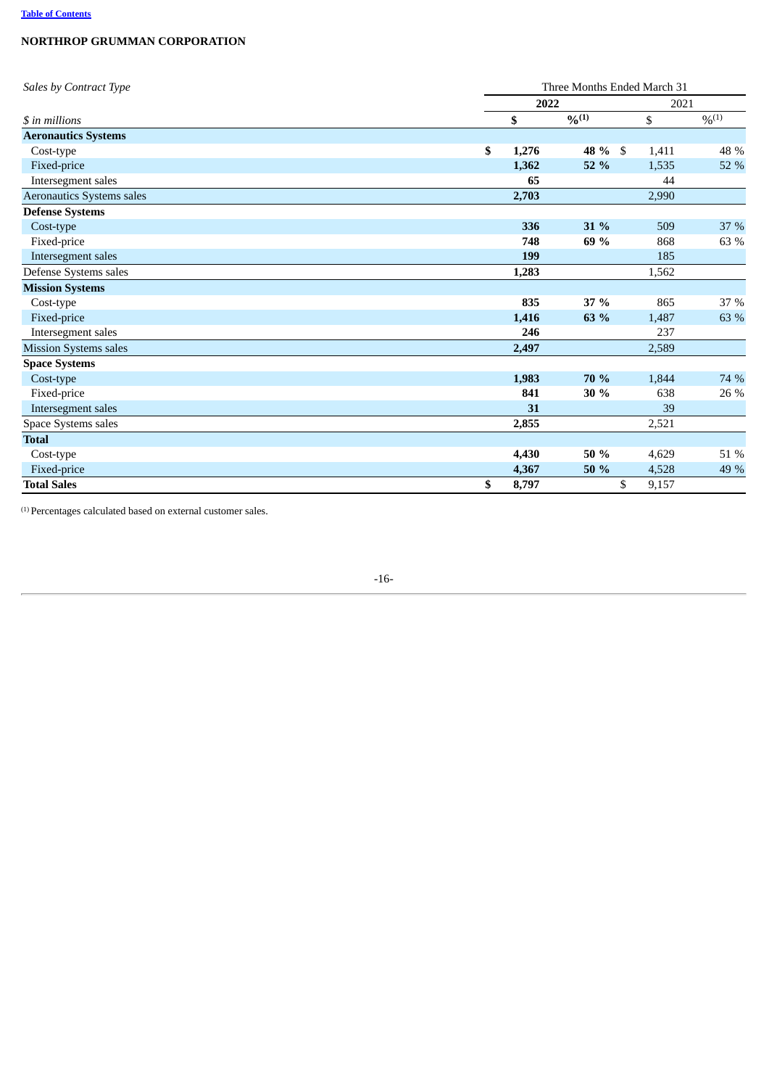| Sales by Contract Type<br>Three Months Ended March 31 |    |       |             |    |       |                   |  |
|-------------------------------------------------------|----|-------|-------------|----|-------|-------------------|--|
|                                                       |    | 2022  |             |    | 2021  |                   |  |
| \$ in millions                                        |    | \$    | $0/0^{(1)}$ |    | \$    | $\frac{9}{6}$ (1) |  |
| <b>Aeronautics Systems</b>                            |    |       |             |    |       |                   |  |
| Cost-type                                             | \$ | 1,276 | 48 % \$     |    | 1,411 | 48 %              |  |
| Fixed-price                                           |    | 1,362 | 52 %        |    | 1,535 | 52 %              |  |
| Intersegment sales                                    |    | 65    |             |    | 44    |                   |  |
| Aeronautics Systems sales                             |    | 2,703 |             |    | 2,990 |                   |  |
| <b>Defense Systems</b>                                |    |       |             |    |       |                   |  |
| Cost-type                                             |    | 336   | 31 %        |    | 509   | 37 %              |  |
| Fixed-price                                           |    | 748   | 69 %        |    | 868   | 63 %              |  |
| Intersegment sales                                    |    | 199   |             |    | 185   |                   |  |
| Defense Systems sales                                 |    | 1,283 |             |    | 1,562 |                   |  |
| <b>Mission Systems</b>                                |    |       |             |    |       |                   |  |
| Cost-type                                             |    | 835   | 37 %        |    | 865   | 37 %              |  |
| Fixed-price                                           |    | 1,416 | 63 %        |    | 1,487 | 63 %              |  |
| Intersegment sales                                    |    | 246   |             |    | 237   |                   |  |
| <b>Mission Systems sales</b>                          |    | 2,497 |             |    | 2,589 |                   |  |
| <b>Space Systems</b>                                  |    |       |             |    |       |                   |  |
| Cost-type                                             |    | 1,983 | 70 %        |    | 1,844 | 74 %              |  |
| Fixed-price                                           |    | 841   | 30 %        |    | 638   | 26 %              |  |
| Intersegment sales                                    |    | 31    |             |    | 39    |                   |  |
| Space Systems sales                                   |    | 2,855 |             |    | 2,521 |                   |  |
| <b>Total</b>                                          |    |       |             |    |       |                   |  |
| Cost-type                                             |    | 4,430 | 50 %        |    | 4,629 | 51 %              |  |
| Fixed-price                                           |    | 4,367 | 50 %        |    | 4,528 | 49 %              |  |
| <b>Total Sales</b>                                    | \$ | 8,797 |             | \$ | 9,157 |                   |  |

 $<sup>(1)</sup>$  Percentages calculated based on external customer sales.</sup>

-16-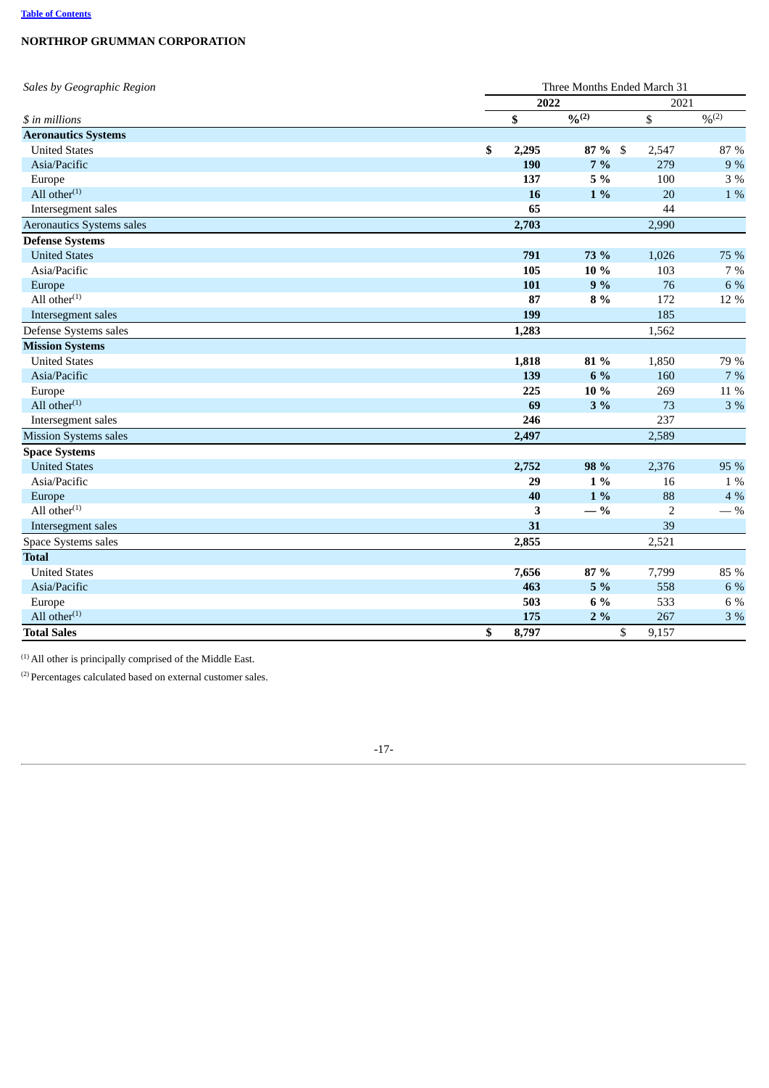| Sales by Geographic Region       | Three Months Ended March 31 |         |                |             |  |  |  |  |  |  |
|----------------------------------|-----------------------------|---------|----------------|-------------|--|--|--|--|--|--|
|                                  | 2022                        |         | 2021           |             |  |  |  |  |  |  |
| \$ in millions                   | \$                          | O(2)    | \$             | $0/0^{(2)}$ |  |  |  |  |  |  |
| <b>Aeronautics Systems</b>       |                             |         |                |             |  |  |  |  |  |  |
| <b>United States</b>             | \$<br>2,295                 | 87 % \$ | 2,547          | 87 %        |  |  |  |  |  |  |
| Asia/Pacific                     | 190                         | 7%      | 279            | 9 %         |  |  |  |  |  |  |
| Europe                           | 137                         | 5 %     | 100            | 3 %         |  |  |  |  |  |  |
| All other $(1)$                  | 16                          | $1\%$   | 20             | $1\%$       |  |  |  |  |  |  |
| Intersegment sales               | 65                          |         | 44             |             |  |  |  |  |  |  |
| <b>Aeronautics Systems sales</b> | 2,703                       |         | 2,990          |             |  |  |  |  |  |  |
| <b>Defense Systems</b>           |                             |         |                |             |  |  |  |  |  |  |
| <b>United States</b>             | 791                         | 73 %    | 1,026          | 75 %        |  |  |  |  |  |  |
| Asia/Pacific                     | 105                         | 10 %    | 103            | 7 %         |  |  |  |  |  |  |
| Europe                           | 101                         | 9%      | 76             | 6 %         |  |  |  |  |  |  |
| All other $(1)$                  | 87                          | 8 %     | 172            | 12 %        |  |  |  |  |  |  |
| Intersegment sales               | 199                         |         | 185            |             |  |  |  |  |  |  |
| Defense Systems sales            | 1,283                       |         | 1,562          |             |  |  |  |  |  |  |
| <b>Mission Systems</b>           |                             |         |                |             |  |  |  |  |  |  |
| <b>United States</b>             | 1,818                       | 81 %    | 1,850          | 79 %        |  |  |  |  |  |  |
| Asia/Pacific                     | 139                         | 6 %     | 160            | 7 %         |  |  |  |  |  |  |
| Europe                           | 225                         | 10 %    | 269            | 11 %        |  |  |  |  |  |  |
| All other $(1)$                  | 69                          | 3 %     | 73             | 3 %         |  |  |  |  |  |  |
| Intersegment sales               | 246                         |         | 237            |             |  |  |  |  |  |  |
| <b>Mission Systems sales</b>     | 2,497                       |         | 2,589          |             |  |  |  |  |  |  |
| <b>Space Systems</b>             |                             |         |                |             |  |  |  |  |  |  |
| <b>United States</b>             | 2,752                       | 98 %    | 2,376          | 95 %        |  |  |  |  |  |  |
| Asia/Pacific                     | 29                          | $1\%$   | 16             | 1 %         |  |  |  |  |  |  |
| Europe                           | 40                          | $1\%$   | 88             | 4 %         |  |  |  |  |  |  |
| All other $(1)$                  | 3                           | $-$ %   | $\overline{2}$ | $-$ %       |  |  |  |  |  |  |
| Intersegment sales               | 31                          |         | 39             |             |  |  |  |  |  |  |
| Space Systems sales              | 2,855                       |         | 2,521          |             |  |  |  |  |  |  |
| <b>Total</b>                     |                             |         |                |             |  |  |  |  |  |  |
| <b>United States</b>             | 7,656                       | 87 %    | 7,799          | 85 %        |  |  |  |  |  |  |
| Asia/Pacific                     | 463                         | 5 %     | 558            | 6 %         |  |  |  |  |  |  |
| Europe                           | 503                         | 6 %     | 533            | 6 %         |  |  |  |  |  |  |
| All other $(1)$                  | 175                         | 2%      | 267            | 3 %         |  |  |  |  |  |  |
| <b>Total Sales</b>               | \$<br>8,797                 |         | \$<br>9,157    |             |  |  |  |  |  |  |

 $<sup>(1)</sup>$  All other is principally comprised of the Middle East.</sup>

<span id="page-18-0"></span> $(2)$  Percentages calculated based on external customer sales.

-17-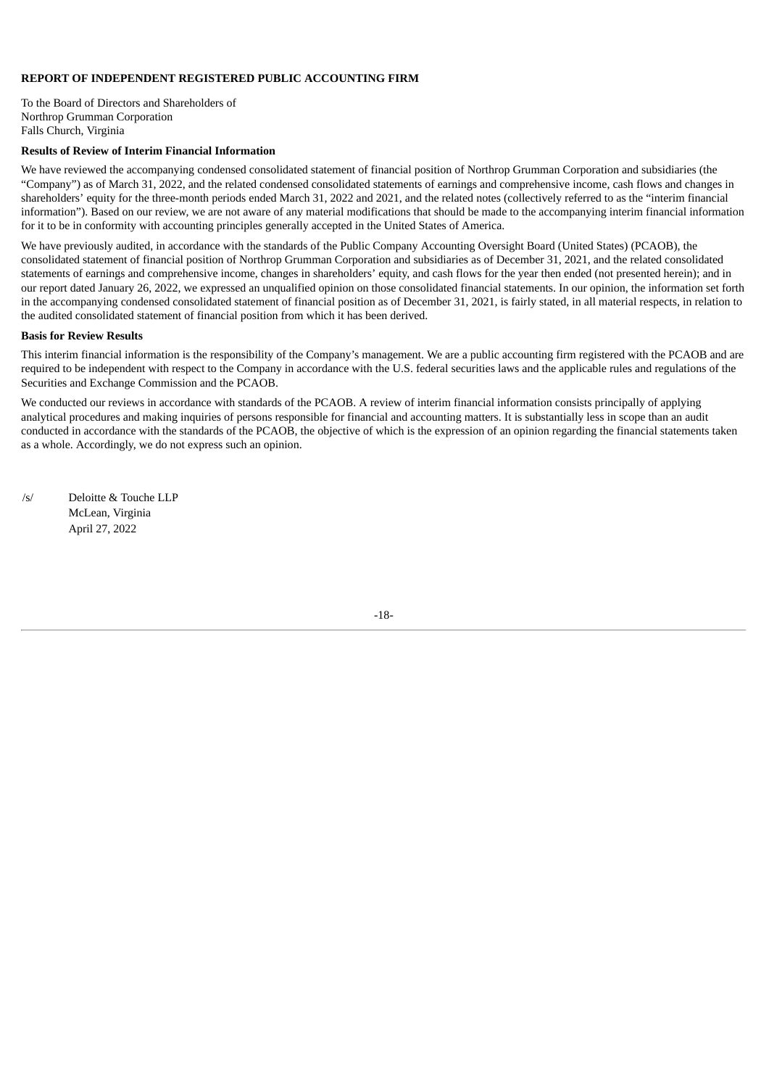## **REPORT OF INDEPENDENT REGISTERED PUBLIC ACCOUNTING FIRM**

To the Board of Directors and Shareholders of Northrop Grumman Corporation Falls Church, Virginia

## **Results of Review of Interim Financial Information**

We have reviewed the accompanying condensed consolidated statement of financial position of Northrop Grumman Corporation and subsidiaries (the "Company") as of March 31, 2022, and the related condensed consolidated statements of earnings and comprehensive income, cash flows and changes in shareholders' equity for the three-month periods ended March 31, 2022 and 2021, and the related notes (collectively referred to as the "interim financial information"). Based on our review, we are not aware of any material modifications that should be made to the accompanying interim financial information for it to be in conformity with accounting principles generally accepted in the United States of America.

We have previously audited, in accordance with the standards of the Public Company Accounting Oversight Board (United States) (PCAOB), the consolidated statement of financial position of Northrop Grumman Corporation and subsidiaries as of December 31, 2021, and the related consolidated statements of earnings and comprehensive income, changes in shareholders' equity, and cash flows for the year then ended (not presented herein); and in our report dated January 26, 2022, we expressed an unqualified opinion on those consolidated financial statements. In our opinion, the information set forth in the accompanying condensed consolidated statement of financial position as of December 31, 2021, is fairly stated, in all material respects, in relation to the audited consolidated statement of financial position from which it has been derived.

## **Basis for Review Results**

This interim financial information is the responsibility of the Company's management. We are a public accounting firm registered with the PCAOB and are required to be independent with respect to the Company in accordance with the U.S. federal securities laws and the applicable rules and regulations of the Securities and Exchange Commission and the PCAOB.

We conducted our reviews in accordance with standards of the PCAOB. A review of interim financial information consists principally of applying analytical procedures and making inquiries of persons responsible for financial and accounting matters. It is substantially less in scope than an audit conducted in accordance with the standards of the PCAOB, the objective of which is the expression of an opinion regarding the financial statements taken as a whole. Accordingly, we do not express such an opinion.

<span id="page-19-0"></span>/s/ Deloitte & Touche LLP McLean, Virginia April 27, 2022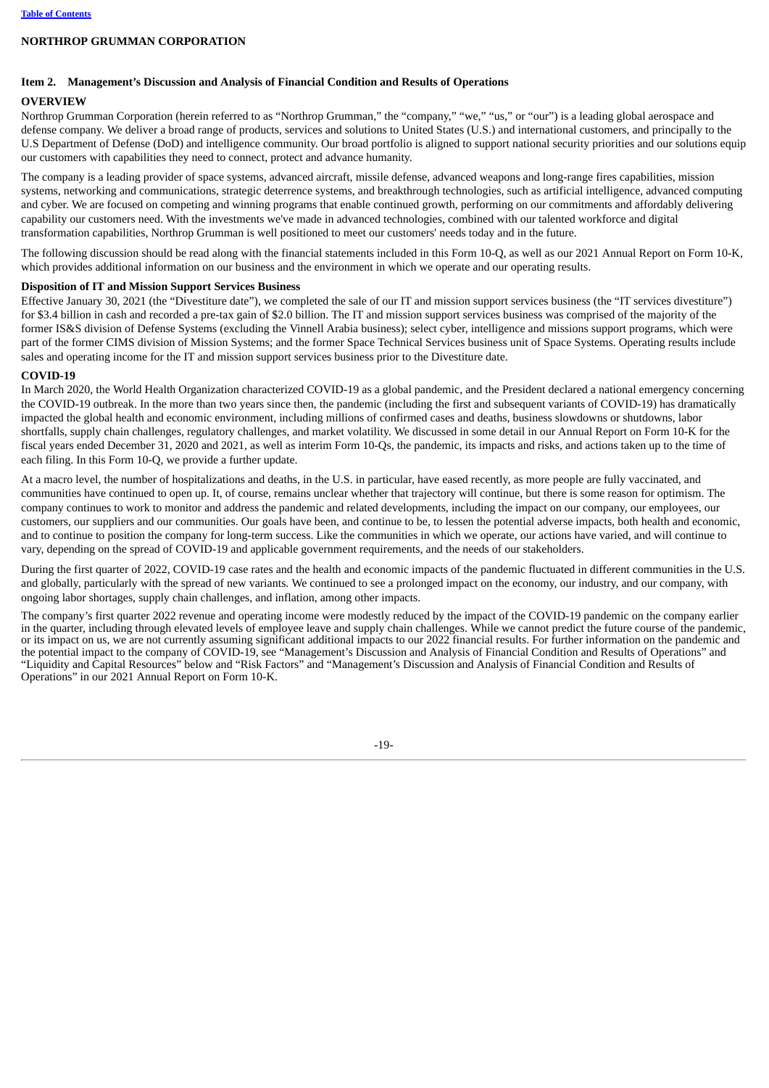#### **Item 2. Management's Discussion and Analysis of Financial Condition and Results of Operations**

#### <span id="page-20-0"></span>**OVERVIEW**

Northrop Grumman Corporation (herein referred to as "Northrop Grumman," the "company," "we," "us," or "our") is a leading global aerospace and defense company. We deliver a broad range of products, services and solutions to United States (U.S.) and international customers, and principally to the U.S Department of Defense (DoD) and intelligence community. Our broad portfolio is aligned to support national security priorities and our solutions equip our customers with capabilities they need to connect, protect and advance humanity.

The company is a leading provider of space systems, advanced aircraft, missile defense, advanced weapons and long-range fires capabilities, mission systems, networking and communications, strategic deterrence systems, and breakthrough technologies, such as artificial intelligence, advanced computing and cyber. We are focused on competing and winning programs that enable continued growth, performing on our commitments and affordably delivering capability our customers need. With the investments we've made in advanced technologies, combined with our talented workforce and digital transformation capabilities, Northrop Grumman is well positioned to meet our customers' needs today and in the future.

The following discussion should be read along with the financial statements included in this Form 10-Q, as well as our 2021 Annual Report on Form 10-K, which provides additional information on our business and the environment in which we operate and our operating results.

#### **Disposition of IT and Mission Support Services Business**

Effective January 30, 2021 (the "Divestiture date"), we completed the sale of our IT and mission support services business (the "IT services divestiture") for \$3.4 billion in cash and recorded a pre-tax gain of \$2.0 billion. The IT and mission support services business was comprised of the majority of the former IS&S division of Defense Systems (excluding the Vinnell Arabia business); select cyber, intelligence and missions support programs, which were part of the former CIMS division of Mission Systems; and the former Space Technical Services business unit of Space Systems. Operating results include sales and operating income for the IT and mission support services business prior to the Divestiture date.

#### **COVID-19**

In March 2020, the World Health Organization characterized COVID-19 as a global pandemic, and the President declared a national emergency concerning the COVID-19 outbreak. In the more than two years since then, the pandemic (including the first and subsequent variants of COVID-19) has dramatically impacted the global health and economic environment, including millions of confirmed cases and deaths, business slowdowns or shutdowns, labor shortfalls, supply chain challenges, regulatory challenges, and market volatility. We discussed in some detail in our Annual Report on Form 10-K for the fiscal years ended December 31, 2020 and 2021, as well as interim Form 10-Qs, the pandemic, its impacts and risks, and actions taken up to the time of each filing. In this Form 10-Q, we provide a further update.

At a macro level, the number of hospitalizations and deaths, in the U.S. in particular, have eased recently, as more people are fully vaccinated, and communities have continued to open up. It, of course, remains unclear whether that trajectory will continue, but there is some reason for optimism. The company continues to work to monitor and address the pandemic and related developments, including the impact on our company, our employees, our customers, our suppliers and our communities. Our goals have been, and continue to be, to lessen the potential adverse impacts, both health and economic, and to continue to position the company for long-term success. Like the communities in which we operate, our actions have varied, and will continue to vary, depending on the spread of COVID-19 and applicable government requirements, and the needs of our stakeholders.

During the first quarter of 2022, COVID-19 case rates and the health and economic impacts of the pandemic fluctuated in different communities in the U.S. and globally, particularly with the spread of new variants. We continued to see a prolonged impact on the economy, our industry, and our company, with ongoing labor shortages, supply chain challenges, and inflation, among other impacts.

The company's first quarter 2022 revenue and operating income were modestly reduced by the impact of the COVID-19 pandemic on the company earlier in the quarter, including through elevated levels of employee leave and supply chain challenges. While we cannot predict the future course of the pandemic, or its impact on us, we are not currently assuming significant additional impacts to our 2022 financial results. For further information on the pandemic and the potential impact to the company of COVID-19, see "Management's Discussion and Analysis of Financial Condition and Results of Operations" and "Liquidity and Capital Resources" below and "Risk Factors" and "Management's Discussion and Analysis of Financial Condition and Results of Operations" in our 2021 Annual Report on Form 10-K.

-19-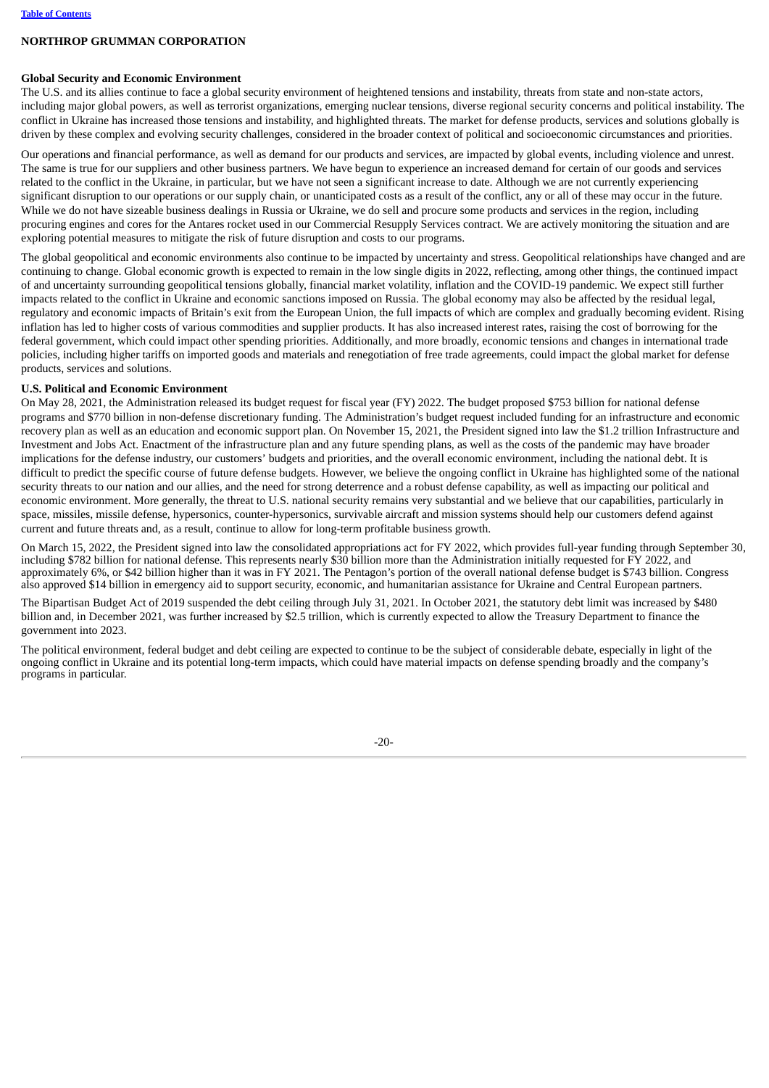## **Global Security and Economic Environment**

The U.S. and its allies continue to face a global security environment of heightened tensions and instability, threats from state and non-state actors, including major global powers, as well as terrorist organizations, emerging nuclear tensions, diverse regional security concerns and political instability. The conflict in Ukraine has increased those tensions and instability, and highlighted threats. The market for defense products, services and solutions globally is driven by these complex and evolving security challenges, considered in the broader context of political and socioeconomic circumstances and priorities.

Our operations and financial performance, as well as demand for our products and services, are impacted by global events, including violence and unrest. The same is true for our suppliers and other business partners. We have begun to experience an increased demand for certain of our goods and services related to the conflict in the Ukraine, in particular, but we have not seen a significant increase to date. Although we are not currently experiencing significant disruption to our operations or our supply chain, or unanticipated costs as a result of the conflict, any or all of these may occur in the future. While we do not have sizeable business dealings in Russia or Ukraine, we do sell and procure some products and services in the region, including procuring engines and cores for the Antares rocket used in our Commercial Resupply Services contract. We are actively monitoring the situation and are exploring potential measures to mitigate the risk of future disruption and costs to our programs.

The global geopolitical and economic environments also continue to be impacted by uncertainty and stress. Geopolitical relationships have changed and are continuing to change. Global economic growth is expected to remain in the low single digits in 2022, reflecting, among other things, the continued impact of and uncertainty surrounding geopolitical tensions globally, financial market volatility, inflation and the COVID-19 pandemic. We expect still further impacts related to the conflict in Ukraine and economic sanctions imposed on Russia. The global economy may also be affected by the residual legal, regulatory and economic impacts of Britain's exit from the European Union, the full impacts of which are complex and gradually becoming evident. Rising inflation has led to higher costs of various commodities and supplier products. It has also increased interest rates, raising the cost of borrowing for the federal government, which could impact other spending priorities. Additionally, and more broadly, economic tensions and changes in international trade policies, including higher tariffs on imported goods and materials and renegotiation of free trade agreements, could impact the global market for defense products, services and solutions.

## **U.S. Political and Economic Environment**

On May 28, 2021, the Administration released its budget request for fiscal year (FY) 2022. The budget proposed \$753 billion for national defense programs and \$770 billion in non-defense discretionary funding. The Administration's budget request included funding for an infrastructure and economic recovery plan as well as an education and economic support plan. On November 15, 2021, the President signed into law the \$1.2 trillion Infrastructure and Investment and Jobs Act. Enactment of the infrastructure plan and any future spending plans, as well as the costs of the pandemic may have broader implications for the defense industry, our customers' budgets and priorities, and the overall economic environment, including the national debt. It is difficult to predict the specific course of future defense budgets. However, we believe the ongoing conflict in Ukraine has highlighted some of the national security threats to our nation and our allies, and the need for strong deterrence and a robust defense capability, as well as impacting our political and economic environment. More generally, the threat to U.S. national security remains very substantial and we believe that our capabilities, particularly in space, missiles, missile defense, hypersonics, counter-hypersonics, survivable aircraft and mission systems should help our customers defend against current and future threats and, as a result, continue to allow for long-term profitable business growth.

On March 15, 2022, the President signed into law the consolidated appropriations act for FY 2022, which provides full-year funding through September 30, including \$782 billion for national defense. This represents nearly \$30 billion more than the Administration initially requested for FY 2022, and approximately 6%, or \$42 billion higher than it was in FY 2021. The Pentagon's portion of the overall national defense budget is \$743 billion. Congress also approved \$14 billion in emergency aid to support security, economic, and humanitarian assistance for Ukraine and Central European partners.

The Bipartisan Budget Act of 2019 suspended the debt ceiling through July 31, 2021. In October 2021, the statutory debt limit was increased by \$480 billion and, in December 2021, was further increased by \$2.5 trillion, which is currently expected to allow the Treasury Department to finance the government into 2023.

The political environment, federal budget and debt ceiling are expected to continue to be the subject of considerable debate, especially in light of the ongoing conflict in Ukraine and its potential long-term impacts, which could have material impacts on defense spending broadly and the company's programs in particular.

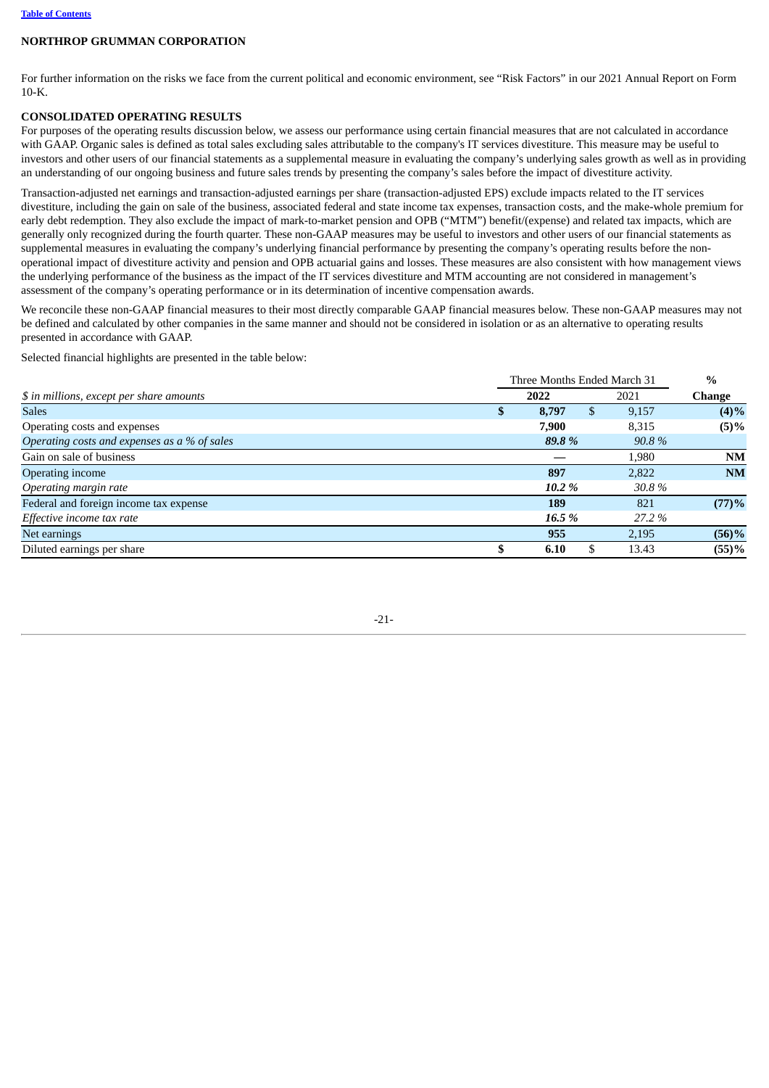For further information on the risks we face from the current political and economic environment, see "Risk Factors" in our 2021 Annual Report on Form  $10-K$ .

## <span id="page-22-0"></span>**CONSOLIDATED OPERATING RESULTS**

For purposes of the operating results discussion below, we assess our performance using certain financial measures that are not calculated in accordance with GAAP. Organic sales is defined as total sales excluding sales attributable to the company's IT services divestiture. This measure may be useful to investors and other users of our financial statements as a supplemental measure in evaluating the company's underlying sales growth as well as in providing an understanding of our ongoing business and future sales trends by presenting the company's sales before the impact of divestiture activity.

Transaction-adjusted net earnings and transaction-adjusted earnings per share (transaction-adjusted EPS) exclude impacts related to the IT services divestiture, including the gain on sale of the business, associated federal and state income tax expenses, transaction costs, and the make-whole premium for early debt redemption. They also exclude the impact of mark-to-market pension and OPB ("MTM") benefit/(expense) and related tax impacts, which are generally only recognized during the fourth quarter. These non-GAAP measures may be useful to investors and other users of our financial statements as supplemental measures in evaluating the company's underlying financial performance by presenting the company's operating results before the nonoperational impact of divestiture activity and pension and OPB actuarial gains and losses. These measures are also consistent with how management views the underlying performance of the business as the impact of the IT services divestiture and MTM accounting are not considered in management's assessment of the company's operating performance or in its determination of incentive compensation awards.

We reconcile these non-GAAP financial measures to their most directly comparable GAAP financial measures below. These non-GAAP measures may not be defined and calculated by other companies in the same manner and should not be considered in isolation or as an alternative to operating results presented in accordance with GAAP.

Selected financial highlights are presented in the table below:

|                                              |   | Three Months Ended March 31 |             | $\%$      |
|----------------------------------------------|---|-----------------------------|-------------|-----------|
| \$ in millions, except per share amounts     |   | 2022                        | 2021        | Change    |
| <b>Sales</b>                                 | D | 8,797                       | \$<br>9,157 | $(4)\%$   |
| Operating costs and expenses                 |   | 7,900                       | 8,315       | $(5)\%$   |
| Operating costs and expenses as a % of sales |   | 89.8%                       | 90.8%       |           |
| Gain on sale of business                     |   |                             | 1,980       | <b>NM</b> |
| Operating income                             |   | 897                         | 2.822       | NM        |
| Operating margin rate                        |   | 10.2 %                      | 30.8%       |           |
| Federal and foreign income tax expense       |   | 189                         | 821         | (77)%     |
| Effective income tax rate                    |   | 16.5 %                      | 27.2 %      |           |
| Net earnings                                 |   | 955                         | 2,195       | $(56)\%$  |
| Diluted earnings per share                   |   | 6.10                        | 13.43       | (55)%     |

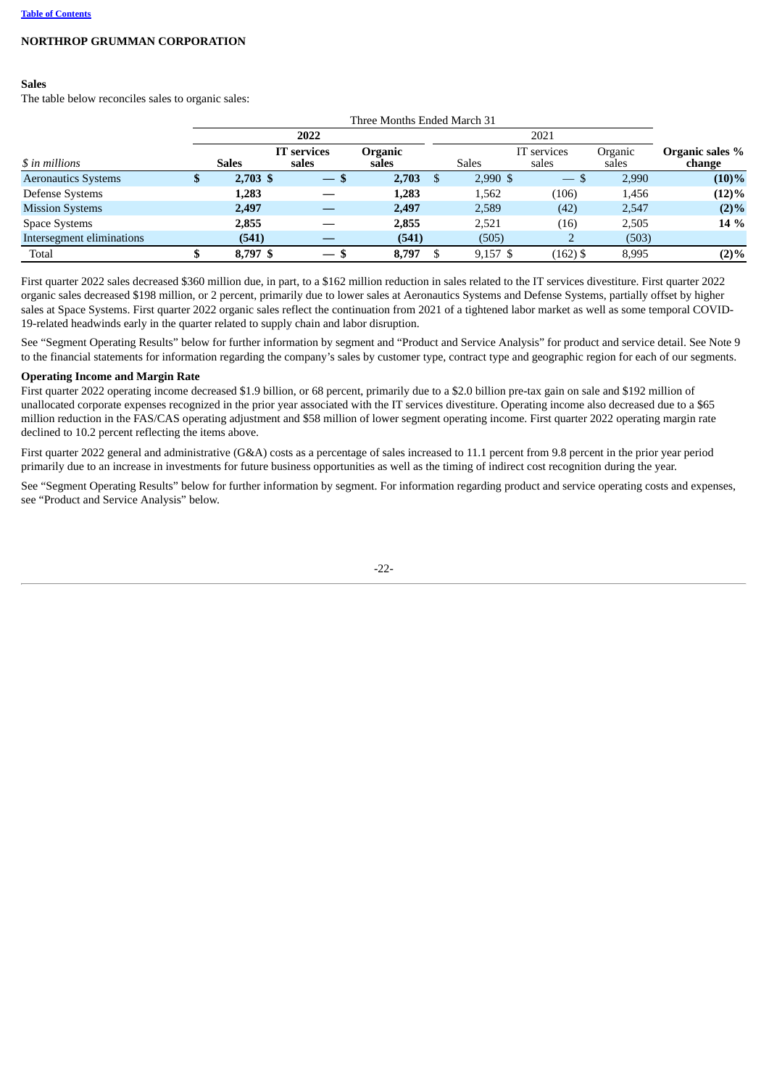#### **Sales**

The table below reconciles sales to organic sales:

|                            | Three Months Ended March 31 |              |                                 |                  |     |              |                               |                  |                           |  |  |
|----------------------------|-----------------------------|--------------|---------------------------------|------------------|-----|--------------|-------------------------------|------------------|---------------------------|--|--|
|                            |                             |              | 2022                            |                  |     |              | 2021                          |                  |                           |  |  |
| \$ in millions             |                             | <b>Sales</b> | <b>IT</b> services<br>sales     | Organic<br>sales |     | <b>Sales</b> | IT services<br>sales          | Organic<br>sales | Organic sales %<br>change |  |  |
| <b>Aeronautics Systems</b> | D                           | $2,703$ \$   | - 5<br>$\overline{\phantom{m}}$ | 2,703            | - S | $2,990$ \$   | $\overline{\phantom{m}}$<br>ാ | 2,990            | $(10)\%$                  |  |  |
| <b>Defense Systems</b>     |                             | 1,283        |                                 | 1,283            |     | 1,562        | (106)                         | 1,456            | $(12)\%$                  |  |  |
| <b>Mission Systems</b>     |                             | 2,497        |                                 | 2,497            |     | 2,589        | (42)                          | 2,547            | $(2)\%$                   |  |  |
| Space Systems              |                             | 2,855        |                                 | 2,855            |     | 2,521        | (16)                          | 2,505            | 14 %                      |  |  |
| Intersegment eliminations  |                             | (541)        |                                 | (541)            |     | (505)        | ∠                             | (503)            |                           |  |  |
| Total                      |                             | 8,797 \$     | $-$ \$                          | 8,797            |     | $9,157$ \$   | $(162)$ \$                    | 8,995            | $(2)\%$                   |  |  |

First quarter 2022 sales decreased \$360 million due, in part, to a \$162 million reduction in sales related to the IT services divestiture. First quarter 2022 organic sales decreased \$198 million, or 2 percent, primarily due to lower sales at Aeronautics Systems and Defense Systems, partially offset by higher sales at Space Systems. First quarter 2022 organic sales reflect the continuation from 2021 of a tightened labor market as well as some temporal COVID-19-related headwinds early in the quarter related to supply chain and labor disruption.

See "Segment Operating Results" below for further information by segment and "Product and Service Analysis" for product and service detail. See Note 9 to the financial statements for information regarding the company's sales by customer type, contract type and geographic region for each of our segments.

#### **Operating Income and Margin Rate**

First quarter 2022 operating income decreased \$1.9 billion, or 68 percent, primarily due to a \$2.0 billion pre-tax gain on sale and \$192 million of unallocated corporate expenses recognized in the prior year associated with the IT services divestiture. Operating income also decreased due to a \$65 million reduction in the FAS/CAS operating adjustment and \$58 million of lower segment operating income. First quarter 2022 operating margin rate declined to 10.2 percent reflecting the items above.

First quarter 2022 general and administrative (G&A) costs as a percentage of sales increased to 11.1 percent from 9.8 percent in the prior year period primarily due to an increase in investments for future business opportunities as well as the timing of indirect cost recognition during the year.

See "Segment Operating Results" below for further information by segment. For information regarding product and service operating costs and expenses, see "Product and Service Analysis" below.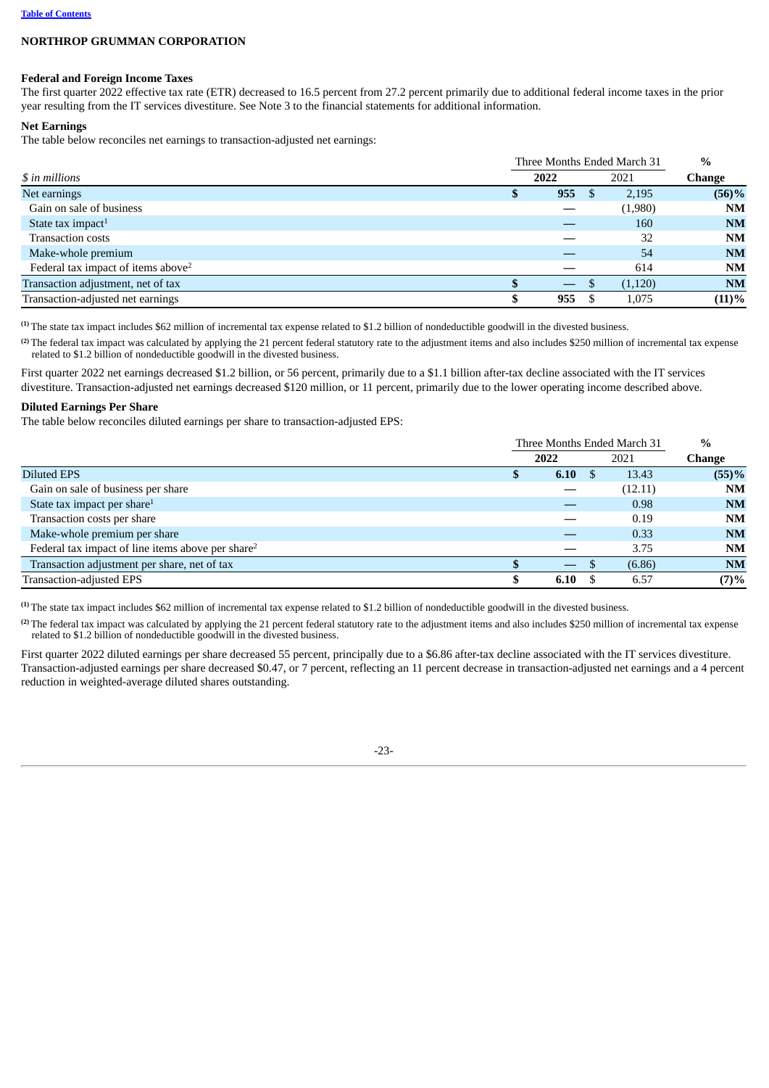#### **Federal and Foreign Income Taxes**

The first quarter 2022 effective tax rate (ETR) decreased to 16.5 percent from 27.2 percent primarily due to additional federal income taxes in the prior year resulting from the IT services divestiture. See Note 3 to the financial statements for additional information.

#### **Net Earnings**

The table below reconciles net earnings to transaction-adjusted net earnings:

|                                                |                          | Three Months Ended March 31 | $\frac{0}{0}$ |
|------------------------------------------------|--------------------------|-----------------------------|---------------|
| \$ in millions                                 | 2022                     | 2021                        | Change        |
| Net earnings                                   | 955                      | 2,195                       | $(56)\%$      |
| Gain on sale of business                       |                          | (1,980)                     | <b>NM</b>     |
| State tax impact <sup>1</sup>                  |                          | 160                         | <b>NM</b>     |
| <b>Transaction costs</b>                       |                          | 32                          | NM            |
| Make-whole premium                             |                          | 54                          | NM            |
| Federal tax impact of items above <sup>2</sup> |                          | 614                         | NM            |
| Transaction adjustment, net of tax             | $\overline{\phantom{0}}$ | (1,120)                     | <b>NM</b>     |
| Transaction-adjusted net earnings              | 955                      | 1.075                       | $(11)\%$      |

The state tax impact includes \$62 million of incremental tax expense related to \$1.2 billion of nondeductible goodwill in the divested business. **(1)**

The federal tax impact was calculated by applying the 21 percent federal statutory rate to the adjustment items and also includes \$250 million of incremental tax expense **(2)** related to \$1.2 billion of nondeductible goodwill in the divested business.

First quarter 2022 net earnings decreased \$1.2 billion, or 56 percent, primarily due to a \$1.1 billion after-tax decline associated with the IT services divestiture. Transaction-adjusted net earnings decreased \$120 million, or 11 percent, primarily due to the lower operating income described above.

## **Diluted Earnings Per Share**

The table below reconciles diluted earnings per share to transaction-adjusted EPS:

|                                                               | Three Months Ended March 31 | $\%$                     |         |           |
|---------------------------------------------------------------|-----------------------------|--------------------------|---------|-----------|
|                                                               |                             | 2022                     | 2021    | Change    |
| <b>Diluted EPS</b>                                            | D                           | 6.10                     | 13.43   | (55)%     |
| Gain on sale of business per share                            |                             |                          | (12.11) | NM        |
| State tax impact per share <sup>1</sup>                       |                             |                          | 0.98    | <b>NM</b> |
| Transaction costs per share                                   |                             |                          | 0.19    | <b>NM</b> |
| Make-whole premium per share                                  |                             |                          | 0.33    | NM        |
| Federal tax impact of line items above per share <sup>2</sup> |                             |                          | 3.75    | <b>NM</b> |
| Transaction adjustment per share, net of tax                  |                             | $\overline{\phantom{0}}$ | (6.86)  | <b>NM</b> |
| Transaction-adjusted EPS                                      |                             | 6.10                     | 6.57    | $(7)$ %   |

The state tax impact includes \$62 million of incremental tax expense related to \$1.2 billion of nondeductible goodwill in the divested business. **(1)**

The federal tax impact was calculated by applying the 21 percent federal statutory rate to the adjustment items and also includes \$250 million of incremental tax expense **(2)** related to \$1.2 billion of nondeductible goodwill in the divested business.

<span id="page-24-0"></span>First quarter 2022 diluted earnings per share decreased 55 percent, principally due to a \$6.86 after-tax decline associated with the IT services divestiture. Transaction-adjusted earnings per share decreased \$0.47, or 7 percent, reflecting an 11 percent decrease in transaction-adjusted net earnings and a 4 percent reduction in weighted-average diluted shares outstanding.

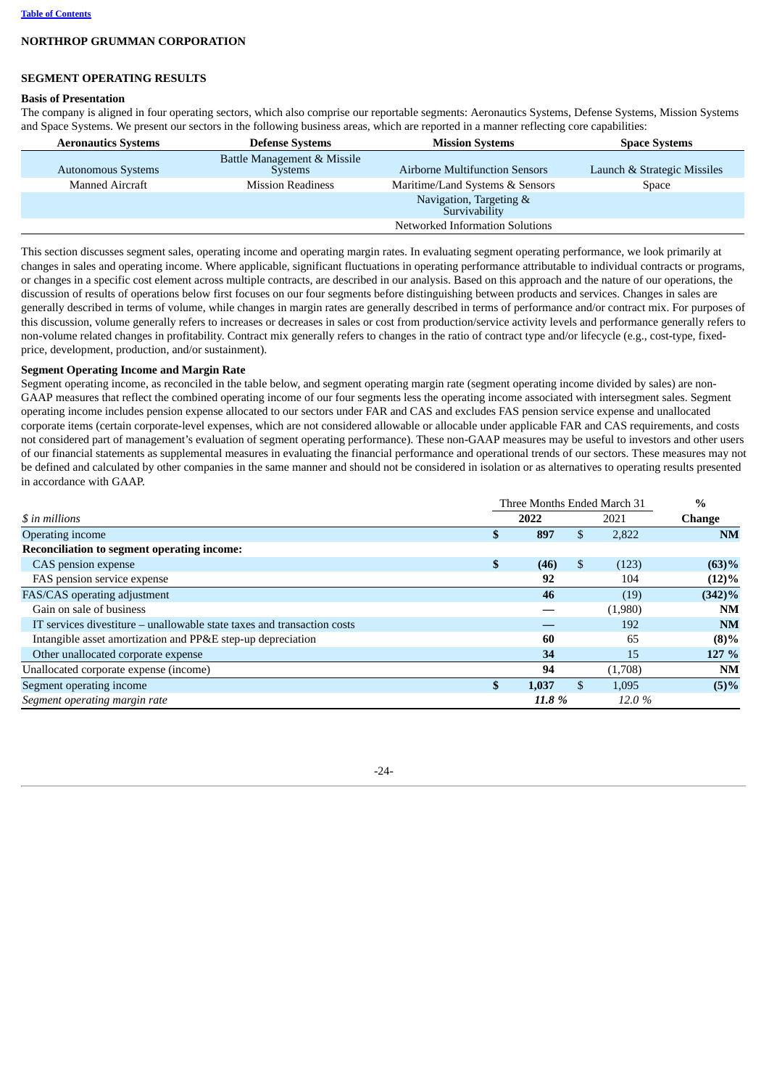## **SEGMENT OPERATING RESULTS**

## **Basis of Presentation**

The company is aligned in four operating sectors, which also comprise our reportable segments: Aeronautics Systems, Defense Systems, Mission Systems and Space Systems. We present our sectors in the following business areas, which are reported in a manner reflecting core capabilities:

| Battle Management & Missile                                                           | <b>Space Systems</b>        |
|---------------------------------------------------------------------------------------|-----------------------------|
| <b>Airborne Multifunction Sensors</b><br><b>Autonomous Systems</b><br><b>Systems</b>  | Launch & Strategic Missiles |
| <b>Manned Aircraft</b><br><b>Mission Readiness</b><br>Maritime/Land Systems & Sensors | <b>Space</b>                |
| Navigation, Targeting &<br><b>Survivability</b>                                       |                             |
| Networked Information Solutions                                                       |                             |

This section discusses segment sales, operating income and operating margin rates. In evaluating segment operating performance, we look primarily at changes in sales and operating income. Where applicable, significant fluctuations in operating performance attributable to individual contracts or programs, or changes in a specific cost element across multiple contracts, are described in our analysis. Based on this approach and the nature of our operations, the discussion of results of operations below first focuses on our four segments before distinguishing between products and services. Changes in sales are generally described in terms of volume, while changes in margin rates are generally described in terms of performance and/or contract mix. For purposes of this discussion, volume generally refers to increases or decreases in sales or cost from production/service activity levels and performance generally refers to non-volume related changes in profitability. Contract mix generally refers to changes in the ratio of contract type and/or lifecycle (e.g., cost-type, fixedprice, development, production, and/or sustainment).

## **Segment Operating Income and Margin Rate**

Segment operating income, as reconciled in the table below, and segment operating margin rate (segment operating income divided by sales) are non-GAAP measures that reflect the combined operating income of our four segments less the operating income associated with intersegment sales. Segment operating income includes pension expense allocated to our sectors under FAR and CAS and excludes FAS pension service expense and unallocated corporate items (certain corporate-level expenses, which are not considered allowable or allocable under applicable FAR and CAS requirements, and costs not considered part of management's evaluation of segment operating performance). These non-GAAP measures may be useful to investors and other users of our financial statements as supplemental measures in evaluating the financial performance and operational trends of our sectors. These measures may not be defined and calculated by other companies in the same manner and should not be considered in isolation or as alternatives to operating results presented in accordance with GAAP.

|                                                                         | Three Months Ended March 31 | $\%$   |     |         |               |
|-------------------------------------------------------------------------|-----------------------------|--------|-----|---------|---------------|
| \$ in millions                                                          |                             | 2022   |     | 2021    | <b>Change</b> |
| Operating income                                                        |                             | 897    | \$  | 2,822   | <b>NM</b>     |
| Reconciliation to segment operating income:                             |                             |        |     |         |               |
| CAS pension expense                                                     | \$                          | (46)   | \$  | (123)   | $(63)$ %      |
| FAS pension service expense                                             |                             | 92     |     | 104     | $(12)\%$      |
| FAS/CAS operating adjustment                                            |                             | 46     |     | (19)    | $(342)\%$     |
| Gain on sale of business                                                |                             |        |     | (1,980) | NM            |
| IT services divestiture – unallowable state taxes and transaction costs |                             |        |     | 192     | <b>NM</b>     |
| Intangible asset amortization and PP&E step-up depreciation             |                             | 60     |     | 65      | $(8)\%$       |
| Other unallocated corporate expense                                     |                             | 34     |     | 15      | 127 %         |
| Unallocated corporate expense (income)                                  |                             | 94     |     | (1,708) | <b>NM</b>     |
| Segment operating income                                                |                             | 1.037  | \$. | 1,095   | $(5)\%$       |
| Segment operating margin rate                                           |                             | 11.8 % |     | 12.0 %  |               |

-24-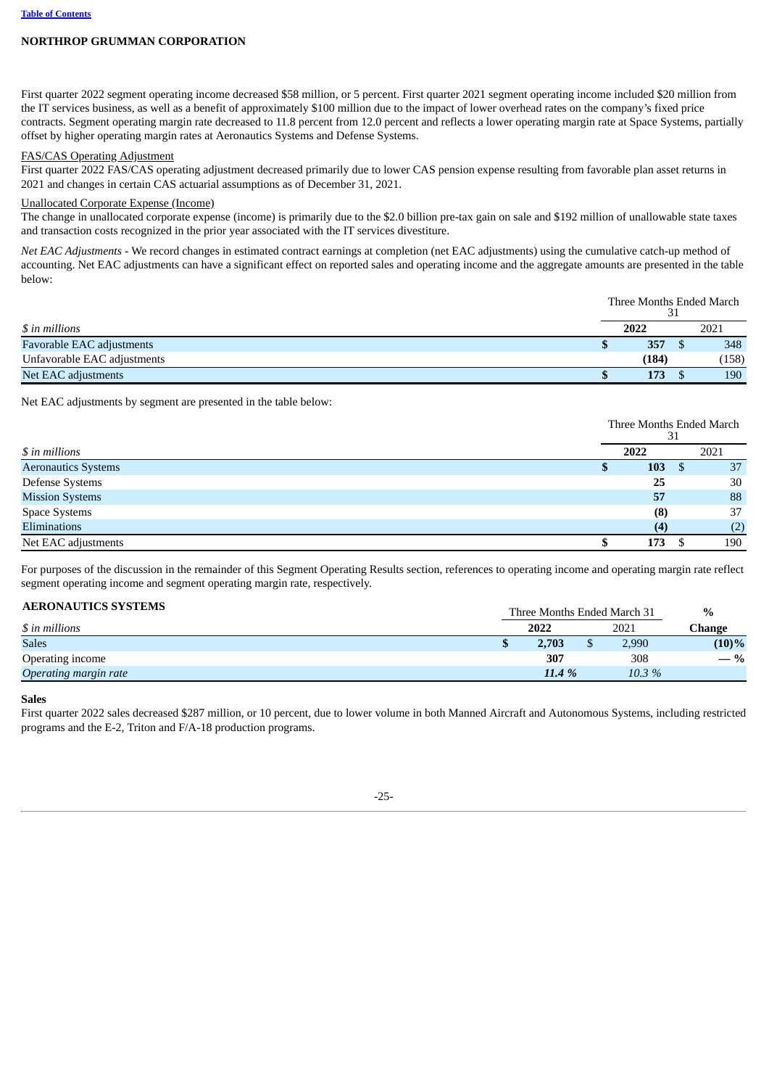First quarter 2022 segment operating income decreased \$58 million, or 5 percent. First quarter 2021 segment operating income included \$20 million from the IT services business, as well as a benefit of approximately \$100 million due to the impact of lower overhead rates on the company's fixed price contracts. Segment operating margin rate decreased to 11.8 percent from 12.0 percent and reflects a lower operating margin rate at Space Systems, partially offset by higher operating margin rates at Aeronautics Systems and Defense Systems.

## FAS/CAS Operating Adjustment

First quarter 2022 FAS/CAS operating adjustment decreased primarily due to lower CAS pension expense resulting from favorable plan asset returns in 2021 and changes in certain CAS actuarial assumptions as of December 31, 2021.

## Unallocated Corporate Expense (Income)

The change in unallocated corporate expense (income) is primarily due to the \$2.0 billion pre-tax gain on sale and \$192 million of unallowable state taxes and transaction costs recognized in the prior year associated with the IT services divestiture.

*Net EAC Adjustments* - We record changes in estimated contract earnings at completion (net EAC adjustments) using the cumulative catch-up method of accounting. Net EAC adjustments can have a significant effect on reported sales and operating income and the aggregate amounts are presented in the table below:

|                             |   |       | Three Months Ended March |       |  |
|-----------------------------|---|-------|--------------------------|-------|--|
| \$ in millions              |   | 2022  |                          | 2021  |  |
| Favorable EAC adjustments   | Φ | 357   |                          | 348   |  |
| Unfavorable EAC adjustments |   | (184) |                          | (158) |  |
| Net EAC adjustments         |   | 173   |                          | 190   |  |

Net EAC adjustments by segment are presented in the table below:

|                            | Three Months Ended March<br>31 |      |  |      |  |  |  |
|----------------------------|--------------------------------|------|--|------|--|--|--|
| \$ in millions             |                                | 2022 |  | 2021 |  |  |  |
| <b>Aeronautics Systems</b> |                                | 103  |  | 37   |  |  |  |
| Defense Systems            |                                | 25   |  | 30   |  |  |  |
| <b>Mission Systems</b>     |                                | 57   |  | 88   |  |  |  |
| <b>Space Systems</b>       |                                | (8)  |  | 37   |  |  |  |
| Eliminations               |                                | (4)  |  | (2)  |  |  |  |
| Net EAC adjustments        |                                | 173  |  | 190  |  |  |  |

For purposes of the discussion in the remainder of this Segment Operating Results section, references to operating income and operating margin rate reflect segment operating income and segment operating margin rate, respectively.

# **AERONAUTICS SYSTEMS** Three Months Ended March <sup>31</sup> **%**

| \$ in millions        | 2022   | 2021  | <b>Change</b> |
|-----------------------|--------|-------|---------------|
| <b>Sales</b>          | 2.703  | 2,990 | $(10)\%$      |
| Operating income      | 307    | 308   | $\%$          |
| Operating margin rate | 11.4 % | 10.3% |               |

#### **Sales**

First quarter 2022 sales decreased \$287 million, or 10 percent, due to lower volume in both Manned Aircraft and Autonomous Systems, including restricted programs and the E-2, Triton and F/A-18 production programs.

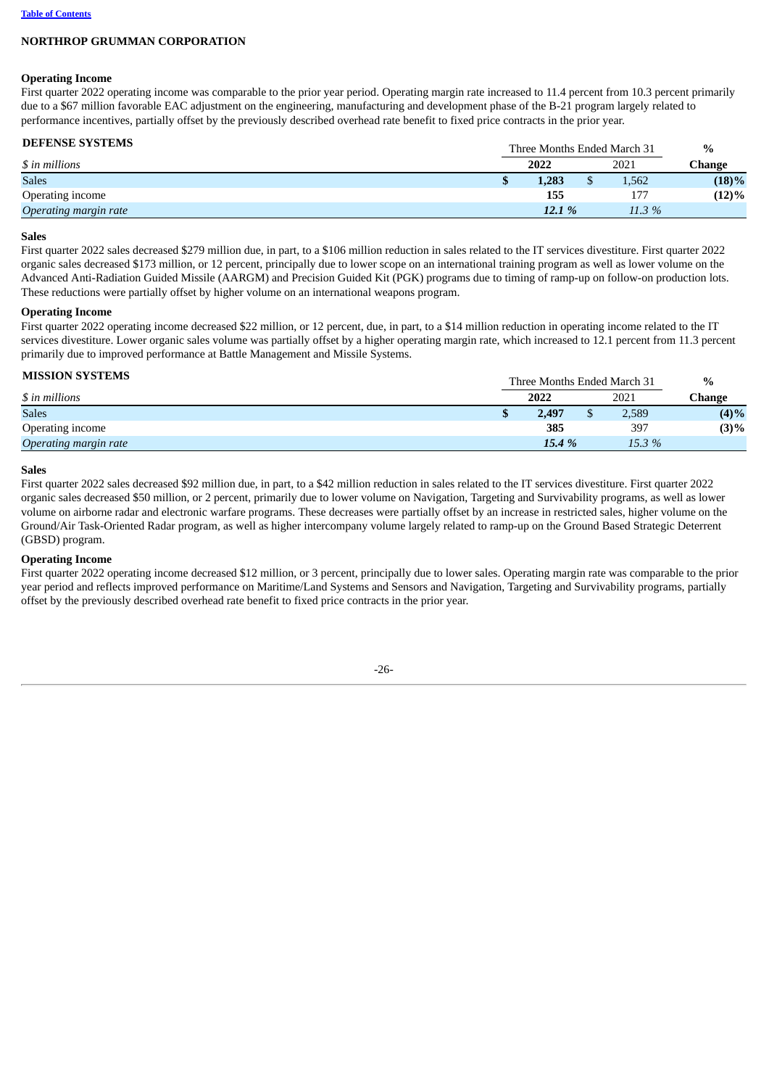#### **Operating Income**

First quarter 2022 operating income was comparable to the prior year period. Operating margin rate increased to 11.4 percent from 10.3 percent primarily due to a \$67 million favorable EAC adjustment on the engineering, manufacturing and development phase of the B-21 program largely related to performance incentives, partially offset by the previously described overhead rate benefit to fixed price contracts in the prior year.

| <b>DEFENSE SYSTEMS</b> | Three Months Ended March 31 | $\%$     |          |
|------------------------|-----------------------------|----------|----------|
| \$ in millions         | 2022                        | 2021     | Change   |
| <b>Sales</b>           | 1,283                       | 1,562    | $(18)\%$ |
| Operating income       | 155                         | 177      | $(12)\%$ |
| Operating margin rate  | <b>12.1</b> %               | $11.3\%$ |          |

#### **Sales**

First quarter 2022 sales decreased \$279 million due, in part, to a \$106 million reduction in sales related to the IT services divestiture. First quarter 2022 organic sales decreased \$173 million, or 12 percent, principally due to lower scope on an international training program as well as lower volume on the Advanced Anti-Radiation Guided Missile (AARGM) and Precision Guided Kit (PGK) programs due to timing of ramp-up on follow-on production lots. These reductions were partially offset by higher volume on an international weapons program.

#### **Operating Income**

First quarter 2022 operating income decreased \$22 million, or 12 percent, due, in part, to a \$14 million reduction in operating income related to the IT services divestiture. Lower organic sales volume was partially offset by a higher operating margin rate, which increased to 12.1 percent from 11.3 percent primarily due to improved performance at Battle Management and Missile Systems.

| <b>MISSION SYSTEMS</b>       | Three Months Ended March 31 | $\%$   |         |  |
|------------------------------|-----------------------------|--------|---------|--|
| \$ in millions               | 2022                        | 2021   | Change  |  |
| <b>Sales</b>                 | 2.497                       | 2,589  | $(4)\%$ |  |
| Operating income             | 385                         | 397    | $(3)\%$ |  |
| <b>Operating margin rate</b> | 15.4 %                      | 15.3 % |         |  |

#### **Sales**

First quarter 2022 sales decreased \$92 million due, in part, to a \$42 million reduction in sales related to the IT services divestiture. First quarter 2022 organic sales decreased \$50 million, or 2 percent, primarily due to lower volume on Navigation, Targeting and Survivability programs, as well as lower volume on airborne radar and electronic warfare programs. These decreases were partially offset by an increase in restricted sales, higher volume on the Ground/Air Task-Oriented Radar program, as well as higher intercompany volume largely related to ramp-up on the Ground Based Strategic Deterrent (GBSD) program.

## **Operating Income**

First quarter 2022 operating income decreased \$12 million, or 3 percent, principally due to lower sales. Operating margin rate was comparable to the prior year period and reflects improved performance on Maritime/Land Systems and Sensors and Navigation, Targeting and Survivability programs, partially offset by the previously described overhead rate benefit to fixed price contracts in the prior year.

$$
-26-
$$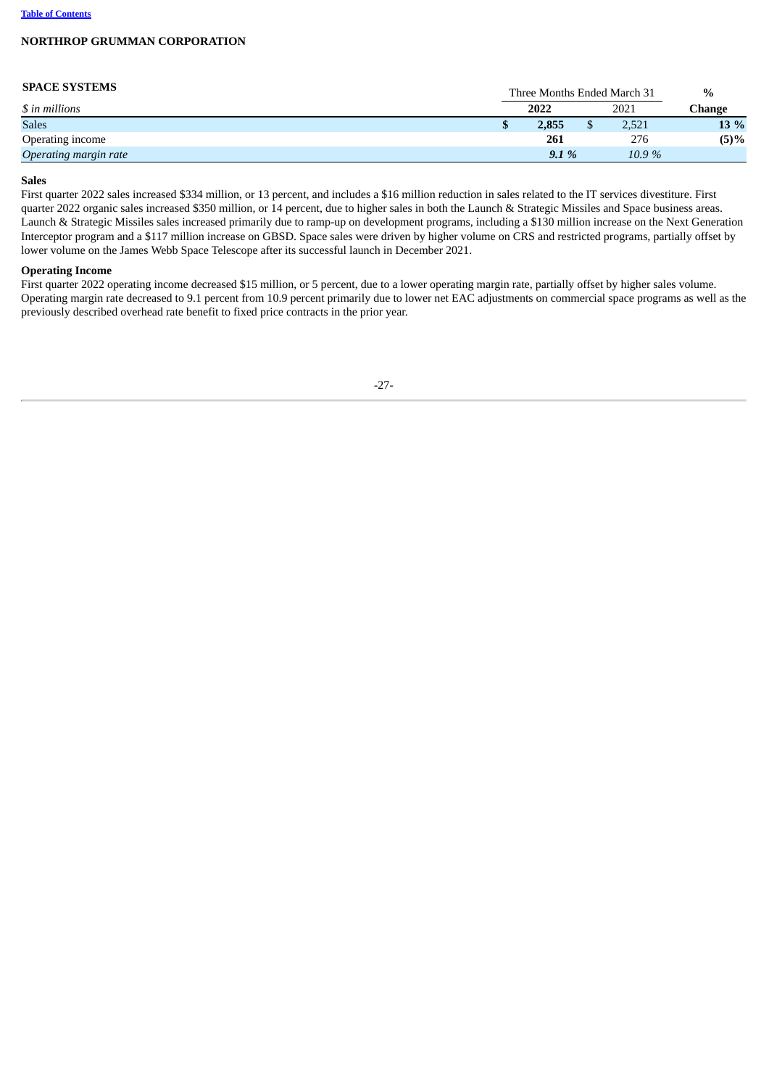| <b>SPACE SYSTEMS</b>  | Three Months Ended March 31 |       | $\%$    |
|-----------------------|-----------------------------|-------|---------|
| \$ in millions        | 2022                        | 2021  | Change  |
| <b>Sales</b>          | 2.855                       | 2,521 | 13 %    |
| Operating income      | 261                         | 276   | $(5)\%$ |
| Operating margin rate | 9.1%                        | 10.9% |         |

## **Sales**

First quarter 2022 sales increased \$334 million, or 13 percent, and includes a \$16 million reduction in sales related to the IT services divestiture. First quarter 2022 organic sales increased \$350 million, or 14 percent, due to higher sales in both the Launch & Strategic Missiles and Space business areas. Launch & Strategic Missiles sales increased primarily due to ramp-up on development programs, including a \$130 million increase on the Next Generation Interceptor program and a \$117 million increase on GBSD. Space sales were driven by higher volume on CRS and restricted programs, partially offset by lower volume on the James Webb Space Telescope after its successful launch in December 2021.

#### **Operating Income**

<span id="page-28-0"></span>First quarter 2022 operating income decreased \$15 million, or 5 percent, due to a lower operating margin rate, partially offset by higher sales volume. Operating margin rate decreased to 9.1 percent from 10.9 percent primarily due to lower net EAC adjustments on commercial space programs as well as the previously described overhead rate benefit to fixed price contracts in the prior year.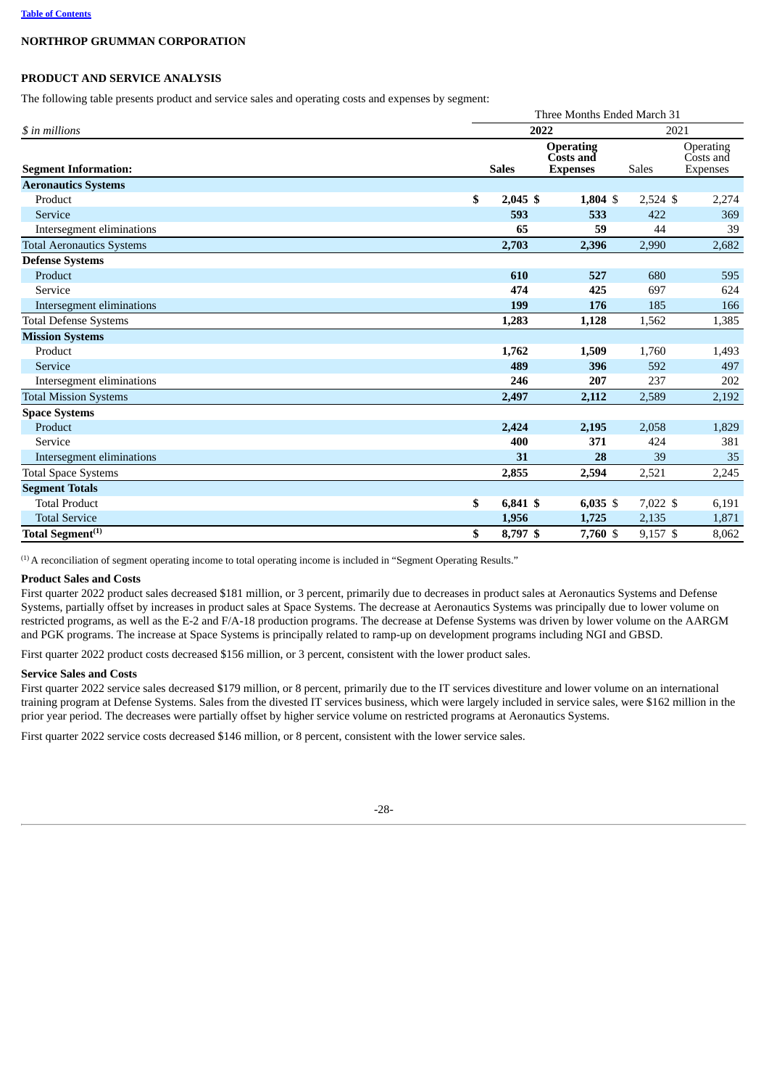## **PRODUCT AND SERVICE ANALYSIS**

The following table presents product and service sales and operating costs and expenses by segment:

|                                  |              | Three Months Ended March 31 |                                                         |              |                                           |  |  |  |  |  |
|----------------------------------|--------------|-----------------------------|---------------------------------------------------------|--------------|-------------------------------------------|--|--|--|--|--|
| \$ in millions                   |              | 2022                        |                                                         |              |                                           |  |  |  |  |  |
| <b>Segment Information:</b>      | <b>Sales</b> |                             | <b>Operating</b><br><b>Costs and</b><br><b>Expenses</b> | <b>Sales</b> | Operating<br>Costs and<br><b>Expenses</b> |  |  |  |  |  |
| <b>Aeronautics Systems</b>       |              |                             |                                                         |              |                                           |  |  |  |  |  |
| Product                          | \$           | $2,045$ \$                  | $1,804$ \$                                              | 2,524 \$     | 2,274                                     |  |  |  |  |  |
| <b>Service</b>                   |              | 593                         | 533                                                     | 422          | 369                                       |  |  |  |  |  |
| Intersegment eliminations        |              | 65                          | 59                                                      | 44           | 39                                        |  |  |  |  |  |
| <b>Total Aeronautics Systems</b> |              | 2,703                       | 2,396                                                   | 2,990        | 2,682                                     |  |  |  |  |  |
| <b>Defense Systems</b>           |              |                             |                                                         |              |                                           |  |  |  |  |  |
| Product                          |              | 610                         | 527                                                     | 680          | 595                                       |  |  |  |  |  |
| Service                          |              | 474                         | 425                                                     | 697          | 624                                       |  |  |  |  |  |
| Intersegment eliminations        |              | 199                         | 176                                                     | 185          | 166                                       |  |  |  |  |  |
| <b>Total Defense Systems</b>     |              | 1,283                       | 1,128                                                   | 1,562        | 1,385                                     |  |  |  |  |  |
| <b>Mission Systems</b>           |              |                             |                                                         |              |                                           |  |  |  |  |  |
| Product                          |              | 1,762                       | 1,509                                                   | 1,760        | 1,493                                     |  |  |  |  |  |
| Service                          |              | 489                         | 396                                                     | 592          | 497                                       |  |  |  |  |  |
| Intersegment eliminations        |              | 246                         | 207                                                     | 237          | 202                                       |  |  |  |  |  |
| <b>Total Mission Systems</b>     |              | 2,497                       | 2,112                                                   | 2,589        | 2,192                                     |  |  |  |  |  |
| <b>Space Systems</b>             |              |                             |                                                         |              |                                           |  |  |  |  |  |
| Product                          |              | 2,424                       | 2,195                                                   | 2,058        | 1,829                                     |  |  |  |  |  |
| Service                          |              | 400                         | 371                                                     | 424          | 381                                       |  |  |  |  |  |
| Intersegment eliminations        |              | 31                          | 28                                                      | 39           | 35                                        |  |  |  |  |  |
| <b>Total Space Systems</b>       |              | 2,855                       | 2,594                                                   | 2,521        | 2,245                                     |  |  |  |  |  |
| <b>Segment Totals</b>            |              |                             |                                                         |              |                                           |  |  |  |  |  |
| <b>Total Product</b>             | \$           | 6,841 \$                    | $6,035$ \$                                              | $7,022$ \$   | 6,191                                     |  |  |  |  |  |
| <b>Total Service</b>             |              | 1,956                       | 1,725                                                   | 2,135        | 1,871                                     |  |  |  |  |  |
| Total Segment <sup>(1)</sup>     | \$           | 8,797 \$                    | 7,760 \$                                                | $9,157$ \$   | 8,062                                     |  |  |  |  |  |

 $(1)$  A reconciliation of segment operating income to total operating income is included in "Segment Operating Results."

## **Product Sales and Costs**

First quarter 2022 product sales decreased \$181 million, or 3 percent, primarily due to decreases in product sales at Aeronautics Systems and Defense Systems, partially offset by increases in product sales at Space Systems. The decrease at Aeronautics Systems was principally due to lower volume on restricted programs, as well as the E-2 and F/A-18 production programs. The decrease at Defense Systems was driven by lower volume on the AARGM and PGK programs. The increase at Space Systems is principally related to ramp-up on development programs including NGI and GBSD.

First quarter 2022 product costs decreased \$156 million, or 3 percent, consistent with the lower product sales.

#### **Service Sales and Costs**

First quarter 2022 service sales decreased \$179 million, or 8 percent, primarily due to the IT services divestiture and lower volume on an international training program at Defense Systems. Sales from the divested IT services business, which were largely included in service sales, were \$162 million in the prior year period. The decreases were partially offset by higher service volume on restricted programs at Aeronautics Systems.

<span id="page-29-0"></span>First quarter 2022 service costs decreased \$146 million, or 8 percent, consistent with the lower service sales.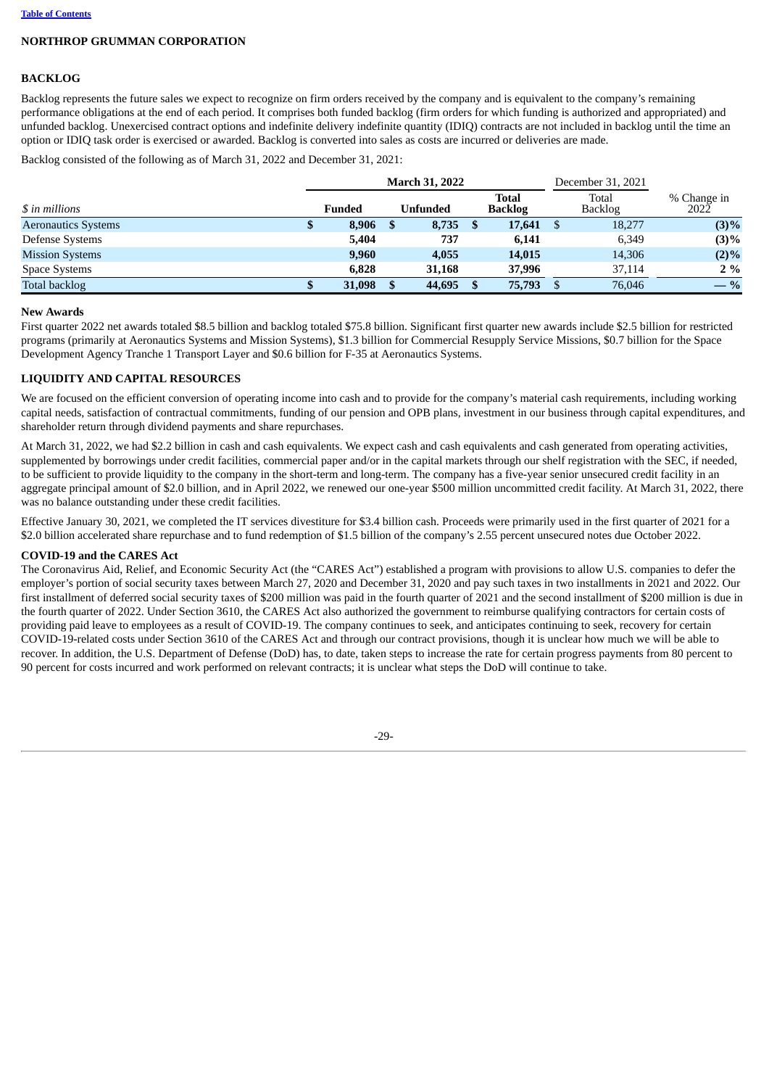#### **BACKLOG**

Backlog represents the future sales we expect to recognize on firm orders received by the company and is equivalent to the company's remaining performance obligations at the end of each period. It comprises both funded backlog (firm orders for which funding is authorized and appropriated) and unfunded backlog. Unexercised contract options and indefinite delivery indefinite quantity (IDIQ) contracts are not included in backlog until the time an option or IDIQ task order is exercised or awarded. Backlog is converted into sales as costs are incurred or deliveries are made.

Backlog consisted of the following as of March 31, 2022 and December 31, 2021:

|                            | <b>March 31, 2022</b> |  |          |  | December 31, 2021              |                  |                     |
|----------------------------|-----------------------|--|----------|--|--------------------------------|------------------|---------------------|
| \$ in millions             | <b>Funded</b>         |  | Unfunded |  | <b>Total</b><br><b>Backlog</b> | Total<br>Backlog | % Change in<br>2022 |
| <b>Aeronautics Systems</b> | 8,906                 |  | 8,735    |  | 17,641                         | 18,277           | $(3)\%$             |
| Defense Systems            | 5,404                 |  | 737      |  | 6,141                          | 6,349            | $(3)\%$             |
| <b>Mission Systems</b>     | 9,960                 |  | 4,055    |  | 14,015                         | 14,306           | $(2)\%$             |
| <b>Space Systems</b>       | 6.828                 |  | 31,168   |  | 37,996                         | 37,114           | 2%                  |
| Total backlog              | 31,098                |  | 44,695   |  | 75,793                         | 76.046           | $-$ %               |

#### **New Awards**

First quarter 2022 net awards totaled \$8.5 billion and backlog totaled \$75.8 billion. Significant first quarter new awards include \$2.5 billion for restricted programs (primarily at Aeronautics Systems and Mission Systems), \$1.3 billion for Commercial Resupply Service Missions, \$0.7 billion for the Space Development Agency Tranche 1 Transport Layer and \$0.6 billion for F-35 at Aeronautics Systems.

## <span id="page-30-0"></span>**LIQUIDITY AND CAPITAL RESOURCES**

We are focused on the efficient conversion of operating income into cash and to provide for the company's material cash requirements, including working capital needs, satisfaction of contractual commitments, funding of our pension and OPB plans, investment in our business through capital expenditures, and shareholder return through dividend payments and share repurchases.

At March 31, 2022, we had \$2.2 billion in cash and cash equivalents. We expect cash and cash equivalents and cash generated from operating activities, supplemented by borrowings under credit facilities, commercial paper and/or in the capital markets through our shelf registration with the SEC, if needed, to be sufficient to provide liquidity to the company in the short-term and long-term. The company has a five-year senior unsecured credit facility in an aggregate principal amount of \$2.0 billion, and in April 2022, we renewed our one-year \$500 million uncommitted credit facility. At March 31, 2022, there was no balance outstanding under these credit facilities.

Effective January 30, 2021, we completed the IT services divestiture for \$3.4 billion cash. Proceeds were primarily used in the first quarter of 2021 for a \$2.0 billion accelerated share repurchase and to fund redemption of \$1.5 billion of the company's 2.55 percent unsecured notes due October 2022.

#### **COVID-19 and the CARES Act**

The Coronavirus Aid, Relief, and Economic Security Act (the "CARES Act") established a program with provisions to allow U.S. companies to defer the employer's portion of social security taxes between March 27, 2020 and December 31, 2020 and pay such taxes in two installments in 2021 and 2022. Our first installment of deferred social security taxes of \$200 million was paid in the fourth quarter of 2021 and the second installment of \$200 million is due in the fourth quarter of 2022. Under Section 3610, the CARES Act also authorized the government to reimburse qualifying contractors for certain costs of providing paid leave to employees as a result of COVID-19. The company continues to seek, and anticipates continuing to seek, recovery for certain COVID-19-related costs under Section 3610 of the CARES Act and through our contract provisions, though it is unclear how much we will be able to recover. In addition, the U.S. Department of Defense (DoD) has, to date, taken steps to increase the rate for certain progress payments from 80 percent to 90 percent for costs incurred and work performed on relevant contracts; it is unclear what steps the DoD will continue to take.

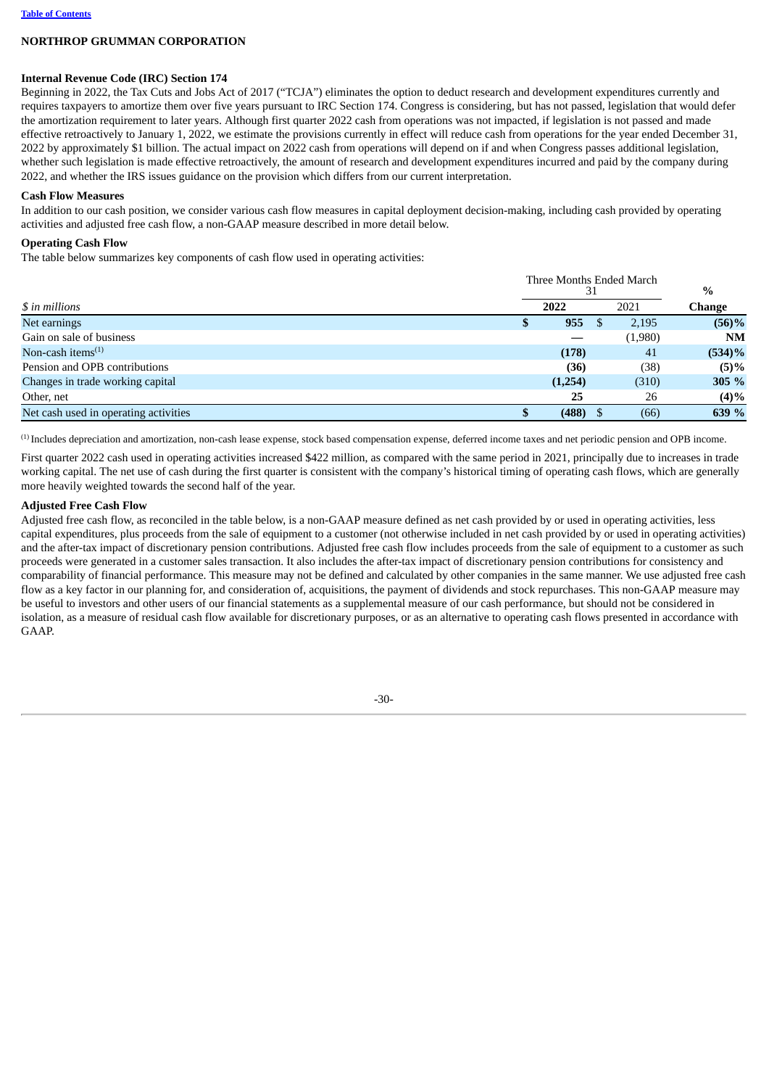## **Internal Revenue Code (IRC) Section 174**

Beginning in 2022, the Tax Cuts and Jobs Act of 2017 ("TCJA") eliminates the option to deduct research and development expenditures currently and requires taxpayers to amortize them over five years pursuant to IRC Section 174. Congress is considering, but has not passed, legislation that would defer the amortization requirement to later years. Although first quarter 2022 cash from operations was not impacted, if legislation is not passed and made effective retroactively to January 1, 2022, we estimate the provisions currently in effect will reduce cash from operations for the year ended December 31, 2022 by approximately \$1 billion. The actual impact on 2022 cash from operations will depend on if and when Congress passes additional legislation, whether such legislation is made effective retroactively, the amount of research and development expenditures incurred and paid by the company during 2022, and whether the IRS issues guidance on the provision which differs from our current interpretation.

#### **Cash Flow Measures**

In addition to our cash position, we consider various cash flow measures in capital deployment decision-making, including cash provided by operating activities and adjusted free cash flow, a non-GAAP measure described in more detail below.

## **Operating Cash Flow**

The table below summarizes key components of cash flow used in operating activities:

|                                       |   | Three Months Ended March<br>31 | $\%$     |         |               |
|---------------------------------------|---|--------------------------------|----------|---------|---------------|
| \$ in millions                        |   | 2022                           |          | 2021    | <b>Change</b> |
| Net earnings                          | D | 955                            | <b>S</b> | 2,195   | $(56)\%$      |
| Gain on sale of business              |   |                                |          | (1,980) | <b>NM</b>     |
| Non-cash items $^{(1)}$               |   | (178)                          |          | 41      | $(534)\%$     |
| Pension and OPB contributions         |   | (36)                           |          | (38)    | $(5)\%$       |
| Changes in trade working capital      |   | (1,254)                        |          | (310)   | 305 %         |
| Other, net                            |   | 25                             |          | 26      | $(4)\%$       |
| Net cash used in operating activities |   | (488)                          |          | (66)    | 639 %         |

 $<sup>(1)</sup>$  Includes depreciation and amortization, non-cash lease expense, stock based compensation expense, deferred income taxes and net periodic pension and OPB income.</sup>

First quarter 2022 cash used in operating activities increased \$422 million, as compared with the same period in 2021, principally due to increases in trade working capital. The net use of cash during the first quarter is consistent with the company's historical timing of operating cash flows, which are generally more heavily weighted towards the second half of the year.

## **Adjusted Free Cash Flow**

Adjusted free cash flow, as reconciled in the table below, is a non-GAAP measure defined as net cash provided by or used in operating activities, less capital expenditures, plus proceeds from the sale of equipment to a customer (not otherwise included in net cash provided by or used in operating activities) and the after-tax impact of discretionary pension contributions. Adjusted free cash flow includes proceeds from the sale of equipment to a customer as such proceeds were generated in a customer sales transaction. It also includes the after-tax impact of discretionary pension contributions for consistency and comparability of financial performance. This measure may not be defined and calculated by other companies in the same manner. We use adjusted free cash flow as a key factor in our planning for, and consideration of, acquisitions, the payment of dividends and stock repurchases. This non-GAAP measure may be useful to investors and other users of our financial statements as a supplemental measure of our cash performance, but should not be considered in isolation, as a measure of residual cash flow available for discretionary purposes, or as an alternative to operating cash flows presented in accordance with **GAAP** 

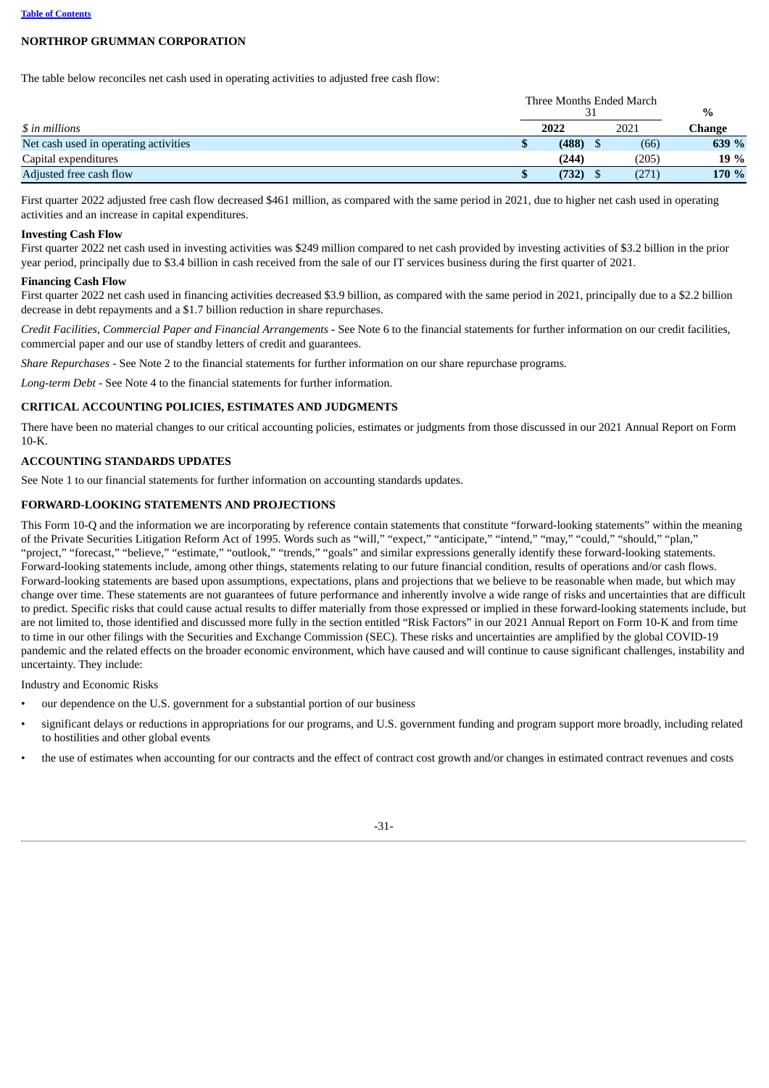The table below reconciles net cash used in operating activities to adjusted free cash flow:

|                                       | Three Months Ended March<br>31 |       |  |       | $\frac{0}{0}$ |
|---------------------------------------|--------------------------------|-------|--|-------|---------------|
| \$ in millions                        |                                | 2022  |  | 2021  | Change        |
| Net cash used in operating activities |                                | (488) |  | (66)  | 639 %         |
| Capital expenditures                  |                                | (244) |  | (205) | 19 %          |
| Adjusted free cash flow               |                                | (732) |  | (271) | 170 %         |

First quarter 2022 adjusted free cash flow decreased \$461 million, as compared with the same period in 2021, due to higher net cash used in operating activities and an increase in capital expenditures.

## **Investing Cash Flow**

First quarter 2022 net cash used in investing activities was \$249 million compared to net cash provided by investing activities of \$3.2 billion in the prior year period, principally due to \$3.4 billion in cash received from the sale of our IT services business during the first quarter of 2021.

## **Financing Cash Flow**

First quarter 2022 net cash used in financing activities decreased \$3.9 billion, as compared with the same period in 2021, principally due to a \$2.2 billion decrease in debt repayments and a \$1.7 billion reduction in share repurchases.

*Credit Facilities, Commercial Paper and Financial Arrangements -* See Note 6 to the financial statements for further information on our credit facilities, commercial paper and our use of standby letters of credit and guarantees.

*Share Repurchases* - See Note 2 to the financial statements for further information on our share repurchase programs.

*Long-term Debt* - See Note 4 to the financial statements for further information.

## <span id="page-32-0"></span>**CRITICAL ACCOUNTING POLICIES, ESTIMATES AND JUDGMENTS**

There have been no material changes to our critical accounting policies, estimates or judgments from those discussed in our 2021 Annual Report on Form  $10-K$ .

## **ACCOUNTING STANDARDS UPDATES**

See Note 1 to our financial statements for further information on accounting standards updates.

## <span id="page-32-1"></span>**FORWARD-LOOKING STATEMENTS AND PROJECTIONS**

This Form 10-Q and the information we are incorporating by reference contain statements that constitute "forward-looking statements" within the meaning of the Private Securities Litigation Reform Act of 1995. Words such as "will," "expect," "anticipate," "intend," "may," "could," "should," "plan," "project," "forecast," "believe," "estimate," "outlook," "trends," "goals" and similar expressions generally identify these forward-looking statements. Forward-looking statements include, among other things, statements relating to our future financial condition, results of operations and/or cash flows. Forward-looking statements are based upon assumptions, expectations, plans and projections that we believe to be reasonable when made, but which may change over time. These statements are not guarantees of future performance and inherently involve a wide range of risks and uncertainties that are difficult to predict. Specific risks that could cause actual results to differ materially from those expressed or implied in these forward-looking statements include, but are not limited to, those identified and discussed more fully in the section entitled "Risk Factors" in our 2021 Annual Report on Form 10-K and from time to time in our other filings with the Securities and Exchange Commission (SEC). These risks and uncertainties are amplified by the global COVID-19 pandemic and the related effects on the broader economic environment, which have caused and will continue to cause significant challenges, instability and uncertainty. They include:

Industry and Economic Risks

- our dependence on the U.S. government for a substantial portion of our business
- significant delays or reductions in appropriations for our programs, and U.S. government funding and program support more broadly, including related to hostilities and other global events
- the use of estimates when accounting for our contracts and the effect of contract cost growth and/or changes in estimated contract revenues and costs

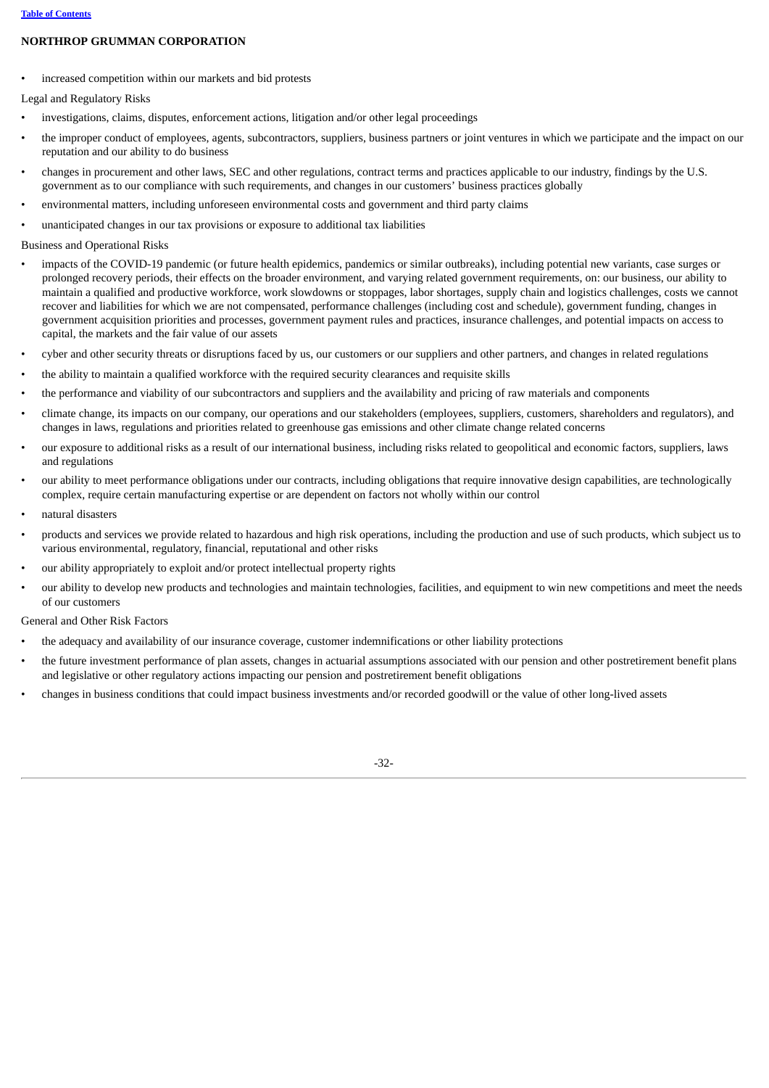increased competition within our markets and bid protests

Legal and Regulatory Risks

- investigations, claims, disputes, enforcement actions, litigation and/or other legal proceedings
- the improper conduct of employees, agents, subcontractors, suppliers, business partners or joint ventures in which we participate and the impact on our reputation and our ability to do business
- changes in procurement and other laws, SEC and other regulations, contract terms and practices applicable to our industry, findings by the U.S. government as to our compliance with such requirements, and changes in our customers' business practices globally
- environmental matters, including unforeseen environmental costs and government and third party claims
- unanticipated changes in our tax provisions or exposure to additional tax liabilities

## Business and Operational Risks

- impacts of the COVID-19 pandemic (or future health epidemics, pandemics or similar outbreaks), including potential new variants, case surges or prolonged recovery periods, their effects on the broader environment, and varying related government requirements, on: our business, our ability to maintain a qualified and productive workforce, work slowdowns or stoppages, labor shortages, supply chain and logistics challenges, costs we cannot recover and liabilities for which we are not compensated, performance challenges (including cost and schedule), government funding, changes in government acquisition priorities and processes, government payment rules and practices, insurance challenges, and potential impacts on access to capital, the markets and the fair value of our assets
- cyber and other security threats or disruptions faced by us, our customers or our suppliers and other partners, and changes in related regulations
- the ability to maintain a qualified workforce with the required security clearances and requisite skills
- the performance and viability of our subcontractors and suppliers and the availability and pricing of raw materials and components
- climate change, its impacts on our company, our operations and our stakeholders (employees, suppliers, customers, shareholders and regulators), and changes in laws, regulations and priorities related to greenhouse gas emissions and other climate change related concerns
- our exposure to additional risks as a result of our international business, including risks related to geopolitical and economic factors, suppliers, laws and regulations
- our ability to meet performance obligations under our contracts, including obligations that require innovative design capabilities, are technologically complex, require certain manufacturing expertise or are dependent on factors not wholly within our control
- natural disasters
- products and services we provide related to hazardous and high risk operations, including the production and use of such products, which subject us to various environmental, regulatory, financial, reputational and other risks
- our ability appropriately to exploit and/or protect intellectual property rights
- our ability to develop new products and technologies and maintain technologies, facilities, and equipment to win new competitions and meet the needs of our customers

## General and Other Risk Factors

- the adequacy and availability of our insurance coverage, customer indemnifications or other liability protections
- the future investment performance of plan assets, changes in actuarial assumptions associated with our pension and other postretirement benefit plans and legislative or other regulatory actions impacting our pension and postretirement benefit obligations
- changes in business conditions that could impact business investments and/or recorded goodwill or the value of other long-lived assets

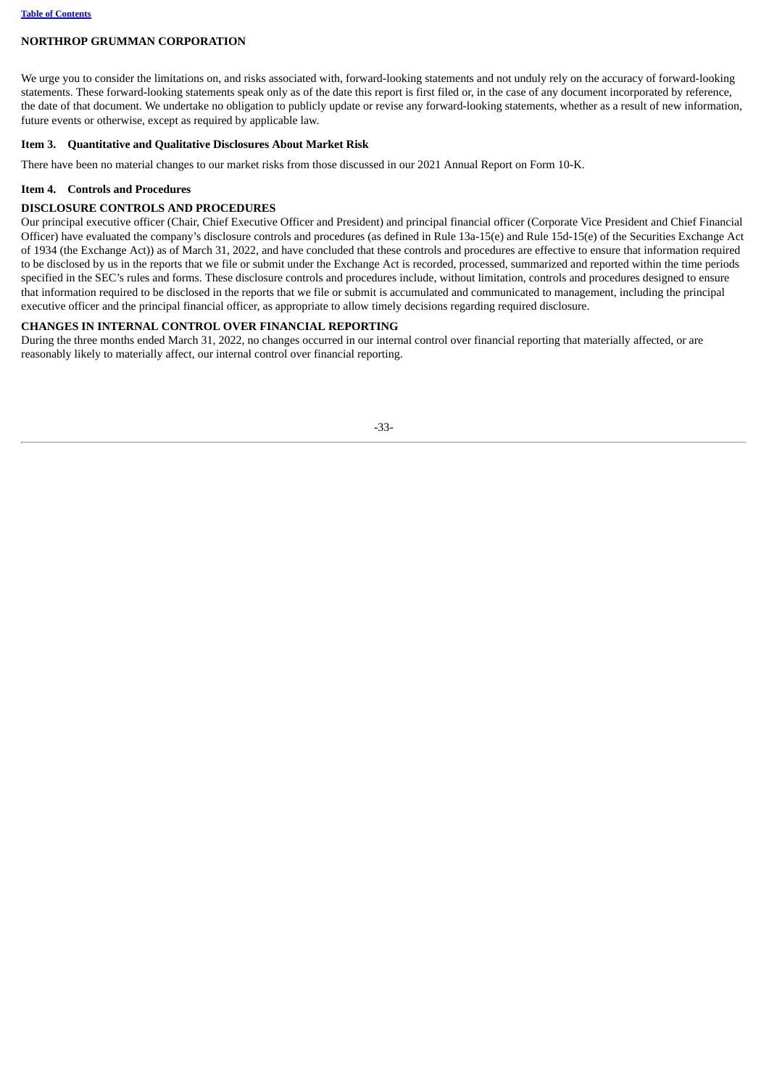We urge you to consider the limitations on, and risks associated with, forward-looking statements and not unduly rely on the accuracy of forward-looking statements. These forward-looking statements speak only as of the date this report is first filed or, in the case of any document incorporated by reference, the date of that document. We undertake no obligation to publicly update or revise any forward-looking statements, whether as a result of new information, future events or otherwise, except as required by applicable law.

#### <span id="page-34-0"></span>**Item 3. Quantitative and Qualitative Disclosures About Market Risk**

There have been no material changes to our market risks from those discussed in our 2021 Annual Report on Form 10-K.

#### <span id="page-34-1"></span>**Item 4. Controls and Procedures**

## **DISCLOSURE CONTROLS AND PROCEDURES**

Our principal executive officer (Chair, Chief Executive Officer and President) and principal financial officer (Corporate Vice President and Chief Financial Officer) have evaluated the company's disclosure controls and procedures (as defined in Rule 13a-15(e) and Rule 15d-15(e) of the Securities Exchange Act of 1934 (the Exchange Act)) as of March 31, 2022, and have concluded that these controls and procedures are effective to ensure that information required to be disclosed by us in the reports that we file or submit under the Exchange Act is recorded, processed, summarized and reported within the time periods specified in the SEC's rules and forms. These disclosure controls and procedures include, without limitation, controls and procedures designed to ensure that information required to be disclosed in the reports that we file or submit is accumulated and communicated to management, including the principal executive officer and the principal financial officer, as appropriate to allow timely decisions regarding required disclosure.

## **CHANGES IN INTERNAL CONTROL OVER FINANCIAL REPORTING**

<span id="page-34-2"></span>During the three months ended March 31, 2022, no changes occurred in our internal control over financial reporting that materially affected, or are reasonably likely to materially affect, our internal control over financial reporting.

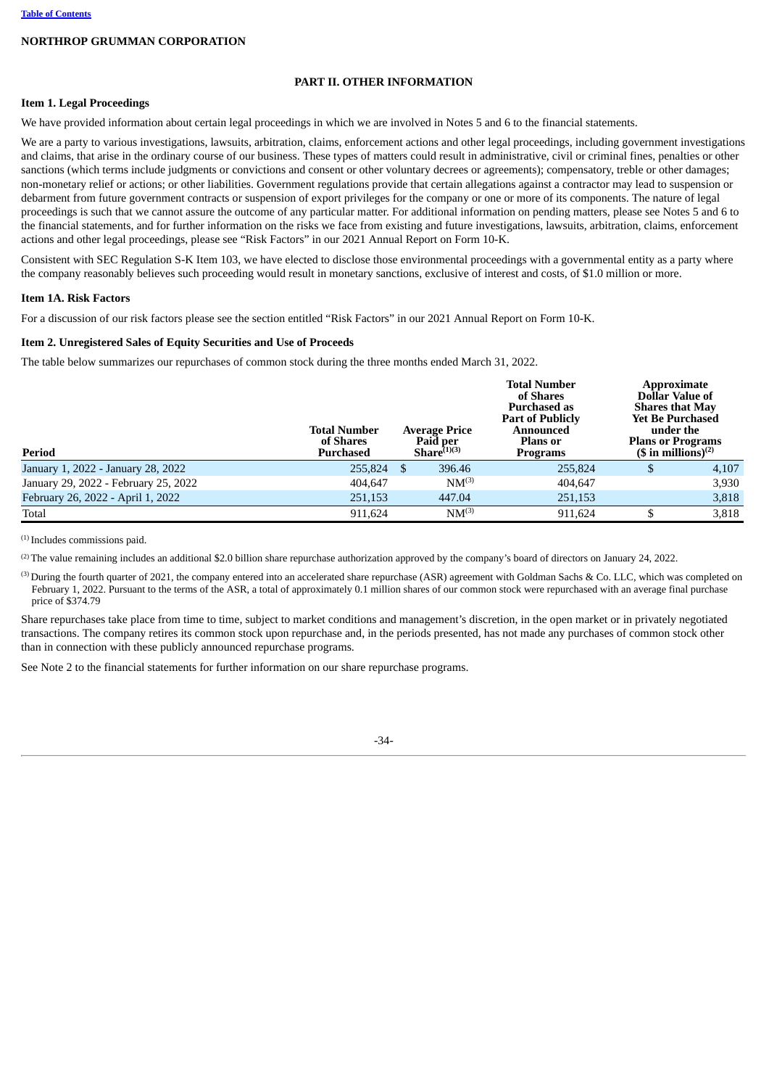#### **PART II. OTHER INFORMATION**

## <span id="page-35-0"></span>**Item 1. Legal Proceedings**

We have provided information about certain legal proceedings in which we are involved in Notes 5 and 6 to the financial statements.

We are a party to various investigations, lawsuits, arbitration, claims, enforcement actions and other legal proceedings, including government investigations and claims, that arise in the ordinary course of our business. These types of matters could result in administrative, civil or criminal fines, penalties or other sanctions (which terms include judgments or convictions and consent or other voluntary decrees or agreements); compensatory, treble or other damages; non-monetary relief or actions; or other liabilities. Government regulations provide that certain allegations against a contractor may lead to suspension or debarment from future government contracts or suspension of export privileges for the company or one or more of its components. The nature of legal proceedings is such that we cannot assure the outcome of any particular matter. For additional information on pending matters, please see Notes 5 and 6 to the financial statements, and for further information on the risks we face from existing and future investigations, lawsuits, arbitration, claims, enforcement actions and other legal proceedings, please see "Risk Factors" in our 2021 Annual Report on Form 10-K.

Consistent with SEC Regulation S-K Item 103, we have elected to disclose those environmental proceedings with a governmental entity as a party where the company reasonably believes such proceeding would result in monetary sanctions, exclusive of interest and costs, of \$1.0 million or more.

#### <span id="page-35-1"></span>**Item 1A. Risk Factors**

For a discussion of our risk factors please see the section entitled "Risk Factors" in our 2021 Annual Report on Form 10-K.

#### <span id="page-35-2"></span>**Item 2. Unregistered Sales of Equity Securities and Use of Proceeds**

The table below summarizes our repurchases of common stock during the three months ended March 31, 2022.

| Period                               | <b>Total Number</b><br>of Shares<br>Purchased |      | <b>Total Number</b><br>of Shares<br><b>Purchased as</b><br><b>Part of Publicly</b><br><b>Average Price</b><br>Announced<br>Paid per<br>Plans or<br>Share $(1)(3)$<br>Programs |         | Approximate<br><b>Dollar Value of</b><br><b>Shares that May</b><br><b>Yet Be Purchased</b><br>under the<br><b>Plans or Programs</b><br>$($$ in millions) <sup>(2)</sup> |       |
|--------------------------------------|-----------------------------------------------|------|-------------------------------------------------------------------------------------------------------------------------------------------------------------------------------|---------|-------------------------------------------------------------------------------------------------------------------------------------------------------------------------|-------|
| January 1, 2022 - January 28, 2022   | 255,824                                       | - \$ | 396.46                                                                                                                                                                        | 255,824 | S                                                                                                                                                                       | 4,107 |
| January 29, 2022 - February 25, 2022 | 404.647                                       |      | NM <sup>(3)</sup>                                                                                                                                                             | 404,647 |                                                                                                                                                                         | 3,930 |
| February 26, 2022 - April 1, 2022    | 251,153                                       |      | 447.04                                                                                                                                                                        | 251,153 |                                                                                                                                                                         | 3,818 |
| Total                                | 911.624                                       |      | $NM^{(3)}$                                                                                                                                                                    | 911.624 |                                                                                                                                                                         | 3,818 |

 $<sup>(1)</sup>$  Includes commissions paid.</sup>

(2) The value remaining includes an additional \$2.0 billion share repurchase authorization approved by the company's board of directors on January 24, 2022.

(3) During the fourth quarter of 2021, the company entered into an accelerated share repurchase (ASR) agreement with Goldman Sachs & Co. LLC, which was completed on February 1, 2022. Pursuant to the terms of the ASR, a total of approximately 0.1 million shares of our common stock were repurchased with an average final purchase price of \$374.79

Share repurchases take place from time to time, subject to market conditions and management's discretion, in the open market or in privately negotiated transactions. The company retires its common stock upon repurchase and, in the periods presented, has not made any purchases of common stock other than in connection with these publicly announced repurchase programs.

<span id="page-35-3"></span>See Note 2 to the financial statements for further information on our share repurchase programs.

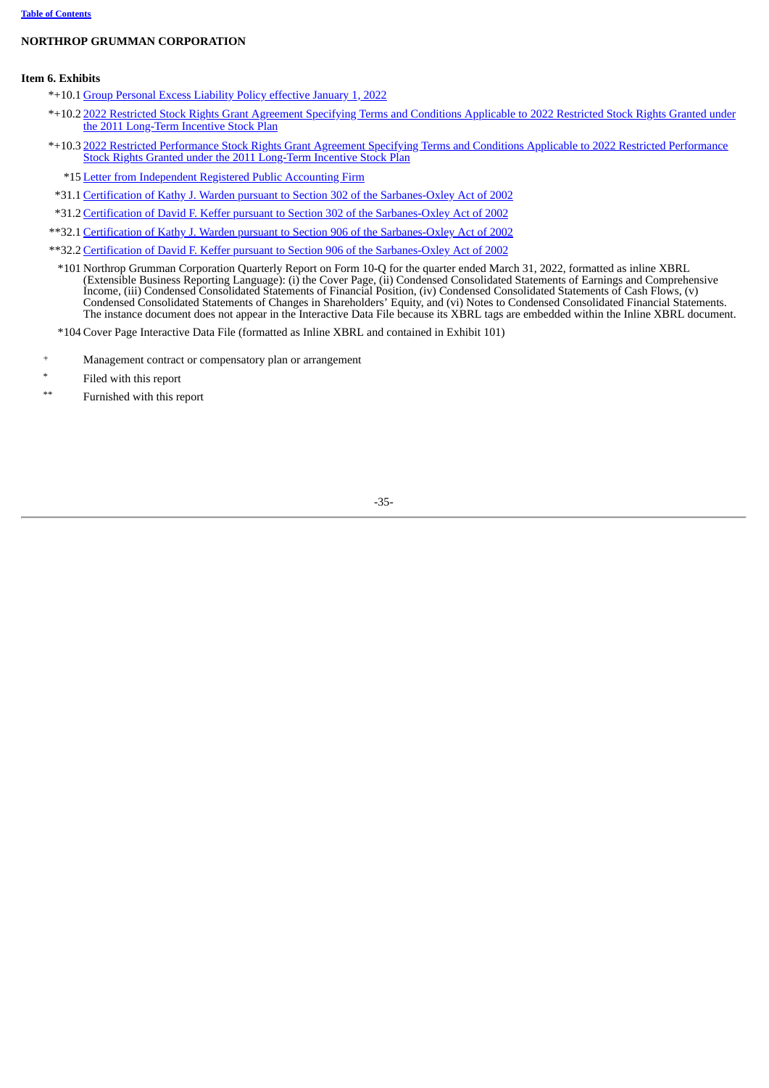# **NORTHROP GRUMMAN CORPORATION**

### **Item 6. Exhibits**

- \*+10.1 Group Personal Excess Liability Policy [effective](#page-38-0) January 1, 2022
- \*+10.2 2022 Restricted Stock Rights Grant Agreement Specifying Terms and Conditions Applicable to 2022 Restricted Stock Rights Granted under the 2011 [Long-Term](#page-53-0) Incentive Stock Plan
- \*+10.3 2022 Restricted Performance Stock Rights Grant Agreement Specifying Terms and Conditions Applicable to 2022 Restricted [Performance](#page-61-0) Stock Rights Granted under the 2011 Long-Term Incentive Stock Plan
	- \*15 Letter from [Independent](#page-70-0) Registered Public Accounting Firm
- \*31.1 Certification of Kathy J. Warden pursuant to Section 302 of the [Sarbanes-Oxley](#page-71-0) Act of 2002
- \*31.2 Certification of David F. Keffer pursuant to Section 302 of the [Sarbanes-Oxley](#page-72-0) Act of 2002
- \*\*32.1 Certification of Kathy J. Warden pursuant to Section 906 of the [Sarbanes-Oxley](#page-73-0) Act of 2002
- \*\*32.2 Certification of David F. Keffer pursuant to Section 906 of the [Sarbanes-Oxley](#page-74-0) Act of 2002
	- \*101 Northrop Grumman Corporation Quarterly Report on Form 10-Q for the quarter ended March 31, 2022, formatted as inline XBRL (Extensible Business Reporting Language): (i) the Cover Page, (ii) Condensed Consolidated Statements of Earnings and Comprehensive Income, (iii) Condensed Consolidated Statements of Financial Position, (iv) Condensed Consolidated Statements of Cash Flows, (v) Condensed Consolidated Statements of Changes in Shareholders' Equity, and (vi) Notes to Condensed Consolidated Financial Statements. The instance document does not appear in the Interactive Data File because its XBRL tags are embedded within the Inline XBRL document.
- \*104 Cover Page Interactive Data File (formatted as Inline XBRL and contained in Exhibit 101)
- + Management contract or compensatory plan or arrangement
- Filed with this report
- \*\* Furnished with this report

#### -35-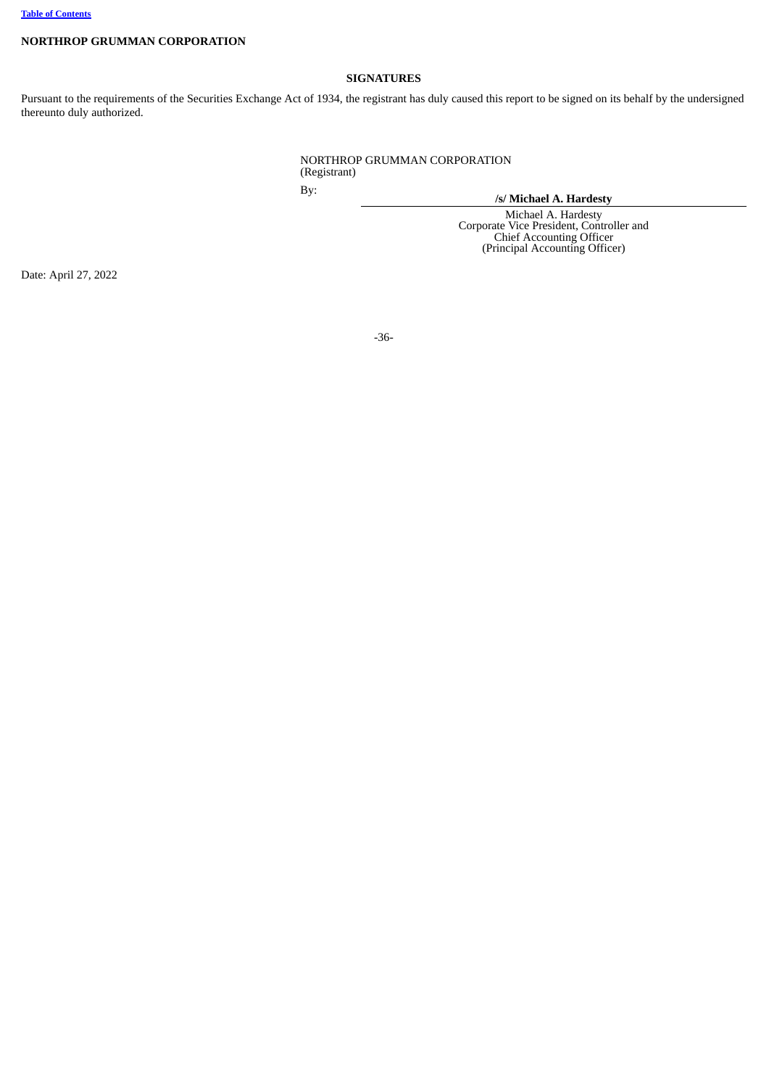# **NORTHROP GRUMMAN CORPORATION**

# **SIGNATURES**

Pursuant to the requirements of the Securities Exchange Act of 1934, the registrant has duly caused this report to be signed on its behalf by the undersigned thereunto duly authorized.

> NORTHROP GRUMMAN CORPORATION (Registrant) By:

**/s/ Michael A. Hardesty**

Michael A. Hardesty Corporate Vice President, Controller and Chief Accounting Officer (Principal Accounting Officer)

Date: April 27, 2022

-36-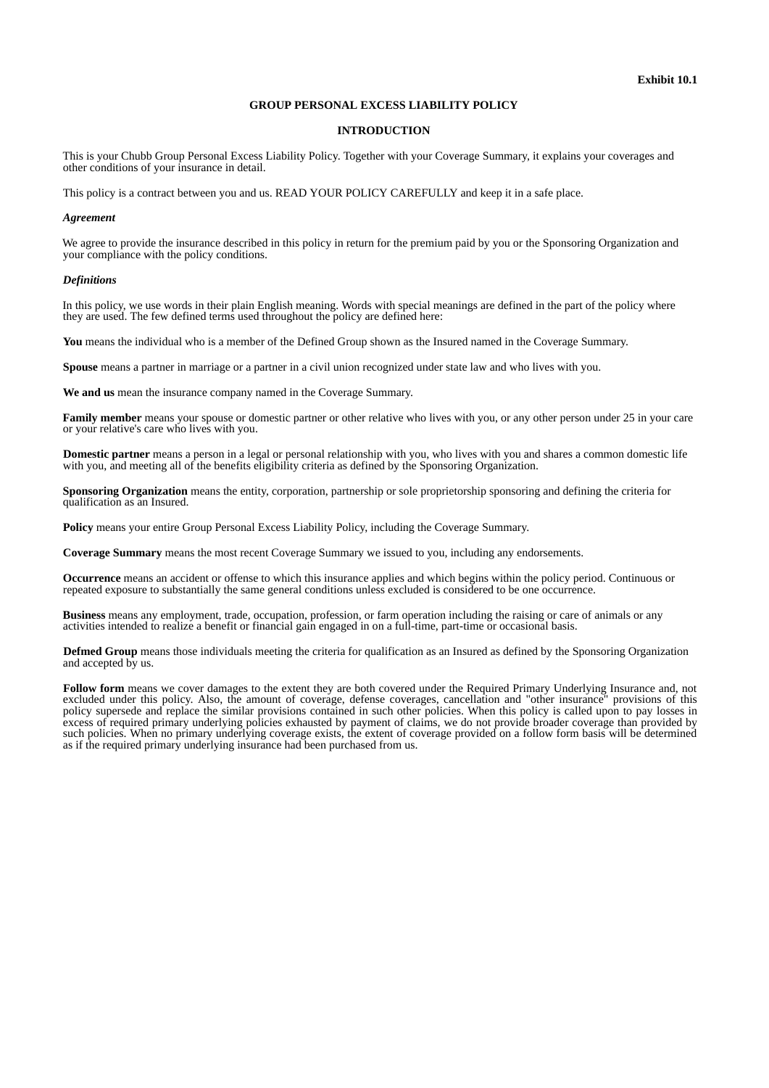# **GROUP PERSONAL EXCESS LIABILITY POLICY**

# **INTRODUCTION**

<span id="page-38-0"></span>This is your Chubb Group Personal Excess Liability Policy. Together with your Coverage Summary, it explains your coverages and other conditions of your insurance in detail.

This policy is a contract between you and us. READ YOUR POLICY CAREFULLY and keep it in a safe place.

#### *Agreement*

We agree to provide the insurance described in this policy in return for the premium paid by you or the Sponsoring Organization and your compliance with the policy conditions.

#### *Definitions*

In this policy, we use words in their plain English meaning. Words with special meanings are defined in the part of the policy where they are used. The few defined terms used throughout the policy are defined here:

**You** means the individual who is a member of the Defined Group shown as the Insured named in the Coverage Summary.

**Spouse** means a partner in marriage or a partner in a civil union recognized under state law and who lives with you.

**We and us** mean the insurance company named in the Coverage Summary.

**Family member** means your spouse or domestic partner or other relative who lives with you, or any other person under 25 in your care or your relative's care who lives with you.

**Domestic partner** means a person in a legal or personal relationship with you, who lives with you and shares a common domestic life with you, and meeting all of the benefits eligibility criteria as defined by the Sponsoring Organization.

**Sponsoring Organization** means the entity, corporation, partnership or sole proprietorship sponsoring and defining the criteria for qualification as an Insured.

**Policy** means your entire Group Personal Excess Liability Policy, including the Coverage Summary.

**Coverage Summary** means the most recent Coverage Summary we issued to you, including any endorsements.

**Occurrence** means an accident or offense to which this insurance applies and which begins within the policy period. Continuous or repeated exposure to substantially the same general conditions unless excluded is considered to be one occurrence.

**Business** means any employment, trade, occupation, profession, or farm operation including the raising or care of animals or any activities intended to realize a benefit or financial gain engaged in on a full-time, part-time or occasional basis.

**Defmed Group** means those individuals meeting the criteria for qualification as an Insured as defined by the Sponsoring Organization and accepted by us.

**Follow form** means we cover damages to the extent they are both covered under the Required Primary Underlying Insurance and, not excluded under this policy. Also, the amount of coverage, defense coverages, cancellation and "other insurance" provisions of this policy supersede and replace the similar provisions contained in such other policies. When this policy is called upon to pay losses in excess of required primary underlying policies exhausted by payment of claims, we do not provide broader coverage than provided by such policies. When no primary underlying coverage exists, the extent of coverage provided on a follow form basis will be determined as if the required primary underlying insurance had been purchased from us.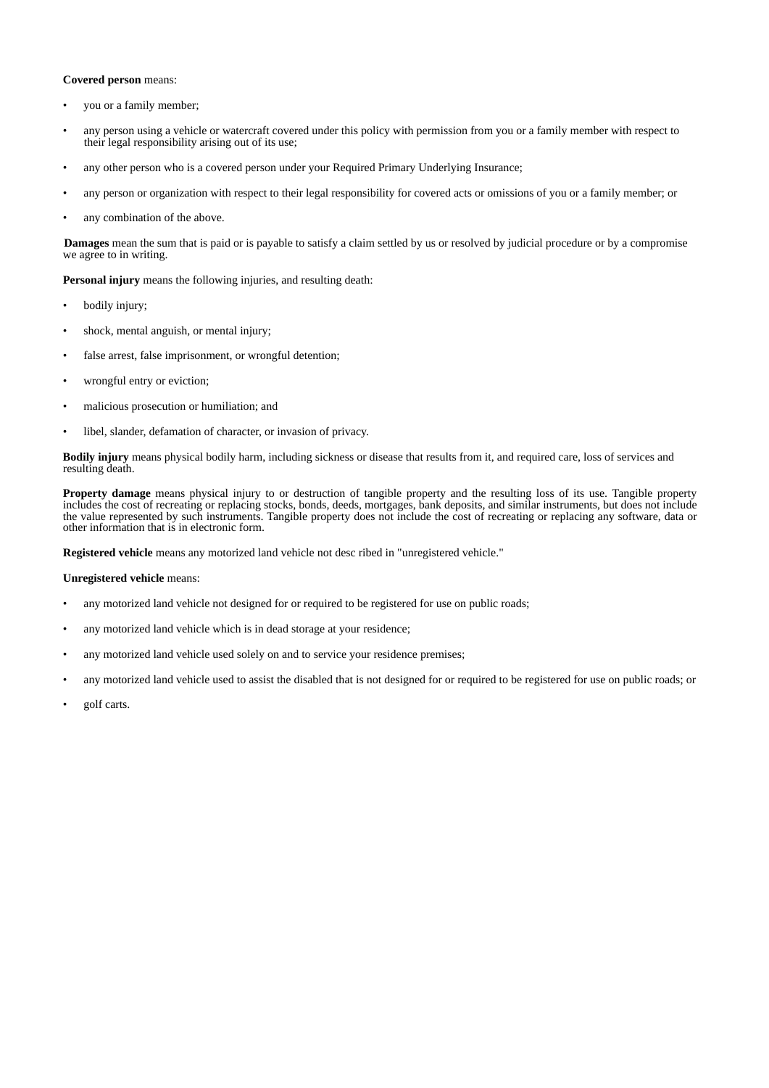# **Covered person** means:

- you or a family member;
- any person using a vehicle or watercraft covered under this policy with permission from you or a family member with respect to their legal responsibility arising out of its use;
- any other person who is a covered person under your Required Primary Underlying Insurance;
- any person or organization with respect to their legal responsibility for covered acts or omissions of you or a family member; or
- any combination of the above.

**Damages** mean the sum that is paid or is payable to satisfy a claim settled by us or resolved by judicial procedure or by a compromise we agree to in writing.

**Personal injury** means the following injuries, and resulting death:

- bodily injury;
- shock, mental anguish, or mental injury;
- false arrest, false imprisonment, or wrongful detention;
- wrongful entry or eviction;
- malicious prosecution or humiliation; and
- libel, slander, defamation of character, or invasion of privacy.

**Bodily injury** means physical bodily harm, including sickness or disease that results from it, and required care, loss of services and resulting death.

**Property damage** means physical injury to or destruction of tangible property and the resulting loss of its use. Tangible property includes the cost of recreating or replacing stocks, bonds, deeds, mortgages, bank deposits, and similar instruments, but does not include the value represented by such instruments. Tangible property does not include the cost of recreating or replacing any software, data or other information that is in electronic form.

**Registered vehicle** means any motorized land vehicle not desc ribed in "unregistered vehicle."

### **Unregistered vehicle** means:

- any motorized land vehicle not designed for or required to be registered for use on public roads;
- any motorized land vehicle which is in dead storage at your residence;
- any motorized land vehicle used solely on and to service your residence premises;
- any motorized land vehicle used to assist the disabled that is not designed for or required to be registered for use on public roads; or
- golf carts.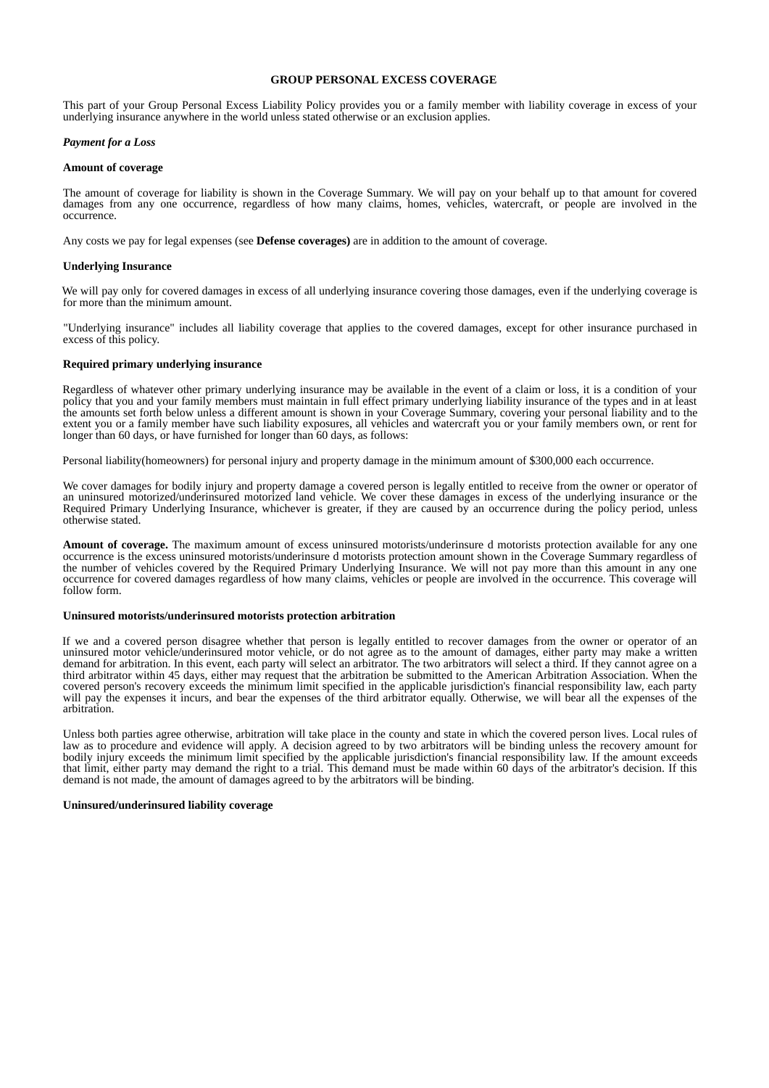#### **GROUP PERSONAL EXCESS COVERAGE**

This part of your Group Personal Excess Liability Policy provides you or a family member with liability coverage in excess of your underlying insurance anywhere in the world unless stated otherwise or an exclusion applies.

#### *Payment for a Loss*

#### **Amount of coverage**

The amount of coverage for liability is shown in the Coverage Summary. We will pay on your behalf up to that amount for covered damages from any one occurrence, regardless of how many claims, homes, vehicles, watercraft, or people are involved in the occurrence.

Any costs we pay for legal expenses (see **Defense coverages)** are in addition to the amount of coverage.

#### **Underlying Insurance**

We will pay only for covered damages in excess of all underlying insurance covering those damages, even if the underlying coverage is for more than the minimum amount.

"Underlying insurance" includes all liability coverage that applies to the covered damages, except for other insurance purchased in excess of this policy.

#### **Required primary underlying insurance**

Regardless of whatever other primary underlying insurance may be available in the event of a claim or loss, it is a condition of your policy that you and your family members must maintain in full effect primary underlying liability insurance of the types and in at least the amounts set forth below unless a different amount is shown in your Coverage Summary, covering your personal liability and to the extent you or a family member have such liability exposures, all vehicles and watercraft you or your family members own, or rent for longer than 60 days, or have furnished for longer than 60 days, as follows:

Personal liability(homeowners) for personal injury and property damage in the minimum amount of \$300,000 each occurrence.

We cover damages for bodily injury and property damage a covered person is legally entitled to receive from the owner or operator of an uninsured motorized/underinsured motorized land vehicle. We cover these damages in excess of the underlying insurance or the Required Primary Underlying Insurance, whichever is greater, if they are caused by an occurrence during the policy period, unless otherwise stated.

**Amount of coverage.** The maximum amount of excess uninsured motorists/underinsure d motorists protection available for any one occurrence is the excess uninsured motorists/underinsure d motorists protection amount shown in the Coverage Summary regardless of the number of vehicles covered by the Required Primary Underlying Insurance. We will not pay more than this amount in any one occurrence for covered damages regardless of how many claims, vehicles or people are involved in the occurrence. This coverage will follow form.

#### **Uninsured motorists/underinsured motorists protection arbitration**

If we and a covered person disagree whether that person is legally entitled to recover damages from the owner or operator of an uninsured motor vehicle/underinsured motor vehicle, or do not agree as to the amount of damages, either party may make a written demand for arbitration. In this event, each party will select an arbitrator. The two arbitrators will select a third. If they cannot agree on a third arbitrator within 45 days, either may request that the arbitration be submitted to the American Arbitration Association. When the covered person's recovery exceeds the minimum limit specified in the applicable jurisdiction's financial responsibility law, each party will pay the expenses it incurs, and bear the expenses of the third arbitrator equally. Otherwise, we will bear all the expenses of the arbitration.

Unless both parties agree otherwise, arbitration will take place in the county and state in which the covered person lives. Local rules of law as to procedure and evidence will apply. A decision agreed to by two arbitrators will be binding unless the recovery amount for bodily injury exceeds the minimum limit specified by the applicable jurisdiction's financial responsibility law. If the amount exceeds that limit, either party may demand the right to a trial. This demand must be made within 60 days of the arbitrator's decision. If this demand is not made, the amount of damages agreed to by the arbitrators will be binding.

#### **Uninsured/underinsured liability coverage**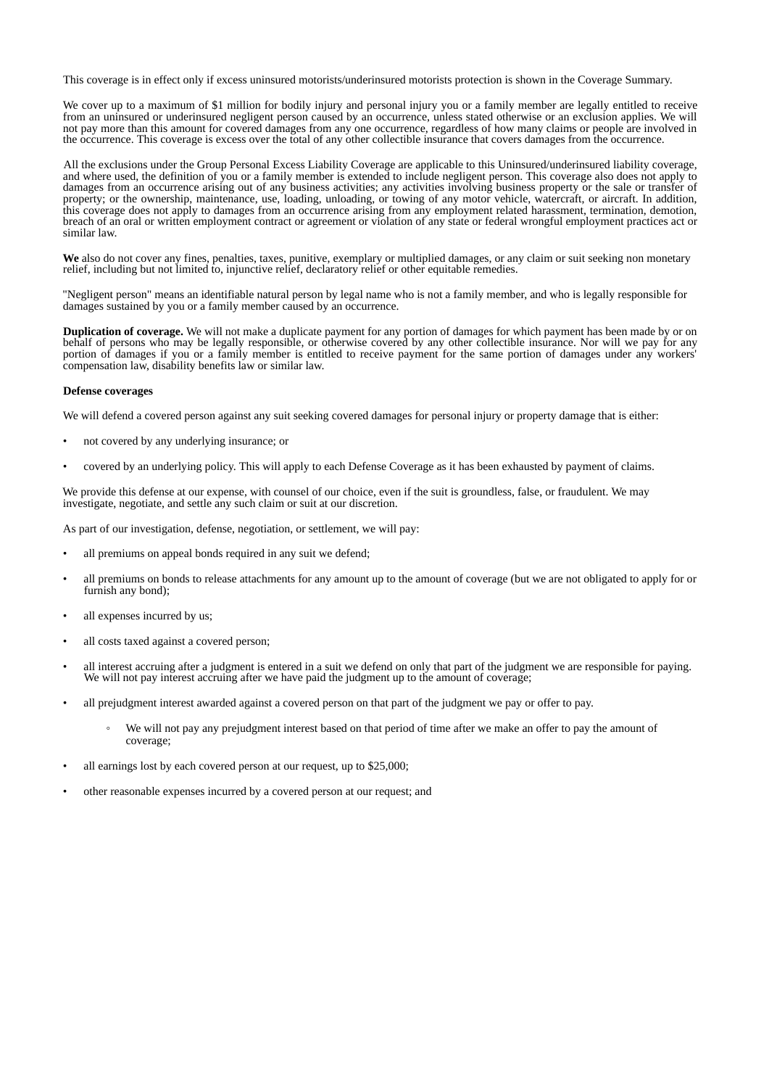This coverage is in effect only if excess uninsured motorists/underinsured motorists protection is shown in the Coverage Summary.

We cover up to a maximum of \$1 million for bodily injury and personal injury you or a family member are legally entitled to receive from an uninsured or underinsured negligent person caused by an occurrence, unless stated otherwise or an exclusion applies. We will not pay more than this amount for covered damages from any one occurrence, regardless of how many claims or people are involved in the occurrence. This coverage is excess over the total of any other collectible insurance that covers damages from the occurrence.

All the exclusions under the Group Personal Excess Liability Coverage are applicable to this Uninsured/underinsured liability coverage, and where used, the definition of you or a family member is extended to include negligent person. This coverage also does not apply to damages from an occurrence arising out of any business activities; any activities involving business property or the sale or transfer of property; or the ownership, maintenance, use, loading, unloading, or towing of any motor vehicle, watercraft, or aircraft. In addition, this coverage does not apply to damages from an occurrence arising from any employment related harassment, termination, demotion, breach of an oral or written employment contract or agreement or violation of any state or federal wrongful employment practices act or similar law.

**We** also do not cover any fines, penalties, taxes, punitive, exemplary or multiplied damages, or any claim or suit seeking non monetary relief, including but not limited to, injunctive relief, declaratory relief or other equitable remedies.

"Negligent person" means an identifiable natural person by legal name who is not a family member, and who is legally responsible for damages sustained by you or a family member caused by an occurrence.

**Duplication of coverage.** We will not make a duplicate payment for any portion of damages for which payment has been made by or on behalf of persons who may be legally responsible, or otherwise covered by any other collectible insurance. Nor will we pay for any portion of damages if you or a family member is entitled to receive payment for the same portion of damages under any workers' compensation law, disability benefits law or similar law.

#### **Defense coverages**

We will defend a covered person against any suit seeking covered damages for personal injury or property damage that is either:

- not covered by any underlying insurance; or
- covered by an underlying policy. This will apply to each Defense Coverage as it has been exhausted by payment of claims.

We provide this defense at our expense, with counsel of our choice, even if the suit is groundless, false, or fraudulent. We may investigate, negotiate, and settle any such claim or suit at our discretion.

As part of our investigation, defense, negotiation, or settlement, we will pay:

- all premiums on appeal bonds required in any suit we defend;
- all premiums on bonds to release attachments for any amount up to the amount of coverage (but we are not obligated to apply for or furnish any bond);
- all expenses incurred by us;
- all costs taxed against a covered person;
- all interest accruing after a judgment is entered in a suit we defend on only that part of the judgment we are responsible for paying.<br>We will not pay interest accruing after we have paid the judgment up to the amount of c
- all prejudgment interest awarded against a covered person on that part of the judgment we pay or offer to pay.
	- We will not pay any prejudgment interest based on that period of time after we make an offer to pay the amount of coverage;
- all earnings lost by each covered person at our request, up to \$25,000;
- other reasonable expenses incurred by a covered person at our request; and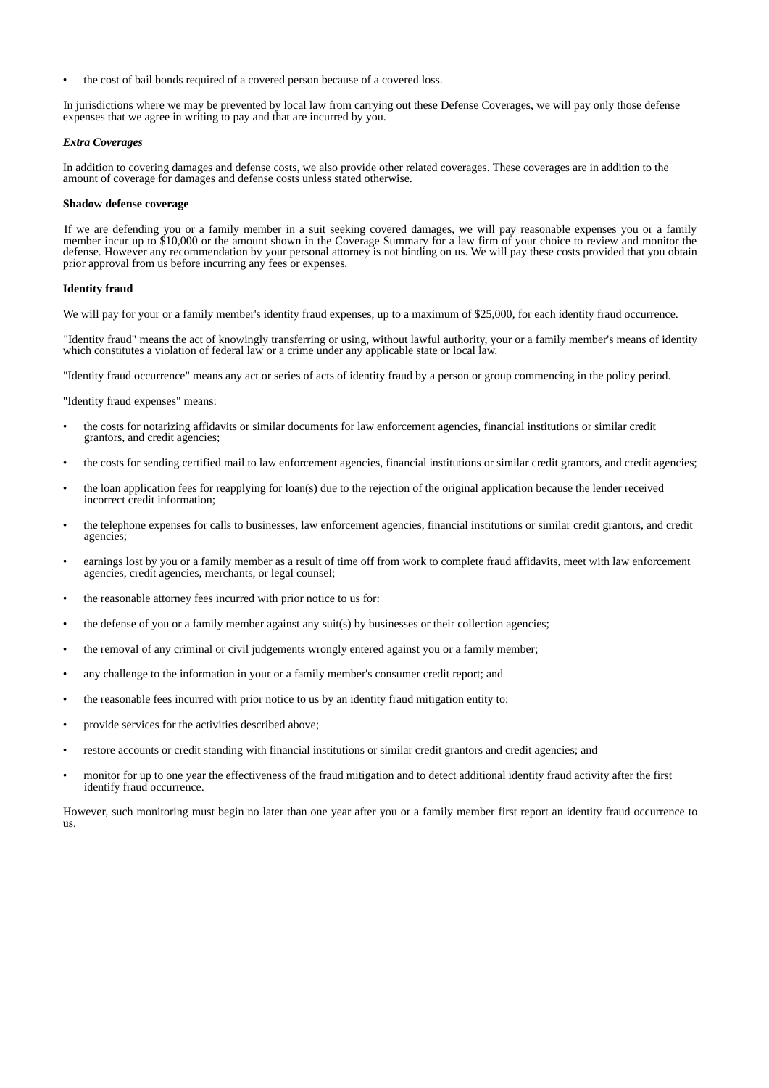• the cost of bail bonds required of a covered person because of a covered loss.

In jurisdictions where we may be prevented by local law from carrying out these Defense Coverages, we will pay only those defense expenses that we agree in writing to pay and that are incurred by you.

# *Extra Coverages*

In addition to covering damages and defense costs, we also provide other related coverages. These coverages are in addition to the amount of coverage for damages and defense costs unless stated otherwise.

#### **Shadow defense coverage**

If we are defending you or a family member in a suit seeking covered damages, we will pay reasonable expenses you or a family member incur up to \$10,000 or the amount shown in the Coverage Summary for a law firm of your choice to review and monitor the defense. However any recommendation by your personal attorney is not binding on us. We will pay these costs provided that you obtain prior approval from us before incurring any fees or expenses.

### **Identity fraud**

We will pay for your or a family member's identity fraud expenses, up to a maximum of \$25,000, for each identity fraud occurrence.

"Identity fraud" means the act of knowingly transferring or using, without lawful authority, your or a family member's means of identity which constitutes a violation of federal law or a crime under any applicable state or local law.

"Identity fraud occurrence" means any act or series of acts of identity fraud by a person or group commencing in the policy period.

"Identity fraud expenses" means:

- the costs for notarizing affidavits or similar documents for law enforcement agencies, financial institutions or similar credit grantors, and credit agencies;
- the costs for sending certified mail to law enforcement agencies, financial institutions or similar credit grantors, and credit agencies;
- the loan application fees for reapplying for loan(s) due to the rejection of the original application because the lender received incorrect credit information;
- the telephone expenses for calls to businesses, law enforcement agencies, financial institutions or similar credit grantors, and credit agencies;
- earnings lost by you or a family member as a result of time off from work to complete fraud affidavits, meet with law enforcement agencies, credit agencies, merchants, or legal counsel;
- the reasonable attorney fees incurred with prior notice to us for:
- the defense of you or a family member against any suit(s) by businesses or their collection agencies;
- the removal of any criminal or civil judgements wrongly entered against you or a family member;
- any challenge to the information in your or a family member's consumer credit report; and
- the reasonable fees incurred with prior notice to us by an identity fraud mitigation entity to:
- provide services for the activities described above;
- restore accounts or credit standing with financial institutions or similar credit grantors and credit agencies; and
- monitor for up to one year the effectiveness of the fraud mitigation and to detect additional identity fraud activity after the first identify fraud occurrence.

However, such monitoring must begin no later than one year after you or a family member first report an identity fraud occurrence to us.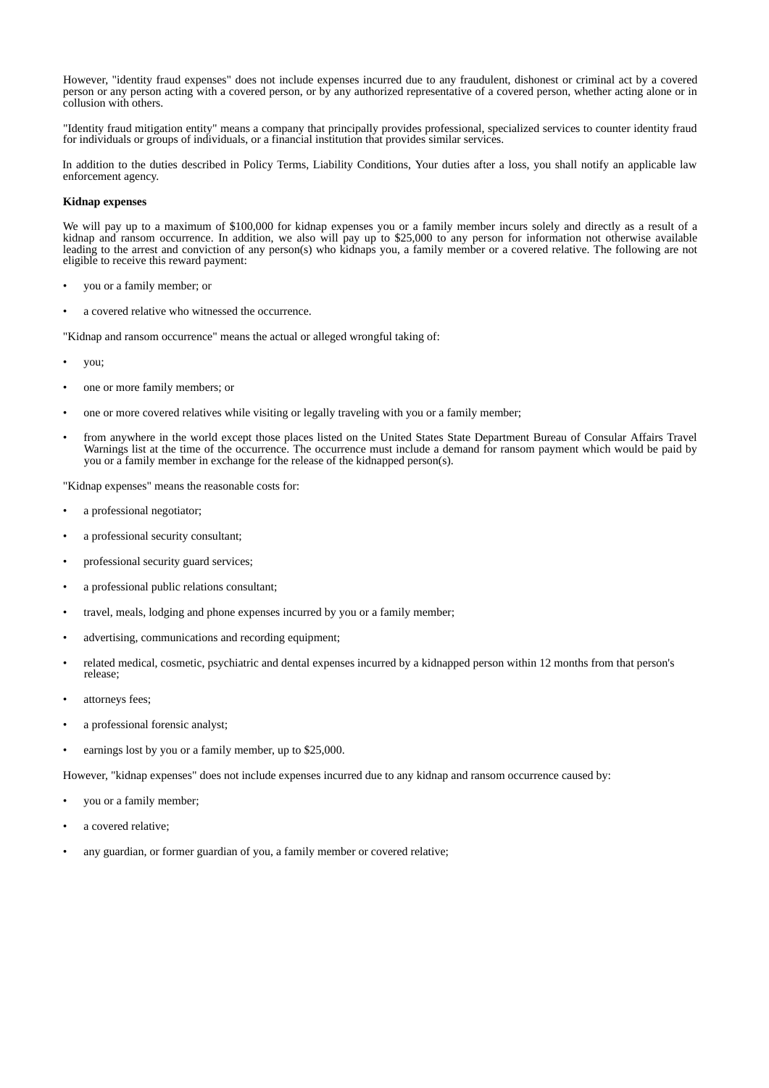However, "identity fraud expenses" does not include expenses incurred due to any fraudulent, dishonest or criminal act by a covered person or any person acting with a covered person, or by any authorized representative of a covered person, whether acting alone or in collusion with others.

"Identity fraud mitigation entity" means a company that principally provides professional, specialized services to counter identity fraud for individuals or groups of individuals, or a financial institution that provides similar services.

In addition to the duties described in Policy Terms, Liability Conditions, Your duties after a loss, you shall notify an applicable law enforcement agency.

### **Kidnap expenses**

We will pay up to a maximum of \$100,000 for kidnap expenses you or a family member incurs solely and directly as a result of a kidnap and ransom occurrence. In addition, we also will pay up to \$25,000 to any person for information not otherwise available leading to the arrest and conviction of any person(s) who kidnaps you, a family member or a covered relative. The following are not eligible to receive this reward payment:

- you or a family member; or
- a covered relative who witnessed the occurrence.

"Kidnap and ransom occurrence" means the actual or alleged wrongful taking of:

- you;
- one or more family members; or
- one or more covered relatives while visiting or legally traveling with you or a family member;
- from anywhere in the world except those places listed on the United States State Department Bureau of Consular Affairs Travel Warnings list at the time of the occurrence. The occurrence must include a demand for ransom payment which would be paid by you or a family member in exchange for the release of the kidnapped person(s).

"Kidnap expenses" means the reasonable costs for:

- a professional negotiator;
- a professional security consultant;
- professional security guard services;
- a professional public relations consultant;
- travel, meals, lodging and phone expenses incurred by you or a family member;
- advertising, communications and recording equipment;
- related medical, cosmetic, psychiatric and dental expenses incurred by a kidnapped person within 12 months from that person's release;
- attorneys fees;
- a professional forensic analyst;
- earnings lost by you or a family member, up to \$25,000.

However, "kidnap expenses" does not include expenses incurred due to any kidnap and ransom occurrence caused by:

- you or a family member;
- a covered relative;
- any guardian, or former guardian of you, a family member or covered relative;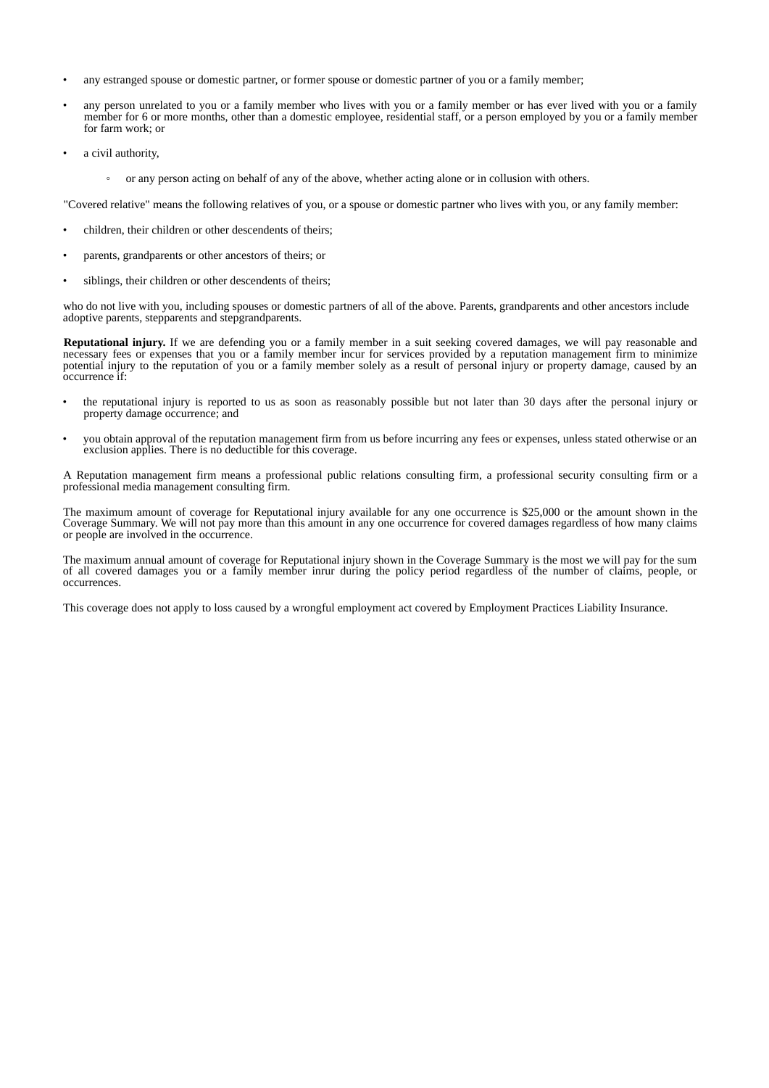- any estranged spouse or domestic partner, or former spouse or domestic partner of you or a family member;
- any person unrelated to you or a family member who lives with you or a family member or has ever lived with you or a family member for 6 or more months, other than a domestic employee, residential staff, or a person employed by you or a family member for farm work; or
- a civil authority.
	- or any person acting on behalf of any of the above, whether acting alone or in collusion with others.

"Covered relative" means the following relatives of you, or a spouse or domestic partner who lives with you, or any family member:

- children, their children or other descendents of theirs;
- parents, grandparents or other ancestors of theirs; or
- siblings, their children or other descendents of theirs;

who do not live with you, including spouses or domestic partners of all of the above. Parents, grandparents and other ancestors include adoptive parents, stepparents and stepgrandparents.

**Reputational injury.** If we are defending you or a family member in a suit seeking covered damages, we will pay reasonable and necessary fees or expenses that you or a family member incur for services provided by a reputation management firm to minimize potential injury to the reputation of you or a family member solely as a result of personal injury or property damage, caused by an occurrence if:

- the reputational injury is reported to us as soon as reasonably possible but not later than 30 days after the personal injury or property damage occurrence; and
- you obtain approval of the reputation management firm from us before incurring any fees or expenses, unless stated otherwise or an exclusion applies. There is no deductible for this coverage.

A Reputation management firm means a professional public relations consulting firm, a professional security consulting firm or a professional media management consulting firm.

The maximum amount of coverage for Reputational injury available for any one occurrence is \$25,000 or the amount shown in the Coverage Summary. We will not pay more than this amount in any one occurrence for covered damages regardless of how many claims or people are involved in the occurrence.

The maximum annual amount of coverage for Reputational injury shown in the Coverage Summary is the most we will pay for the sum of all covered damages you or a family member inrur during the policy period regardless of the number of claims, people, or occurrences.

This coverage does not apply to loss caused by a wrongful employment act covered by Employment Practices Liability Insurance.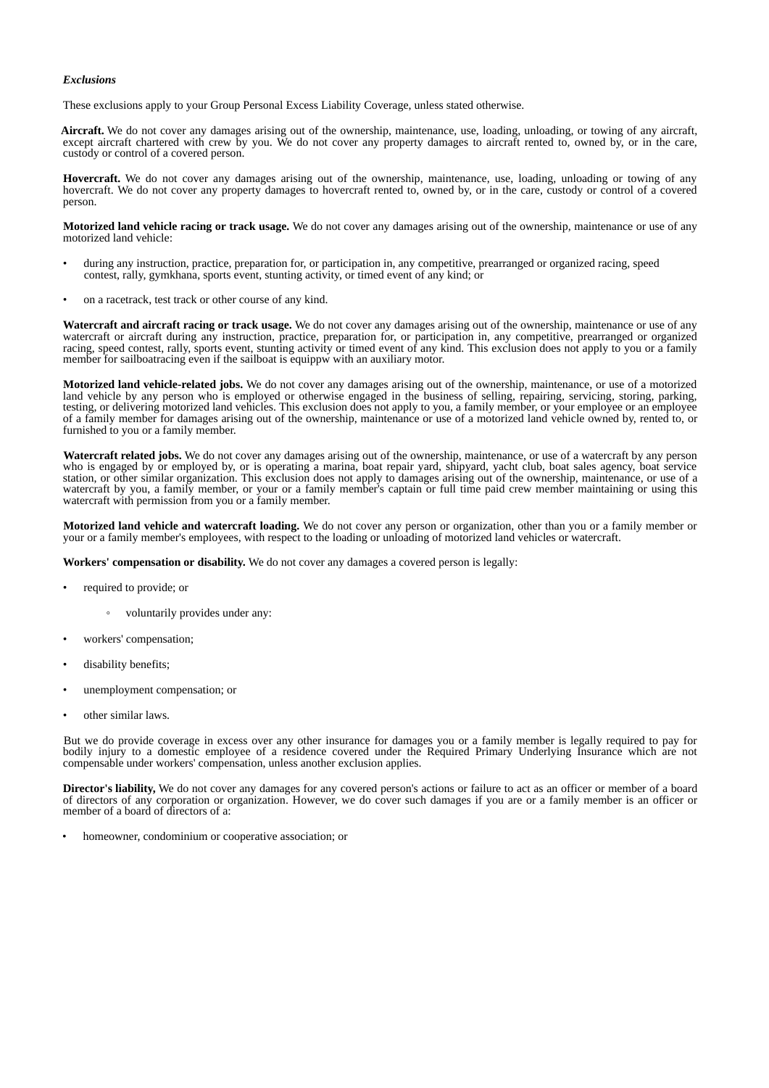## *Exclusions*

These exclusions apply to your Group Personal Excess Liability Coverage, unless stated otherwise.

**Aircraft.** We do not cover any damages arising out of the ownership, maintenance, use, loading, unloading, or towing of any aircraft, except aircraft chartered with crew by you. We do not cover any property damages to aircraft rented to, owned by, or in the care, custody or control of a covered person.

**Hovercraft.** We do not cover any damages arising out of the ownership, maintenance, use, loading, unloading or towing of any hovercraft. We do not cover any property damages to hovercraft rented to, owned by, or in the care, custody or control of a covered person.

**Motorized land vehicle racing or track usage.** We do not cover any damages arising out of the ownership, maintenance or use of any motorized land vehicle:

- during any instruction, practice, preparation for, or participation in, any competitive, prearranged or organized racing, speed contest, rally, gymkhana, sports event, stunting activity, or timed event of any kind; or
- on a racetrack, test track or other course of any kind.

**Watercraft and aircraft racing or track usage.** We do not cover any damages arising out of the ownership, maintenance or use of any watercraft or aircraft during any instruction, practice, preparation for, or participation in, any competitive, prearranged or organized racing, speed contest, rally, sports event, stunting activity or timed event of any kind. This exclusion does not apply to you or a family member for sailboatracing even if the sailboat is equippw with an auxiliary motor.

**Motorized land vehicle-related jobs.** We do not cover any damages arising out of the ownership, maintenance, or use of a motorized land vehicle by any person who is employed or otherwise engaged in the business of selling, repairing, servicing, storing, parking, testing, or delivering motorized land vehicles. This exclusion does not apply to you, a family member, or your employee or an employee of a family member for damages arising out of the ownership, maintenance or use of a motorized land vehicle owned by, rented to, or furnished to you or a family member.

**Watercraft related jobs.** We do not cover any damages arising out of the ownership, maintenance, or use of a watercraft by any person who is engaged by or employed by, or is operating a marina, boat repair yard, shipyard, yacht club, boat sales agency, boat service station, or other similar organization. This exclusion does not apply to damages arising out of the ownership, maintenance, or use of a watercraft by you, a family member, or your or a family member's captain or full time paid crew member maintaining or using this watercraft with permission from you or a family member.

**Motorized land vehicle and watercraft loading.** We do not cover any person or organization, other than you or a family member or your or a family member's employees, with respect to the loading or unloading of motorized land vehicles or watercraft.

**Workers' compensation or disability.** We do not cover any damages a covered person is legally:

- required to provide; or
	- voluntarily provides under any:
- workers' compensation;
- disability benefits;
- unemployment compensation; or
- other similar laws.

But we do provide coverage in excess over any other insurance for damages you or a family member is legally required to pay for bodily injury to a domestic employee of a residence covered under the Required Primary Underlying Insurance which are not compensable under workers' compensation, unless another exclusion applies.

**Director's liability,** We do not cover any damages for any covered person's actions or failure to act as an officer or member of a board of directors of any corporation or organization. However, we do cover such damages if you are or a family member is an officer or member of a board of directors of a:

• homeowner, condominium or cooperative association; or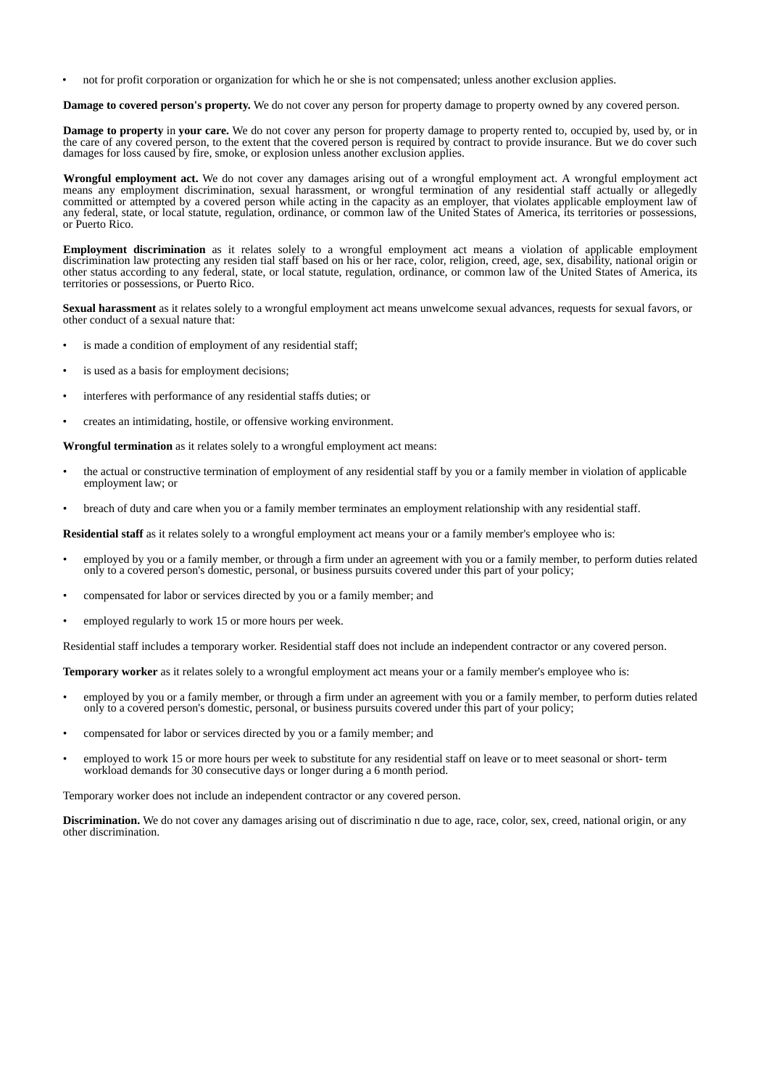• not for profit corporation or organization for which he or she is not compensated; unless another exclusion applies.

**Damage to covered person's property.** We do not cover any person for property damage to property owned by any covered person.

**Damage to property** in **your care.** We do not cover any person for property damage to property rented to, occupied by, used by, or in the care of any covered person, to the extent that the covered person is required by contract to provide insurance. But we do cover such damages for loss caused by fire, smoke, or explosion unless another exclusion applies.

**Wrongful employment act.** We do not cover any damages arising out of a wrongful employment act. A wrongful employment act means any employment discrimination, sexual harassment, or wrongful termination of any residential staff actually or allegedly committed or attempted by a covered person while acting in the capacity as an employer, that violates applicable employment law of any federal, state, or local statute, regulation, ordinance, or common law of the United States of America, its territories or possessions, or Puerto Rico.

**Employment discrimination** as it relates solely to a wrongful employment act means a violation of applicable employment discrimination law protecting any residen tial staff based on his or her race, color, religion, creed, age, sex, disability, national origin or other status according to any federal, state, or local statute, regulation, ordinance, or common law of the United States of America, its territories or possessions, or Puerto Rico.

**Sexual harassment** as it relates solely to a wrongful employment act means unwelcome sexual advances, requests for sexual favors, or other conduct of a sexual nature that:

- is made a condition of employment of any residential staff;
- is used as a basis for employment decisions;
- interferes with performance of any residential staffs duties; or
- creates an intimidating, hostile, or offensive working environment.

**Wrongful termination** as it relates solely to a wrongful employment act means:

- the actual or constructive termination of employment of any residential staff by you or a family member in violation of applicable employment law; or
- breach of duty and care when you or a family member terminates an employment relationship with any residential staff.

**Residential staff** as it relates solely to a wrongful employment act means your or a family member's employee who is:

- employed by you or a family member, or through a firm under an agreement with you or a family member, to perform duties related only to a covered person's domestic, personal, or business pursuits covered under this part of your policy;
- compensated for labor or services directed by you or a family member; and
- employed regularly to work 15 or more hours per week.

Residential staff includes a temporary worker. Residential staff does not include an independent contractor or any covered person.

**Temporary worker** as it relates solely to a wrongful employment act means your or a family member's employee who is:

- employed by you or a family member, or through a firm under an agreement with you or a family member, to perform duties related only to a covered person's domestic, personal, or business pursuits covered under this part of your policy;
- compensated for labor or services directed by you or a family member; and
- employed to work 15 or more hours per week to substitute for any residential staff on leave or to meet seasonal or short- term workload demands for 30 consecutive days or longer during a 6 month period.

Temporary worker does not include an independent contractor or any covered person.

**Discrimination.** We do not cover any damages arising out of discriminatio n due to age, race, color, sex, creed, national origin, or any other discrimination.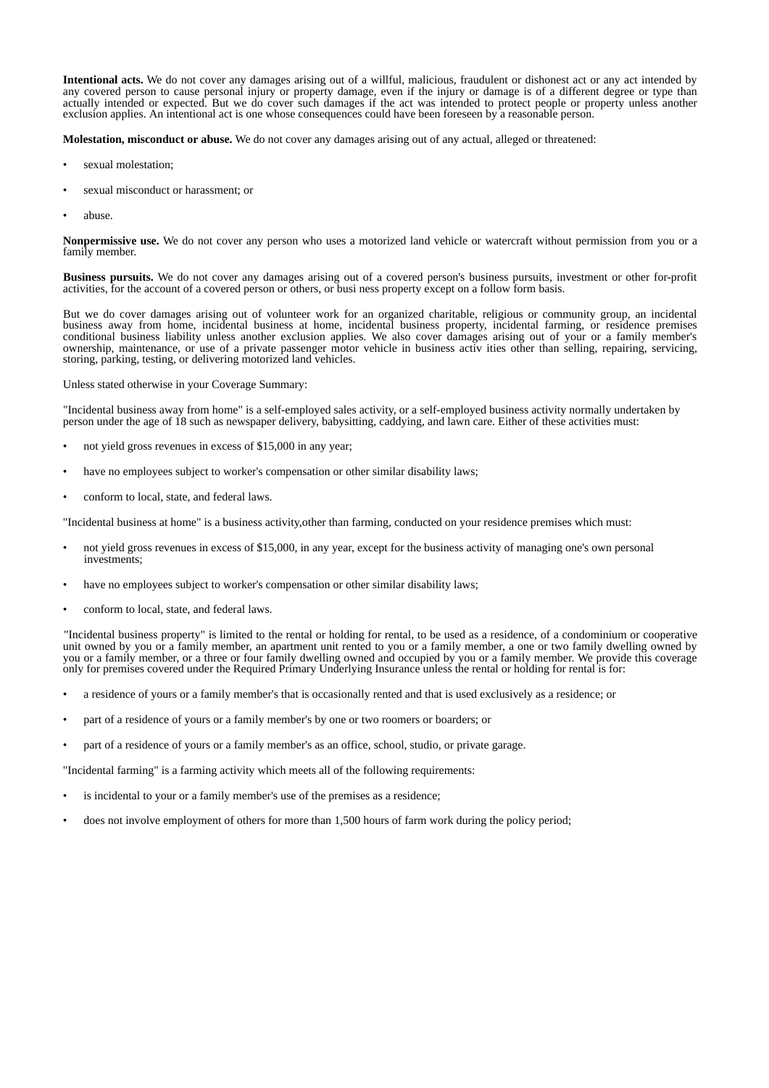**Intentional acts.** We do not cover any damages arising out of a willful, malicious, fraudulent or dishonest act or any act intended by any covered person to cause personal injury or property damage, even if the injury or damage is of a different degree or type than actually intended or expected. But we do cover such damages if the act was intended to protect people or property unless another exclusion applies. An intentional act is one whose consequences could have been foreseen by a reasonable person.

**Molestation, misconduct or abuse.** We do not cover any damages arising out of any actual, alleged or threatened:

- sexual molestation:
- sexual misconduct or harassment; or
- abuse.

**Nonpermissive use.** We do not cover any person who uses a motorized land vehicle or watercraft without permission from you or a family member.

**Business pursuits.** We do not cover any damages arising out of a covered person's business pursuits, investment or other for-profit activities, for the account of a covered person or others, or busi ness property except on a follow form basis.

But we do cover damages arising out of volunteer work for an organized charitable, religious or community group, an incidental business away from home, incidental business at home, incidental business property, incidental farming, or residence premises conditional business liability unless another exclusion applies. We also cover damages arising out of your or a family member's ownership, maintenance, or use of a private passenger motor vehicle in business activ ities other than selling, repairing, servicing, storing, parking, testing, or delivering motorized land vehicles.

Unless stated otherwise in your Coverage Summary:

"Incidental business away from home" is a self-employed sales activity, or a self-employed business activity normally undertaken by person under the age of 18 such as newspaper delivery, babysitting, caddying, and lawn care. Either of these activities must:

- not yield gross revenues in excess of \$15,000 in any year;
- have no employees subject to worker's compensation or other similar disability laws;
- conform to local, state, and federal laws.

"Incidental business at home" is a business activity,other than farming, conducted on your residence premises which must:

- not yield gross revenues in excess of \$15,000, in any year, except for the business activity of managing one's own personal investments;
- have no employees subject to worker's compensation or other similar disability laws;
- conform to local, state, and federal laws.

"Incidental business property" is limited to the rental or holding for rental, to be used as a residence, of a condominium or cooperative unit owned by you or a family member, an apartment unit rented to you or a family member, a one or two family dwelling owned by you or a family member, or a three or four family dwelling owned and occupied by you or a family member. We provide this coverage only for premises covered under the Required Primary Underlying Insurance unless the rental or holding for rental is for:

- a residence of yours or a family member's that is occasionally rented and that is used exclusively as a residence; or
- part of a residence of yours or a family member's by one or two roomers or boarders; or
- part of a residence of yours or a family member's as an office, school, studio, or private garage.

"Incidental farming" is a farming activity which meets all of the following requirements:

- is incidental to your or a family member's use of the premises as a residence;
- does not involve employment of others for more than 1,500 hours of farm work during the policy period;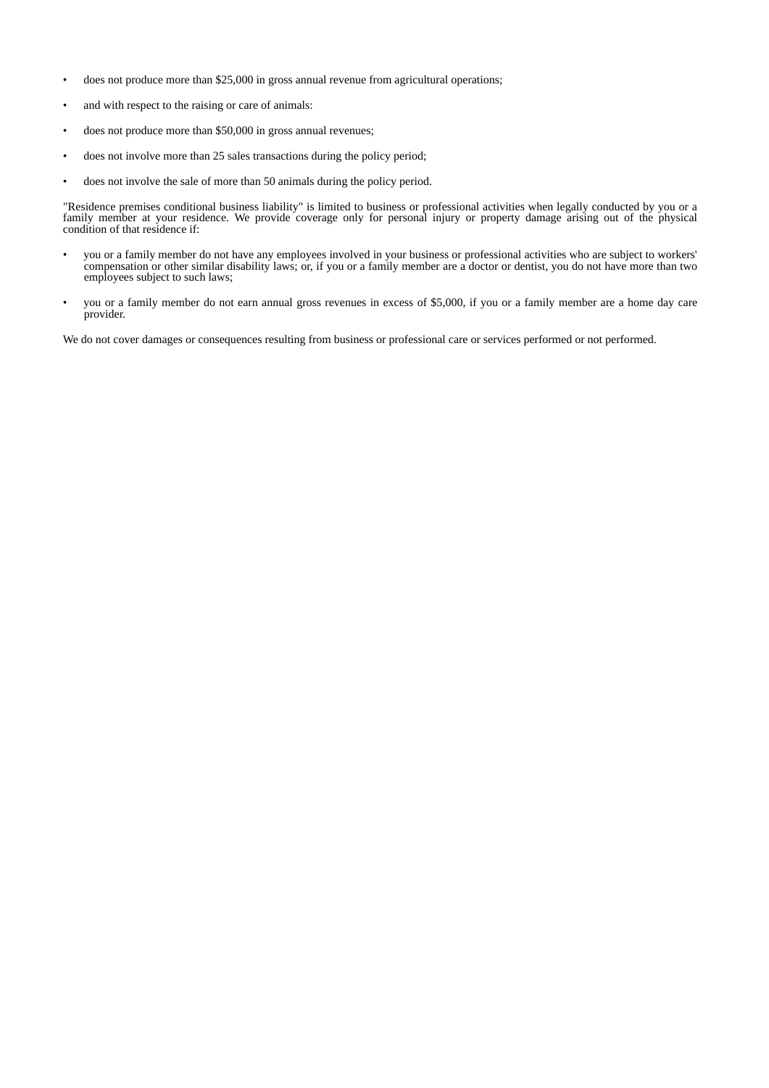- does not produce more than \$25,000 in gross annual revenue from agricultural operations;
- and with respect to the raising or care of animals:
- does not produce more than \$50,000 in gross annual revenues;
- does not involve more than 25 sales transactions during the policy period;
- does not involve the sale of more than 50 animals during the policy period.

"Residence premises conditional business liability" is limited to business or professional activities when legally conducted by you or a family member at your residence. We provide coverage only for personal injury or property damage arising out of the physical condition of that residence if:

- you or a family member do not have any employees involved in your business or professional activities who are subject to workers' compensation or other similar disability laws; or, if you or a family member are a doctor or dentist, you do not have more than two employees subject to such laws;
- you or a family member do not earn annual gross revenues in excess of \$5,000, if you or a family member are a home day care provider.

We do not cover damages or consequences resulting from business or professional care or services performed or not performed.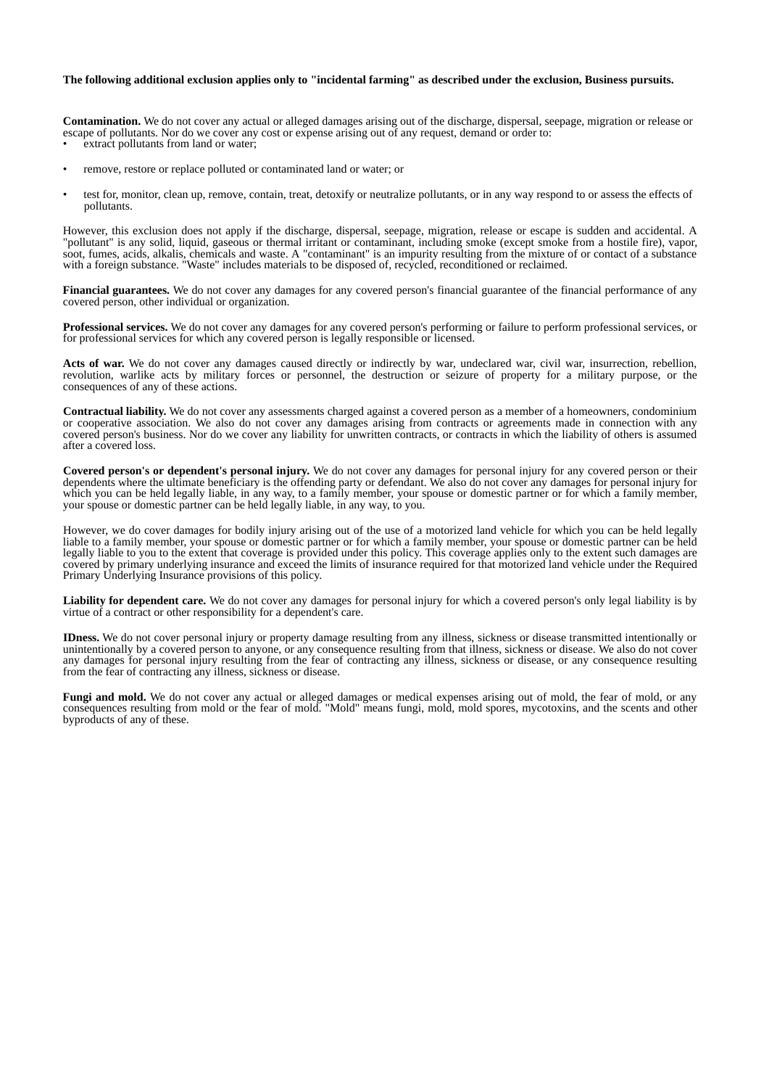# The following additional exclusion applies only to "incidental farming" as described under the exclusion, Business pursuits.

**Contamination.** We do not cover any actual or alleged damages arising out of the discharge, dispersal, seepage, migration or release or escape of pollutants. Nor do we cover any cost or expense arising out of any request, demand or order to:

extract pollutants from land or water;

- remove, restore or replace polluted or contaminated land or water; or
- test for, monitor, clean up, remove, contain, treat, detoxify or neutralize pollutants, or in any way respond to or assess the effects of pollutants.

However, this exclusion does not apply if the discharge, dispersal, seepage, migration, release or escape is sudden and accidental. A "pollutant" is any solid, liquid, gaseous or thermal irritant or contaminant, including smoke (except smoke from a hostile fire), vapor, soot, fumes, acids, alkalis, chemicals and waste. A "contaminant" is an impurity resulting from the mixture of or contact of a substance with a foreign substance. "Waste" includes materials to be disposed of, recycled, reconditioned or reclaimed.

**Financial guarantees.** We do not cover any damages for any covered person's financial guarantee of the financial performance of any covered person, other individual or organization.

**Professional services.** We do not cover any damages for any covered person's performing or failure to perform professional services, or for professional services for which any covered person is legally responsible or licensed.

**Acts of war.** We do not cover any damages caused directly or indirectly by war, undeclared war, civil war, insurrection, rebellion, revolution, warlike acts by military forces or personnel, the destruction or seizure of property for a military purpose, or the consequences of any of these actions.

**Contractual liability.** We do not cover any assessments charged against a covered person as a member of a homeowners, condominium or cooperative association. We also do not cover any damages arising from contracts or agreements made in connection with any covered person's business. Nor do we cover any liability for unwritten contracts, or contracts in which the liability of others is assumed after a covered loss.

**Covered person's or dependent's personal injury.** We do not cover any damages for personal injury for any covered person or their dependents where the ultimate beneficiary is the offending party or defendant. We also do not cover any damages for personal injury for which you can be held legally liable, in any way, to a family member, your spouse or domestic partner or for which a family member, your spouse or domestic partner can be held legally liable, in any way, to you.

However, we do cover damages for bodily injury arising out of the use of a motorized land vehicle for which you can be held legally liable to a family member, your spouse or domestic partner or for which a family member, your spouse or domestic partner can be held legally liable to you to the extent that coverage is provided under this policy. This coverage applies only to the extent such damages are covered by primary underlying insurance and exceed the limits of insurance required for that motorized land vehicle under the Required Primary Underlying Insurance provisions of this policy.

**Liability for dependent care.** We do not cover any damages for personal injury for which a covered person's only legal liability is by virtue of a contract or other responsibility for a dependent's care.

**IDness.** We do not cover personal injury or property damage resulting from any illness, sickness or disease transmitted intentionally or unintentionally by a covered person to anyone, or any consequence resulting from that illness, sickness or disease. We also do not cover any damages for personal injury resulting from the fear of contracting any illness, sickness or disease, or any consequence resulting from the fear of contracting any illness, sickness or disease.

**Fungi and mold.** We do not cover any actual or alleged damages or medical expenses arising out of mold, the fear of mold, or any consequences resulting from mold or the fear of mold. "Mold" means fungi, mold, mold spores, mycotoxins, and the scents and other byproducts of any of these.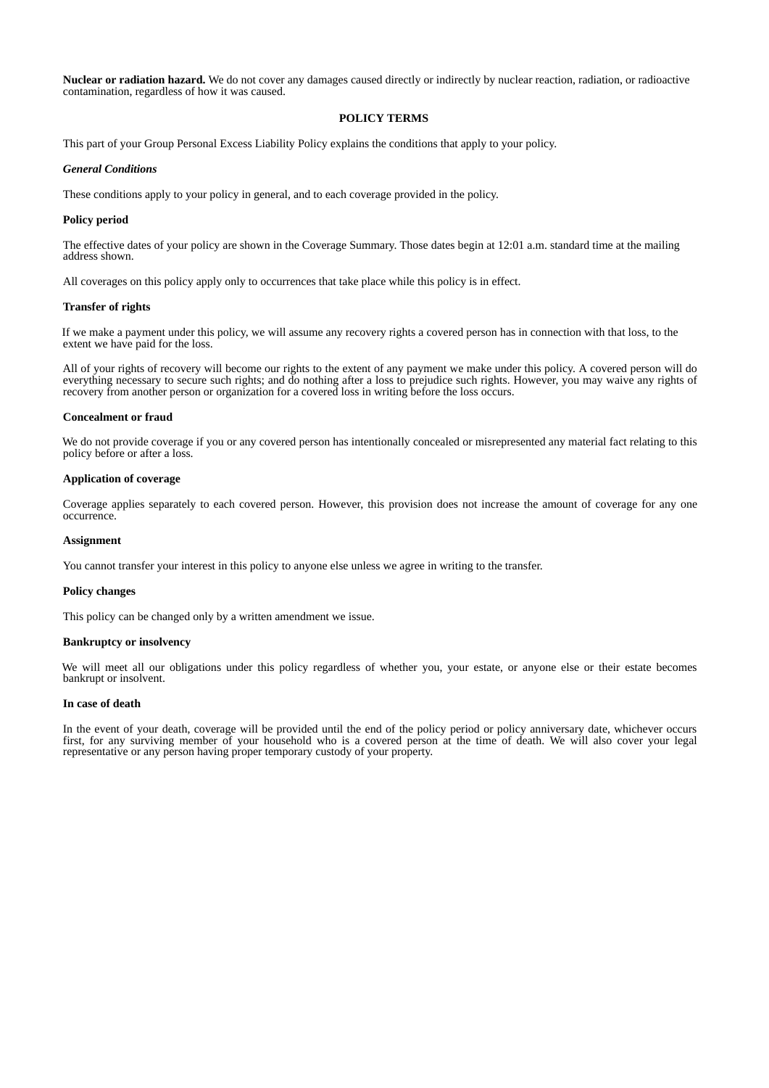**Nuclear or radiation hazard.** We do not cover any damages caused directly or indirectly by nuclear reaction, radiation, or radioactive contamination, regardless of how it was caused.

# **POLICY TERMS**

This part of your Group Personal Excess Liability Policy explains the conditions that apply to your policy.

# *General Conditions*

These conditions apply to your policy in general, and to each coverage provided in the policy.

# **Policy period**

The effective dates of your policy are shown in the Coverage Summary. Those dates begin at 12:01 a.m. standard time at the mailing address shown.

All coverages on this policy apply only to occurrences that take place while this policy is in effect.

### **Transfer of rights**

If we make a payment under this policy, we will assume any recovery rights a covered person has in connection with that loss, to the extent we have paid for the loss.

All of your rights of recovery will become our rights to the extent of any payment we make under this policy. A covered person will do everything necessary to secure such rights; and do nothing after a loss to prejudice such rights. However, you may waive any rights of recovery from another person or organization for a covered loss in writing before the loss occurs.

### **Concealment or fraud**

We do not provide coverage if you or any covered person has intentionally concealed or misrepresented any material fact relating to this policy before or after a loss.

# **Application of coverage**

Coverage applies separately to each covered person. However, this provision does not increase the amount of coverage for any one occurrence.

# **Assignment**

You cannot transfer your interest in this policy to anyone else unless we agree in writing to the transfer.

### **Policy changes**

This policy can be changed only by a written amendment we issue.

# **Bankruptcy or insolvency**

We will meet all our obligations under this policy regardless of whether you, your estate, or anyone else or their estate becomes bankrupt or insolvent.

# **In case of death**

In the event of your death, coverage will be provided until the end of the policy period or policy anniversary date, whichever occurs first, for any surviving member of your household who is a covered person at the time of death. We will also cover your legal representative or any person having proper temporary custody of your property.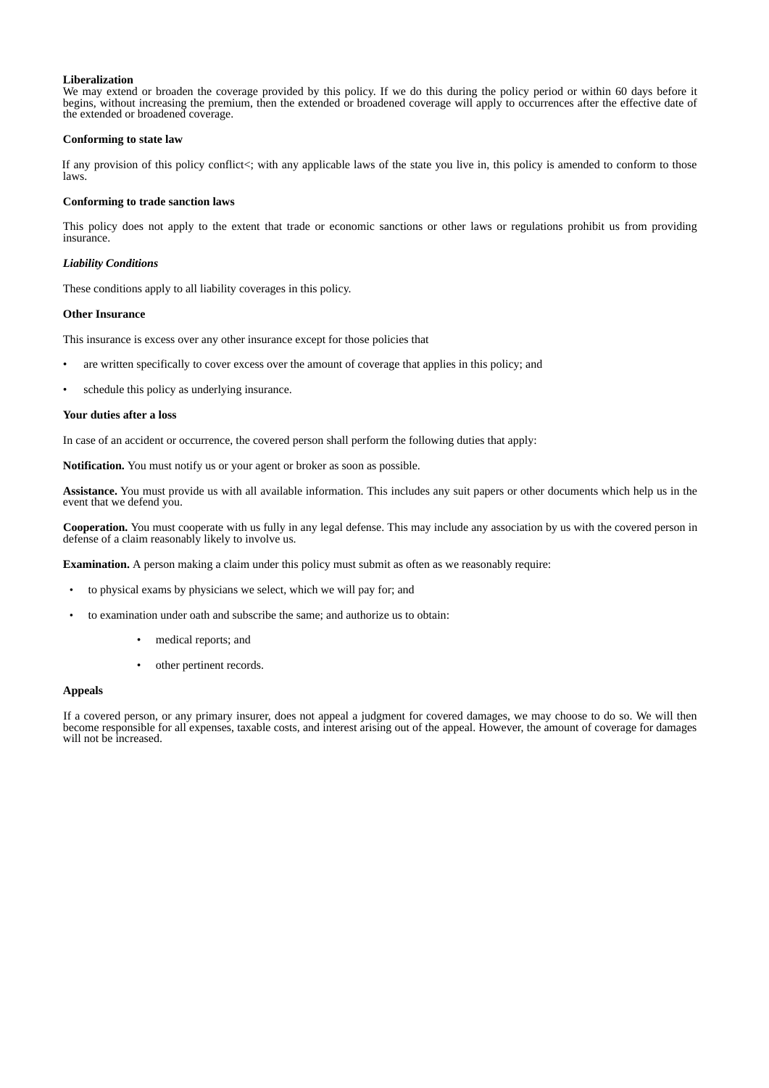Liberalization<br>We may extend or broaden the coverage provided by this policy. If we do this during the policy period or within 60 days before it begins, without increasing the premium, then the extended or broadened coverage will apply to occurrences after the effective date of the extended or broadened coverage.

## **Conforming to state law**

If any provision of this policy conflict<; with any applicable laws of the state you live in, this policy is amended to conform to those laws.

# **Conforming to trade sanction laws**

This policy does not apply to the extent that trade or economic sanctions or other laws or regulations prohibit us from providing insurance.

# *Liability Conditions*

These conditions apply to all liability coverages in this policy.

### **Other Insurance**

This insurance is excess over any other insurance except for those policies that

- are written specifically to cover excess over the amount of coverage that applies in this policy; and
- schedule this policy as underlying insurance.

# **Your duties after a loss**

In case of an accident or occurrence, the covered person shall perform the following duties that apply:

**Notification.** You must notify us or your agent or broker as soon as possible.

**Assistance.** You must provide us with all available information. This includes any suit papers or other documents which help us in the event that we defend you.

**Cooperation.** You must cooperate with us fully in any legal defense. This may include any association by us with the covered person in defense of a claim reasonably likely to involve us.

**Examination.** A person making a claim under this policy must submit as often as we reasonably require:

- to physical exams by physicians we select, which we will pay for; and
- to examination under oath and subscribe the same; and authorize us to obtain:
	- medical reports; and
	- other pertinent records.

### **Appeals**

If a covered person, or any primary insurer, does not appeal a judgment for covered damages, we may choose to do so. We will then become responsible for all expenses, taxable costs, and interest arising out of the appeal. However, the amount of coverage for damages will not be increased.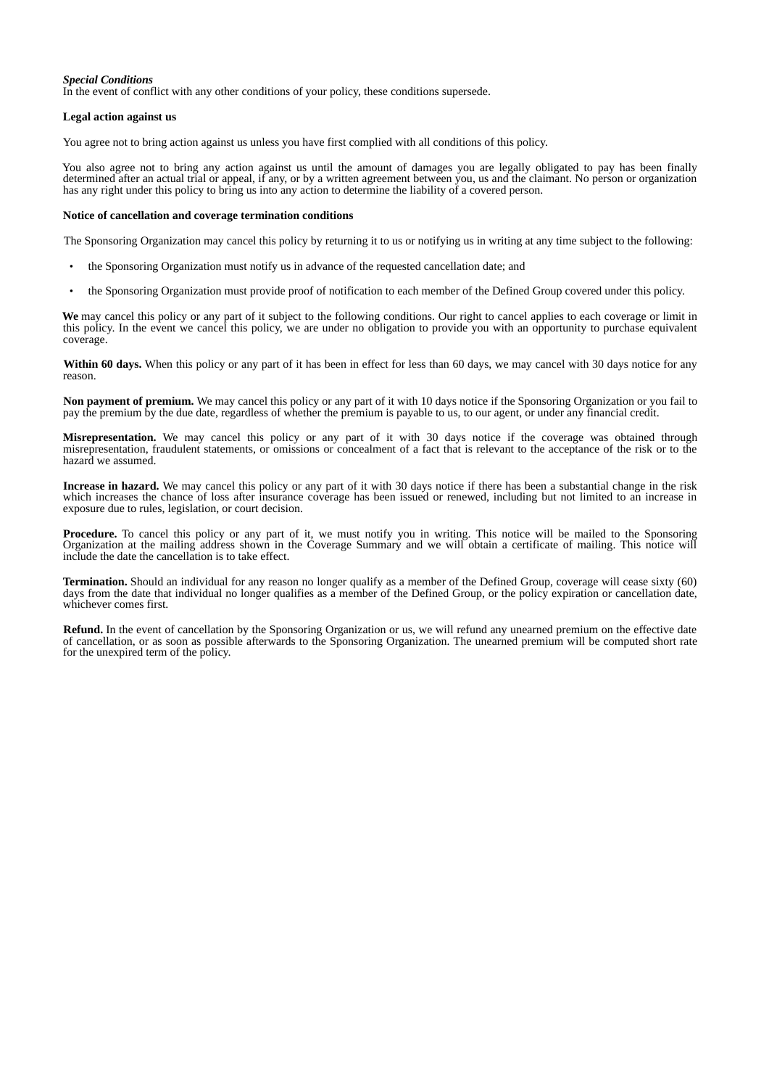# *Special Conditions*

In the event of conflict with any other conditions of your policy, these conditions supersede.

### **Legal action against us**

You agree not to bring action against us unless you have first complied with all conditions of this policy.

You also agree not to bring any action against us until the amount of damages you are legally obligated to pay has been finally determined after an actual trial or appeal, if any, or by a written agreement between you, us and the claimant. No person or organization has any right under this policy to bring us into any action to determine the liability of a covered person.

#### **Notice of cancellation and coverage termination conditions**

The Sponsoring Organization may cancel this policy by returning it to us or notifying us in writing at any time subject to the following:

- the Sponsoring Organization must notify us in advance of the requested cancellation date; and
- the Sponsoring Organization must provide proof of notification to each member of the Defined Group covered under this policy.

**We** may cancel this policy or any part of it subject to the following conditions. Our right to cancel applies to each coverage or limit in this policy. In the event we cancel this policy, we are under no obligation to provide you with an opportunity to purchase equivalent coverage.

**Within 60 days.** When this policy or any part of it has been in effect for less than 60 days, we may cancel with 30 days notice for any reason.

**Non payment of premium.** We may cancel this policy or any part of it with 10 days notice if the Sponsoring Organization or you fail to pay the premium by the due date, regardless of whether the premium is payable to us, to our agent, or under any financial credit.

**Misrepresentation.** We may cancel this policy or any part of it with 30 days notice if the coverage was obtained through misrepresentation, fraudulent statements, or omissions or concealment of a fact that is relevant to the acceptance of the risk or to the hazard we assumed.

**Increase in hazard.** We may cancel this policy or any part of it with 30 days notice if there has been a substantial change in the risk which increases the chance of loss after insurance coverage has been issued or renewed, including but not limited to an increase in exposure due to rules, legislation, or court decision.

**Procedure.** To cancel this policy or any part of it, we must notify you in writing. This notice will be mailed to the Sponsoring Organization at the mailing address shown in the Coverage Summary and we will obtain a certificate of mailing. This notice will include the date the cancellation is to take effect.

**Termination.** Should an individual for any reason no longer qualify as a member of the Defined Group, coverage will cease sixty (60) days from the date that individual no longer qualifies as a member of the Defined Group, or the policy expiration or cancellation date, whichever comes first.

**Refund.** In the event of cancellation by the Sponsoring Organization or us, we will refund any unearned premium on the effective date of cancellation, or as soon as possible afterwards to the Sponsoring Organization. The unearned premium will be computed short rate for the unexpired term of the policy.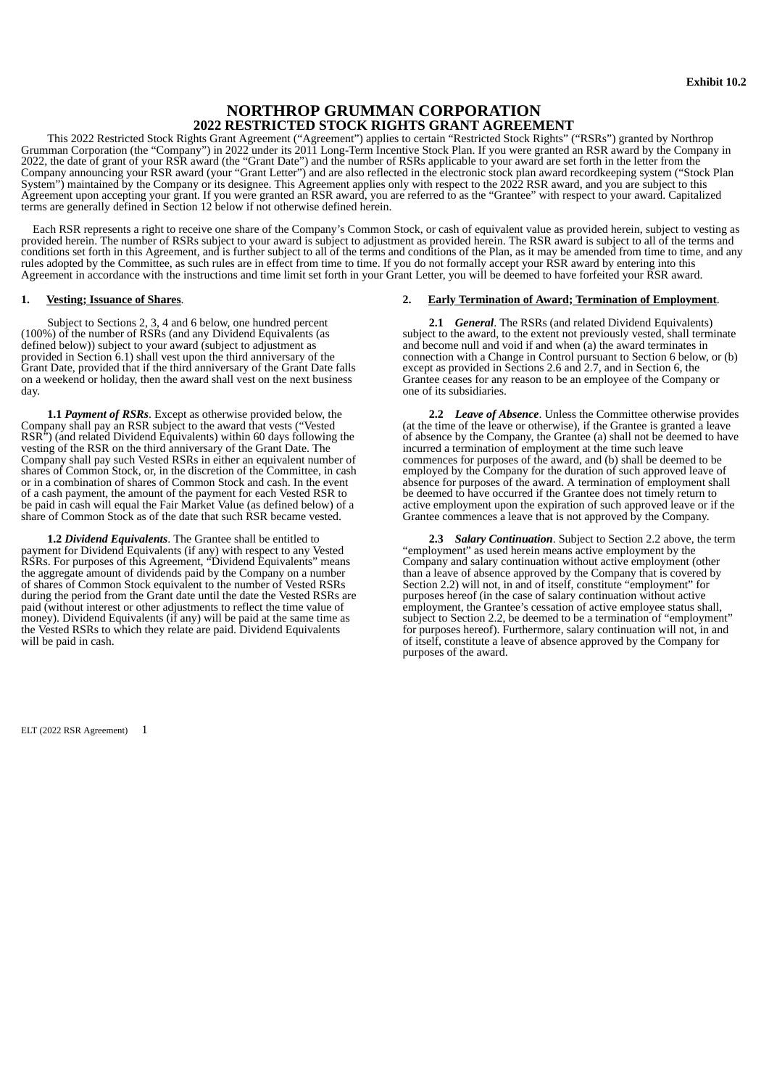# **NORTHROP GRUMMAN CORPORATION 2022 RESTRICTED STOCK RIGHTS GRANT AGREEMENT**

<span id="page-53-0"></span>This 2022 Restricted Stock Rights Grant Agreement ("Agreement") applies to certain "Restricted Stock Rights" ("RSRs") granted by Northrop Grumman Corporation (the "Company") in 2022 under its 2011 Long-Term Incentive Stock Plan. If you were granted an RSR award by the Company in 2022, the date of grant of your RSR award (the "Grant Date") and the number of RSRs applicable to your award are set forth in the letter from the Company announcing your RSR award (your "Grant Letter") and are also reflected in the electronic stock plan award recordkeeping system ("Stock Plan System") maintained by the Company or its designee. This Agreement applies only with respect to the 2022 RSR award, and you are subject to this Agreement upon accepting your grant. If you were granted an RSR award, you are referred to as the "Grantee" with respect to your award. Capitalized terms are generally defined in Section 12 below if not otherwise defined herein.

Each RSR represents a right to receive one share of the Company's Common Stock, or cash of equivalent value as provided herein, subject to vesting as provided herein. The number of RSRs subject to your award is subject to adjustment as provided herein. The RSR award is subject to all of the terms and conditions set forth in this Agreement, and is further subject to all of the terms and conditions of the Plan, as it may be amended from time to time, and any rules adopted by the Committee, as such rules are in effect from time to time. If you do not formally accept your RSR award by entering into this Agreement in accordance with the instructions and time limit set forth in your Grant Letter, you will be deemed to have forfeited your RSR award.

#### **1. Vesting; Issuance of Shares**.

Subject to Sections 2, 3, 4 and 6 below, one hundred percent (100%) of the number of RSRs (and any Dividend Equivalents (as defined below)) subject to your award (subject to adjustment as provided in Section 6.1) shall vest upon the third anniversary of the Grant Date, provided that if the third anniversary of the Grant Date falls on a weekend or holiday, then the award shall vest on the next business day.

**1.1** *Payment of RSRs*. Except as otherwise provided below, the Company shall pay an RSR subject to the award that vests ("Vested RSR") (and related Dividend Equivalents) within 60 days following the vesting of the RSR on the third anniversary of the Grant Date. The Company shall pay such Vested RSRs in either an equivalent number of shares of Common Stock, or, in the discretion of the Committee, in cash or in a combination of shares of Common Stock and cash. In the event of a cash payment, the amount of the payment for each Vested RSR to be paid in cash will equal the Fair Market Value (as defined below) of a share of Common Stock as of the date that such RSR became vested.

**1.2** *Dividend Equivalents*. The Grantee shall be entitled to payment for Dividend Equivalents (if any) with respect to any Vested RSRs. For purposes of this Agreement, "Dividend Equivalents" means the aggregate amount of dividends paid by the Company on a number of shares of Common Stock equivalent to the number of Vested RSRs during the period from the Grant date until the date the Vested RSRs are paid (without interest or other adjustments to reflect the time value of money). Dividend Equivalents (if any) will be paid at the same time as the Vested RSRs to which they relate are paid. Dividend Equivalents will be paid in cash.

# **2. Early Termination of Award; Termination of Employment**.

**2.1** *General*. The RSRs (and related Dividend Equivalents) subject to the award, to the extent not previously vested, shall terminate and become null and void if and when (a) the award terminates in connection with a Change in Control pursuant to Section 6 below, or (b) except as provided in Sections 2.6 and 2.7, and in Section 6, the Grantee ceases for any reason to be an employee of the Company or one of its subsidiaries.

**2.2** *Leave of Absence*. Unless the Committee otherwise provides (at the time of the leave or otherwise), if the Grantee is granted a leave of absence by the Company, the Grantee (a) shall not be deemed to have incurred a termination of employment at the time such leave commences for purposes of the award, and (b) shall be deemed to be employed by the Company for the duration of such approved leave of absence for purposes of the award. A termination of employment shall be deemed to have occurred if the Grantee does not timely return to active employment upon the expiration of such approved leave or if the Grantee commences a leave that is not approved by the Company.

**2.3** *Salary Continuation*. Subject to Section 2.2 above, the term "employment" as used herein means active employment by the Company and salary continuation without active employment (other than a leave of absence approved by the Company that is covered by Section 2.2) will not, in and of itself, constitute "employment" for purposes hereof (in the case of salary continuation without active employment, the Grantee's cessation of active employee status shall, subject to Section 2.2, be deemed to be a termination of "employment" for purposes hereof). Furthermore, salary continuation will not, in and of itself, constitute a leave of absence approved by the Company for purposes of the award.

ELT (2022 RSR Agreement) 1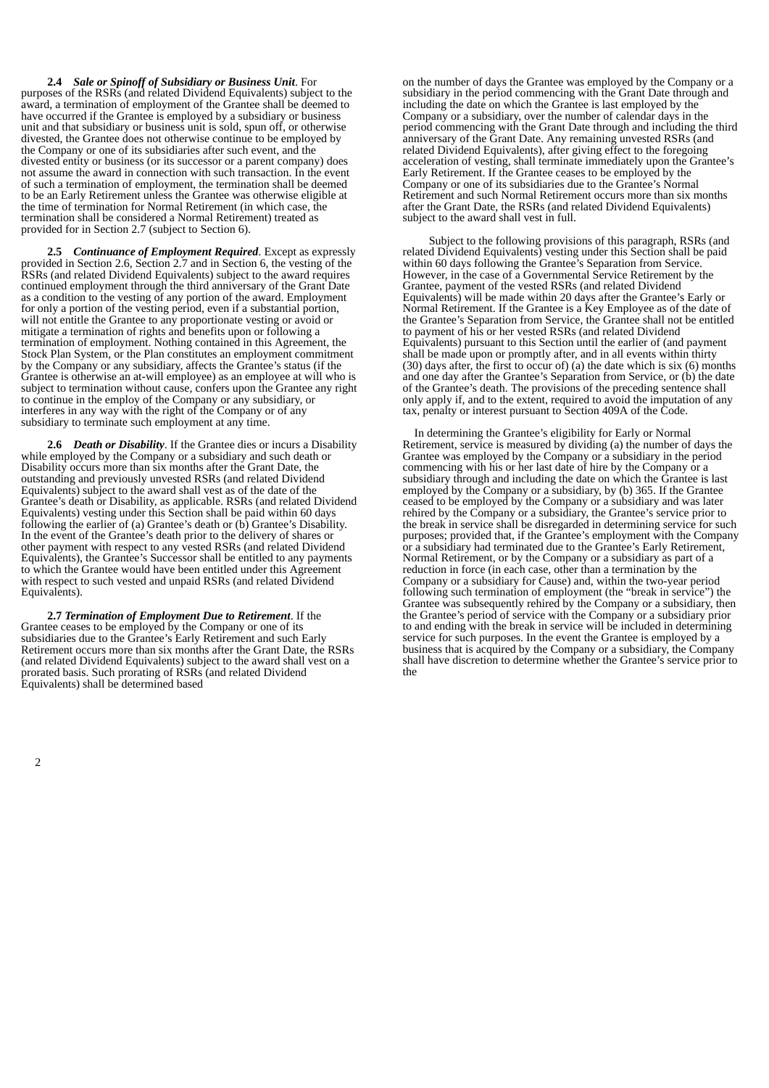**2.4** *Sale or Spinoff of Subsidiary or Business Unit*. For purposes of the RSRs (and related Dividend Equivalents) subject to the award, a termination of employment of the Grantee shall be deemed to have occurred if the Grantee is employed by a subsidiary or business unit and that subsidiary or business unit is sold, spun off, or otherwise divested, the Grantee does not otherwise continue to be employed by the Company or one of its subsidiaries after such event, and the divested entity or business (or its successor or a parent company) does not assume the award in connection with such transaction. In the event of such a termination of employment, the termination shall be deemed to be an Early Retirement unless the Grantee was otherwise eligible at the time of termination for Normal Retirement (in which case, the termination shall be considered a Normal Retirement) treated as provided for in Section 2.7 (subject to Section 6).

**2.5** *Continuance of Employment Required*. Except as expressly provided in Section 2.6, Section 2.7 and in Section 6, the vesting of the RSRs (and related Dividend Equivalents) subject to the award requires continued employment through the third anniversary of the Grant Date as a condition to the vesting of any portion of the award. Employment for only a portion of the vesting period, even if a substantial portion, will not entitle the Grantee to any proportionate vesting or avoid or mitigate a termination of rights and benefits upon or following a termination of employment. Nothing contained in this Agreement, the Stock Plan System, or the Plan constitutes an employment commitment by the Company or any subsidiary, affects the Grantee's status (if the Grantee is otherwise an at-will employee) as an employee at will who is subject to termination without cause, confers upon the Grantee any right to continue in the employ of the Company or any subsidiary, or interferes in any way with the right of the Company or of any subsidiary to terminate such employment at any time.

**2.6** *Death or Disability*. If the Grantee dies or incurs a Disability while employed by the Company or a subsidiary and such death or Disability occurs more than six months after the Grant Date, the outstanding and previously unvested RSRs (and related Dividend Equivalents) subject to the award shall vest as of the date of the Grantee's death or Disability, as applicable. RSRs (and related Dividend Equivalents) vesting under this Section shall be paid within 60 days following the earlier of (a) Grantee's death or (b) Grantee's Disability. In the event of the Grantee's death prior to the delivery of shares or other payment with respect to any vested RSRs (and related Dividend Equivalents), the Grantee's Successor shall be entitled to any payments to which the Grantee would have been entitled under this Agreement with respect to such vested and unpaid RSRs (and related Dividend Equivalents).

**2.7** *Termination of Employment Due to Retirement*. If the Grantee ceases to be employed by the Company or one of its subsidiaries due to the Grantee's Early Retirement and such Early Retirement occurs more than six months after the Grant Date, the RSRs (and related Dividend Equivalents) subject to the award shall vest on a prorated basis. Such prorating of RSRs (and related Dividend Equivalents) shall be determined based

on the number of days the Grantee was employed by the Company or a subsidiary in the period commencing with the Grant Date through and including the date on which the Grantee is last employed by the Company or a subsidiary, over the number of calendar days in the period commencing with the Grant Date through and including the third anniversary of the Grant Date. Any remaining unvested RSRs (and related Dividend Equivalents), after giving effect to the foregoing acceleration of vesting, shall terminate immediately upon the Grantee's Early Retirement. If the Grantee ceases to be employed by the Company or one of its subsidiaries due to the Grantee's Normal Retirement and such Normal Retirement occurs more than six months after the Grant Date, the RSRs (and related Dividend Equivalents) subject to the award shall vest in full.

Subject to the following provisions of this paragraph, RSRs (and related Dividend Equivalents) vesting under this Section shall be paid within 60 days following the Grantee's Separation from Service. However, in the case of a Governmental Service Retirement by the Grantee, payment of the vested RSRs (and related Dividend Equivalents) will be made within 20 days after the Grantee's Early or Normal Retirement. If the Grantee is a Key Employee as of the date of the Grantee's Separation from Service, the Grantee shall not be entitled to payment of his or her vested RSRs (and related Dividend Equivalents) pursuant to this Section until the earlier of (and payment shall be made upon or promptly after, and in all events within thirty (30) days after, the first to occur of) (a) the date which is six (6) months and one day after the Grantee's Separation from Service, or (b) the date of the Grantee's death. The provisions of the preceding sentence shall only apply if, and to the extent, required to avoid the imputation of any tax, penalty or interest pursuant to Section 409A of the Code.

In determining the Grantee's eligibility for Early or Normal Retirement, service is measured by dividing (a) the number of days the Grantee was employed by the Company or a subsidiary in the period commencing with his or her last date of hire by the Company or a subsidiary through and including the date on which the Grantee is last employed by the Company or a subsidiary, by (b) 365. If the Grantee ceased to be employed by the Company or a subsidiary and was later rehired by the Company or a subsidiary, the Grantee's service prior to the break in service shall be disregarded in determining service for such purposes; provided that, if the Grantee's employment with the Company or a subsidiary had terminated due to the Grantee's Early Retirement, Normal Retirement, or by the Company or a subsidiary as part of a reduction in force (in each case, other than a termination by the Company or a subsidiary for Cause) and, within the two-year period following such termination of employment (the "break in service") the Grantee was subsequently rehired by the Company or a subsidiary, then the Grantee's period of service with the Company or a subsidiary prior to and ending with the break in service will be included in determining service for such purposes. In the event the Grantee is employed by a business that is acquired by the Company or a subsidiary, the Company shall have discretion to determine whether the Grantee's service prior to the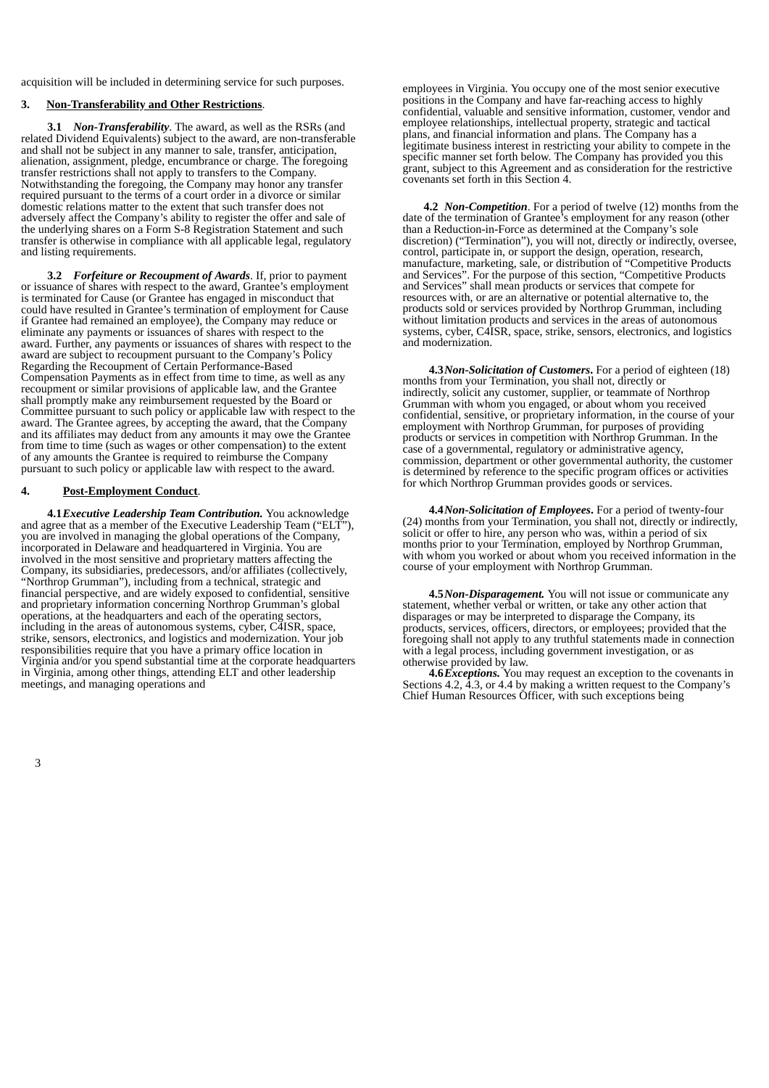acquisition will be included in determining service for such purposes.

# **3. Non-Transferability and Other Restrictions**.

**3.1** *Non-Transferability*. The award, as well as the RSRs (and related Dividend Equivalents) subject to the award, are non-transferable and shall not be subject in any manner to sale, transfer, anticipation, alienation, assignment, pledge, encumbrance or charge. The foregoing transfer restrictions shall not apply to transfers to the Company. Notwithstanding the foregoing, the Company may honor any transfer required pursuant to the terms of a court order in a divorce or similar domestic relations matter to the extent that such transfer does not adversely affect the Company's ability to register the offer and sale of the underlying shares on a Form S-8 Registration Statement and such transfer is otherwise in compliance with all applicable legal, regulatory and listing requirements.

**3.2** *Forfeiture or Recoupment of Awards*. If, prior to payment or issuance of shares with respect to the award, Grantee's employment is terminated for Cause (or Grantee has engaged in misconduct that could have resulted in Grantee's termination of employment for Cause if Grantee had remained an employee), the Company may reduce or eliminate any payments or issuances of shares with respect to the award. Further, any payments or issuances of shares with respect to the award are subject to recoupment pursuant to the Company's Policy Regarding the Recoupment of Certain Performance-Based Compensation Payments as in effect from time to time, as well as any recoupment or similar provisions of applicable law, and the Grantee shall promptly make any reimbursement requested by the Board or Committee pursuant to such policy or applicable law with respect to the award. The Grantee agrees, by accepting the award, that the Company and its affiliates may deduct from any amounts it may owe the Grantee from time to time (such as wages or other compensation) to the extent of any amounts the Grantee is required to reimburse the Company pursuant to such policy or applicable law with respect to the award.

# **4. Post-Employment Conduct**.

**4.1***Executive Leadership Team Contribution.* You acknowledge and agree that as a member of the Executive Leadership Team ("ELT"), you are involved in managing the global operations of the Company, incorporated in Delaware and headquartered in Virginia. You are involved in the most sensitive and proprietary matters affecting the Company, its subsidiaries, predecessors, and/or affiliates (collectively, "Northrop Grumman"), including from a technical, strategic and financial perspective, and are widely exposed to confidential, sensitive and proprietary information concerning Northrop Grumman's global operations, at the headquarters and each of the operating sectors, including in the areas of autonomous systems, cyber, C4ISR, space, strike, sensors, electronics, and logistics and modernization. Your job responsibilities require that you have a primary office location in Virginia and/or you spend substantial time at the corporate headquarters in Virginia, among other things, attending ELT and other leadership meetings, and managing operations and

employees in Virginia. You occupy one of the most senior executive positions in the Company and have far-reaching access to highly confidential, valuable and sensitive information, customer, vendor and employee relationships, intellectual property, strategic and tactical plans, and financial information and plans. The Company has a legitimate business interest in restricting your ability to compete in the specific manner set forth below. The Company has provided you this grant, subject to this Agreement and as consideration for the restrictive covenants set forth in this Section 4.

**4.2** *Non-Competition*. For a period of twelve (12) months from the date of the termination of Grantee's employment for any reason (other than a Reduction-in-Force as determined at the Company's sole discretion) ("Termination"), you will not, directly or indirectly, oversee, control, participate in, or support the design, operation, research, manufacture, marketing, sale, or distribution of "Competitive Products and Services". For the purpose of this section, "Competitive Products and Services" shall mean products or services that compete for resources with, or are an alternative or potential alternative to, the products sold or services provided by Northrop Grumman, including without limitation products and services in the areas of autonomous systems, cyber, C4ISR, space, strike, sensors, electronics, and logistics and modernization.

**4.3***Non-Solicitation of Customers***.** For a period of eighteen (18) months from your Termination, you shall not, directly or indirectly, solicit any customer, supplier, or teammate of Northrop Grumman with whom you engaged, or about whom you received confidential, sensitive, or proprietary information, in the course of your employment with Northrop Grumman, for purposes of providing products or services in competition with Northrop Grumman. In the case of a governmental, regulatory or administrative agency, commission, department or other governmental authority, the customer is determined by reference to the specific program offices or activities for which Northrop Grumman provides goods or services.

**4.4***Non-Solicitation of Employees***.** For a period of twenty-four (24) months from your Termination, you shall not, directly or indirectly, solicit or offer to hire, any person who was, within a period of six months prior to your Termination, employed by Northrop Grumman, with whom you worked or about whom you received information in the course of your employment with Northrop Grumman.

**4.5***Non-Disparagement.* You will not issue or communicate any statement, whether verbal or written, or take any other action that disparages or may be interpreted to disparage the Company, its products, services, officers, directors, or employees; provided that the foregoing shall not apply to any truthful statements made in connection with a legal process, including government investigation, or as otherwise provided by law.

**4.6***Exceptions.* You may request an exception to the covenants in Sections 4.2, 4.3, or 4.4 by making a written request to the Company's Chief Human Resources Officer, with such exceptions being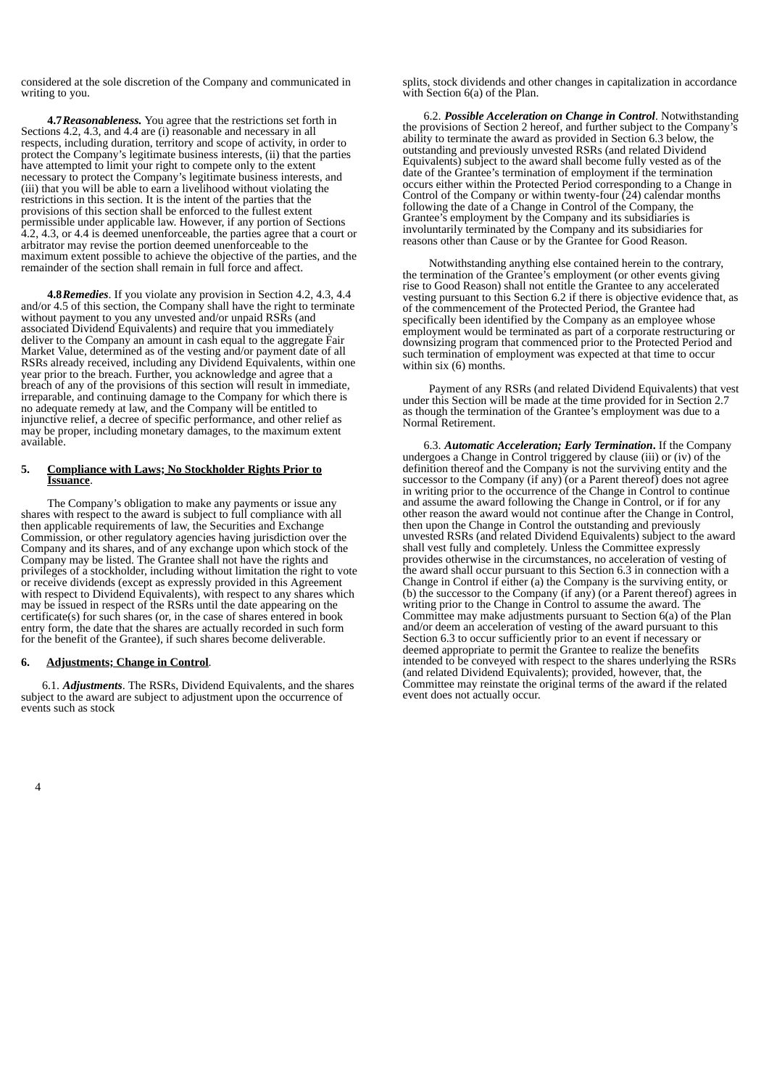considered at the sole discretion of the Company and communicated in writing to you.

**4.7***Reasonableness.* You agree that the restrictions set forth in Sections 4.2, 4.3, and 4.4 are (i) reasonable and necessary in all respects, including duration, territory and scope of activity, in order to protect the Company's legitimate business interests, (ii) that the parties have attempted to limit your right to compete only to the extent necessary to protect the Company's legitimate business interests, and (iii) that you will be able to earn a livelihood without violating the restrictions in this section. It is the intent of the parties that the provisions of this section shall be enforced to the fullest extent permissible under applicable law. However, if any portion of Sections 4.2, 4.3, or 4.4 is deemed unenforceable, the parties agree that a court or arbitrator may revise the portion deemed unenforceable to the maximum extent possible to achieve the objective of the parties, and the remainder of the section shall remain in full force and affect.

**4.8***Remedies*. If you violate any provision in Section 4.2, 4.3, 4.4 and/or 4.5 of this section, the Company shall have the right to terminate without payment to you any unvested and/or unpaid RSRs (and associated Dividend Equivalents) and require that you immediately Market Value, determined as of the vesting and/or payment date of all RSRs already received, including any Dividend Equivalents, within one year prior to the breach. Further, you acknowledge and agree that a breach of any of the provisions of this section will result in immediate, irreparable, and continuing damage to the Company for which there is no adequate remedy at law, and the Company will be entitled to injunctive relief, a decree of specific performance, and other relief as may be proper, including monetary damages, to the maximum extent available.

#### **5. Compliance with Laws; No Stockholder Rights Prior to Issuance**.

The Company's obligation to make any payments or issue any shares with respect to the award is subject to full compliance with all then applicable requirements of law, the Securities and Exchange Commission, or other regulatory agencies having jurisdiction over the Company and its shares, and of any exchange upon which stock of the Company may be listed. The Grantee shall not have the rights and privileges of a stockholder, including without limitation the right to vote or receive dividends (except as expressly provided in this Agreement with respect to Dividend Equivalents), with respect to any shares which may be issued in respect of the RSRs until the date appearing on the certificate(s) for such shares (or, in the case of shares entered in book entricate *of sign* state that the shares are actually recorded in such form for the benefit of the Grantee), if such shares become deliverable.

### **6. Adjustments; Change in Control**.

6.1. *Adjustments*. The RSRs, Dividend Equivalents, and the shares subject to the award are subject to adjustment upon the occurrence of events such as stock

splits, stock dividends and other changes in capitalization in accordance with Section 6(a) of the Plan.

6.2. *Possible Acceleration on Change in Control*. Notwithstanding the provisions of Section 2 hereof, and further subject to the Company's ability to terminate the award as provided in Section 6.3 below, the outstanding and previously unvested RSRs (and related Dividend Equivalents) subject to the award shall become fully vested as of the date of the Grantee's termination of employment if the termination occurs either within the Protected Period corresponding to a Change in Control of the Company or within twenty-four (24) calendar months following the date of a Change in Control of the Company, the Grantee's employment by the Company and its subsidiaries is involuntarily terminated by the Company and its subsidiaries for reasons other than Cause or by the Grantee for Good Reason.

Notwithstanding anything else contained herein to the contrary, the termination of the Grantee's employment (or other events giving rise to Good Reason) shall not entitle the Grantee to any accelerated vesting pursuant to this Section 6.2 if there is objective evidence that, as of the commencement of the Protected Period, the Grantee had specifically been identified by the Company as an employee whose employment would be terminated as part of a corporate restructuring or downsizing program that commenced prior to the Protected Period and such termination of employment was expected at that time to occur within six  $(6)$  months.

Payment of any RSRs (and related Dividend Equivalents) that vest under this Section will be made at the time provided for in Section 2.7 as though the termination of the Grantee's employment was due to a Normal Retirement.

6.3. *Automatic Acceleration; Early Termination***.** If the Company undergoes a Change in Control triggered by clause (iii) or (iv) of the definition thereof and the Company is not the surviving entity and the successor to the Company (if any) (or a Parent thereof) does not agree in writing prior to the occurrence of the Change in Control to continue and assume the award following the Change in Control, or if for any other reason the award would not continue after the Change in Control, then upon the Change in Control the outstanding and previously unvested RSRs (and related Dividend Equivalents) subject to the award shall vest fully and completely. Unless the Committee expressly provides otherwise in the circumstances, no acceleration of vesting of the award shall occur pursuant to this Section 6.3 in connection with a Change in Control if either (a) the Company is the surviving entity, or (b) the successor to the Company (if any) (or a Parent thereof) agrees in writing prior to the Change in Control to assume the award. The Committee may make adjustments pursuant to Section 6(a) of the Plan and/or deem an acceleration of vesting of the award pursuant to this Section 6.3 to occur sufficiently prior to an event if necessary or deemed appropriate to permit the Grantee to realize the benefits intended to be conveyed with respect to the shares underlying the RSRs (and related Dividend Equivalents); provided, however, that, the Committee may reinstate the original terms of the award if the related event does not actually occur.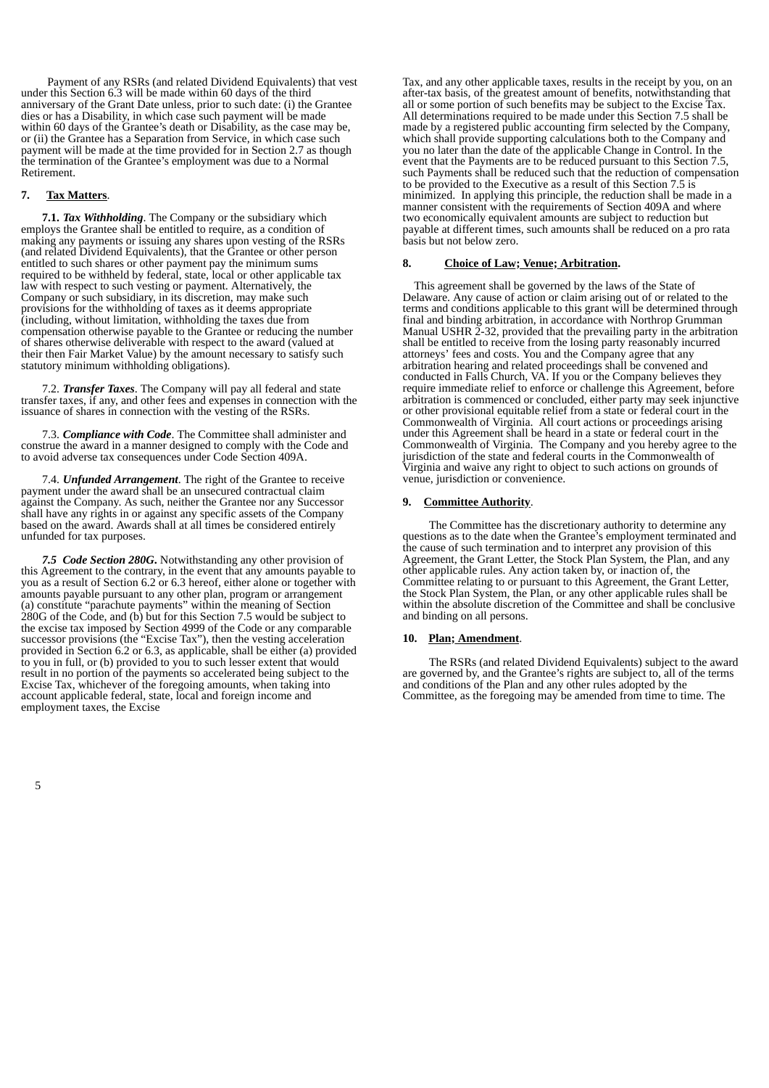Payment of any RSRs (and related Dividend Equivalents) that vest under this Section 6.3 will be made within 60 days of the third anniversary of the Grant Date unless, prior to such date: (i) the Grantee dies or has a Disability, in which case such payment will be made within 60 days of the Grantee's death or Disability, as the case may be, or (ii) the Grantee has a Separation from Service, in which case such payment will be made at the time provided for in Section 2.7 as though the termination of the Grantee's employment was due to a Normal Retirement.

# **7. Tax Matters**.

**7.1.** *Tax Withholding*. The Company or the subsidiary which employs the Grantee shall be entitled to require, as a condition of making any payments or issuing any shares upon vesting of the RSRs (and related Dividend Equivalents), that the Grantee or other person entitled to such shares or other payment pay the minimum sums required to be withheld by federal, state, local or other applicable tax law with respect to such vesting or payment. Alternatively, the Company or such subsidiary, in its discretion, may make such provisions for the withholding of taxes as it deems appropriate (including, without limitation, withholding the taxes due from compensation otherwise payable to the Grantee or reducing the number of shares otherwise deliverable with respect to the award (valued at their then Fair Market Value) by the amount necessary to satisfy such statutory minimum withholding obligations).

7.2. *Transfer Taxes*. The Company will pay all federal and state transfer taxes, if any, and other fees and expenses in connection with the issuance of shares in connection with the vesting of the RSRs.

7.3. *Compliance with Code*. The Committee shall administer and construe the award in a manner designed to comply with the Code and to avoid adverse tax consequences under Code Section 409A.

7.4. *Unfunded Arrangement*. The right of the Grantee to receive payment under the award shall be an unsecured contractual claim against the Company. As such, neither the Grantee nor any Successor shall have any rights in or against any specific assets of the Company based on the award. Awards shall at all times be considered entirely unfunded for tax purposes.

*7.5 Code Section 280G***.** Notwithstanding any other provision of this Agreement to the contrary, in the event that any amounts payable to you as a result of Section 6.2 or 6.3 hereof, either alone or together with amounts payable pursuant to any other plan, program or arrangement (a) constitute "parachute payments" within the meaning of Section 280G of the Code, and (b) but for this Section 7.5 would be subject to the excise tax imposed by Section 4999 of the Code or any comparable successor provisions (the "Excise Tax"), then the vesting acceleration provided in Section 6.2 or 6.3, as applicable, shall be either (a) provided to you in full, or (b) provided to you to such lesser extent that would result in no portion of the payments so accelerated being subject to the Excise Tax, whichever of the foregoing amounts, when taking into account applicable federal, state, local and foreign income and employment taxes, the Excise

Tax, and any other applicable taxes, results in the receipt by you, on an after-tax basis, of the greatest amount of benefits, notwithstanding that all or some portion of such benefits may be subject to the Excise Tax. All determinations required to be made under this Section 7.5 shall be made by a registered public accounting firm selected by the Company, which shall provide supporting calculations both to the Company and you no later than the date of the applicable Change in Control. In the event that the Payments are to be reduced pursuant to this Section 7.5, such Payments shall be reduced such that the reduction of compensation to be provided to the Executive as a result of this Section 7.5 is minimized. In applying this principle, the reduction shall be made in a manner consistent with the requirements of Section 409A and where two economically equivalent amounts are subject to reduction but payable at different times, such amounts shall be reduced on a pro rata basis but not below zero.

### **8. Choice of Law; Venue; Arbitration.**

This agreement shall be governed by the laws of the State of Delaware. Any cause of action or claim arising out of or related to the terms and conditions applicable to this grant will be determined through final and binding arbitration, in accordance with Northrop Grumman Manual USHR 2-32, provided that the prevailing party in the arbitration shall be entitled to receive from the losing party reasonably incurred attorneys' fees and costs. You and the Company agree that any arbitration hearing and related proceedings shall be convened and conducted in Falls Church, VA. If you or the Company believes they require immediate relief to enforce or challenge this Agreement, before arbitration is commenced or concluded, either party may seek injunctive or other provisional equitable relief from a state or federal court in the Commonwealth of Virginia. All court actions or proceedings arising under this Agreement shall be heard in a state or federal court in the Commonwealth of Virginia. The Company and you hereby agree to the jurisdiction of the state and federal courts in the Commonwealth of Virginia and waive any right to object to such actions on grounds of venue, jurisdiction or convenience.

### **9. Committee Authority**.

The Committee has the discretionary authority to determine any questions as to the date when the Grantee's employment terminated and the cause of such termination and to interpret any provision of this Agreement, the Grant Letter, the Stock Plan System, the Plan, and any other applicable rules. Any action taken by, or inaction of, the Committee relating to or pursuant to this Agreement, the Grant Letter, the Stock Plan System, the Plan, or any other applicable rules shall be within the absolute discretion of the Committee and shall be conclusive and binding on all persons.

### **10. Plan; Amendment**.

The RSRs (and related Dividend Equivalents) subject to the award are governed by, and the Grantee's rights are subject to, all of the terms and conditions of the Plan and any other rules adopted by the Committee, as the foregoing may be amended from time to time. The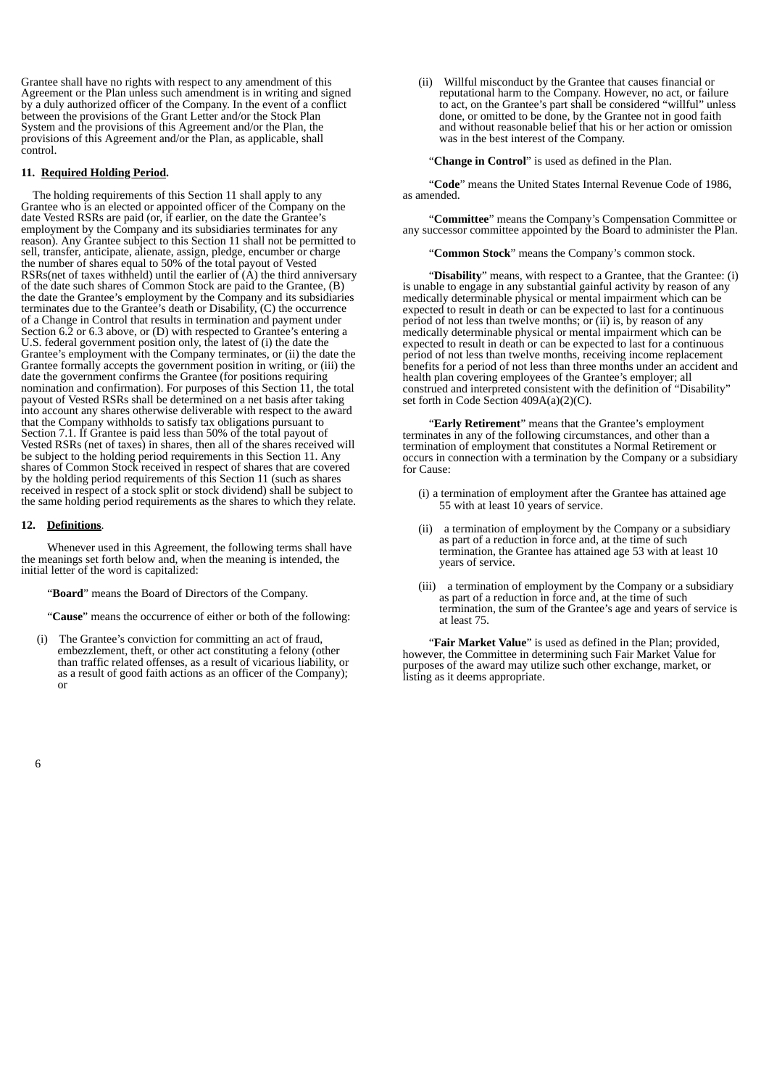Grantee shall have no rights with respect to any amendment of this Agreement or the Plan unless such amendment is in writing and signed by a duly authorized officer of the Company. In the event of a conflict between the provisions of the Grant Letter and/or the Stock Plan System and the provisions of this Agreement and/or the Plan, the provisions of this Agreement and/or the Plan, as applicable, shall control.

### **11. Required Holding Period.**

The holding requirements of this Section 11 shall apply to any Grantee who is an elected or appointed officer of the Company on the date Vested RSRs are paid (or, if earlier, on the date the Grantee's employment by the Company and its subsidiaries terminates for any reason). Any Grantee subject to this Section 11 shall not be permitted to sell, transfer, anticipate, alienate, assign, pledge, encumber or charge the number of shares equal to 50% of the total payout of Vested RSRs(net of taxes withheld) until the earlier of  $(A)$  the third anniversary of the date such shares of Common Stock are paid to the Grantee, (B) the date the Grantee's employment by the Company and its subsidiaries terminates due to the Grantee's death or Disability, (C) the occurrence of a Change in Control that results in termination and payment under Section 6.2 or 6.3 above, or (D) with respected to Grantee's entering a U.S. federal government position only, the latest of (i) the date the Grantee's employment with the Company terminates, or (ii) the date the Grantee formally accepts the government position in writing, or (iii) the date the government confirms the Grantee (for positions requiring nomination and confirmation). For purposes of this Section 11, the total payout of Vested RSRs shall be determined on a net basis after taking into account any shares otherwise deliverable with respect to the award that the Company withholds to satisfy tax obligations pursuant to Section 7.1. If Grantee is paid less than 50% of the total payout of Vested RSRs (net of taxes) in shares, then all of the shares received will be subject to the holding period requirements in this Section 11. Any shares of Common Stock received in respect of shares that are covered by the holding period requirements of this Section 11 (such as shares received in respect of a stock split or stock dividend) shall be subject to the same holding period requirements as the shares to which they relate.

### **12. Definitions**.

Whenever used in this Agreement, the following terms shall have the meanings set forth below and, when the meaning is intended, the initial letter of the word is capitalized:

"**Board**" means the Board of Directors of the Company.

"**Cause**" means the occurrence of either or both of the following:

(i) The Grantee's conviction for committing an act of fraud, embezzlement, theft, or other act constituting a felony (other than traffic related offenses, as a result of vicarious liability, or as a result of good faith actions as an officer of the Company); or

(ii) Willful misconduct by the Grantee that causes financial or reputational harm to the Company. However, no act, or failure to act, on the Grantee's part shall be considered "willful" unless done, or omitted to be done, by the Grantee not in good faith and without reasonable belief that his or her action or omission was in the best interest of the Company.

# "**Change in Control**" is used as defined in the Plan.

"**Code**" means the United States Internal Revenue Code of 1986, as amended.

"**Committee**" means the Company's Compensation Committee or any successor committee appointed by the Board to administer the Plan.

"**Common Stock**" means the Company's common stock.

"**Disability**" means, with respect to a Grantee, that the Grantee: (i) is unable to engage in any substantial gainful activity by reason of any medically determinable physical or mental impairment which can be expected to result in death or can be expected to last for a continuous period of not less than twelve months; or (ii) is, by reason of any medically determinable physical or mental impairment which can be expected to result in death or can be expected to last for a continuous period of not less than twelve months, receiving income replacement benefits for a period of not less than three months under an accident and health plan covering employees of the Grantee's employer; all construed and interpreted consistent with the definition of "Disability" set forth in Code Section 409A(a)(2)(C).

"**Early Retirement**" means that the Grantee's employment terminates in any of the following circumstances, and other than a termination of employment that constitutes a Normal Retirement or occurs in connection with a termination by the Company or a subsidiary for Cause:

- (i) a termination of employment after the Grantee has attained age 55 with at least 10 years of service.
- (ii) a termination of employment by the Company or a subsidiary as part of a reduction in force and, at the time of such termination, the Grantee has attained age 53 with at least 10 years of service.
- (iii) a termination of employment by the Company or a subsidiary as part of a reduction in force and, at the time of such termination, the sum of the Grantee's age and years of service is at least 75.

"**Fair Market Value**" is used as defined in the Plan; provided, however, the Committee in determining such Fair Market Value for purposes of the award may utilize such other exchange, market, or listing as it deems appropriate.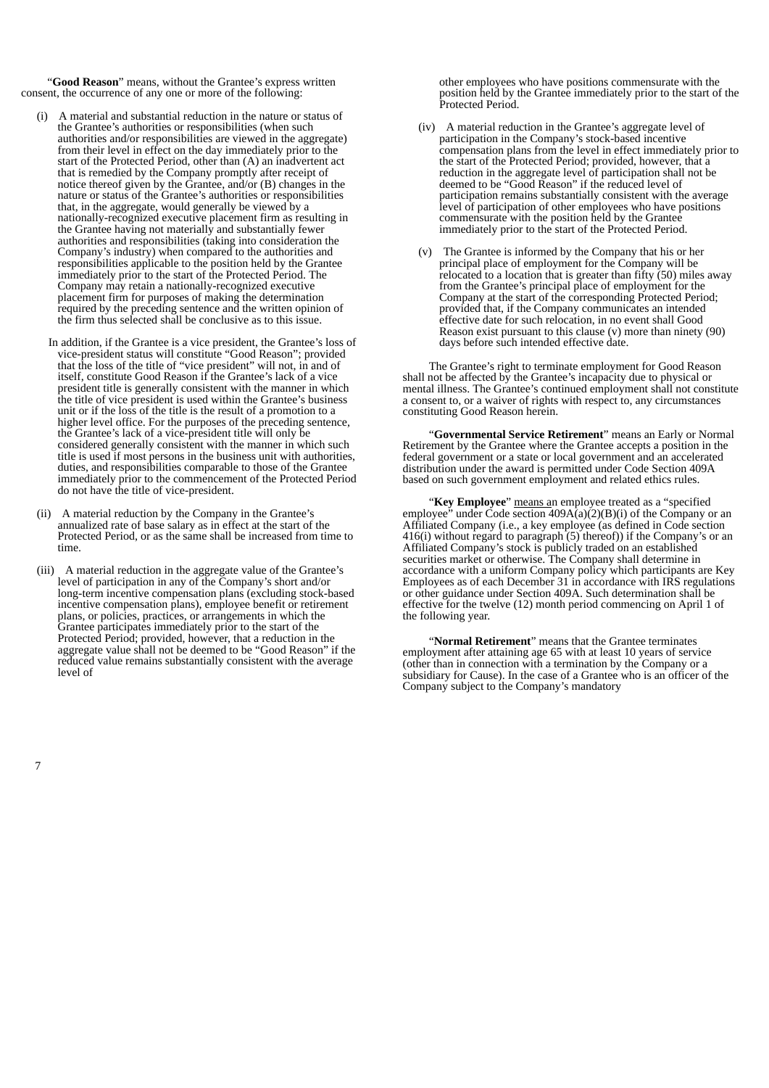"**Good Reason**" means, without the Grantee's express written consent, the occurrence of any one or more of the following:

- (i) A material and substantial reduction in the nature or status of the Grantee's authorities or responsibilities (when such authorities and/or responsibilities are viewed in the aggregate) from their level in effect on the day immediately prior to the start of the Protected Period, other than (A) an inadvertent act that is remedied by the Company promptly after receipt of notice thereof given by the Grantee, and/or (B) changes in the nature or status of the Grantee's authorities or responsibilities that, in the aggregate, would generally be viewed by a nationally-recognized executive placement firm as resulting in the Grantee having not materially and substantially fewer authorities and responsibilities (taking into consideration the Company's industry) when compared to the authorities and responsibilities applicable to the position held by the Grantee immediately prior to the start of the Protected Period. The Company may retain a nationally-recognized executive placement firm for purposes of making the determination required by the preceding sentence and the written opinion of the firm thus selected shall be conclusive as to this issue.
	- In addition, if the Grantee is a vice president, the Grantee's loss of vice-president status will constitute "Good Reason"; provided that the loss of the title of "vice president" will not, in and of itself, constitute Good Reason if the Grantee's lack of a vice president title is generally consistent with the manner in which the title of vice president is used within the Grantee's business unit or if the loss of the title is the result of a promotion to a higher level office. For the purposes of the preceding sentence, the Grantee's lack of a vice-president title will only be considered generally consistent with the manner in which such title is used if most persons in the business unit with authorities, duties, and responsibilities comparable to those of the Grantee immediately prior to the commencement of the Protected Period do not have the title of vice-president.
- (ii) A material reduction by the Company in the Grantee's annualized rate of base salary as in effect at the start of the Protected Period, or as the same shall be increased from time to time.
- (iii) A material reduction in the aggregate value of the Grantee's level of participation in any of the Company's short and/or long-term incentive compensation plans (excluding stock-based incentive compensation plans), employee benefit or retirement plans, or policies, practices, or arrangements in which the Grantee participates immediately prior to the start of the Protected Period; provided, however, that a reduction in the aggregate value shall not be deemed to be "Good Reason" if the reduced value remains substantially consistent with the average level of

other employees who have positions commensurate with the position held by the Grantee immediately prior to the start of the Protected Period.

- (iv) A material reduction in the Grantee's aggregate level of participation in the Company's stock-based incentive compensation plans from the level in effect immediately prior to the start of the Protected Period; provided, however, that a reduction in the aggregate level of participation shall not be deemed to be "Good Reason" if the reduced level of participation remains substantially consistent with the average level of participation of other employees who have positions commensurate with the position held by the Grantee immediately prior to the start of the Protected Period.
- (v) The Grantee is informed by the Company that his or her principal place of employment for the Company will be relocated to a location that is greater than fifty (50) miles away from the Grantee's principal place of employment for the Company at the start of the corresponding Protected Period; provided that, if the Company communicates an intended effective date for such relocation, in no event shall Good Reason exist pursuant to this clause (v) more than ninety (90) days before such intended effective date.

The Grantee's right to terminate employment for Good Reason shall not be affected by the Grantee's incapacity due to physical or mental illness. The Grantee's continued employment shall not constitute a consent to, or a waiver of rights with respect to, any circumstances constituting Good Reason herein.

"**Governmental Service Retirement**" means an Early or Normal Retirement by the Grantee where the Grantee accepts a position in the federal government or a state or local government and an accelerated distribution under the award is permitted under Code Section 409A based on such government employment and related ethics rules.

"**Key Employee**" means an employee treated as a "specified employee" under Code section 409A(a)(2)(B)(i) of the Company or an Affiliated Company (i.e., a key employee (as defined in Code section 416(i) without regard to paragraph (5) thereof)) if the Company's or an Affiliated Company's stock is publicly traded on an established securities market or otherwise. The Company shall determine in accordance with a uniform Company policy which participants are Key Employees as of each December 31 in accordance with IRS regulations or other guidance under Section 409A. Such determination shall be effective for the twelve (12) month period commencing on April 1 of the following year.

"**Normal Retirement**" means that the Grantee terminates employment after attaining age 65 with at least 10 years of service (other than in connection with a termination by the Company or a subsidiary for Cause). In the case of a Grantee who is an officer of the Company subject to the Company's mandatory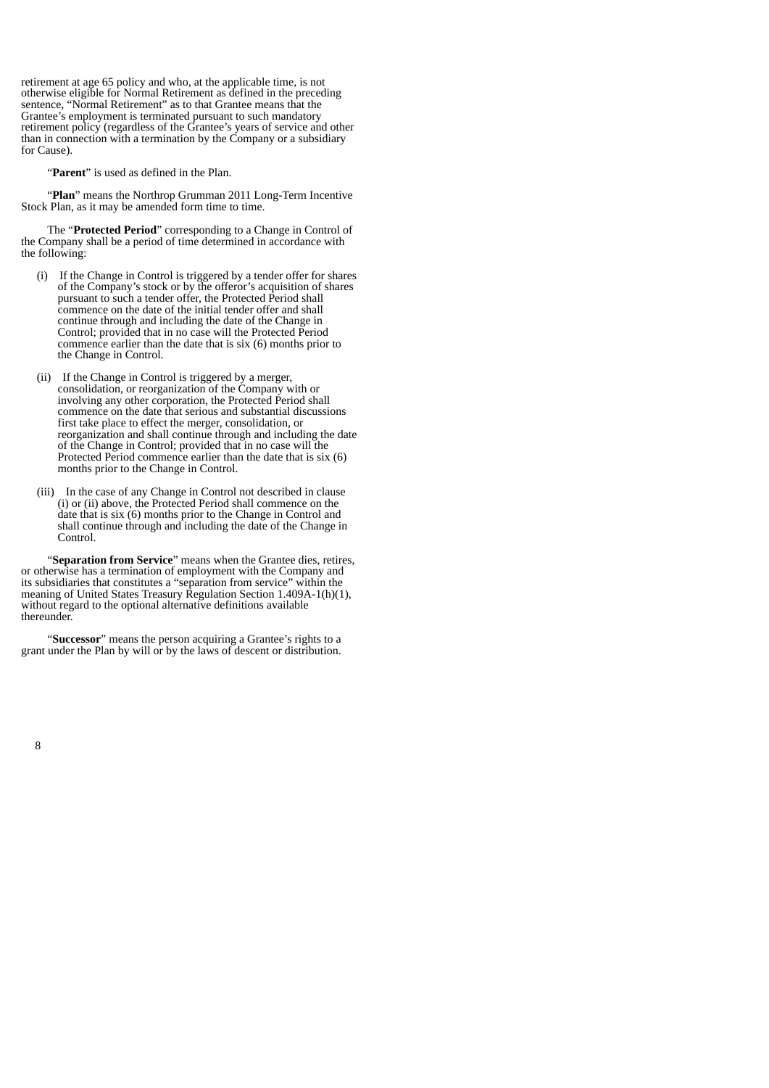retirement at age 65 policy and who, at the applicable time, is not otherwise eligible for Normal Retirement as defined in the preceding sentence, "Normal Retirement" as to that Grantee means that the Grantee's employment is terminated pursuant to such mandatory retirement policy (regardless of the Grantee's years of service and other than in connection with a termination by the Company or a subsidiary for Cause).

"**Parent**" is used as defined in the Plan.

"**Plan**" means the Northrop Grumman 2011 Long-Term Incentive Stock Plan, as it may be amended form time to time.

The "**Protected Period**" corresponding to a Change in Control of the Company shall be a period of time determined in accordance with the following:

- (i) If the Change in Control is triggered by a tender offer for shares of the Company's stock or by the offeror's acquisition of shares pursuant to such a tender offer, the Protected Period shall commence on the date of the initial tender offer and shall continue through and including the date of the Change in Control; provided that in no case will the Protected Period commence earlier than the date that is six (6) months prior to the Change in Control.
- (ii) If the Change in Control is triggered by a merger, consolidation, or reorganization of the Company with or involving any other corporation, the Protected Period shall commence on the date that serious and substantial discussions first take place to effect the merger, consolidation, or reorganization and shall continue through and including the date of the Change in Control; provided that in no case will the Protected Period commence earlier than the date that is six (6) months prior to the Change in Control.
- (iii) In the case of any Change in Control not described in clause (i) or (ii) above, the Protected Period shall commence on the date that is six (6) months prior to the Change in Control and shall continue through and including the date of the Change in Control.

"**Separation from Service**" means when the Grantee dies, retires, or otherwise has a termination of employment with the Company and its subsidiaries that constitutes a "separation from service" within the meaning of United States Treasury Regulation Section 1.409A-1(h)(1), without regard to the optional alternative definitions available thereunder.

"**Successor**" means the person acquiring a Grantee's rights to a grant under the Plan by will or by the laws of descent or distribution.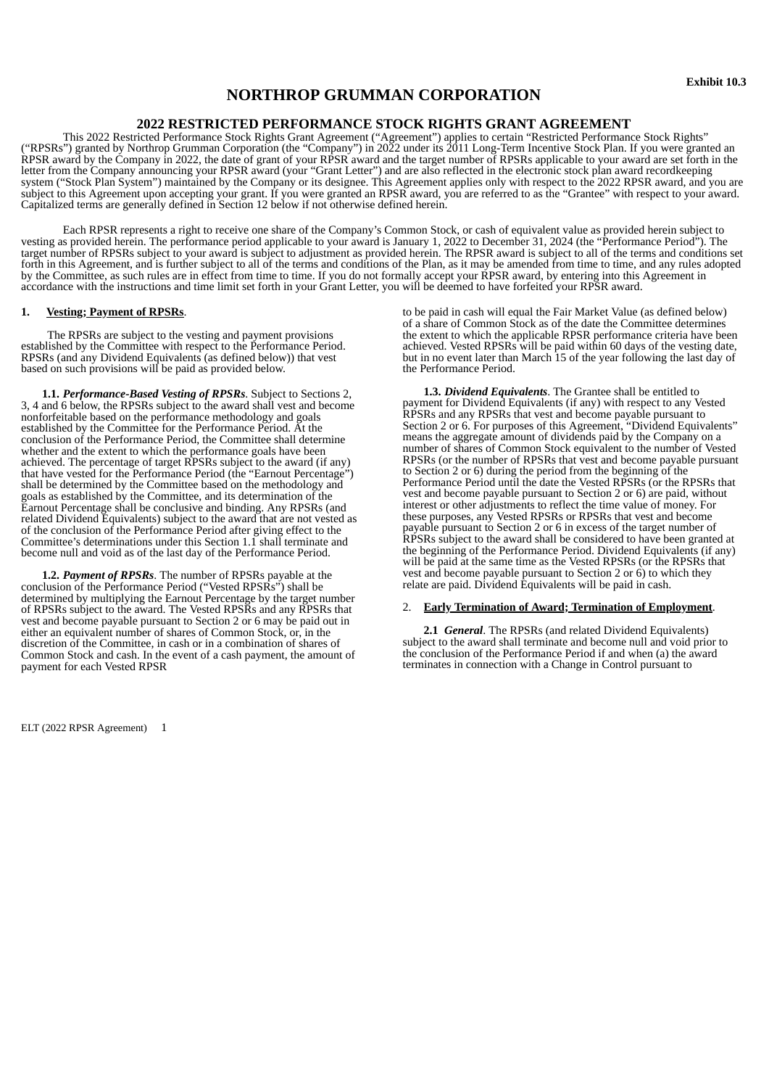# **NORTHROP GRUMMAN CORPORATION**

# **2022 RESTRICTED PERFORMANCE STOCK RIGHTS GRANT AGREEMENT**

<span id="page-61-0"></span>This 2022 Restricted Performance Stock Rights Grant Agreement ("Agreement") applies to certain "Restricted Performance Stock Rights" ("RPSRs") granted by Northrop Grumman Corporation (the "Company") in 2022 under its 2011 Long-Term Incentive Stock Plan. If you were granted an RPSR award by the Company in 2022, the date of grant of your RPSR award and the target number of RPSRs applicable to your award are set forth in the letter from the Company announcing your RPSR award (your "Grant Letter") and are also reflected in the electronic stock plan award recordkeeping system ("Stock Plan System") maintained by the Company or its designee. This Agreement applies only with respect to the 2022 RPSR award, and you are subject to this Agreement upon accepting your grant. If you were granted an RPSR award, you are referred to as the "Grantee" with respect to your award. Capitalized terms are generally defined in Section 12 below if not otherwise defined herein.

Each RPSR represents a right to receive one share of the Company's Common Stock, or cash of equivalent value as provided herein subject to vesting as provided herein. The performance period applicable to your award is January 1, 2022 to December 31, 2024 (the "Performance Period"). The target number of RPSRs subject to your award is subject to adjustment as provided herein. The RPSR award is subject to all of the terms and conditions set forth in this Agreement, and is further subject to all of the terms and conditions of the Plan, as it may be amended from time to time, and any rules adopted by the Committee, as such rules are in effect from time to time. If you do not formally accept your RPSR award, by entering into this Agreement in accordance with the instructions and time limit set forth in your Grant Letter, you will be deemed to have forfeited your RPSR award.

#### **1. Vesting; Payment of RPSRs**.

The RPSRs are subject to the vesting and payment provisions established by the Committee with respect to the Performance Period. RPSRs (and any Dividend Equivalents (as defined below)) that vest based on such provisions will be paid as provided below.

**1.1.** *Performance-Based Vesting of RPSRs*. Subject to Sections 2, 3, 4 and 6 below, the RPSRs subject to the award shall vest and become nonforfeitable based on the performance methodology and goals established by the Committee for the Performance Period. At the conclusion of the Performance Period, the Committee shall determine whether and the extent to which the performance goals have been achieved. The percentage of target RPSRs subject to the award (if any) that have vested for the Performance Period (the "Earnout Percentage") shall be determined by the Committee based on the methodology and goals as established by the Committee, and its determination of the Earnout Percentage shall be conclusive and binding. Any RPSRs (and related Dividend Equivalents) subject to the award that are not vested as of the conclusion of the Performance Period after giving effect to the Committee's determinations under this Section 1.1 shall terminate and become null and void as of the last day of the Performance Period.

**1.2.** *Payment of RPSRs*. The number of RPSRs payable at the conclusion of the Performance Period ("Vested RPSRs") shall be determined by multiplying the Earnout Percentage by the target number of RPSRs subject to the award. The Vested RPSRs and any RPSRs that vest and become payable pursuant to Section 2 or 6 may be paid out in either an equivalent number of shares of Common Stock, or, in the discretion of the Committee, in cash or in a combination of shares of Common Stock and cash. In the event of a cash payment, the amount of payment for each Vested RPSR

ELT (2022 RPSR Agreement) 1

to be paid in cash will equal the Fair Market Value (as defined below) of a share of Common Stock as of the date the Committee determines the extent to which the applicable RPSR performance criteria have been achieved. Vested RPSRs will be paid within 60 days of the vesting date, but in no event later than March 15 of the year following the last day of the Performance Period.

**1.3.** *Dividend Equivalents*. The Grantee shall be entitled to payment for Dividend Equivalents (if any) with respect to any Vested RPSRs and any RPSRs that vest and become payable pursuant to Section 2 or 6. For purposes of this Agreement, "Dividend Equivalents" means the aggregate amount of dividends paid by the Company on a number of shares of Common Stock equivalent to the number of Vested RPSRs (or the number of RPSRs that vest and become payable pursuant to Section 2 or 6) during the period from the beginning of the Performance Period until the date the Vested RPSRs (or the RPSRs that vest and become payable pursuant to Section 2 or 6) are paid, without interest or other adjustments to reflect the time value of money. For these purposes, any Vested RPSRs or RPSRs that vest and become payable pursuant to Section 2 or 6 in excess of the target number of RPSRs subject to the award shall be considered to have been granted at the beginning of the Performance Period. Dividend Equivalents (if any) will be paid at the same time as the Vested RPSRs (or the RPSRs that vest and become payable pursuant to Section 2 or 6) to which they relate are paid. Dividend Equivalents will be paid in cash.

#### 2. **Early Termination of Award; Termination of Employment**.

**2.1** *General*. The RPSRs (and related Dividend Equivalents) subject to the award shall terminate and become null and void prior to the conclusion of the Performance Period if and when (a) the award terminates in connection with a Change in Control pursuant to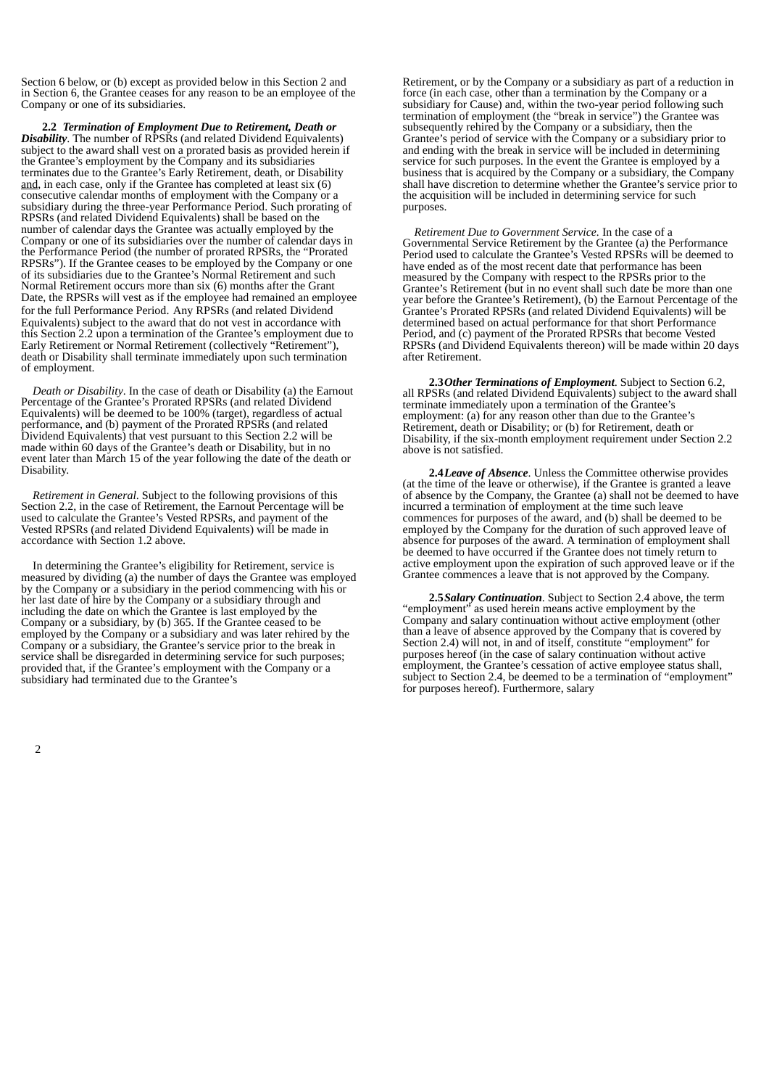Section 6 below, or (b) except as provided below in this Section 2 and in Section 6, the Grantee ceases for any reason to be an employee of the Company or one of its subsidiaries.

**2.2** *Termination of Employment Due to Retirement, Death or Disability*. The number of RPSRs (and related Dividend Equivalents) subject to the award shall vest on a prorated basis as provided herein if the Grantee's employment by the Company and its subsidiaries terminates due to the Grantee's Early Retirement, death, or Disability and, in each case, only if the Grantee has completed at least six (6) consecutive calendar months of employment with the Company or a subsidiary during the three-year Performance Period. Such prorating of RPSRs (and related Dividend Equivalents) shall be based on the number of calendar days the Grantee was actually employed by the Company or one of its subsidiaries over the number of calendar days in the Performance Period (the number of prorated RPSRs, the "Prorated RPSRs"). If the Grantee ceases to be employed by the Company or one of its subsidiaries due to the Grantee's Normal Retirement and such Normal Retirement occurs more than six (6) months after the Grant Date, the RPSRs will vest as if the employee had remained an employee for the full Performance Period. Any RPSRs (and related Dividend Equivalents) subject to the award that do not vest in accordance with this Section 2.2 upon a termination of the Grantee's employment due to Early Retirement or Normal Retirement (collectively "Retirement"), death or Disability shall terminate immediately upon such termination of employment.

*Death or Disability*. In the case of death or Disability (a) the Earnout Percentage of the Grantee's Prorated RPSRs (and related Dividend Equivalents) will be deemed to be 100% (target), regardless of actual performance, and (b) payment of the Prorated RPSRs (and related Dividend Equivalents) that vest pursuant to this Section 2.2 will be made within 60 days of the Grantee's death or Disability, but in no event later than March 15 of the year following the date of the death or Disability.

*Retirement in General*. Subject to the following provisions of this Section 2.2, in the case of Retirement, the Earnout Percentage will be used to calculate the Grantee's Vested RPSRs, and payment of the Vested RPSRs (and related Dividend Equivalents) will be made in accordance with Section 1.2 above.

In determining the Grantee's eligibility for Retirement, service is measured by dividing (a) the number of days the Grantee was employed by the Company or a subsidiary in the period commencing with his or her last date of hire by the Company or a subsidiary through and including the date on which the Grantee is last employed by the Company or a subsidiary, by (b) 365. If the Grantee ceased to be employed by the Company or a subsidiary and was later rehired by the Company or a subsidiary, the Grantee's service prior to the break in service shall be disregarded in determining service for such purposes; provided that, if the Grantee's employment with the Company or a subsidiary had terminated due to the Grantee's

Retirement, or by the Company or a subsidiary as part of a reduction in force (in each case, other than a termination by the Company or a subsidiary for Cause) and, within the two-year period following such termination of employment (the "break in service") the Grantee was subsequently rehired by the Company or a subsidiary, then the Grantee's period of service with the Company or a subsidiary prior to and ending with the break in service will be included in determining service for such purposes. In the event the Grantee is employed by a business that is acquired by the Company or a subsidiary, the Company shall have discretion to determine whether the Grantee's service prior to the acquisition will be included in determining service for such purposes.

*Retirement Due to Government Service.* In the case of a Governmental Service Retirement by the Grantee (a) the Performance Period used to calculate the Grantee's Vested RPSRs will be deemed to have ended as of the most recent date that performance has been measured by the Company with respect to the RPSRs prior to the Grantee's Retirement (but in no event shall such date be more than one year before the Grantee's Retirement), (b) the Earnout Percentage of the Grantee's Prorated RPSRs (and related Dividend Equivalents) will be determined based on actual performance for that short Performance Period, and (c) payment of the Prorated RPSRs that become Vested RPSRs (and Dividend Equivalents thereon) will be made within 20 days after Retirement.

**2.3***Other Terminations of Employment*. Subject to Section 6.2, all RPSRs (and related Dividend Equivalents) subject to the award shall terminate immediately upon a termination of the Grantee's employment: (a) for any reason other than due to the Grantee's Retirement, death or Disability; or (b) for Retirement, death or Disability, if the six-month employment requirement under Section 2.2 above is not satisfied.

**2.4***Leave of Absence*. Unless the Committee otherwise provides (at the time of the leave or otherwise), if the Grantee is granted a leave of absence by the Company, the Grantee (a) shall not be deemed to have incurred a termination of employment at the time such leave commences for purposes of the award, and (b) shall be deemed to be employed by the Company for the duration of such approved leave of absence for purposes of the award. A termination of employment shall be deemed to have occurred if the Grantee does not timely return to active employment upon the expiration of such approved leave or if the Grantee commences a leave that is not approved by the Company.

**2.5***Salary Continuation*. Subject to Section 2.4 above, the term "employment" as used herein means active employment by the Company and salary continuation without active employment (other than a leave of absence approved by the Company that is covered by Section 2.4) will not, in and of itself, constitute "employment" for purposes hereof (in the case of salary continuation without active employment, the Grantee's cessation of active employee status shall, subject to Section 2.4, be deemed to be a termination of "employment" for purposes hereof). Furthermore, salary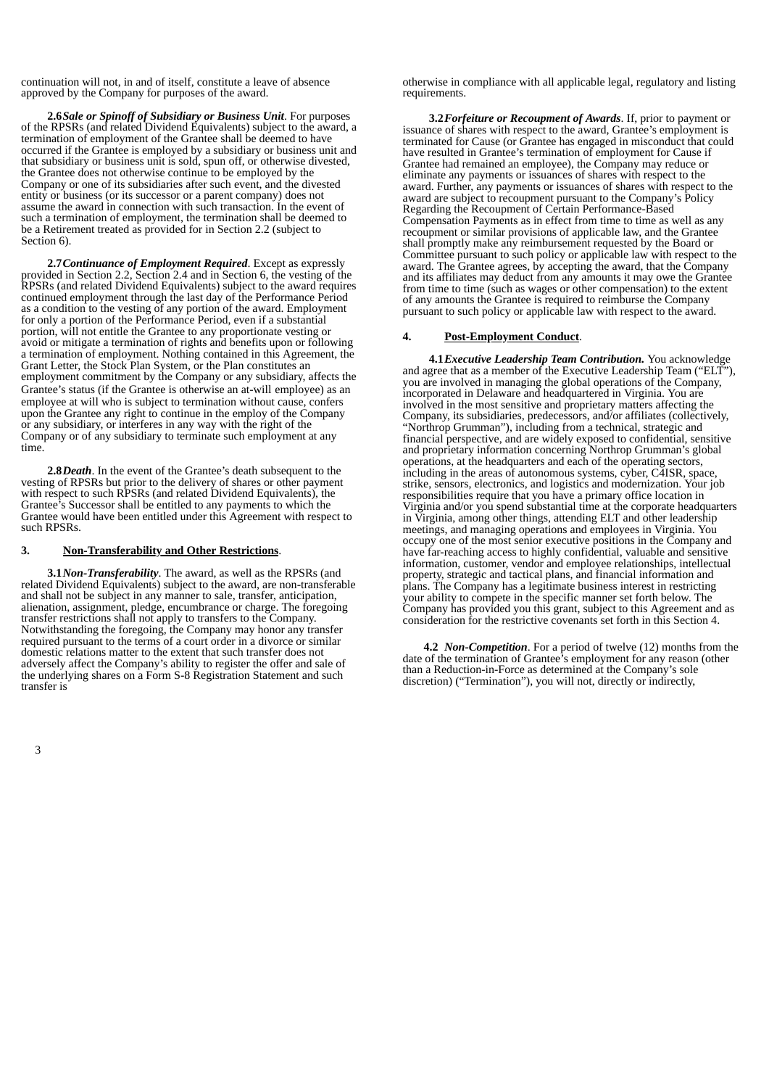continuation will not, in and of itself, constitute a leave of absence approved by the Company for purposes of the award.

**2.6***Sale or Spinoff of Subsidiary or Business Unit*. For purposes of the RPSRs (and related Dividend Equivalents) subject to the award, a termination of employment of the Grantee shall be deemed to have occurred if the Grantee is employed by a subsidiary or business unit and that subsidiary or business unit is sold, spun off, or otherwise divested, the Grantee does not otherwise continue to be employed by the Company or one of its subsidiaries after such event, and the divested entity or business (or its successor or a parent company) does not assume the award in connection with such transaction. In the event of such a termination of employment, the termination shall be deemed to be a Retirement treated as provided for in Section 2.2 (subject to Section 6).

**2.7***Continuance of Employment Required*. Except as expressly provided in Section 2.2, Section 2.4 and in Section 6, the vesting of the RPSRs (and related Dividend Equivalents) subject to the award requires continued employment through the last day of the Performance Period as a condition to the vesting of any portion of the award. Employment for only a portion of the Performance Period, even if a substantial portion, will not entitle the Grantee to any proportionate vesting or avoid or mitigate a termination of rights and benefits upon or following a termination of employment. Nothing contained in this Agreement, the Grant Letter, the Stock Plan System, or the Plan constitutes an employment commitment by the Company or any subsidiary, affects the Grantee's status (if the Grantee is otherwise an at-will employee) as an employee at will who is subject to termination without cause, confers upon the Grantee any right to continue in the employ of the Company or any subsidiary, or interferes in any way with the right of the Company or of any subsidiary to terminate such employment at any time.

**2.8***Death*. In the event of the Grantee's death subsequent to the vesting of RPSRs but prior to the delivery of shares or other payment with respect to such RPSRs (and related Dividend Equivalents), the Grantee's Successor shall be entitled to any payments to which the Grantee would have been entitled under this Agreement with respect to such RPSRs.

#### **3. Non-Transferability and Other Restrictions**.

**3.1***Non-Transferability*. The award, as well as the RPSRs (and related Dividend Equivalents) subject to the award, are non-transferable and shall not be subject in any manner to sale, transfer, anticipation, alienation, assignment, pledge, encumbrance or charge. The foregoing transfer restrictions shall not apply to transfers to the Company. Notwithstanding the foregoing, the Company may honor any transfer required pursuant to the terms of a court order in a divorce or similar domestic relations matter to the extent that such transfer does not adversely affect the Company's ability to register the offer and sale of the underlying shares on a Form S-8 Registration Statement and such transfer is

otherwise in compliance with all applicable legal, regulatory and listing requirements.

**3.2***Forfeiture or Recoupment of Awards*. If, prior to payment or issuance of shares with respect to the award, Grantee's employment is terminated for Cause (or Grantee has engaged in misconduct that could have resulted in Grantee's termination of employment for Cause if Grantee had remained an employee), the Company may reduce or eliminate any payments or issuances of shares with respect to the award. Further, any payments or issuances of shares with respect to the award are subject to recoupment pursuant to the Company's Policy Regarding the Recoupment of Certain Performance-Based Compensation Payments as in effect from time to time as well as any recoupment or similar provisions of applicable law, and the Grantee shall promptly make any reimbursement requested by the Board or Committee pursuant to such policy or applicable law with respect to the award. The Grantee agrees, by accepting the award, that the Company and its affiliates may deduct from any amounts it may owe the Grantee from time to time (such as wages or other compensation) to the extent of any amounts the Grantee is required to reimburse the Company pursuant to such policy or applicable law with respect to the award.

#### **4. Post-Employment Conduct**.

**4.1***Executive Leadership Team Contribution.* You acknowledge and agree that as a member of the Executive Leadership Team ("ELT") you are involved in managing the global operations of the Company, incorporated in Delaware and headquartered in Virginia. You are involved in the most sensitive and proprietary matters affecting the Company, its subsidiaries, predecessors, and/or affiliates (collectively, "Northrop Grumman"), including from a technical, strategic and financial perspective, and are widely exposed to confidential, sensitive and proprietary information concerning Northrop Grumman's global operations, at the headquarters and each of the operating sectors, including in the areas of autonomous systems, cyber, C4ISR, space, strike, sensors, electronics, and logistics and modernization. Your job responsibilities require that you have a primary office location in Virginia and/or you spend substantial time at the corporate headquarters in Virginia, among other things, attending ELT and other leadership meetings, and managing operations and employees in Virginia. You occupy one of the most senior executive positions in the Company and have far-reaching access to highly confidential, valuable and sensitive information, customer, vendor and employee relationships, intellectual property, strategic and tactical plans, and financial information and plans. The Company has a legitimate business interest in restricting your ability to compete in the specific manner set forth below. The Company has provided you this grant, subject to this Agreement and as consideration for the restrictive covenants set forth in this Section 4.

**4.2** *Non-Competition*. For a period of twelve (12) months from the date of the termination of Grantee's employment for any reason (other than a Reduction-in-Force as determined at the Company's sole discretion) ("Termination"), you will not, directly or indirectly,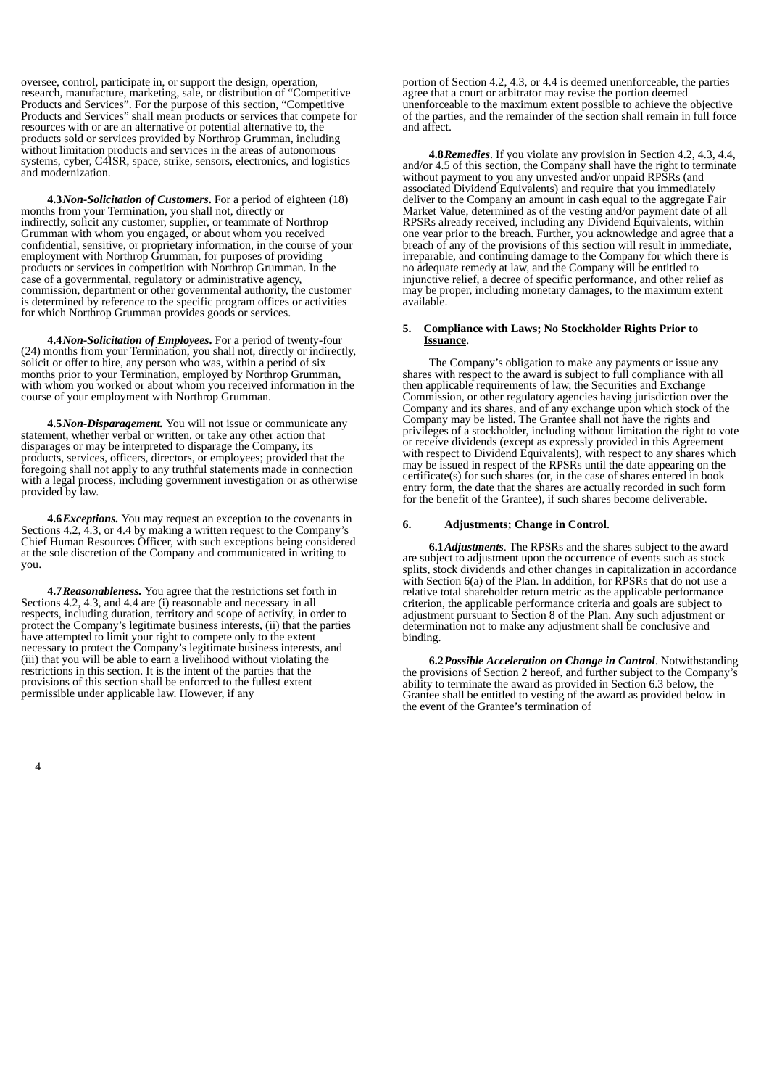oversee, control, participate in, or support the design, operation, research, manufacture, marketing, sale, or distribution of "Competitive Products and Services". For the purpose of this section, "Competitive Products and Services" shall mean products or services that compete for resources with or are an alternative or potential alternative to, the products sold or services provided by Northrop Grumman, including without limitation products and services in the areas of autonomous systems, cyber, C4ISR, space, strike, sensors, electronics, and logistics and modernization.

**4.3***Non-Solicitation of Customers***.** For a period of eighteen (18) months from your Termination, you shall not, directly or indirectly, solicit any customer, supplier, or teammate of Northrop Grumman with whom you engaged, or about whom you received confidential, sensitive, or proprietary information, in the course of your employment with Northrop Grumman, for purposes of providing products or services in competition with Northrop Grumman. In the case of a governmental, regulatory or administrative agency, commission, department or other governmental authority, the customer is determined by reference to the specific program offices or activities for which Northrop Grumman provides goods or services.

**4.4***Non-Solicitation of Employees***.** For a period of twenty-four (24) months from your Termination, you shall not, directly or indirectly, solicit or offer to hire, any person who was, within a period of six months prior to your Termination, employed by Northrop Grumman, with whom you worked or about whom you received information in the course of your employment with Northrop Grumman.

**4.5***Non-Disparagement.* You will not issue or communicate any statement, whether verbal or written, or take any other action that disparages or may be interpreted to disparage the Company, its products, services, officers, directors, or employees; provided that the foregoing shall not apply to any truthful statements made in connection with a legal process, including government investigation or as otherwise provided by law.

**4.6***Exceptions.* You may request an exception to the covenants in Sections 4.2, 4.3, or 4.4 by making a written request to the Company's Chief Human Resources Officer, with such exceptions being considered at the sole discretion of the Company and communicated in writing to you.

**4.7***Reasonableness.* You agree that the restrictions set forth in Sections 4.2, 4.3, and 4.4 are (i) reasonable and necessary in all respects, including duration, territory and scope of activity, in order to protect the Company's legitimate business interests, (ii) that the parties have attempted to limit your right to compete only to the extent necessary to protect the Company's legitimate business interests, and (iii) that you will be able to earn a livelihood without violating the restrictions in this section. It is the intent of the parties that the provisions of this section shall be enforced to the fullest extent permissible under applicable law. However, if any

portion of Section 4.2, 4.3, or 4.4 is deemed unenforceable, the parties agree that a court or arbitrator may revise the portion deemed unenforceable to the maximum extent possible to achieve the objective of the parties, and the remainder of the section shall remain in full force and affect.

**4.8***Remedies*. If you violate any provision in Section 4.2, 4.3, 4.4, and/or 4.5 of this section, the Company shall have the right to terminate without payment to you any unvested and/or unpaid RPSRs (and associated Dividend Equivalents) and require that you immediately deliver to the Company and an amount in cash equal to the vesting and/or payment date of all RPSRs already received, including any Dividend Equivalents, within one year prior to the breach. Further, you acknowledge and agree that a breach of any of the provisions of this section will result in immediate, irreparable, and continuing damage to the Company for which there is no adequate remedy at law, and the Company will be entitled to injunctive relief, a decree of specific performance, and other relief as may be proper, including monetary damages, to the maximum extent available.

### **5. Compliance with Laws; No Stockholder Rights Prior to Issuance**.

The Company's obligation to make any payments or issue any shares with respect to the award is subject to full compliance with all then applicable requirements of law, the Securities and Exchange Commission, or other regulatory agencies having jurisdiction over the Company and its shares, and of any exchange upon which stock of the Company may be listed. The Grantee shall not have the rights and privileges of a stockholder, including without limitation the right to vote or receive dividends (except as expressly provided in this Agreement with respect to Dividend Equivalents), with respect to any shares which may be issued in respect of the RPSRs until the date appearing on the certificate(s) for such shares (or, in the case of shares entered in book entry form, the date that the shares are actually recorded in such form for the benefit of the Grantee), if such shares become deliverable.

# **6. Adjustments; Change in Control**.

**6.1***Adjustments*. The RPSRs and the shares subject to the award are subject to adjustment upon the occurrence of events such as stock splits, stock dividends and other changes in capitalization in accordance with Section 6(a) of the Plan. In addition, for RPSRs that do not use a relative total shareholder return metric as the applicable performance criterion, the applicable performance criteria and goals are subject to adjustment pursuant to Section 8 of the Plan. Any such adjustment or determination not to make any adjustment shall be conclusive and binding.

**6.2***Possible Acceleration on Change in Control*. Notwithstanding the provisions of Section 2 hereof, and further subject to the Company's ability to terminate the award as provided in Section 6.3 below, the Grantee shall be entitled to vesting of the award as provided below in the event of the Grantee's termination of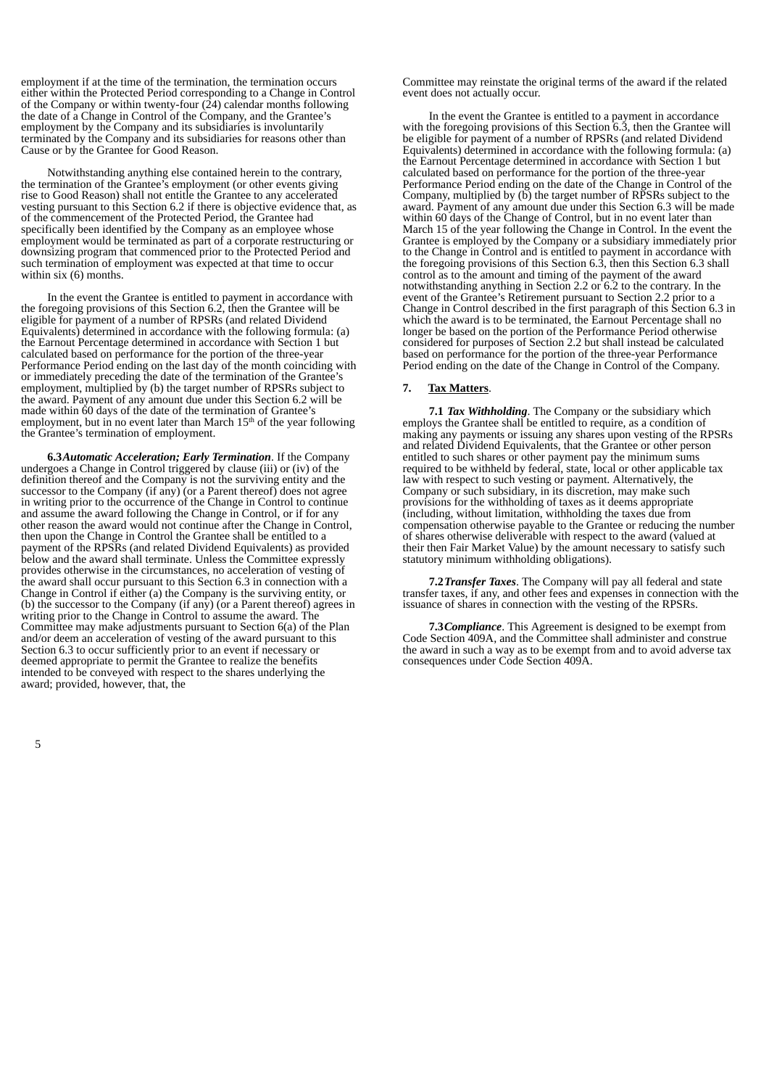employment if at the time of the termination, the termination occurs either within the Protected Period corresponding to a Change in Control of the Company or within twenty-four (24) calendar months following the date of a Change in Control of the Company, and the Grantee's employment by the Company and its subsidiaries is involuntarily terminated by the Company and its subsidiaries for reasons other than Cause or by the Grantee for Good Reason.

Notwithstanding anything else contained herein to the contrary, the termination of the Grantee's employment (or other events giving rise to Good Reason) shall not entitle the Grantee to any accelerated vesting pursuant to this Section 6.2 if there is objective evidence that, as of the commencement of the Protected Period, the Grantee had specifically been identified by the Company as an employee whose employment would be terminated as part of a corporate restructuring or downsizing program that commenced prior to the Protected Period and such termination of employment was expected at that time to occur within six (6) months.

In the event the Grantee is entitled to payment in accordance with the foregoing provisions of this Section 6.2, then the Grantee will be eligible for payment of a number of RPSRs (and related Dividend Equivalents) determined in accordance with the following formula: (a) the Earnout Percentage determined in accordance with Section 1 but calculated based on performance for the portion of the three-year Performance Period ending on the last day of the month coinciding with or immediately preceding the date of the termination of the Grantee's employment, multiplied by (b) the target number of RPSRs subject to the award. Payment of any amount due under this Section 6.2 will be made within 60 days of the date of the termination of Grantee's employment, but in no event later than March 15<sup>th</sup> of the year following the Grantee's termination of employment.

**6.3***Automatic Acceleration; Early Termination*. If the Company undergoes a Change in Control triggered by clause (iii) or (iv) of the definition thereof and the Company is not the surviving entity and the successor to the Company (if any) (or a Parent thereof) does not agree in writing prior to the occurrence of the Change in Control to continue and assume the award following the Change in Control, or if for any other reason the award would not continue after the Change in Control, then upon the Change in Control the Grantee shall be entitled to a payment of the RPSRs (and related Dividend Equivalents) as provided below and the award shall terminate. Unless the Committee expressly provides otherwise in the circumstances, no acceleration of vesting of the award shall occur pursuant to this Section 6.3 in connection with a Change in Control if either (a) the Company is the surviving entity, or (b) the successor to the Company (if any) (or a Parent thereof) agrees in writing prior to the Change in Control to assume the award. The Committee may make adjustments pursuant to Section 6(a) of the Plan and/or deem an acceleration of vesting of the award pursuant to this Section 6.3 to occur sufficiently prior to an event if necessary or deemed appropriate to permit the Grantee to realize the benefits intended to be conveyed with respect to the shares underlying the award; provided, however, that, the

Committee may reinstate the original terms of the award if the related event does not actually occur.

In the event the Grantee is entitled to a payment in accordance with the foregoing provisions of this Section 6.3, then the Grantee will be eligible for payment of a number of RPSRs (and related Dividend Equivalents) determined in accordance with the following formula: (a) the Earnout Percentage determined in accordance with Section 1 but calculated based on performance for the portion of the three-year Performance Period ending on the date of the Change in Control of the Company, multiplied by  $(b)$  the target number of RPSRs subject to the award. Payment of any amount due under this Section 6.3 will be made within <sup>60</sup> days of the Change of Control, but in no event later than March <sup>15</sup> of the year following the Change in Control. In the event the Grantee is employed by the Company or a subsidiary immediately prior to the Change in Control and is entitled to payment in accordance with the foregoing provisions of this Section 6.3, then this Section 6.3 shall control as to the amount and timing of the payment of the award notwithstanding anything in Section 2.2 or 6.2 to the contrary. In the event of the Grantee's Retirement pursuant to Section 2.2 prior to a Change in Control described in the first paragraph of this Section 6.3 in which the award is to be terminated, the Earnout Percentage shall no longer be based on the portion of the Performance Period otherwise considered for purposes of Section 2.2 but shall instead be calculated based on performance for the portion of the three-year Performance Period ending on the date of the Change in Control of the Company.

# **7. Tax Matters**.

**7.1** *Tax Withholding*. The Company or the subsidiary which employs the Grantee shall be entitled to require, as a condition of making any payments or issuing any shares upon vesting of the RPSRs and related Dividend Equivalents, that the Grantee or other person entitled to such shares or other payment pay the minimum sums required to be withheld by federal, state, local or other applicable tax law with respect to such vesting or payment. Alternatively, the Company or such subsidiary, in its discretion, may make such provisions for the withholding of taxes as it deems appropriate (including, without limitation, withholding the taxes due from compensation otherwise payable to the Grantee or reducing the number of shares otherwise deliverable with respect to the award (valued at their then Fair Market Value) by the amount necessary to satisfy such statutory minimum withholding obligations).

**7.2***Transfer Taxes*. The Company will pay all federal and state transfer taxes, if any, and other fees and expenses in connection with the issuance of shares in connection with the vesting of the RPSRs.

**7.3***Compliance*. This Agreement is designed to be exempt from Code Section 409A, and the Committee shall administer and construe the award in such a way as to be exempt from and to avoid adverse tax consequences under Code Section 409A.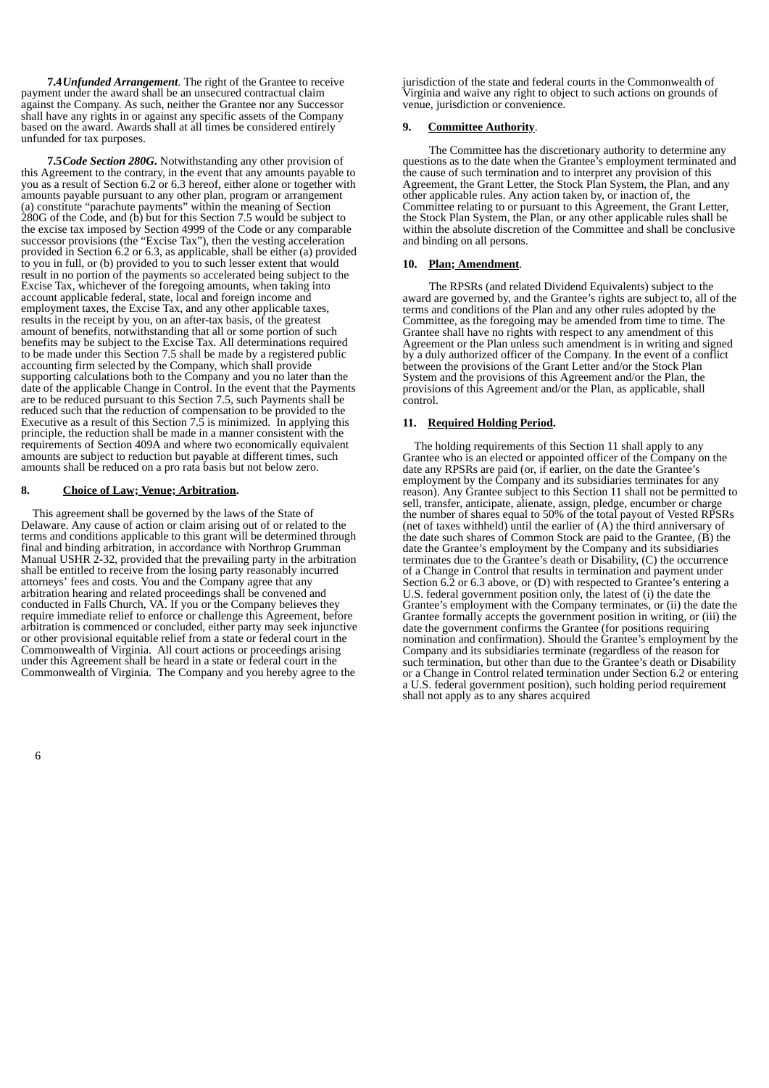**7.4***Unfunded Arrangement*. The right of the Grantee to receive payment under the award shall be an unsecured contractual claim against the Company. As such, neither the Grantee nor any Successor shall have any rights in or against any specific assets of the Company based on the award. Awards shall at all times be considered entirely unfunded for tax purposes.

**7.5***Code Section 280G***.** Notwithstanding any other provision of this Agreement to the contrary, in the event that any amounts payable to you as a result of Section 6.2 or 6.3 hereof, either alone or together with amounts payable pursuant to any other plan, program or arrangement (a) constitute "parachute payments" within the meaning of Section 280G of the Code, and (b) but for this Section 7.5 would be subject to the excise tax imposed by Section 4999 of the Code or any comparable successor provisions (the "Excise Tax"), then the vesting acceleration provided in Section 6.2 or 6.3, as applicable, shall be either (a) provided to you in full, or (b) provided to you to such lesser extent that would result in no portion of the payments so accelerated being subject to the Excise Tax, whichever of the foregoing amounts, when taking into account applicable federal, state, local and foreign income and employment taxes, the Excise Tax, and any other applicable taxes, results in the receipt by you, on an after-tax basis, of the greatest amount of benefits, notwithstanding that all or some portion of such benefits may be subject to the Excise Tax. All determinations required to be made under this Section 7.5 shall be made by a registered public accounting firm selected by the Company, which shall provide supporting calculations both to the Company and you no later than the date of the applicable Change in Control. In the event that the Payments are to be reduced pursuant to this Section 7.5, such Payments shall be reduced such that the reduction of compensation to be provided to the Executive as a result of this Section 7.5 is minimized. In applying this principle, the reduction shall be made in a manner consistent with the requirements of Section 409A and where two economically equivalent amounts are subject to reduction but payable at different times, such amounts shall be reduced on a pro rata basis but not below zero.

# **8. Choice of Law; Venue; Arbitration.**

This agreement shall be governed by the laws of the State of Delaware. Any cause of action or claim arising out of or related to the terms and conditions applicable to this grant will be determined through final and binding arbitration, in accordance with Northrop Grumman Manual USHR  $\tilde{2}-32$ , provided that the prevailing party in the arbitration shall be entitled to receive from the losing party reasonably incurred attorneys' fees and costs. You and the Company agree that any arbitration hearing and related proceedings shall be convened and conducted in Falls Church, VA. If you or the Company believes they require immediate relief to enforce or challenge this Agreement, before arbitration is commenced or concluded, either party may seek injunctive or other provisional equitable relief from a state or federal court in the Commonwealth of Virginia. All court actions or proceedings arising under this Agreement shall be heard in a state or federal court in the Commonwealth of Virginia. The Company and you hereby agree to the

jurisdiction of the state and federal courts in the Commonwealth of Virginia and waive any right to object to such actions on grounds of venue, jurisdiction or convenience.

# **9. Committee Authority**.

The Committee has the discretionary authority to determine any questions as to the date when the Grantee's employment terminated and the cause of such termination and to interpret any provision of this Agreement, the Grant Letter, the Stock Plan System, the Plan, and any other applicable rules. Any action taken by, or inaction of, the Committee relating to or pursuant to this Agreement, the Grant Letter, the Stock Plan System, the Plan, or any other applicable rules shall be within the absolute discretion of the Committee and shall be conclusive and binding on all persons.

# **10. Plan; Amendment**.

The RPSRs (and related Dividend Equivalents) subject to the award are governed by, and the Grantee's rights are subject to, all of the terms and conditions of the Plan and any other rules adopted by the Committee, as the foregoing may be amended from time to time. The Grantee shall have no rights with respect to any amendment of this Agreement or the Plan unless such amendment is in writing and signed by a duly authorized officer of the Company. In the event of a conflict between the provisions of the Grant Letter and/or the Stock Plan System and the provisions of this Agreement and/or the Plan, the provisions of this Agreement and/or the Plan, as applicable, shall control.

# **11. Required Holding Period.**

The holding requirements of this Section 11 shall apply to any Grantee who is an elected or appointed officer of the Company on the date any RPSRs are paid (or, if earlier, on the date the Grantee's employment by the Company and its subsidiaries terminates for any reason). Any Grantee subject to this Section 11 shall not be permitted to sell, transfer, anticipate, alienate, assign, pledge, encumber or charge the number of shares equal to 50% of the total payout of Vested RPSRs (net of taxes withheld) until the earlier of  $(A)$  the third anniversary of the date such shares of Common Stock are paid to the Grantee, (B) the date the Grantee's employment by the Company and its subsidiaries terminates due to the Grantee's death or Disability, (C) the occurrence of a Change in Control that results in termination and payment under Section 6.2 or 6.3 above, or (D) with respected to Grantee's entering a U.S. federal government position only, the latest of (i) the date the Grantee's employment with the Company terminates, or (ii) the date the Grantee formally accepts the government position in writing, or (iii) the date the government confirms the Grantee (for positions requiring nomination and confirmation). Should the Grantee's employment by the Company and its subsidiaries terminate (regardless of the reason for such termination, but other than due to the Grantee's death or Disability or a Change in Control related termination under Section 6.2 or entering a U.S. federal government position), such holding period requirement shall not apply as to any shares acquired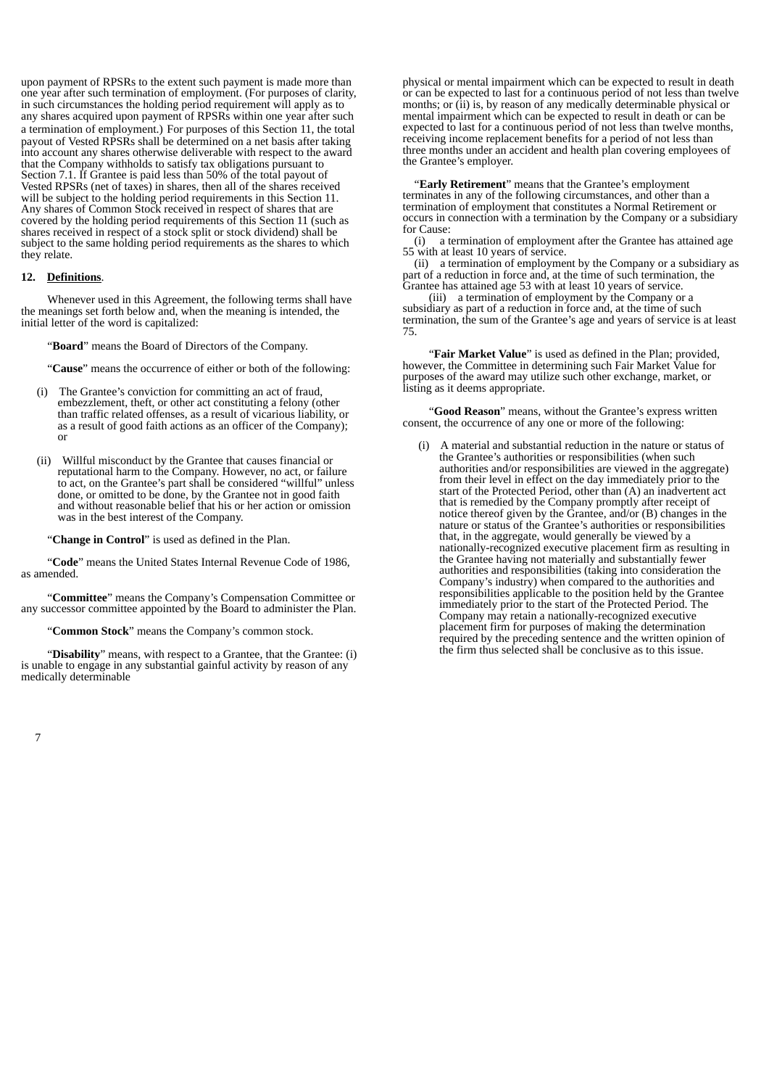upon payment of RPSRs to the extent such payment is made more than one year after such termination of employment. (For purposes of clarity, in such circumstances the holding period requirement will apply as to any shares acquired upon payment of RPSRs within one year after such a termination of employment.) For purposes of this Section 11, the total payout of Vested RPSRs shall be determined on a net basis after taking into account any shares otherwise deliverable with respect to the award that the Company withholds to satisfy tax obligations pursuant to Section 7.1. If Grantee is paid less than 50% of the total payout of Vested RPSRs (net of taxes) in shares, then all of the shares received will be subject to the holding period requirements in this Section 11. Any shares of Common Stock received in respect of shares that are covered by the holding period requirements of this Section 11 (such as shares received in respect of a stock split or stock dividend) shall be subject to the same holding period requirements as the shares to which they relate.

#### **12. Definitions**.

Whenever used in this Agreement, the following terms shall have the meanings set forth below and, when the meaning is intended, the initial letter of the word is capitalized:

"**Board**" means the Board of Directors of the Company.

"**Cause**" means the occurrence of either or both of the following:

- (i) The Grantee's conviction for committing an act of fraud, embezzlement, theft, or other act constituting a felony (other than traffic related offenses, as a result of vicarious liability, or as a result of good faith actions as an officer of the Company); or
- (ii) Willful misconduct by the Grantee that causes financial or reputational harm to the Company. However, no act, or failure to act, on the Grantee's part shall be considered "willful" unless done, or omitted to be done, by the Grantee not in good faith and without reasonable belief that his or her action or omission was in the best interest of the Company.

"**Change in Control**" is used as defined in the Plan.

"**Code**" means the United States Internal Revenue Code of 1986, as amended.

"**Committee**" means the Company's Compensation Committee or any successor committee appointed by the Board to administer the Plan.

"**Common Stock**" means the Company's common stock.

"**Disability**" means, with respect to a Grantee, that the Grantee: (i) is unable to engage in any substantial gainful activity by reason of any medically determinable

physical or mental impairment which can be expected to result in death or can be expected to last for a continuous period of not less than twelve months; or (ii) is, by reason of any medically determinable physical or mental impairment which can be expected to result in death or can be expected to last for a continuous period of not less than twelve months, receiving income replacement benefits for a period of not less than three months under an accident and health plan covering employees of the Grantee's employer.

"**Early Retirement**" means that the Grantee's employment terminates in any of the following circumstances, and other than a termination of employment that constitutes a Normal Retirement or occurs in connection with a termination by the Company or a subsidiary for Cause:

(i) a termination of employment after the Grantee has attained age 55 with at least 10 years of service.

(ii) a termination of employment by the Company or a subsidiary as part of a reduction in force and, at the time of such termination, the Grantee has attained age 53 with at least 10 years of service.

(iii) a termination of employment by the Company or a subsidiary as part of a reduction in force and, at the time of such termination, the sum of the Grantee's age and years of service is at least 75.

"**Fair Market Value**" is used as defined in the Plan; provided, however, the Committee in determining such Fair Market Value for purposes of the award may utilize such other exchange, market, or listing as it deems appropriate.

"**Good Reason**" means, without the Grantee's express written consent, the occurrence of any one or more of the following:

A material and substantial reduction in the nature or status of the Grantee's authorities or responsibilities (when such authorities and/or responsibilities are viewed in the aggregate) from their level in effect on the day immediately prior to the start of the Protected Period, other than (A) an inadvertent act that is remedied by the Company promptly after receipt of notice thereof given by the Grantee, and/or (B) changes in the nature or status of the Grantee's authorities or responsibilities that, in the aggregate, would generally be viewed by a nationally-recognized executive placement firm as resulting in the Grantee having not materially and substantially fewer authorities and responsibilities (taking into consideration the Company's industry) when compared to the authorities and responsibilities applicable to the position held by the Grantee immediately prior to the start of the Protected Period. The Company may retain a nationally-recognized executive placement firm for purposes of making the determination required by the preceding sentence and the written opinion of the firm thus selected shall be conclusive as to this issue.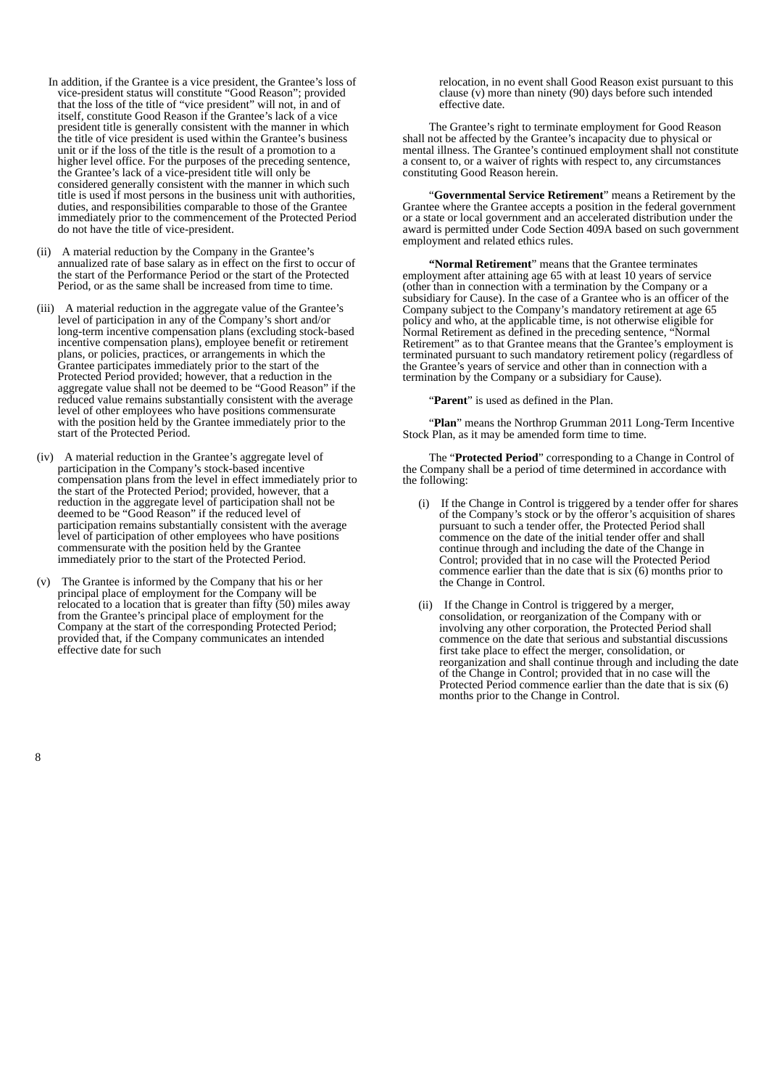- In addition, if the Grantee is a vice president, the Grantee's loss of vice-president status will constitute "Good Reason"; provided that the loss of the title of "vice president" will not, in and of itself, constitute Good Reason if the Grantee's lack of a vice president title is generally consistent with the manner in which the title of vice president is used within the Grantee's business unit or if the loss of the title is the result of a promotion to a higher level office. For the purposes of the preceding sentence, the Grantee's lack of a vice-president title will only be considered generally consistent with the manner in which such title is used if most persons in the business unit with authorities, duties, and responsibilities comparable to those of the Grantee immediately prior to the commencement of the Protected Period do not have the title of vice-president.
- (ii) A material reduction by the Company in the Grantee's annualized rate of base salary as in effect on the first to occur of the start of the Performance Period or the start of the Protected Period, or as the same shall be increased from time to time.
- (iii) A material reduction in the aggregate value of the Grantee's level of participation in any of the Company's short and/or long-term incentive compensation plans (excluding stock-based incentive compensation plans), employee benefit or retirement plans, or policies, practices, or arrangements in which the Grantee participates immediately prior to the start of the Protected Period provided; however, that a reduction in the aggregate value shall not be deemed to be "Good Reason" if the reduced value remains substantially consistent with the average level of other employees who have positions commensurate with the position held by the Grantee immediately prior to the start of the Protected Period.
- (iv) A material reduction in the Grantee's aggregate level of participation in the Company's stock-based incentive compensation plans from the level in effect immediately prior to the start of the Protected Period; provided, however, that a reduction in the aggregate level of participation shall not be deemed to be "Good Reason" if the reduced level of participation remains substantially consistent with the average level of participation of other employees who have positions commensurate with the position held by the Grantee immediately prior to the start of the Protected Period.
- (v) The Grantee is informed by the Company that his or her principal place of employment for the Company will be relocated to a location that is greater than fifty (50) miles away from the Grantee's principal place of employment for the Company at the start of the corresponding Protected Period; provided that, if the Company communicates an intended effective date for such

relocation, in no event shall Good Reason exist pursuant to this clause (v) more than ninety (90) days before such intended effective date.

The Grantee's right to terminate employment for Good Reason shall not be affected by the Grantee's incapacity due to physical or mental illness. The Grantee's continued employment shall not constitute a consent to, or a waiver of rights with respect to, any circumstances constituting Good Reason herein.

"**Governmental Service Retirement**" means a Retirement by the Grantee where the Grantee accepts a position in the federal government or a state or local government and an accelerated distribution under the award is permitted under Code Section 409A based on such government employment and related ethics rules.

**"Normal Retirement**" means that the Grantee terminates employment after attaining age 65 with at least 10 years of service (other than in connection with a termination by the Company or a subsidiary for Cause). In the case of a Grantee who is an officer of the Company subject to the Company's mandatory retirement at age 65 policy and who, at the applicable time, is not otherwise eligible for Normal Retirement as defined in the preceding sentence, "Normal Retirement" as to that Grantee means that the Grantee's employment is terminated pursuant to such mandatory retirement policy (regardless of the Grantee's years of service and other than in connection with a termination by the Company or a subsidiary for Cause).

"**Parent**" is used as defined in the Plan.

"**Plan**" means the Northrop Grumman 2011 Long-Term Incentive Stock Plan, as it may be amended form time to time.

The "**Protected Period**" corresponding to a Change in Control of the Company shall be a period of time determined in accordance with the following:

- (i) If the Change in Control is triggered by a tender offer for shares of the Company's stock or by the offeror's acquisition of shares pursuant to such a tender offer, the Protected Period shall commence on the date of the initial tender offer and shall continue through and including the date of the Change in Control; provided that in no case will the Protected Period commence earlier than the date that is six (6) months prior to the Change in Control.
- (ii) If the Change in Control is triggered by a merger, consolidation, or reorganization of the Company with or involving any other corporation, the Protected Period shall commence on the date that serious and substantial discussions first take place to effect the merger, consolidation, or reorganization and shall continue through and including the date of the Change in Control; provided that in no case will the Protected Period commence earlier than the date that is six (6) months prior to the Change in Control.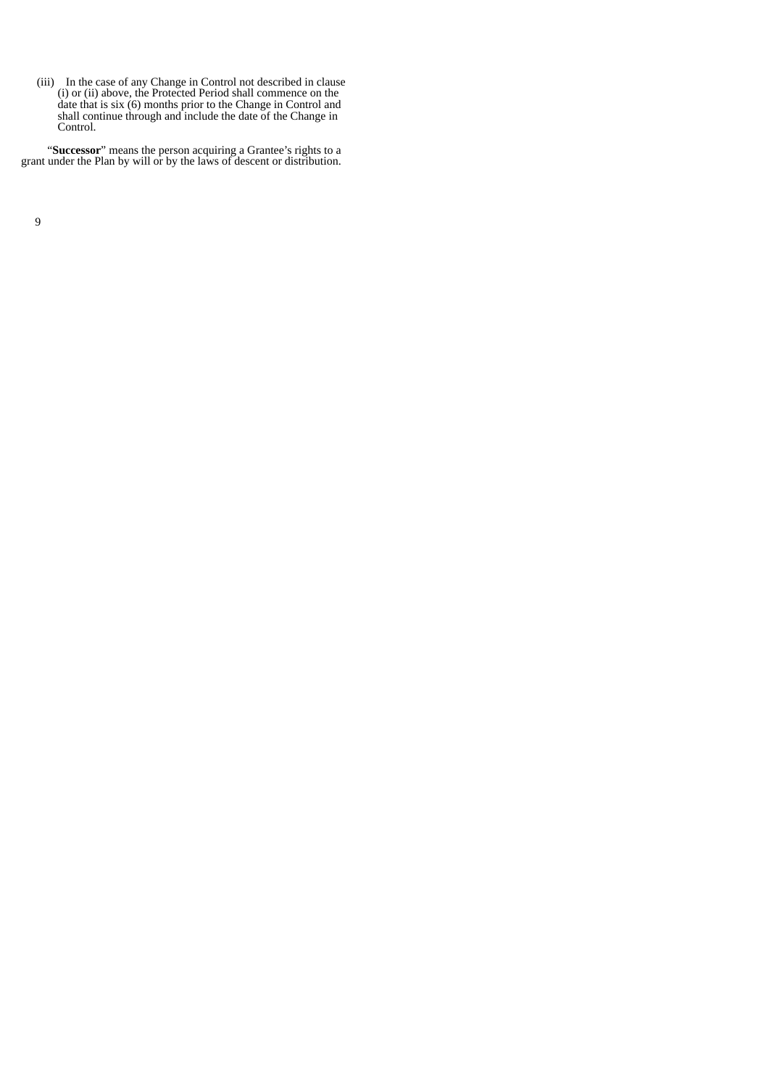(iii) In the case of any Change in Control not described in clause (i) or (ii) above, the Protected Period shall commence on the date that is six (6) months prior to the Change in Control and shall continue through and include the date of the Change in Control.

"**Successor**" means the person acquiring a Grantee's rights to a grant under the Plan by will or by the laws of descent or distribution.

9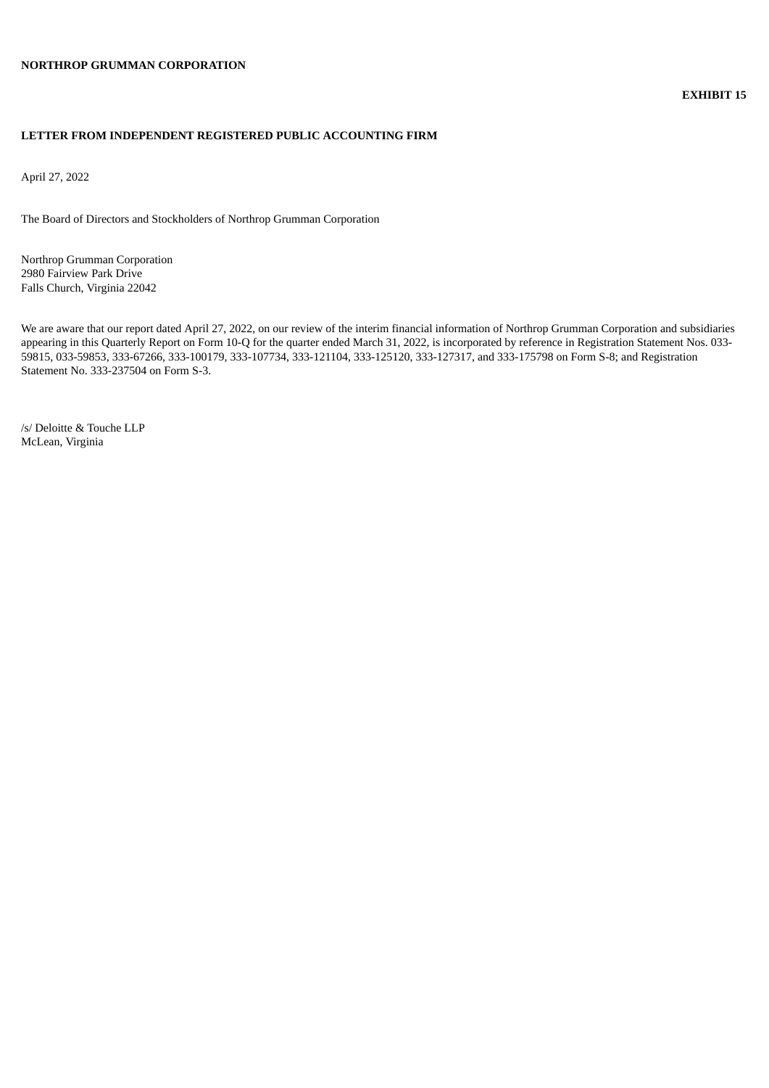# <span id="page-70-0"></span>**LETTER FROM INDEPENDENT REGISTERED PUBLIC ACCOUNTING FIRM**

April 27, 2022

The Board of Directors and Stockholders of Northrop Grumman Corporation

Northrop Grumman Corporation 2980 Fairview Park Drive Falls Church, Virginia 22042

We are aware that our report dated April 27, 2022, on our review of the interim financial information of Northrop Grumman Corporation and subsidiaries appearing in this Quarterly Report on Form 10-Q for the quarter ended March 31, 2022, is incorporated by reference in Registration Statement Nos. 033- 59815, 033-59853, 333-67266, 333-100179, 333-107734, 333-121104, 333-125120, 333-127317, and 333-175798 on Form S-8; and Registration Statement No. 333-237504 on Form S-3.

/s/ Deloitte & Touche LLP McLean, Virginia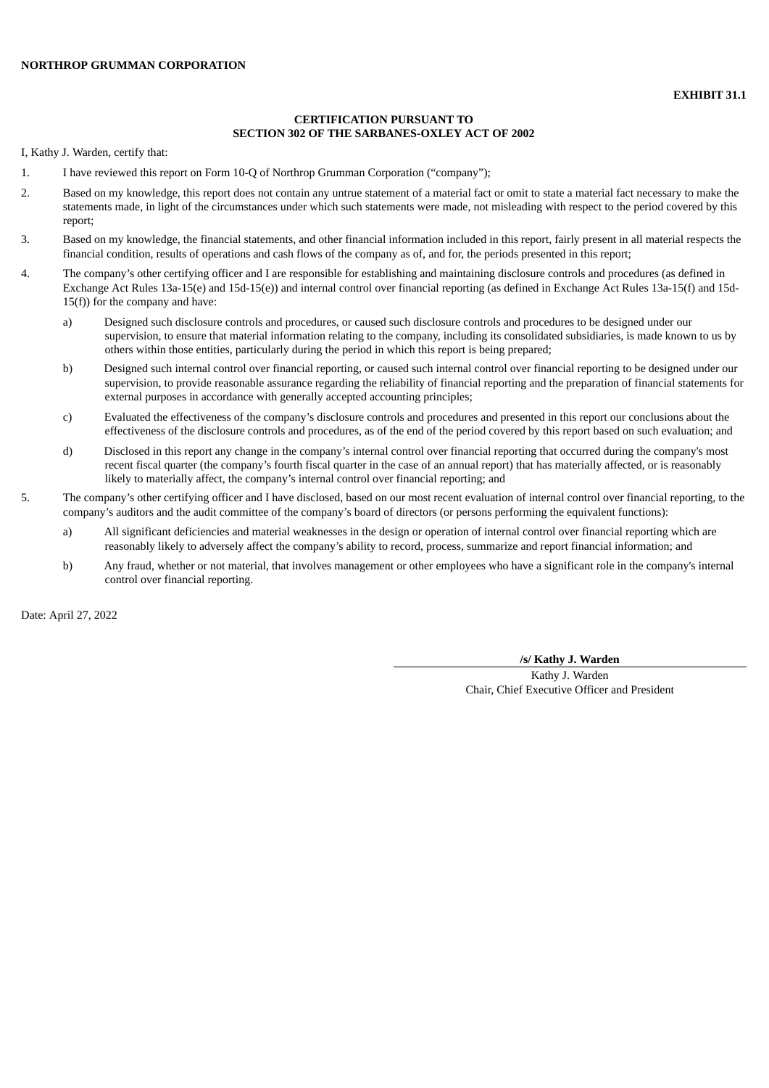# **CERTIFICATION PURSUANT TO SECTION 302 OF THE SARBANES-OXLEY ACT OF 2002**

<span id="page-71-0"></span>I, Kathy J. Warden, certify that:

- 1. I have reviewed this report on Form 10-Q of Northrop Grumman Corporation ("company");
- 2. Based on my knowledge, this report does not contain any untrue statement of a material fact or omit to state a material fact necessary to make the statements made, in light of the circumstances under which such statements were made, not misleading with respect to the period covered by this report;
- 3. Based on my knowledge, the financial statements, and other financial information included in this report, fairly present in all material respects the financial condition, results of operations and cash flows of the company as of, and for, the periods presented in this report;
- 4. The company's other certifying officer and I are responsible for establishing and maintaining disclosure controls and procedures (as defined in Exchange Act Rules 13a-15(e) and 15d-15(e)) and internal control over financial reporting (as defined in Exchange Act Rules 13a-15(f) and 15d-15(f)) for the company and have:
	- a) Designed such disclosure controls and procedures, or caused such disclosure controls and procedures to be designed under our supervision, to ensure that material information relating to the company, including its consolidated subsidiaries, is made known to us by others within those entities, particularly during the period in which this report is being prepared;
	- b) Designed such internal control over financial reporting, or caused such internal control over financial reporting to be designed under our supervision, to provide reasonable assurance regarding the reliability of financial reporting and the preparation of financial statements for external purposes in accordance with generally accepted accounting principles;
	- c) Evaluated the effectiveness of the company's disclosure controls and procedures and presented in this report our conclusions about the effectiveness of the disclosure controls and procedures, as of the end of the period covered by this report based on such evaluation; and
	- d) Disclosed in this report any change in the company's internal control over financial reporting that occurred during the company's most recent fiscal quarter (the company's fourth fiscal quarter in the case of an annual report) that has materially affected, or is reasonably likely to materially affect, the company's internal control over financial reporting; and
- 5. The company's other certifying officer and I have disclosed, based on our most recent evaluation of internal control over financial reporting, to the company's auditors and the audit committee of the company's board of directors (or persons performing the equivalent functions):
	- a) All significant deficiencies and material weaknesses in the design or operation of internal control over financial reporting which are reasonably likely to adversely affect the company's ability to record, process, summarize and report financial information; and
	- b) Any fraud, whether or not material, that involves management or other employees who have a significant role in the company's internal control over financial reporting.

Date: April 27, 2022

**/s/ Kathy J. Warden**

Kathy J. Warden Chair, Chief Executive Officer and President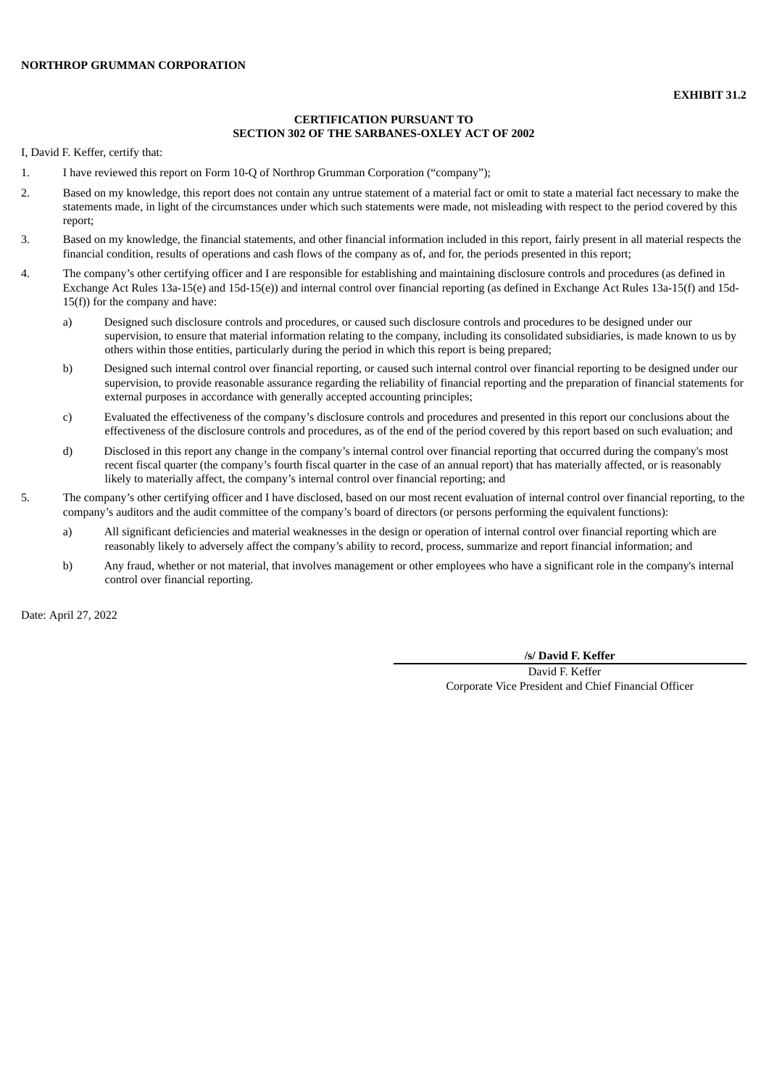## **CERTIFICATION PURSUANT TO SECTION 302 OF THE SARBANES-OXLEY ACT OF 2002**

I, David F. Keffer, certify that:

- 1. I have reviewed this report on Form 10-Q of Northrop Grumman Corporation ("company");
- 2. Based on my knowledge, this report does not contain any untrue statement of a material fact or omit to state a material fact necessary to make the statements made, in light of the circumstances under which such statements were made, not misleading with respect to the period covered by this report;
- 3. Based on my knowledge, the financial statements, and other financial information included in this report, fairly present in all material respects the financial condition, results of operations and cash flows of the company as of, and for, the periods presented in this report;
- 4. The company's other certifying officer and I are responsible for establishing and maintaining disclosure controls and procedures (as defined in Exchange Act Rules 13a-15(e) and 15d-15(e)) and internal control over financial reporting (as defined in Exchange Act Rules 13a-15(f) and 15d-15(f)) for the company and have:
	- a) Designed such disclosure controls and procedures, or caused such disclosure controls and procedures to be designed under our supervision, to ensure that material information relating to the company, including its consolidated subsidiaries, is made known to us by others within those entities, particularly during the period in which this report is being prepared;
	- b) Designed such internal control over financial reporting, or caused such internal control over financial reporting to be designed under our supervision, to provide reasonable assurance regarding the reliability of financial reporting and the preparation of financial statements for external purposes in accordance with generally accepted accounting principles;
	- c) Evaluated the effectiveness of the company's disclosure controls and procedures and presented in this report our conclusions about the effectiveness of the disclosure controls and procedures, as of the end of the period covered by this report based on such evaluation; and
	- d) Disclosed in this report any change in the company's internal control over financial reporting that occurred during the company's most recent fiscal quarter (the company's fourth fiscal quarter in the case of an annual report) that has materially affected, or is reasonably likely to materially affect, the company's internal control over financial reporting; and
- 5. The company's other certifying officer and I have disclosed, based on our most recent evaluation of internal control over financial reporting, to the company's auditors and the audit committee of the company's board of directors (or persons performing the equivalent functions):
	- a) All significant deficiencies and material weaknesses in the design or operation of internal control over financial reporting which are reasonably likely to adversely affect the company's ability to record, process, summarize and report financial information; and
	- b) Any fraud, whether or not material, that involves management or other employees who have a significant role in the company's internal control over financial reporting.

Date: April 27, 2022

**/s/ David F. Keffer**

David F. Keffer Corporate Vice President and Chief Financial Officer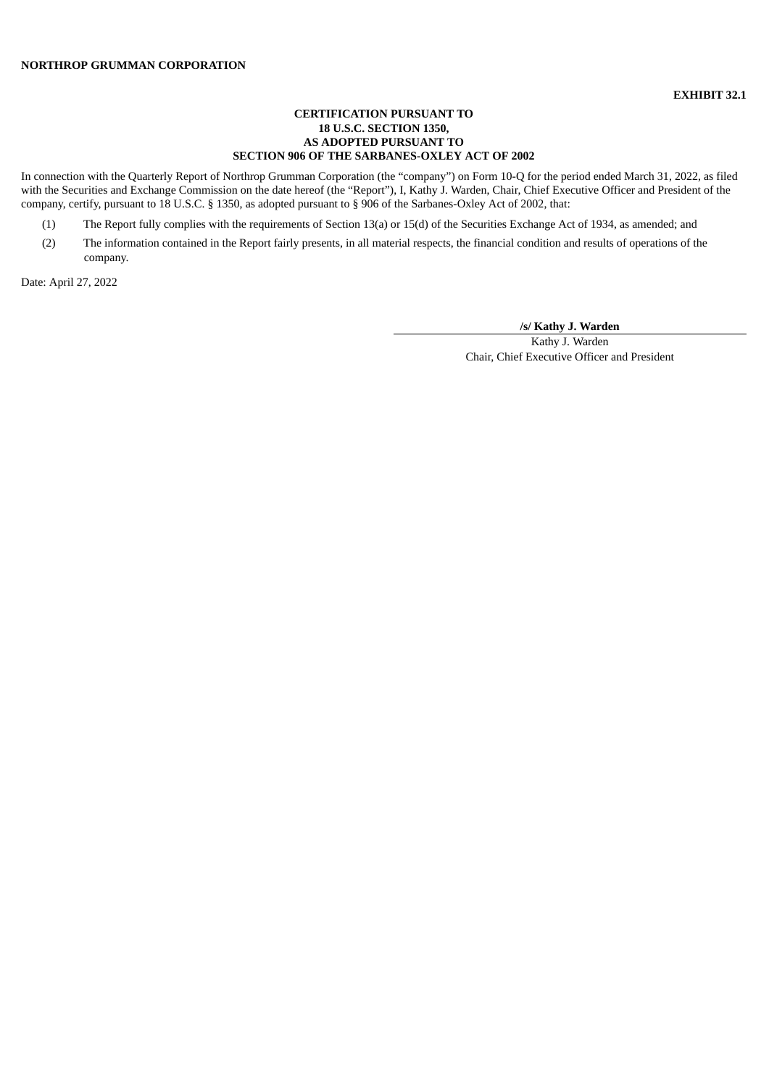**EXHIBIT 32.1**

## **CERTIFICATION PURSUANT TO 18 U.S.C. SECTION 1350, AS ADOPTED PURSUANT TO SECTION 906 OF THE SARBANES-OXLEY ACT OF 2002**

In connection with the Quarterly Report of Northrop Grumman Corporation (the "company") on Form 10-Q for the period ended March 31, 2022, as filed with the Securities and Exchange Commission on the date hereof (the "Report"), I, Kathy J. Warden, Chair, Chief Executive Officer and President of the company, certify, pursuant to 18 U.S.C. § 1350, as adopted pursuant to § 906 of the Sarbanes-Oxley Act of 2002, that:

- (1) The Report fully complies with the requirements of Section 13(a) or 15(d) of the Securities Exchange Act of 1934, as amended; and
- (2) The information contained in the Report fairly presents, in all material respects, the financial condition and results of operations of the company.

Date: April 27, 2022

**/s/ Kathy J. Warden**

Kathy J. Warden Chair, Chief Executive Officer and President